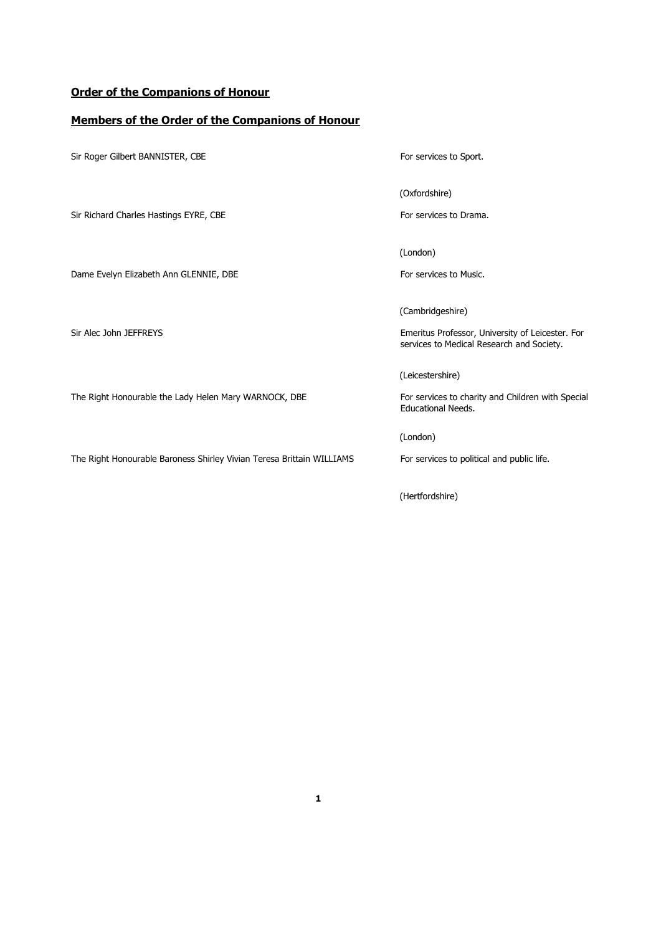### **Order of the Companions of Honour**

#### **Members of the Order of the Companions of Honour**

Sir Roger Gilbert BANNISTER, CBE For services to Sport. (Oxfordshire) Sir Richard Charles Hastings EYRE, CBE For services to Drama. (London) Dame Evelyn Elizabeth Ann GLENNIE, DBE For services to Music. (Cambridgeshire) Sir Alec John JEFFREYS **Emeritus Professor, University of Leicester. For** services to Medical Research and Society. (Leicestershire) The Right Honourable the Lady Helen Mary WARNOCK, DBE For services to charity and Children with Special Educational Needs. (London) The Right Honourable Baroness Shirley Vivian Teresa Brittain WILLIAMS For services to political and public life. (Hertfordshire)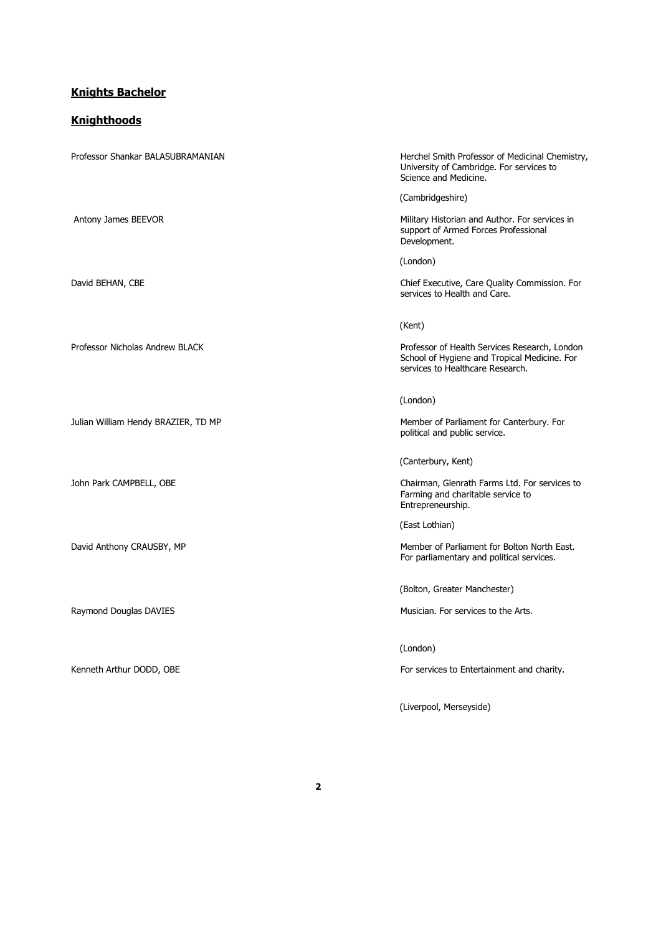#### **Knights Bachelor**

#### **Knighthoods**

Professor Shankar BALASUBRAMANIAN Herchel Smith Professor of Medicinal Chemistry, University of Cambridge. For services to Science and Medicine. (Cambridgeshire) Antony James BEEVOR **Military Historian and Author. For services in** Military Historian and Author. For services in support of Armed Forces Professional Development. (London) David BEHAN, CBE Chief Executive, Care Quality Commission. For services to Health and Care. (Kent) Professor Nicholas Andrew BLACK Professor of Health Services Research, London School of Hygiene and Tropical Medicine. For services to Healthcare Research. (London) Julian William Hendy BRAZIER, TD MP Member of Parliament for Canterbury. For political and public service. (Canterbury, Kent) John Park CAMPBELL, OBE Chairman, Glenrath Farms Ltd. For services to Farming and charitable service to Entrepreneurship. (East Lothian) David Anthony CRAUSBY, MP **Member of Parliament for Bolton North East.** Member of Parliament for Bolton North East. For parliamentary and political services. (Bolton, Greater Manchester) Raymond Douglas DAVIES **Musician.** For services to the Arts. (London) Kenneth Arthur DODD, OBE For services to Entertainment and charity.

(Liverpool, Merseyside)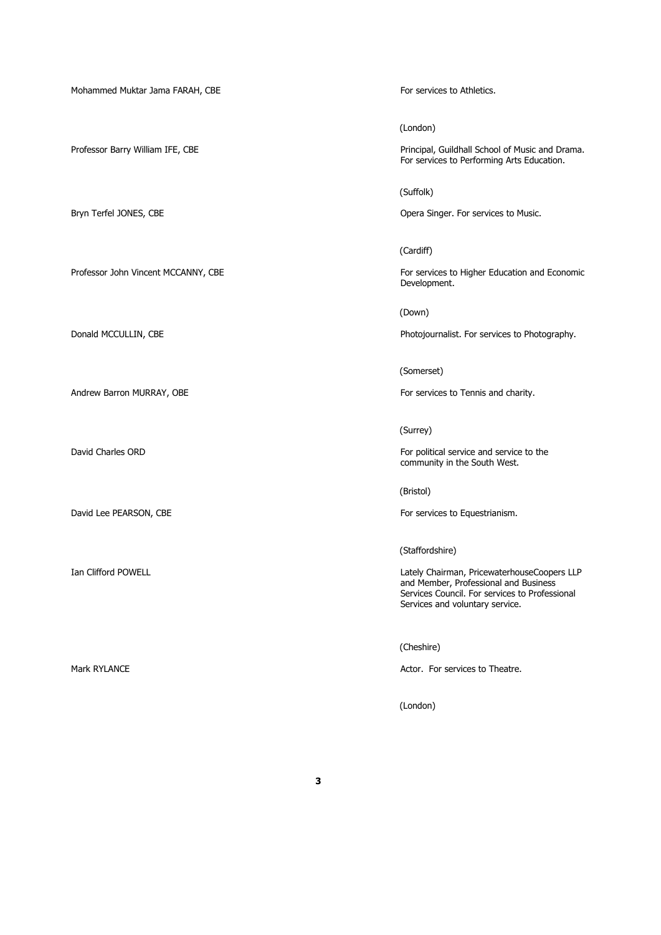Mohammed Muktar Jama FARAH, CBE For services to Athletics.

(London)

Professor Barry William IFE, CBE Professor Barry William IFE, CBE Principal, Guildhall School of Music and Drama. For services to Performing Arts Education.

(Suffolk)

Bryn Terfel JONES, CBE **Opera Singer.** For services to Music.

(Cardiff)

Professor John Vincent MCCANNY, CBE For services to Higher Education and Economic Development.

(Down)

Donald MCCULLIN, CBE Photojournalist. For services to Photography.

(Somerset)

Andrew Barron MURRAY, OBE The Services to Tennis and charity.

(Surrey)

David Charles ORD **For political service and service to the EX** For political service and service to the community in the South West.

(Bristol)

David Lee PEARSON, CBE **For services** to Equestrianism.

(Staffordshire)

Ian Clifford POWELL **Ian Clifford POWELL** and Member, Professional and Business Services Council. For services to Professional Services and voluntary service.

(Cheshire)

Mark RYLANCE **Actor.** For services to Theatre.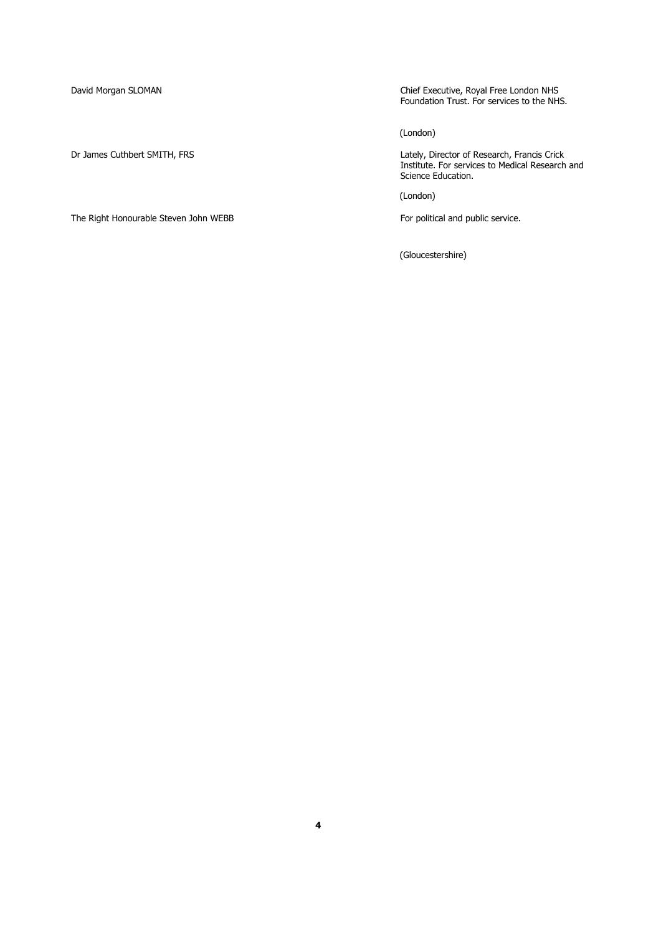The Right Honourable Steven John WEBB For political and public service.

David Morgan SLOMAN Chief Executive, Royal Free London NHS Foundation Trust. For services to the NHS.

(London)

Dr James Cuthbert SMITH, FRS Lately, Director of Research, Francis Crick Institute. For services to Medical Research and Science Education.

(London)

(Gloucestershire)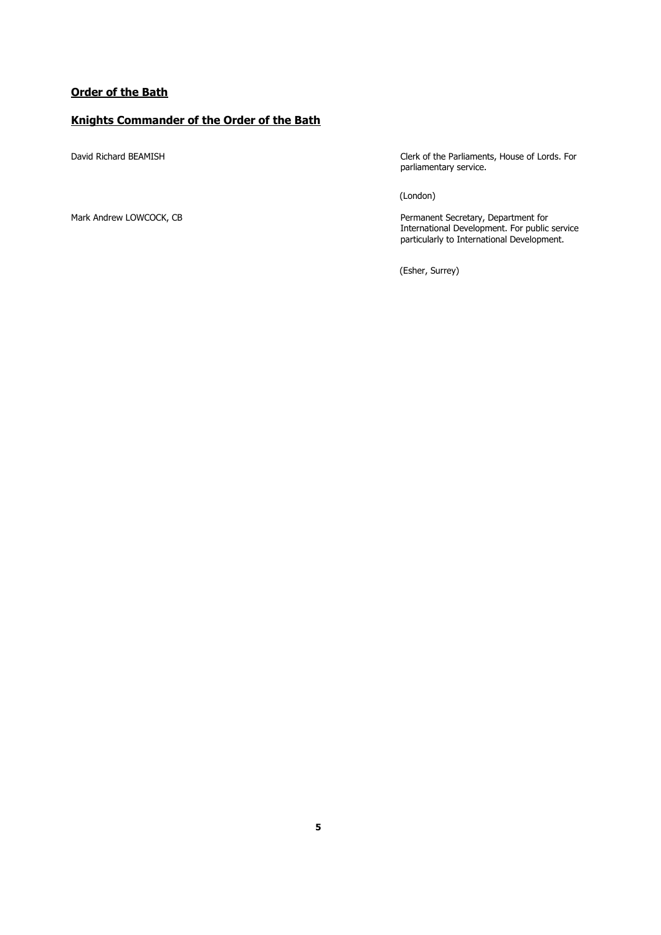### **Order of the Bath**

### **Knights Commander of the Order of the Bath**

David Richard BEAMISH Clerk of the Parliaments, House of Lords. For parliamentary service.

(London)

Mark Andrew LOWCOCK, CB Permanent Secretary, Department for International Development. For public service particularly to International Development.

(Esher, Surrey)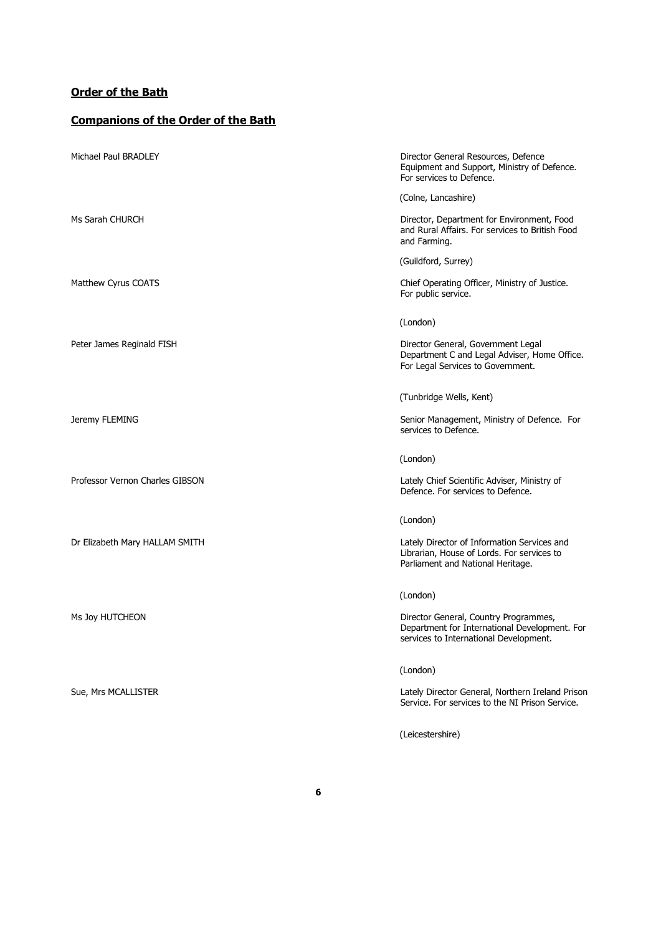### **Order of the Bath**

# **Companions of the Order of the Bath**

| Michael Paul BRADLEY            | Director General Resources, Defence<br>Equipment and Support, Ministry of Defence.<br>For services to Defence.                   |
|---------------------------------|----------------------------------------------------------------------------------------------------------------------------------|
|                                 | (Colne, Lancashire)                                                                                                              |
| Ms Sarah CHURCH                 | Director, Department for Environment, Food<br>and Rural Affairs. For services to British Food<br>and Farming.                    |
|                                 | (Guildford, Surrey)                                                                                                              |
| Matthew Cyrus COATS             | Chief Operating Officer, Ministry of Justice.<br>For public service.                                                             |
|                                 | (London)                                                                                                                         |
| Peter James Reginald FISH       | Director General, Government Legal<br>Department C and Legal Adviser, Home Office.<br>For Legal Services to Government.          |
|                                 | (Tunbridge Wells, Kent)                                                                                                          |
| Jeremy FLEMING                  | Senior Management, Ministry of Defence. For<br>services to Defence.                                                              |
|                                 | (London)                                                                                                                         |
| Professor Vernon Charles GIBSON | Lately Chief Scientific Adviser, Ministry of<br>Defence. For services to Defence.                                                |
|                                 | (London)                                                                                                                         |
| Dr Elizabeth Mary HALLAM SMITH  | Lately Director of Information Services and<br>Librarian, House of Lords. For services to<br>Parliament and National Heritage.   |
|                                 | (London)                                                                                                                         |
| Ms Joy HUTCHEON                 | Director General, Country Programmes,<br>Department for International Development. For<br>services to International Development. |
|                                 | (London)                                                                                                                         |
| Sue, Mrs MCALLISTER             | Lately Director General, Northern Ireland Prisor<br>Service. For services to the NI Prison Service.                              |
|                                 | (Leicestershire)                                                                                                                 |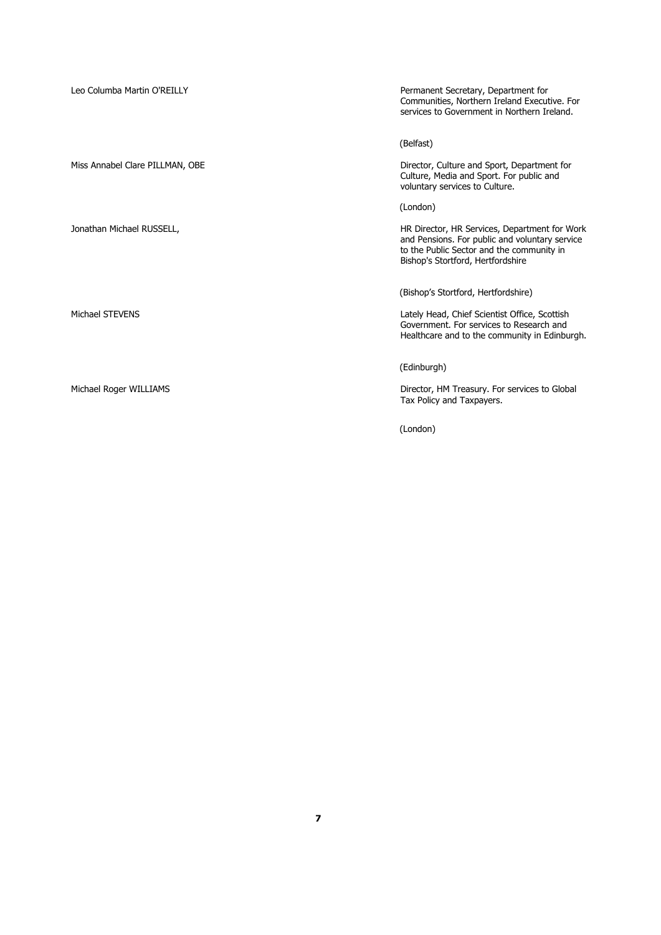| Leo Columba Martin O'REILLY     | Permanent Secretary, Department for<br>Communities, Northern Ireland Executive. For<br>services to Government in Northern Ireland.                                                |
|---------------------------------|-----------------------------------------------------------------------------------------------------------------------------------------------------------------------------------|
|                                 | (Belfast)                                                                                                                                                                         |
| Miss Annabel Clare PILLMAN, OBE | Director, Culture and Sport, Department for<br>Culture, Media and Sport. For public and<br>voluntary services to Culture.                                                         |
|                                 | (London)                                                                                                                                                                          |
| Jonathan Michael RUSSELL,       | HR Director, HR Services, Department for Work<br>and Pensions. For public and voluntary service<br>to the Public Sector and the community in<br>Bishop's Stortford, Hertfordshire |
|                                 | (Bishop's Stortford, Hertfordshire)                                                                                                                                               |
| Michael STEVENS                 | Lately Head, Chief Scientist Office, Scottish<br>Government. For services to Research and<br>Healthcare and to the community in Edinburgh.                                        |
|                                 | (Edinburgh)                                                                                                                                                                       |
| Michael Roger WILLIAMS          | Director, HM Treasury. For services to Global<br>Tax Policy and Taxpayers.                                                                                                        |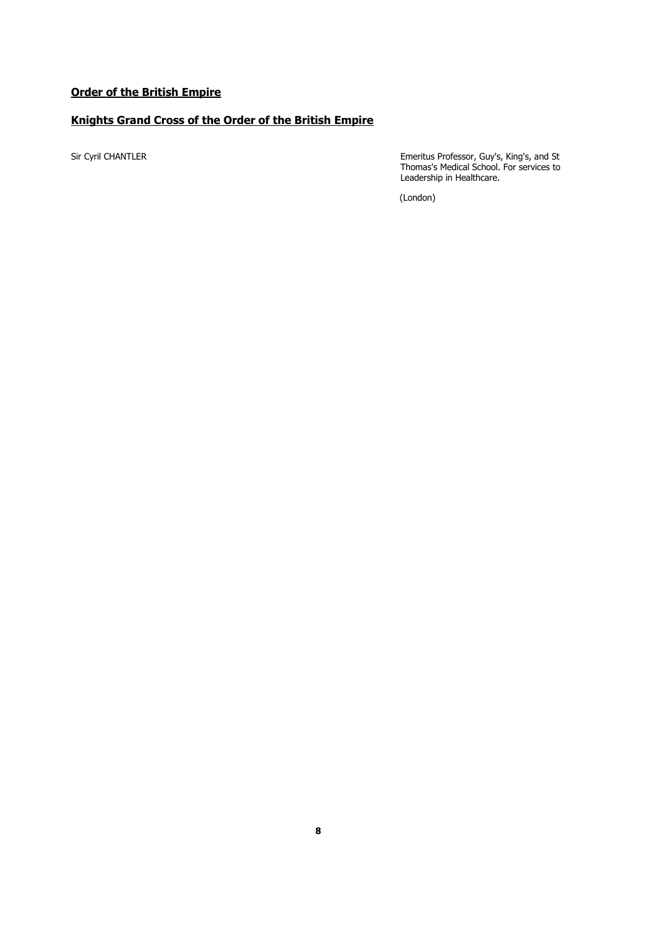### **Knights Grand Cross of the Order of the British Empire**

Sir Cyril CHANTLER Emeritus Professor, Guy's, King's, and St Thomas's Medical School. For services to Leadership in Healthcare.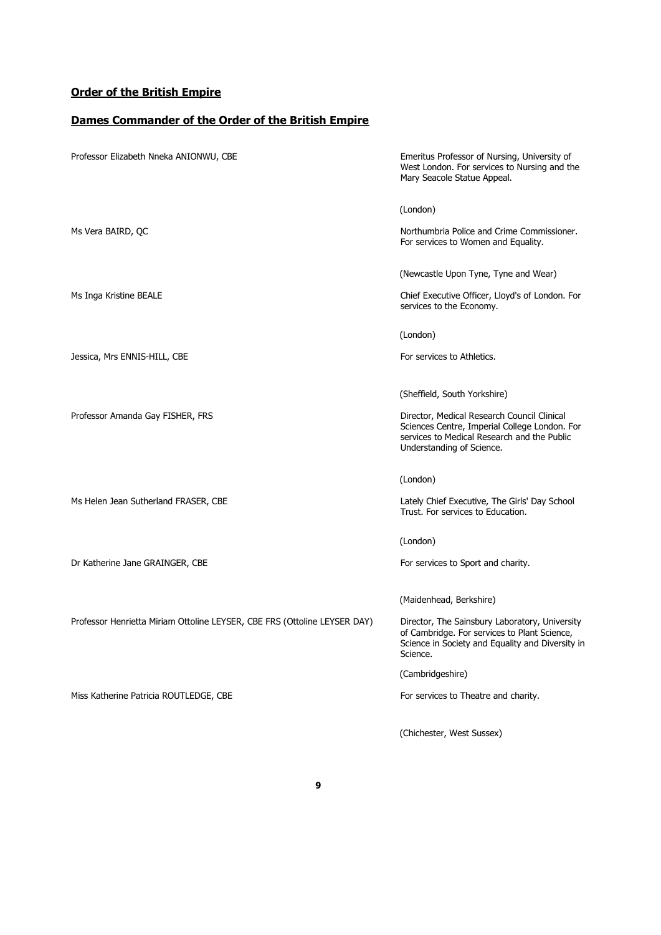#### **Dames Commander of the Order of the British Empire**

Professor Elizabeth Nneka ANIONWU, CBE The State of Nursing, University of Nursing, University of West London. For services to Nursing and the Mary Seacole Statue Appeal. (London) Ms Vera BAIRD, QC Northumbria Police and Crime Commissioner. For services to Women and Equality. (Newcastle Upon Tyne, Tyne and Wear) Ms Inga Kristine BEALE Chief Executive Officer, Lloyd's of London. For services to the Economy. (London) Jessica, Mrs ENNIS-HILL, CBE For services to Athletics. (Sheffield, South Yorkshire) Professor Amanda Gay FISHER, FRS **Director, Medical Research Council Clinical** Sciences Centre, Imperial College London. For services to Medical Research and the Public Understanding of Science. (London) Ms Helen Jean Sutherland FRASER, CBE Lately Chief Executive, The Girls' Day School Trust. For services to Education. (London) Dr Katherine Jane GRAINGER, CBE For services to Sport and charity. (Maidenhead, Berkshire) Professor Henrietta Miriam Ottoline LEYSER, CBE FRS (Ottoline LEYSER DAY) Director, The Sainsbury Laboratory, University of Cambridge. For services to Plant Science, Science in Society and Equality and Diversity in Science. (Cambridgeshire) Miss Katherine Patricia ROUTLEDGE, CBE For services to Theatre and charity. (Chichester, West Sussex)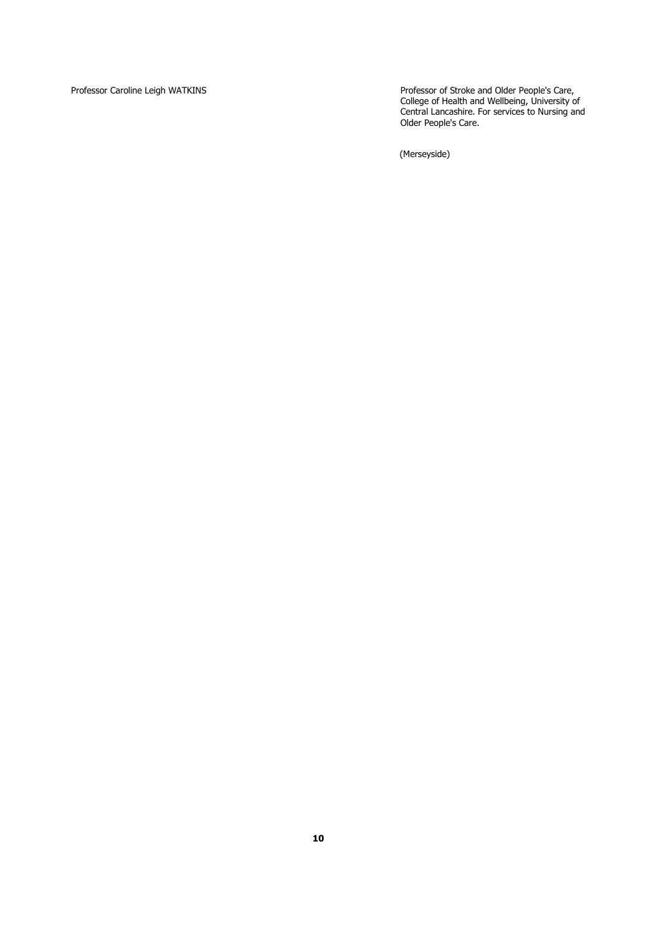Professor Caroline Leigh WATKINS Professor of Stroke and Older People's Care, College of Health and Wellbeing, University of Central Lancashire. For services to Nursing and Older People's Care.

(Merseyside)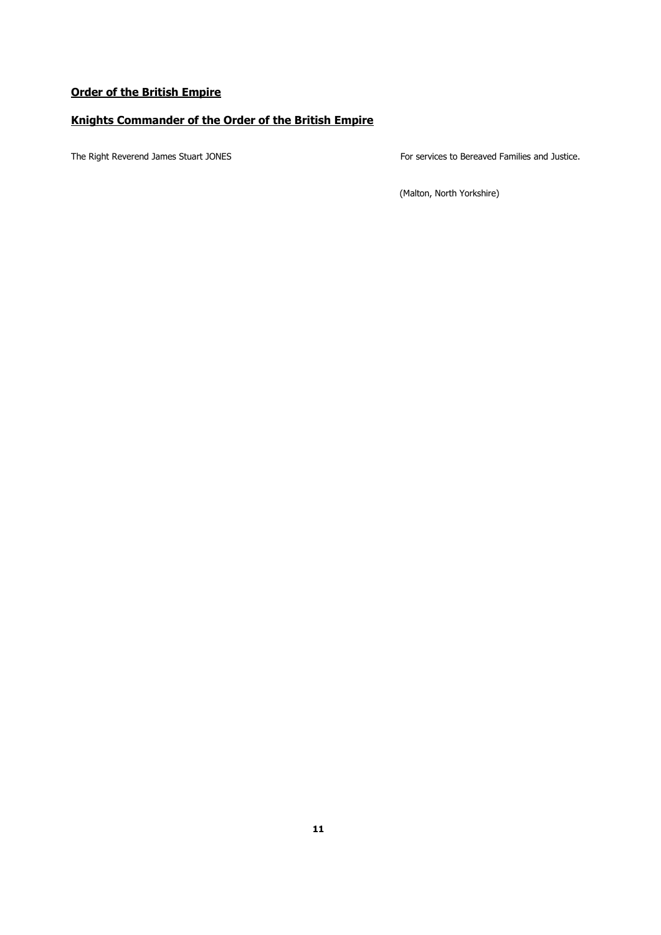### **Knights Commander of the Order of the British Empire**

The Right Reverend James Stuart JONES For services to Bereaved Families and Justice.

(Malton, North Yorkshire)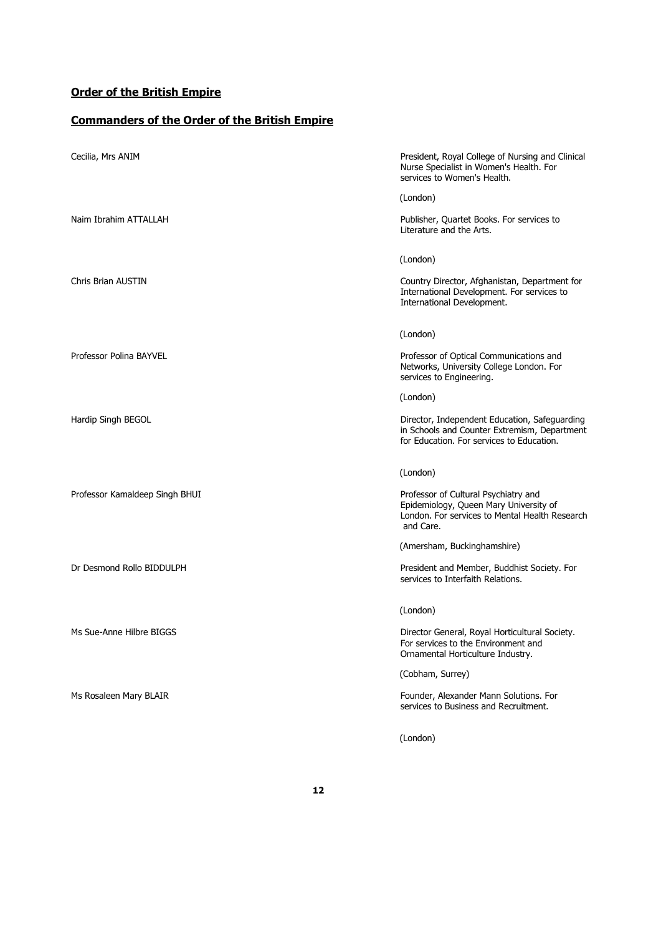# **Commanders of the Order of the British Empire**

| Cecilia, Mrs ANIM              | President, Royal College of Nursing and Clinical<br>Nurse Specialist in Women's Health. For<br>services to Women's Health.                                |
|--------------------------------|-----------------------------------------------------------------------------------------------------------------------------------------------------------|
| Naim Ibrahim ATTALLAH          | (London)<br>Publisher, Quartet Books. For services to<br>Literature and the Arts.                                                                         |
| Chris Brian AUSTIN             | (London)<br>Country Director, Afghanistan, Department for<br>International Development. For services to<br>International Development.                     |
| Professor Polina BAYVEL        | (London)<br>Professor of Optical Communications and<br>Networks, University College London. For<br>services to Engineering.                               |
| Hardip Singh BEGOL             | (London)<br>Director, Independent Education, Safeguarding<br>in Schools and Counter Extremism, Department<br>for Education. For services to Education.    |
| Professor Kamaldeep Singh BHUI | (London)<br>Professor of Cultural Psychiatry and<br>Epidemiology, Queen Mary University of<br>London. For services to Mental Health Research<br>and Care. |
| Dr Desmond Rollo BIDDULPH      | (Amersham, Buckinghamshire)<br>President and Member, Buddhist Society. For<br>services to Interfaith Relations.                                           |
| Ms Sue-Anne Hilbre BIGGS       | (London)<br>Director General, Royal Horticultural Society.<br>For services to the Environment and<br>Ornamental Horticulture Industry.                    |
| Ms Rosaleen Mary BLAIR         | (Cobham, Surrey)<br>Founder, Alexander Mann Solutions. For<br>services to Business and Recruitment.                                                       |
|                                | (London)                                                                                                                                                  |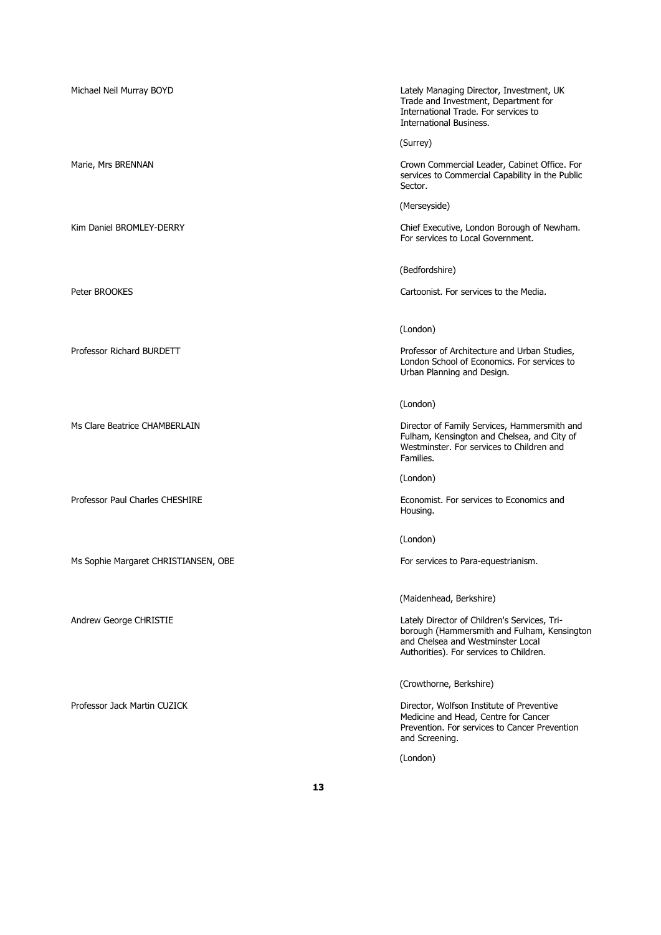Michael Neil Murray BOYD Lately Managing Director, Investment, UK Trade and Investment, Department for International Trade. For services to International Business. (Surrey) Marie, Mrs BRENNAN Crown Commercial Leader, Cabinet Office. For services to Commercial Capability in the Public Sector. (Merseyside) Kim Daniel BROMLEY-DERRY **Chief Executive, London Borough of Newham.** For services to Local Government. (Bedfordshire) Peter BROOKES Cartoonist. For services to the Media. (London) Professor Richard BURDETT **Professor Studies, Professor of Architecture and Urban Studies**, London School of Economics. For services to Urban Planning and Design. (London) Ms Clare Beatrice CHAMBERLAIN **Director of Family Services, Hammersmith and** Fulham, Kensington and Chelsea, and City of Westminster. For services to Children and Families. (London) Professor Paul Charles CHESHIRE **Exercise 2018** Economist. For services to Economics and Housing. (London) Ms Sophie Margaret CHRISTIANSEN, OBE For services to Para-equestrianism. (Maidenhead, Berkshire) Andrew George CHRISTIE Lately Director of Children's Services, Triborough (Hammersmith and Fulham, Kensington and Chelsea and Westminster Local Authorities). For services to Children. (Crowthorne, Berkshire) Professor Jack Martin CUZICK **Director, Wolfson Institute of Preventive** Medicine and Head, Centre for Cancer Prevention. For services to Cancer Prevention and Screening. (London)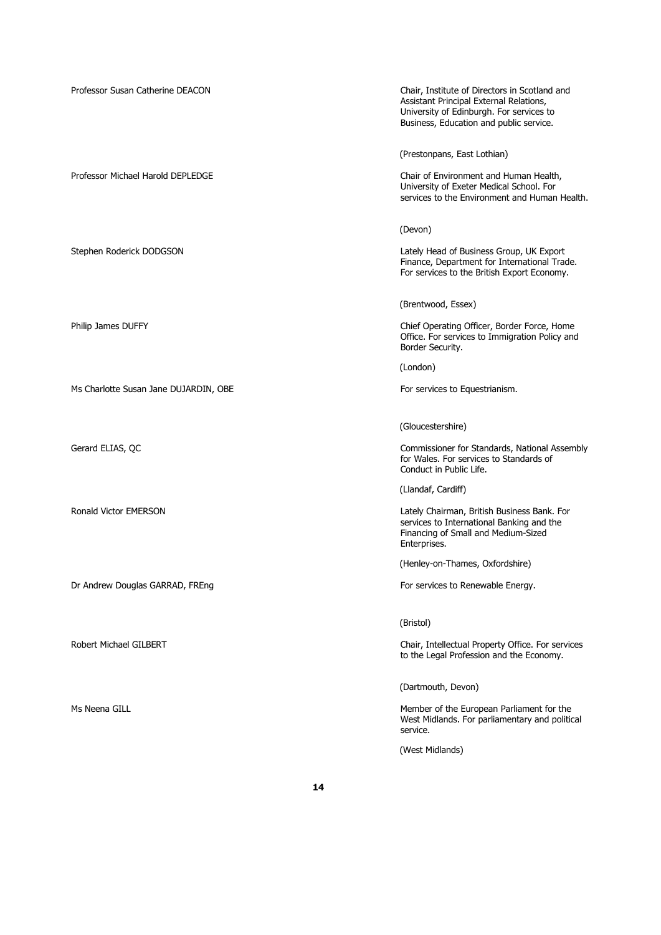Professor Susan Catherine DEACON Chair, Institute of Directors in Scotland and Assistant Principal External Relations, University of Edinburgh. For services to Business, Education and public service. (Prestonpans, East Lothian) Professor Michael Harold DEPLEDGE Chair of Environment and Human Health, University of Exeter Medical School. For services to the Environment and Human Health. (Devon) Stephen Roderick DODGSON Lately Head of Business Group, UK Export Finance, Department for International Trade. For services to the British Export Economy. (Brentwood, Essex) Philip James DUFFY **Chief Operating Officer, Border Force, Home** Office. For services to Immigration Policy and Border Security. (London) Ms Charlotte Susan Jane DUJARDIN, OBE For services to Equestrianism. (Gloucestershire) Gerard ELIAS, QC **Commissioner for Standards, National Assembly Commissioner for Standards, National Assembly** for Wales. For services to Standards of Conduct in Public Life. (Llandaf, Cardiff) Ronald Victor EMERSON Lately Chairman, British Business Bank. For services to International Banking and the Financing of Small and Medium-Sized Enterprises. (Henley-on-Thames, Oxfordshire) Dr Andrew Douglas GARRAD, FREng For services to Renewable Energy. (Bristol) Robert Michael GILBERT **Chair, Intellectual Property Office. For services** to the Legal Profession and the Economy. (Dartmouth, Devon) Ms Neena GILL Member of the European Parliament for the European Parliament for the West Midlands. For parliamentary and political service. (West Midlands)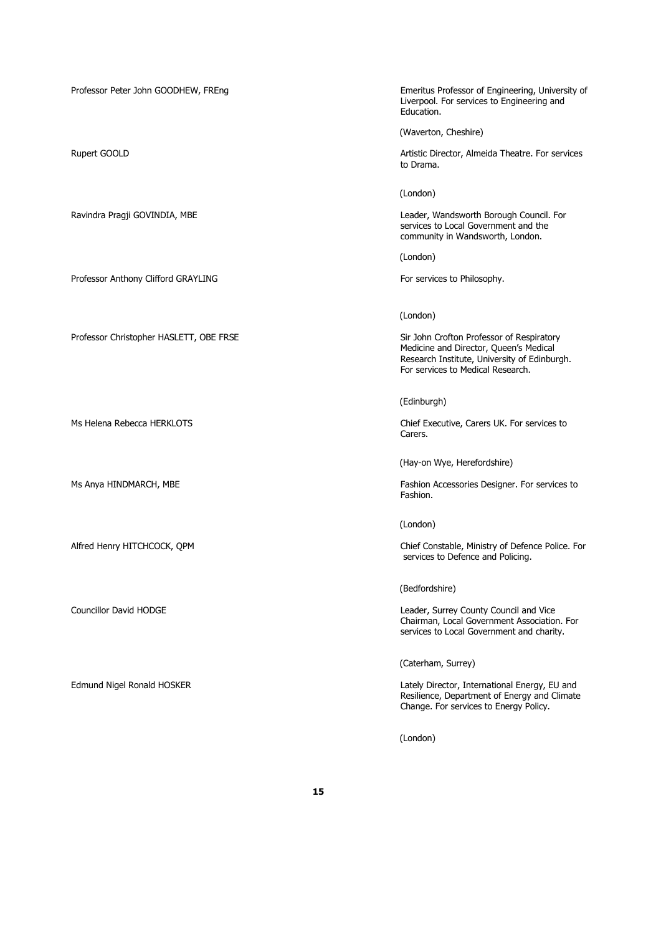Professor Anthony Clifford GRAYLING For services to Philosophy.

Professor Christopher HASLETT, OBE FRSE Sir John Crofton Professor of Respiratory

Professor Peter John GOODHEW, FREng Emeritus Professor of Engineering, University of Liverpool. For services to Engineering and Education.

(Waverton, Cheshire)

Rupert GOOLD **Artistic Director, Almeida Theatre. For services** Artistic Director, Almeida Theatre. For services to Drama.

(London)

Ravindra Pragji GOVINDIA, MBE Leader, Wandsworth Borough Council. For services to Local Government and the community in Wandsworth, London.

(London)

(London)

Medicine and Director, Queen's Medical Research Institute, University of Edinburgh. For services to Medical Research.

(Edinburgh)

Ms Helena Rebecca HERKLOTS Chief Executive, Carers UK. For services to Carers.

(Hay-on Wye, Herefordshire)

Ms Anya HINDMARCH, MBE Fashion Accessories Designer. For services to Fashion.

(London)

Alfred Henry HITCHCOCK, QPM Chief Constable, Ministry of Defence Police. For services to Defence and Policing.

(Bedfordshire)

Councillor David HODGE Leader, Surrey County Council and Vice Chairman, Local Government Association. For services to Local Government and charity.

(Caterham, Surrey)

Edmund Nigel Ronald HOSKER Lately Director, International Energy, EU and Resilience, Department of Energy and Climate Change. For services to Energy Policy.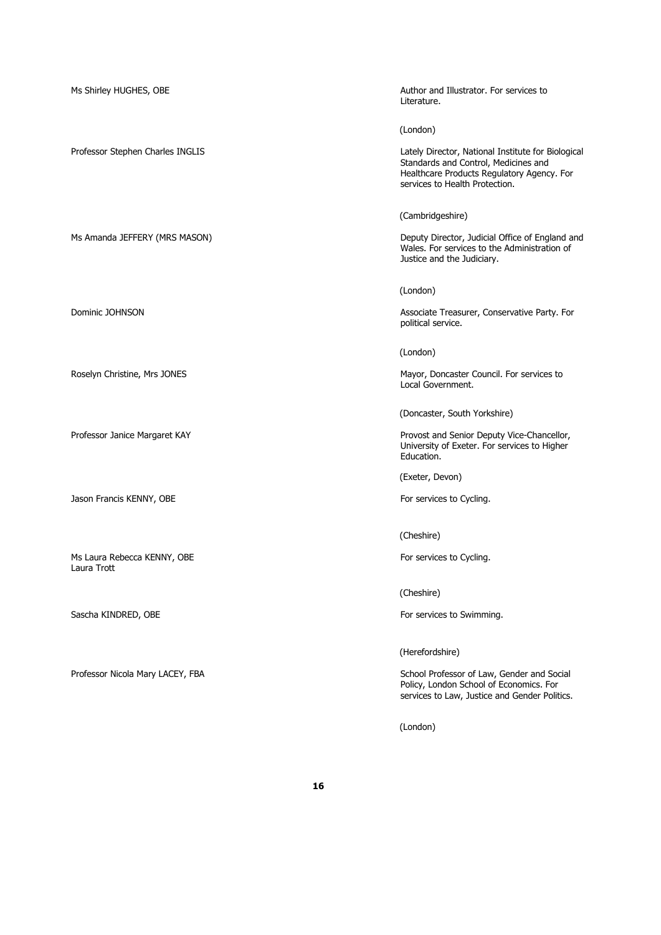| Ms Shirley HUGHES, OBE                     | Author and Illustrator. For services to<br>Literature.                                                                                                                     |
|--------------------------------------------|----------------------------------------------------------------------------------------------------------------------------------------------------------------------------|
|                                            | (London)                                                                                                                                                                   |
| Professor Stephen Charles INGLIS           | Lately Director, National Institute for Biological<br>Standards and Control, Medicines and<br>Healthcare Products Regulatory Agency. For<br>services to Health Protection. |
|                                            | (Cambridgeshire)                                                                                                                                                           |
| Ms Amanda JEFFERY (MRS MASON)              | Deputy Director, Judicial Office of England and<br>Wales. For services to the Administration of<br>Justice and the Judiciary.                                              |
|                                            | (London)                                                                                                                                                                   |
| Dominic JOHNSON                            | Associate Treasurer, Conservative Party. For<br>political service.                                                                                                         |
|                                            | (London)                                                                                                                                                                   |
| Roselyn Christine, Mrs JONES               | Mayor, Doncaster Council. For services to<br>Local Government.                                                                                                             |
|                                            | (Doncaster, South Yorkshire)                                                                                                                                               |
| Professor Janice Margaret KAY              | Provost and Senior Deputy Vice-Chancellor,<br>University of Exeter. For services to Higher<br>Education.                                                                   |
|                                            | (Exeter, Devon)                                                                                                                                                            |
| Jason Francis KENNY, OBE                   | For services to Cycling.                                                                                                                                                   |
|                                            | (Cheshire)                                                                                                                                                                 |
| Ms Laura Rebecca KENNY, OBE<br>Laura Trott | For services to Cycling.                                                                                                                                                   |
|                                            | (Cheshire)                                                                                                                                                                 |
| Sascha KINDRED, OBE                        | For services to Swimming.                                                                                                                                                  |
|                                            | (Herefordshire)                                                                                                                                                            |
| Professor Nicola Mary LACEY, FBA           | School Professor of Law, Gender and Social<br>Policy, London School of Economics. For<br>services to Law, Justice and Gender Politics.                                     |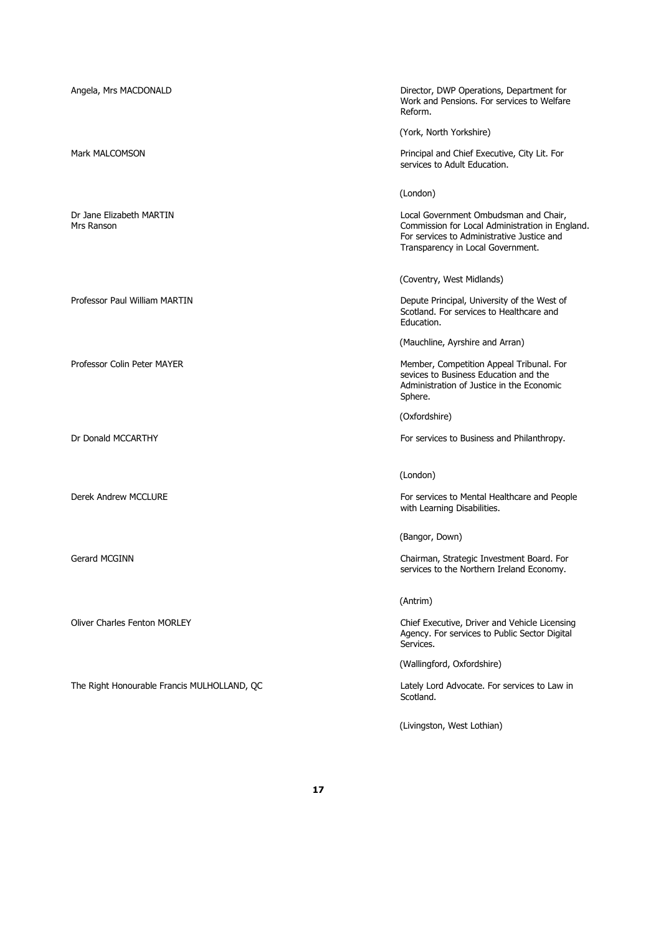| Angela, Mrs MACDONALD                       | Director, DWP Operations, Department for<br>Work and Pensions. For services to Welfare<br>Reform.                                                                           |
|---------------------------------------------|-----------------------------------------------------------------------------------------------------------------------------------------------------------------------------|
|                                             | (York, North Yorkshire)                                                                                                                                                     |
| <b>Mark MALCOMSON</b>                       | Principal and Chief Executive, City Lit. For<br>services to Adult Education.                                                                                                |
|                                             | (London)                                                                                                                                                                    |
| Dr Jane Elizabeth MARTIN<br>Mrs Ranson      | Local Government Ombudsman and Chair,<br>Commission for Local Administration in England.<br>For services to Administrative Justice and<br>Transparency in Local Government. |
|                                             | (Coventry, West Midlands)                                                                                                                                                   |
| Professor Paul William MARTIN               | Depute Principal, University of the West of<br>Scotland. For services to Healthcare and<br>Education.                                                                       |
|                                             | (Mauchline, Ayrshire and Arran)                                                                                                                                             |
| Professor Colin Peter MAYER                 | Member, Competition Appeal Tribunal. For<br>sevices to Business Education and the<br>Administration of Justice in the Economic<br>Sphere.                                   |
|                                             | (Oxfordshire)                                                                                                                                                               |
| Dr Donald MCCARTHY                          | For services to Business and Philanthropy.                                                                                                                                  |
|                                             | (London)                                                                                                                                                                    |
| Derek Andrew MCCLURE                        | For services to Mental Healthcare and People<br>with Learning Disabilities.                                                                                                 |
|                                             | (Bangor, Down)                                                                                                                                                              |
| Gerard MCGINN                               | Chairman, Strategic Investment Board. For<br>services to the Northern Ireland Economy.                                                                                      |
|                                             | (Antrim)                                                                                                                                                                    |
| <b>Oliver Charles Fenton MORLEY</b>         | Chief Executive, Driver and Vehicle Licensing<br>Agency. For services to Public Sector Digital<br>Services.                                                                 |
|                                             | (Wallingford, Oxfordshire)                                                                                                                                                  |
| The Right Honourable Francis MULHOLLAND, QC | Lately Lord Advocate. For services to Law in<br>Scotland.                                                                                                                   |

(Livingston, West Lothian)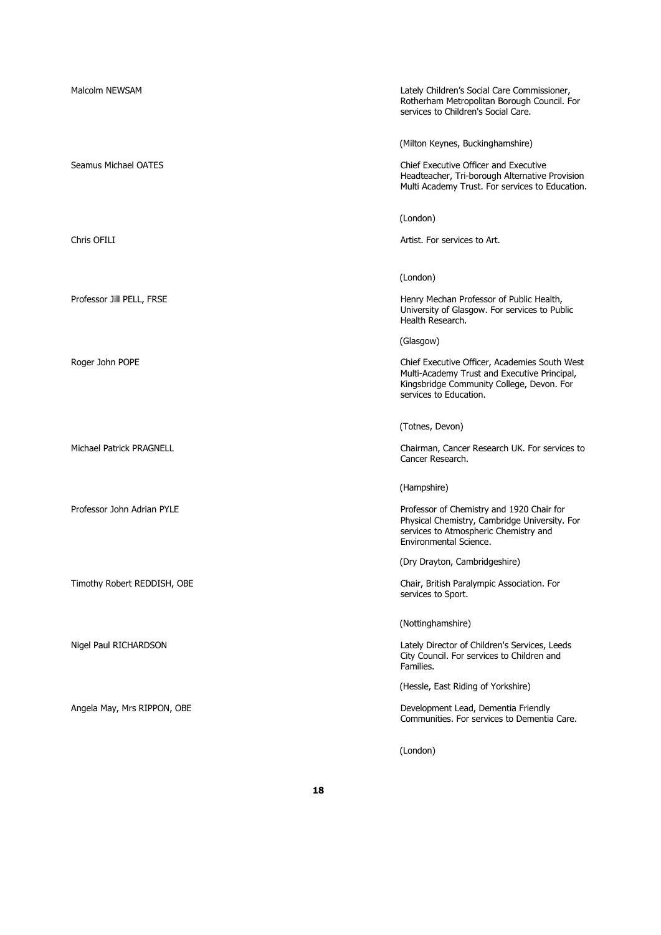| Malcolm NEWSAM              | Lately Children's Social Care Commissioner,<br>Rotherham Metropolitan Borough Council. For<br>services to Children's Social Care.                                    |
|-----------------------------|----------------------------------------------------------------------------------------------------------------------------------------------------------------------|
|                             | (Milton Keynes, Buckinghamshire)                                                                                                                                     |
| Seamus Michael OATES        | Chief Executive Officer and Executive<br>Headteacher, Tri-borough Alternative Provision<br>Multi Academy Trust. For services to Education.                           |
|                             | (London)                                                                                                                                                             |
| Chris OFILI                 | Artist. For services to Art.                                                                                                                                         |
|                             | (London)                                                                                                                                                             |
| Professor Jill PELL, FRSE   | Henry Mechan Professor of Public Health,<br>University of Glasgow. For services to Public<br>Health Research.                                                        |
|                             | (Glasgow)                                                                                                                                                            |
| Roger John POPE             | Chief Executive Officer, Academies South West<br>Multi-Academy Trust and Executive Principal,<br>Kingsbridge Community College, Devon. For<br>services to Education. |
|                             | (Totnes, Devon)                                                                                                                                                      |
| Michael Patrick PRAGNELL    | Chairman, Cancer Research UK. For services to<br>Cancer Research.                                                                                                    |
|                             | (Hampshire)                                                                                                                                                          |
| Professor John Adrian PYLE  | Professor of Chemistry and 1920 Chair for<br>Physical Chemistry, Cambridge University. For<br>services to Atmospheric Chemistry and<br>Environmental Science.        |
|                             | (Dry Drayton, Cambridgeshire)                                                                                                                                        |
| Timothy Robert REDDISH, OBE | Chair, British Paralympic Association. For<br>services to Sport.                                                                                                     |
|                             | (Nottinghamshire)                                                                                                                                                    |
| Nigel Paul RICHARDSON       | Lately Director of Children's Services, Leeds<br>City Council. For services to Children and<br>Families.                                                             |
|                             | (Hessle, East Riding of Yorkshire)                                                                                                                                   |
| Angela May, Mrs RIPPON, OBE | Development Lead, Dementia Friendly<br>Communities. For services to Dementia Care.                                                                                   |
|                             | (London)                                                                                                                                                             |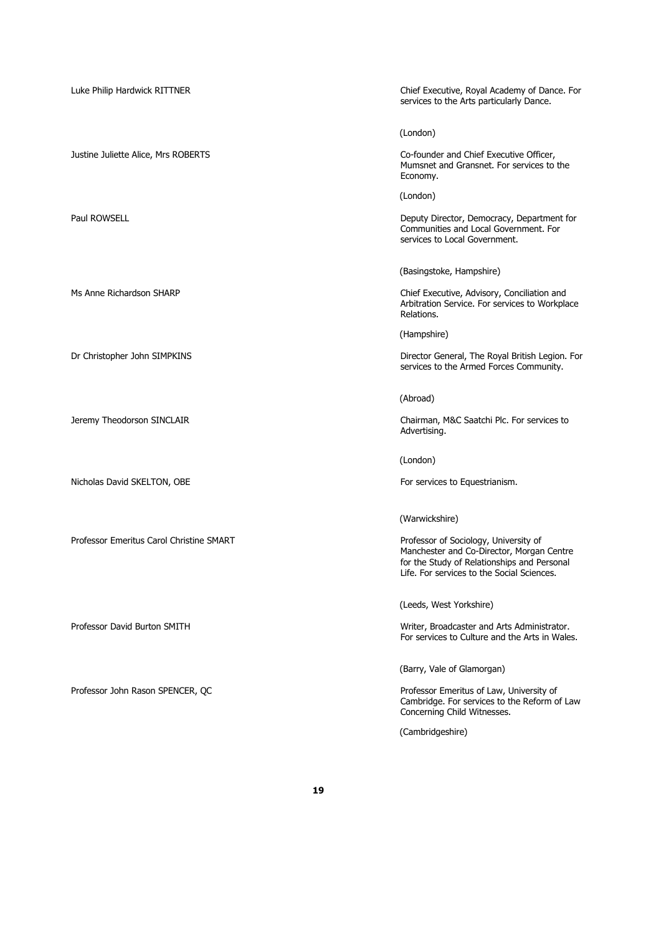Luke Philip Hardwick RITTNER **Chief Executive, Royal Academy of Dance**. For services to the Arts particularly Dance. (London) Justine Juliette Alice, Mrs ROBERTS Co-founder and Chief Executive Officer, Mumsnet and Gransnet. For services to the Economy. (London) Paul ROWSELL **Paul ROWSELL Paul ROWSELL Paul ROWSELL Deputy Director, Democracy, Department for** Communities and Local Government. For services to Local Government. (Basingstoke, Hampshire) Ms Anne Richardson SHARP Chief Executive, Advisory, Conciliation and Arbitration Service. For services to Workplace Relations. (Hampshire) Dr Christopher John SIMPKINS Director General, The Royal British Legion. For services to the Armed Forces Community. (Abroad) Jeremy Theodorson SINCLAIR Chairman, M&C Saatchi Plc. For services to Advertising. (London) Nicholas David SKELTON, OBE For services to Equestrianism. (Warwickshire) Professor Emeritus Carol Christine SMART Professor of Sociology, University of Manchester and Co-Director, Morgan Centre for the Study of Relationships and Personal Life. For services to the Social Sciences. (Leeds, West Yorkshire) Professor David Burton SMITH Writer, Broadcaster and Arts Administrator. For services to Culture and the Arts in Wales. (Barry, Vale of Glamorgan) Professor John Rason SPENCER, QC **Professor Emeritus of Law, University of Law**, University of Cambridge. For services to the Reform of Law Concerning Child Witnesses.

(Cambridgeshire)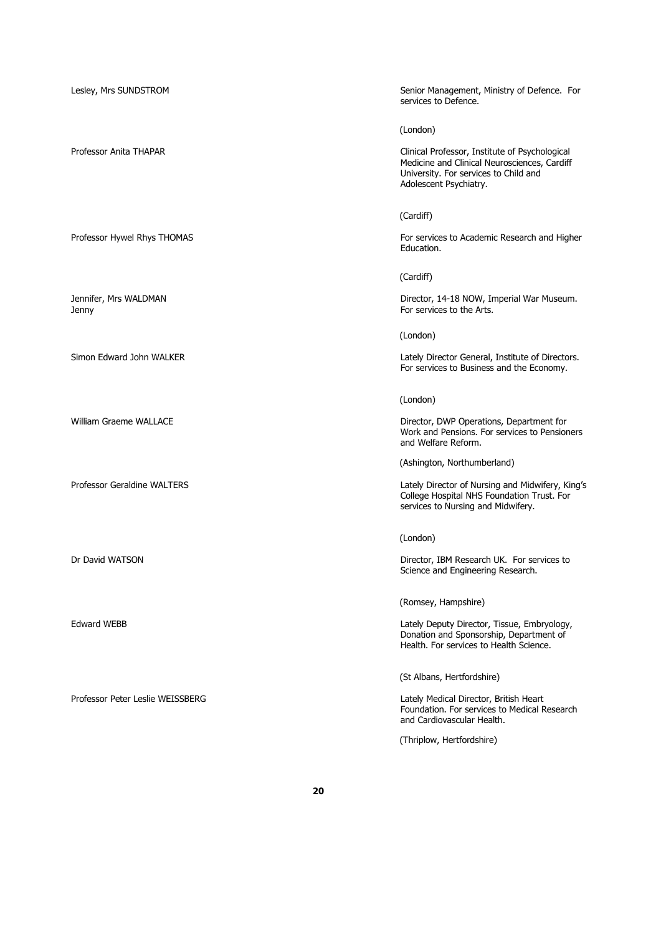| Lesley, Mrs SUNDSTROM            | Senior Management, Ministry of Defence. For<br>services to Defence.                                                                                               |
|----------------------------------|-------------------------------------------------------------------------------------------------------------------------------------------------------------------|
|                                  | (London)                                                                                                                                                          |
| Professor Anita THAPAR           | Clinical Professor, Institute of Psychological<br>Medicine and Clinical Neurosciences, Cardiff<br>University. For services to Child and<br>Adolescent Psychiatry. |
|                                  | (Cardiff)                                                                                                                                                         |
| Professor Hywel Rhys THOMAS      | For services to Academic Research and Higher<br>Education.                                                                                                        |
|                                  | (Cardiff)                                                                                                                                                         |
| Jennifer, Mrs WALDMAN<br>Jenny   | Director, 14-18 NOW, Imperial War Museum.<br>For services to the Arts.                                                                                            |
|                                  | (London)                                                                                                                                                          |
| Simon Edward John WALKER         | Lately Director General, Institute of Directors.<br>For services to Business and the Economy.                                                                     |
|                                  | (London)                                                                                                                                                          |
| William Graeme WALLACE           | Director, DWP Operations, Department for<br>Work and Pensions. For services to Pensioners<br>and Welfare Reform.                                                  |
|                                  | (Ashington, Northumberland)                                                                                                                                       |
| Professor Geraldine WALTERS      | Lately Director of Nursing and Midwifery, King's<br>College Hospital NHS Foundation Trust. For<br>services to Nursing and Midwifery.                              |
|                                  | (London)                                                                                                                                                          |
| Dr David WATSON                  | Director, IBM Research UK. For services to<br>Science and Engineering Research.                                                                                   |
|                                  | (Romsey, Hampshire)                                                                                                                                               |
| Edward WEBB                      | Lately Deputy Director, Tissue, Embryology,<br>Donation and Sponsorship, Department of<br>Health. For services to Health Science.                                 |
|                                  | (St Albans, Hertfordshire)                                                                                                                                        |
| Professor Peter Leslie WEISSBERG | Lately Medical Director, British Heart<br>Foundation. For services to Medical Research<br>and Cardiovascular Health.                                              |
|                                  | (Thriplow, Hertfordshire)                                                                                                                                         |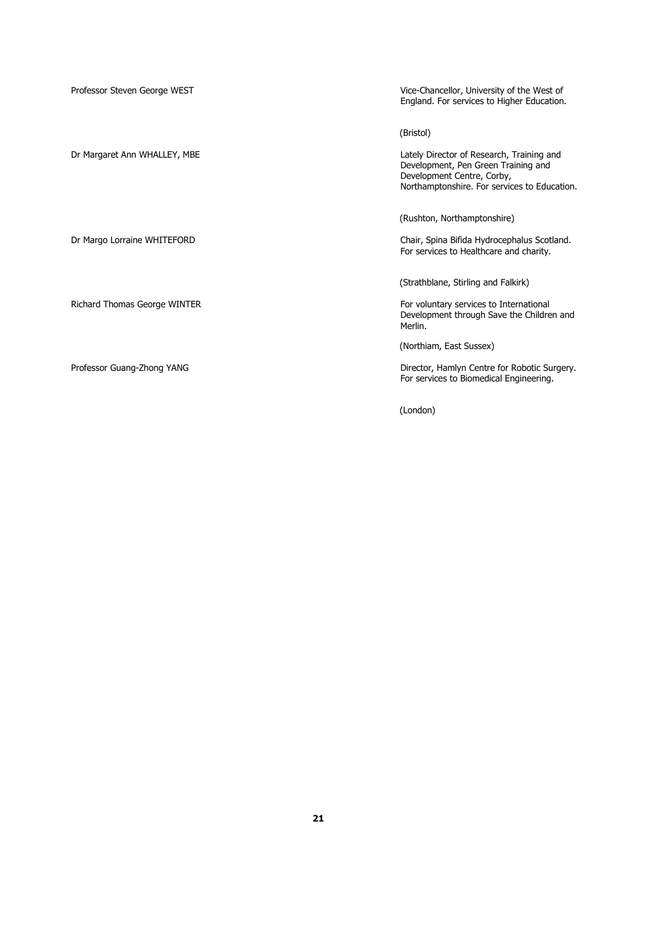| Professor Steven George WEST | Vice-Chancellor, University of the West of<br>England. For services to Higher Education.                                                                       |
|------------------------------|----------------------------------------------------------------------------------------------------------------------------------------------------------------|
|                              | (Bristol)                                                                                                                                                      |
| Dr Margaret Ann WHALLEY, MBE | Lately Director of Research, Training and<br>Development, Pen Green Training and<br>Development Centre, Corby,<br>Northamptonshire. For services to Education. |
|                              | (Rushton, Northamptonshire)                                                                                                                                    |
| Dr Margo Lorraine WHITEFORD  | Chair, Spina Bifida Hydrocephalus Scotland.<br>For services to Healthcare and charity.                                                                         |
|                              | (Strathblane, Stirling and Falkirk)                                                                                                                            |
| Richard Thomas George WINTER | For voluntary services to International<br>Development through Save the Children and<br>Merlin.                                                                |
|                              | (Northiam, East Sussex)                                                                                                                                        |
| Professor Guang-Zhong YANG   | Director, Hamlyn Centre for Robotic Surgery.<br>For services to Biomedical Engineering.                                                                        |
|                              | (London)                                                                                                                                                       |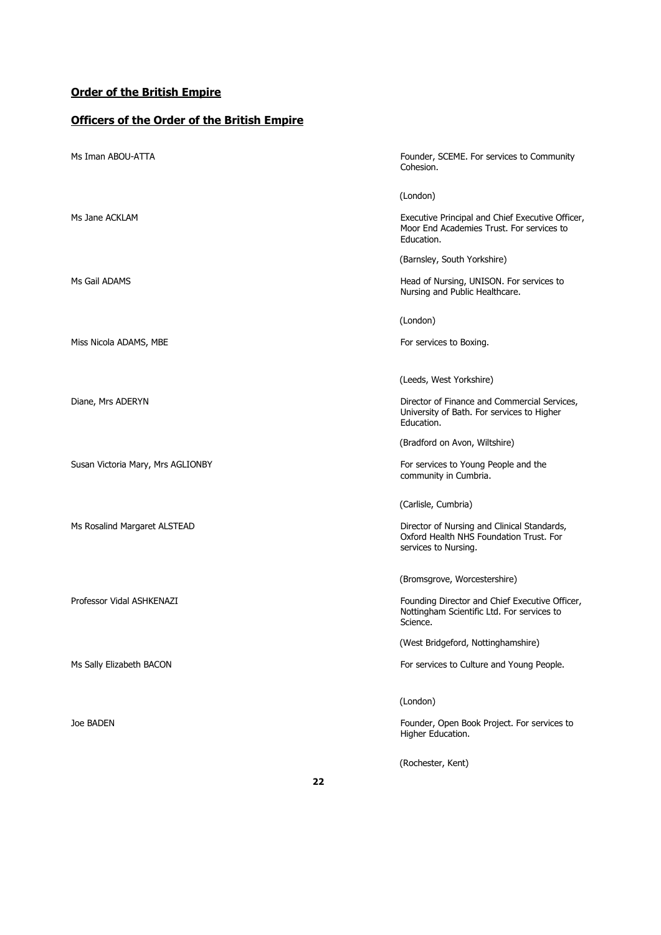# **Officers of the Order of the British Empire**

| Ms Iman ABOU-ATTA                 | Founder, SCEME. For services to Community<br>Cohesion.                                                         |
|-----------------------------------|----------------------------------------------------------------------------------------------------------------|
|                                   | (London)                                                                                                       |
| Ms Jane ACKLAM                    | Executive Principal and Chief Executive Officer,<br>Moor End Academies Trust. For services to<br>Education.    |
|                                   | (Barnsley, South Yorkshire)                                                                                    |
| Ms Gail ADAMS                     | Head of Nursing, UNISON. For services to<br>Nursing and Public Healthcare.                                     |
|                                   | (London)                                                                                                       |
| Miss Nicola ADAMS, MBE            | For services to Boxing.                                                                                        |
|                                   | (Leeds, West Yorkshire)                                                                                        |
| Diane, Mrs ADERYN                 | Director of Finance and Commercial Services,<br>University of Bath. For services to Higher<br>Education.       |
|                                   | (Bradford on Avon, Wiltshire)                                                                                  |
| Susan Victoria Mary, Mrs AGLIONBY | For services to Young People and the<br>community in Cumbria.                                                  |
|                                   | (Carlisle, Cumbria)                                                                                            |
| Ms Rosalind Margaret ALSTEAD      | Director of Nursing and Clinical Standards,<br>Oxford Health NHS Foundation Trust. For<br>services to Nursing. |
|                                   | (Bromsgrove, Worcestershire)                                                                                   |
| Professor Vidal ASHKENAZI         | Founding Director and Chief Executive Officer,<br>Nottingham Scientific Ltd. For services to<br>Science.       |
|                                   | (West Bridgeford, Nottinghamshire)                                                                             |
| Ms Sally Elizabeth BACON          | For services to Culture and Young People.                                                                      |
|                                   | (London)                                                                                                       |
| Joe BADEN                         | Founder, Open Book Project. For services to<br>Higher Education.                                               |
|                                   | (Rochester, Kent)                                                                                              |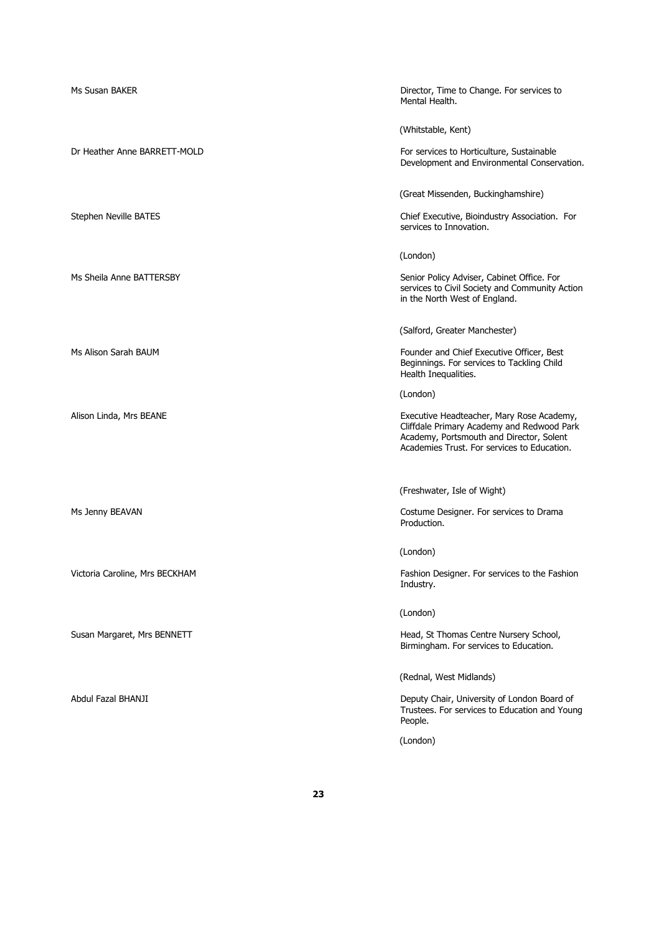| Ms Susan BAKER                 | Director, Time to Change. For services to<br>Mental Health.                                                                                                                        |
|--------------------------------|------------------------------------------------------------------------------------------------------------------------------------------------------------------------------------|
|                                | (Whitstable, Kent)                                                                                                                                                                 |
| Dr Heather Anne BARRETT-MOLD   | For services to Horticulture, Sustainable<br>Development and Environmental Conservation.                                                                                           |
|                                | (Great Missenden, Buckinghamshire)                                                                                                                                                 |
| Stephen Neville BATES          | Chief Executive, Bioindustry Association. For<br>services to Innovation.                                                                                                           |
|                                | (London)                                                                                                                                                                           |
| Ms Sheila Anne BATTERSBY       | Senior Policy Adviser, Cabinet Office. For<br>services to Civil Society and Community Action<br>in the North West of England.                                                      |
|                                | (Salford, Greater Manchester)                                                                                                                                                      |
| Ms Alison Sarah BAUM           | Founder and Chief Executive Officer, Best<br>Beginnings. For services to Tackling Child<br>Health Inequalities.                                                                    |
|                                | (London)                                                                                                                                                                           |
| Alison Linda, Mrs BEANE        | Executive Headteacher, Mary Rose Academy,<br>Cliffdale Primary Academy and Redwood Park<br>Academy, Portsmouth and Director, Solent<br>Academies Trust. For services to Education. |
|                                | (Freshwater, Isle of Wight)                                                                                                                                                        |
| Ms Jenny BEAVAN                | Costume Designer. For services to Drama<br>Production.                                                                                                                             |
|                                | (London)                                                                                                                                                                           |
| Victoria Caroline, Mrs BECKHAM | Fashion Designer. For services to the Fashion<br>Industry.                                                                                                                         |
|                                | (London)                                                                                                                                                                           |
| Susan Margaret, Mrs BENNETT    | Head, St Thomas Centre Nursery School,<br>Birmingham. For services to Education.                                                                                                   |
|                                | (Rednal, West Midlands)                                                                                                                                                            |
| Abdul Fazal BHANJI             | Deputy Chair, University of London Board of<br>Trustees. For services to Education and Young<br>People.                                                                            |
|                                | (London)                                                                                                                                                                           |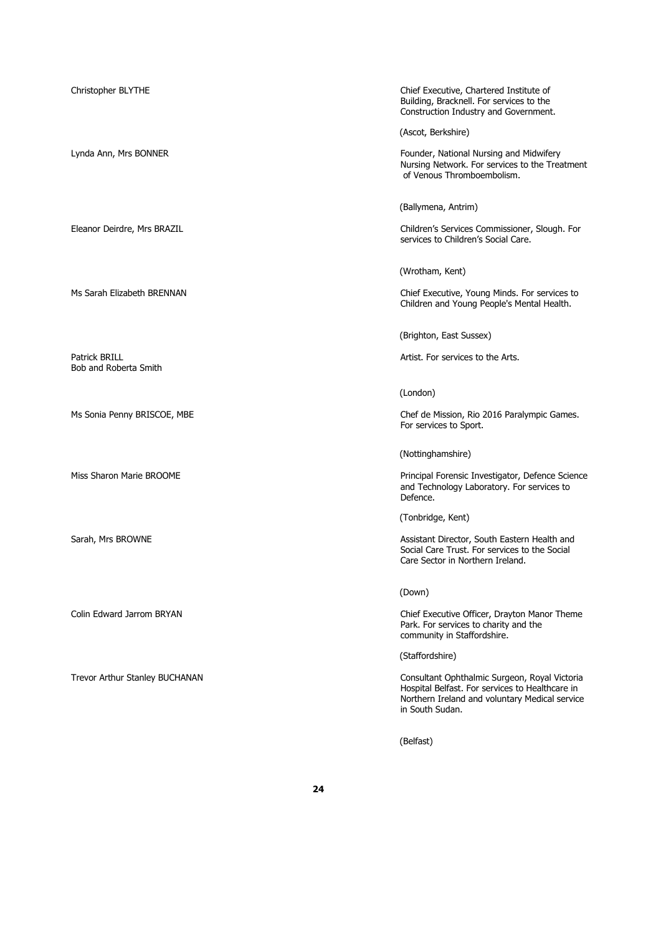Bob and Roberta Smith

Christopher BLYTHE Chief Executive, Chartered Institute of Building, Bracknell. For services to the Construction Industry and Government.

(Ascot, Berkshire)

Lynda Ann, Mrs BONNER Founder, National Nursing and Midwifery Nursing Network. For services to the Treatment of Venous Thromboembolism.

(Ballymena, Antrim)

Eleanor Deirdre, Mrs BRAZIL Children's Services Commissioner, Slough. For services to Children's Social Care.

(Wrotham, Kent)

Ms Sarah Elizabeth BRENNAN Chief Executive, Young Minds. For services to Children and Young People's Mental Health.

(Brighton, East Sussex)

Patrick BRILL **Artist. For services to the Arts.** Artist. For services to the Arts.

(London)

Ms Sonia Penny BRISCOE, MBE Chef de Mission, Rio 2016 Paralympic Games. For services to Sport.

(Nottinghamshire)

Miss Sharon Marie BROOME Principal Forensic Investigator, Defence Science and Technology Laboratory. For services to Defence.

(Tonbridge, Kent)

Sarah, Mrs BROWNE **Assistant Director, South Eastern Health and** Social Care Trust. For services to the Social Care Sector in Northern Ireland.

(Down)

Colin Edward Jarrom BRYAN Chief Executive Officer, Drayton Manor Theme Park. For services to charity and the community in Staffordshire.

(Staffordshire)

Trevor Arthur Stanley BUCHANAN Consultant Ophthalmic Surgeon, Royal Victoria Hospital Belfast. For services to Healthcare in Northern Ireland and voluntary Medical service in South Sudan.

(Belfast)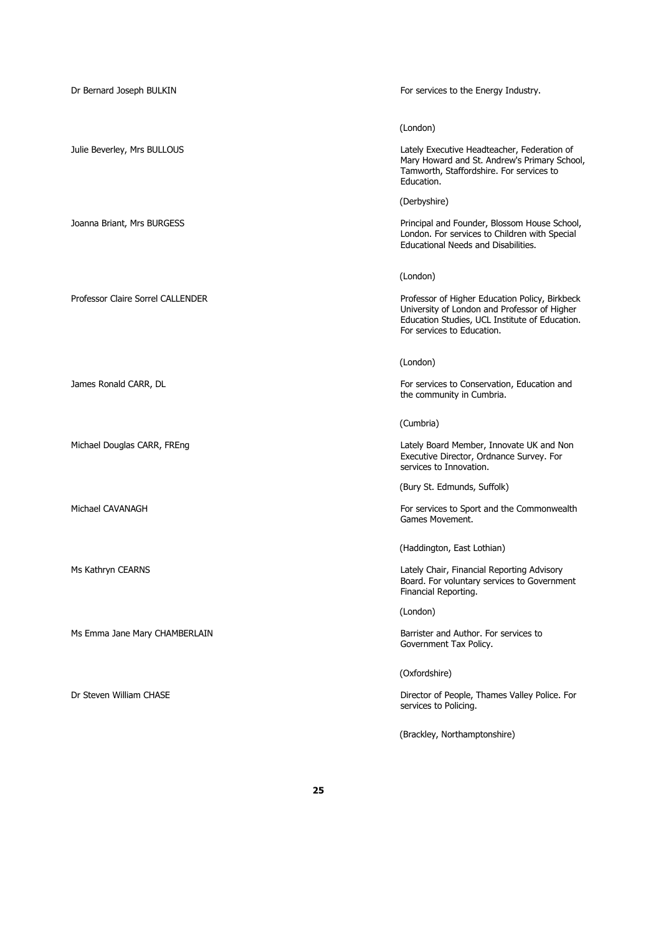| Dr Bernard Joseph BULKIN          | For services to the Energy Industry.                                                                                                                                           |
|-----------------------------------|--------------------------------------------------------------------------------------------------------------------------------------------------------------------------------|
|                                   | (London)                                                                                                                                                                       |
| Julie Beverley, Mrs BULLOUS       | Lately Executive Headteacher, Federation of<br>Mary Howard and St. Andrew's Primary School,<br>Tamworth, Staffordshire. For services to<br>Education.                          |
|                                   | (Derbyshire)                                                                                                                                                                   |
| Joanna Briant, Mrs BURGESS        | Principal and Founder, Blossom House School,<br>London. For services to Children with Special<br><b>Educational Needs and Disabilities.</b>                                    |
|                                   | (London)                                                                                                                                                                       |
| Professor Claire Sorrel CALLENDER | Professor of Higher Education Policy, Birkbeck<br>University of London and Professor of Higher<br>Education Studies, UCL Institute of Education.<br>For services to Education. |
|                                   | (London)                                                                                                                                                                       |
| James Ronald CARR, DL             | For services to Conservation, Education and<br>the community in Cumbria.                                                                                                       |
|                                   | (Cumbria)                                                                                                                                                                      |
| Michael Douglas CARR, FREng       | Lately Board Member, Innovate UK and Non<br>Executive Director, Ordnance Survey. For<br>services to Innovation.                                                                |
|                                   | (Bury St. Edmunds, Suffolk)                                                                                                                                                    |
| Michael CAVANAGH                  | For services to Sport and the Commonwealth<br>Games Movement.                                                                                                                  |
|                                   | (Haddington, East Lothian)                                                                                                                                                     |
| Ms Kathryn CEARNS                 | Lately Chair, Financial Reporting Advisory<br>Board. For voluntary services to Government<br>Financial Reporting.                                                              |
|                                   | (London)                                                                                                                                                                       |
| Ms Emma Jane Mary CHAMBERLAIN     | Barrister and Author. For services to<br>Government Tax Policy.                                                                                                                |
|                                   | (Oxfordshire)                                                                                                                                                                  |
| Dr Steven William CHASE           | Director of People, Thames Valley Police. For<br>services to Policing.                                                                                                         |
|                                   | (Brackley, Northamptonshire)                                                                                                                                                   |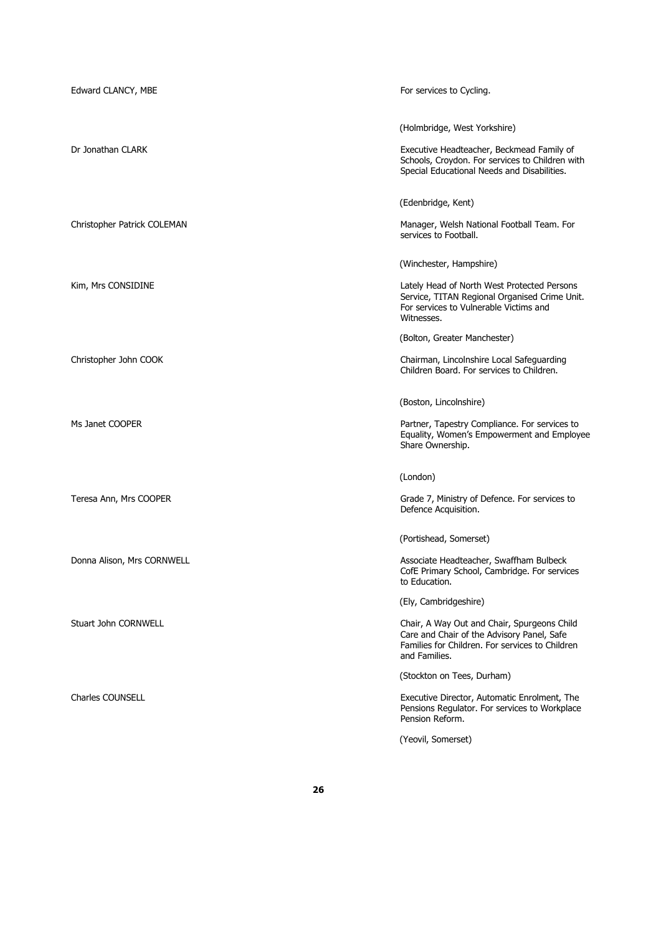| Edward CLANCY, MBE          | For services to Cycling.                                                                                                                                                               |
|-----------------------------|----------------------------------------------------------------------------------------------------------------------------------------------------------------------------------------|
| Dr Jonathan CLARK           | (Holmbridge, West Yorkshire)<br>Executive Headteacher, Beckmead Family of<br>Schools, Croydon. For services to Children with<br>Special Educational Needs and Disabilities.            |
| Christopher Patrick COLEMAN | (Edenbridge, Kent)<br>Manager, Welsh National Football Team. For<br>services to Football.                                                                                              |
| Kim, Mrs CONSIDINE          | (Winchester, Hampshire)<br>Lately Head of North West Protected Persons<br>Service, TITAN Regional Organised Crime Unit.<br>For services to Vulnerable Victims and<br>Witnesses.        |
| Christopher John COOK       | (Bolton, Greater Manchester)<br>Chairman, Lincolnshire Local Safeguarding<br>Children Board. For services to Children.                                                                 |
| Ms Janet COOPER             | (Boston, Lincolnshire)<br>Partner, Tapestry Compliance. For services to<br>Equality, Women's Empowerment and Employee<br>Share Ownership.                                              |
| Teresa Ann, Mrs COOPER      | (London)<br>Grade 7, Ministry of Defence. For services to<br>Defence Acquisition.                                                                                                      |
| Donna Alison, Mrs CORNWELL  | (Portishead, Somerset)<br>Associate Headteacher, Swaffham Bulbeck<br>CofE Primary School, Cambridge. For services<br>to Education.                                                     |
| Stuart John CORNWELL        | (Ely, Cambridgeshire)<br>Chair, A Way Out and Chair, Spurgeons Child<br>Care and Chair of the Advisory Panel, Safe<br>Families for Children. For services to Children<br>and Families. |
| <b>Charles COUNSELL</b>     | (Stockton on Tees, Durham)<br>Executive Director, Automatic Enrolment, The<br>Pensions Regulator. For services to Workplace<br>Pension Reform.<br>(Yeovil, Somerset)                   |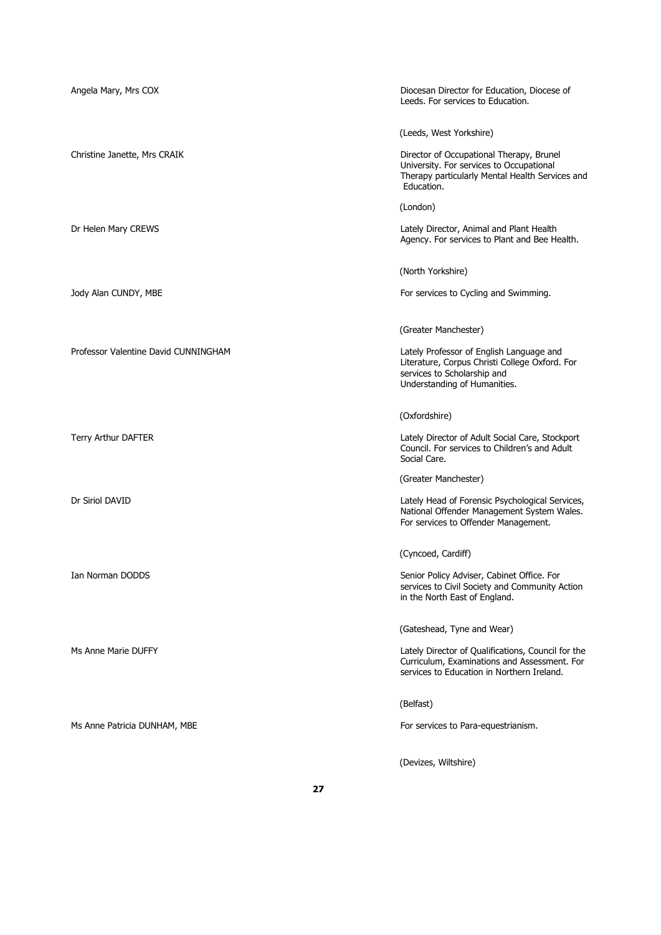| Angela Mary, Mrs COX                 | Diocesan Director for Education, Diocese of<br>Leeds. For services to Education.                                                                          |
|--------------------------------------|-----------------------------------------------------------------------------------------------------------------------------------------------------------|
|                                      | (Leeds, West Yorkshire)                                                                                                                                   |
| Christine Janette, Mrs CRAIK         | Director of Occupational Therapy, Brunel<br>University. For services to Occupational<br>Therapy particularly Mental Health Services and<br>Education.     |
|                                      | (London)                                                                                                                                                  |
| Dr Helen Mary CREWS                  | Lately Director, Animal and Plant Health<br>Agency. For services to Plant and Bee Health.                                                                 |
|                                      | (North Yorkshire)                                                                                                                                         |
| Jody Alan CUNDY, MBE                 | For services to Cycling and Swimming.                                                                                                                     |
|                                      | (Greater Manchester)                                                                                                                                      |
| Professor Valentine David CUNNINGHAM | Lately Professor of English Language and<br>Literature, Corpus Christi College Oxford. For<br>services to Scholarship and<br>Understanding of Humanities. |
|                                      | (Oxfordshire)                                                                                                                                             |
| Terry Arthur DAFTER                  | Lately Director of Adult Social Care, Stockport<br>Council. For services to Children's and Adult<br>Social Care.                                          |
|                                      | (Greater Manchester)                                                                                                                                      |
| Dr Siriol DAVID                      | Lately Head of Forensic Psychological Services,<br>National Offender Management System Wales.<br>For services to Offender Management.                     |
|                                      | (Cyncoed, Cardiff)                                                                                                                                        |
| Ian Norman DODDS                     | Senior Policy Adviser, Cabinet Office. For<br>services to Civil Society and Community Action<br>in the North East of England.                             |
|                                      | (Gateshead, Tyne and Wear)                                                                                                                                |
| Ms Anne Marie DUFFY                  | Lately Director of Qualifications, Council for the<br>Curriculum, Examinations and Assessment. For<br>services to Education in Northern Ireland.          |
|                                      | (Belfast)                                                                                                                                                 |
| Ms Anne Patricia DUNHAM, MBE         | For services to Para-equestrianism.                                                                                                                       |
|                                      | (Devizes, Wiltshire)                                                                                                                                      |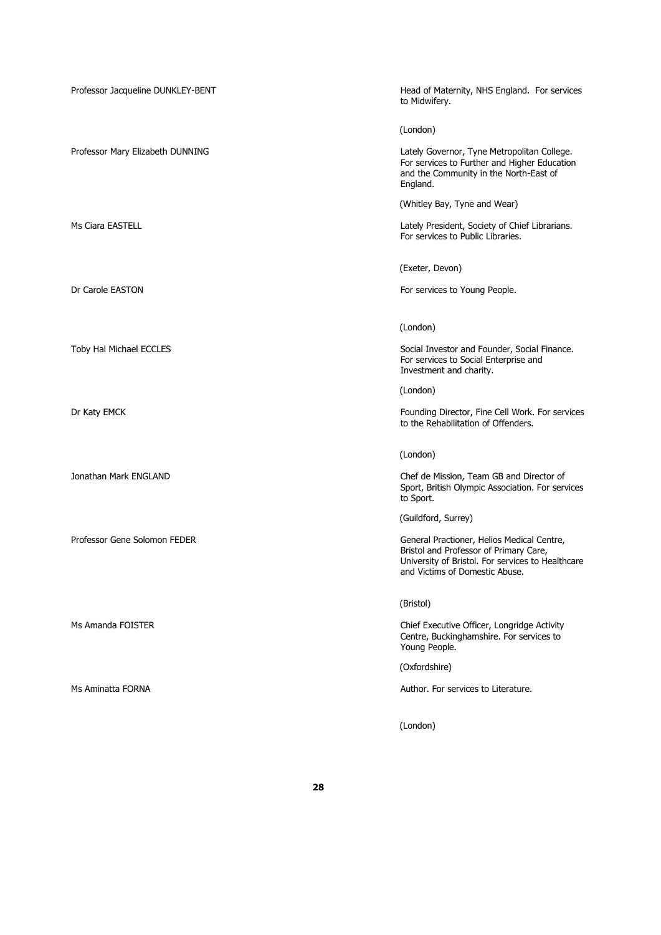| Professor Jacqueline DUNKLEY-BENT | Head of Maternity, NHS England. For services<br>to Midwifery.                                                                                                               |
|-----------------------------------|-----------------------------------------------------------------------------------------------------------------------------------------------------------------------------|
|                                   | (London)                                                                                                                                                                    |
| Professor Mary Elizabeth DUNNING  | Lately Governor, Tyne Metropolitan College.<br>For services to Further and Higher Education<br>and the Community in the North-East of<br>England.                           |
|                                   | (Whitley Bay, Tyne and Wear)                                                                                                                                                |
| Ms Ciara EASTELL                  | Lately President, Society of Chief Librarians.<br>For services to Public Libraries.                                                                                         |
|                                   | (Exeter, Devon)                                                                                                                                                             |
| Dr Carole EASTON                  | For services to Young People.                                                                                                                                               |
|                                   | (London)                                                                                                                                                                    |
| Toby Hal Michael ECCLES           | Social Investor and Founder, Social Finance.<br>For services to Social Enterprise and<br>Investment and charity.                                                            |
|                                   | (London)                                                                                                                                                                    |
| Dr Katy EMCK                      | Founding Director, Fine Cell Work. For services<br>to the Rehabilitation of Offenders.                                                                                      |
|                                   | (London)                                                                                                                                                                    |
| Jonathan Mark ENGLAND             | Chef de Mission, Team GB and Director of<br>Sport, British Olympic Association. For services<br>to Sport.                                                                   |
|                                   | (Guildford, Surrey)                                                                                                                                                         |
| Professor Gene Solomon FEDER      | General Practioner, Helios Medical Centre,<br>Bristol and Professor of Primary Care,<br>University of Bristol. For services to Healthcare<br>and Victims of Domestic Abuse. |
|                                   | (Bristol)                                                                                                                                                                   |
| Ms Amanda FOISTER                 | Chief Executive Officer, Longridge Activity<br>Centre, Buckinghamshire. For services to<br>Young People.                                                                    |
|                                   | (Oxfordshire)                                                                                                                                                               |
| Ms Aminatta FORNA                 | Author. For services to Literature.                                                                                                                                         |
|                                   | (London)                                                                                                                                                                    |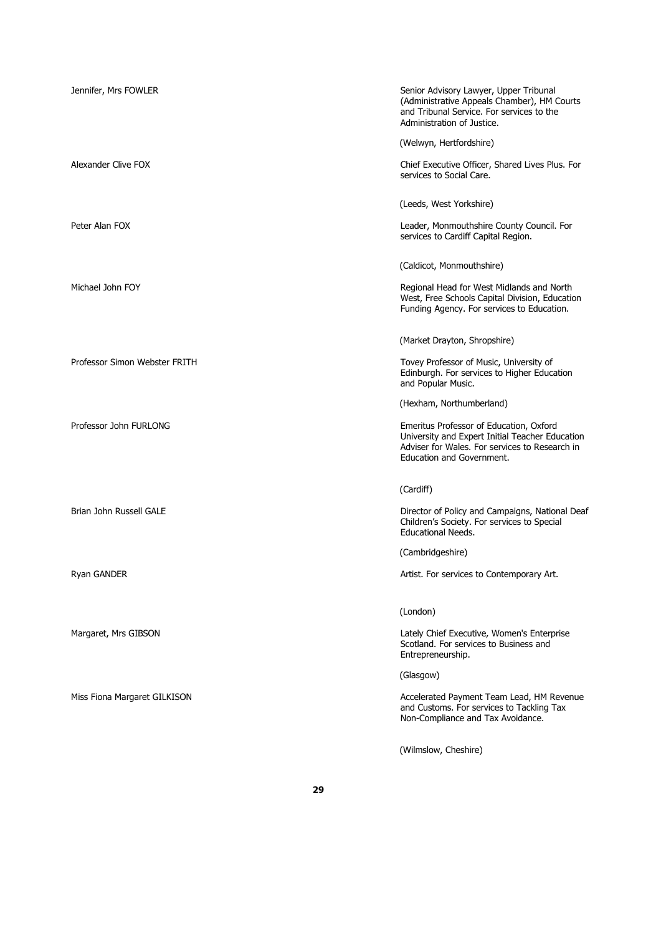| Jennifer, Mrs FOWLER          | Senior Advisory Lawyer, Upper Tribunal<br>(Administrative Appeals Chamber), HM Courts<br>and Tribunal Service. For services to the<br>Administration of Justice.          |
|-------------------------------|---------------------------------------------------------------------------------------------------------------------------------------------------------------------------|
|                               | (Welwyn, Hertfordshire)                                                                                                                                                   |
| Alexander Clive FOX           | Chief Executive Officer, Shared Lives Plus. For<br>services to Social Care.                                                                                               |
|                               | (Leeds, West Yorkshire)                                                                                                                                                   |
| Peter Alan FOX                | Leader, Monmouthshire County Council. For<br>services to Cardiff Capital Region.                                                                                          |
|                               | (Caldicot, Monmouthshire)                                                                                                                                                 |
| Michael John FOY              | Regional Head for West Midlands and North<br>West, Free Schools Capital Division, Education<br>Funding Agency. For services to Education.                                 |
|                               | (Market Drayton, Shropshire)                                                                                                                                              |
| Professor Simon Webster FRITH | Tovey Professor of Music, University of<br>Edinburgh. For services to Higher Education<br>and Popular Music.                                                              |
|                               | (Hexham, Northumberland)                                                                                                                                                  |
| Professor John FURLONG        | Emeritus Professor of Education, Oxford<br>University and Expert Initial Teacher Education<br>Adviser for Wales. For services to Research in<br>Education and Government. |
|                               | (Cardiff)                                                                                                                                                                 |
| Brian John Russell GALE       | Director of Policy and Campaigns, National Deaf<br>Children's Society. For services to Special<br><b>Educational Needs.</b>                                               |
|                               | (Cambridgeshire)                                                                                                                                                          |
| Ryan GANDER                   | Artist. For services to Contemporary Art.                                                                                                                                 |
|                               | (London)                                                                                                                                                                  |
| Margaret, Mrs GIBSON          | Lately Chief Executive, Women's Enterprise<br>Scotland. For services to Business and<br>Entrepreneurship.                                                                 |
|                               | (Glasgow)                                                                                                                                                                 |
| Miss Fiona Margaret GILKISON  | Accelerated Payment Team Lead, HM Revenue<br>and Customs. For services to Tackling Tax<br>Non-Compliance and Tax Avoidance.                                               |
|                               | (Wilmslow, Cheshire)                                                                                                                                                      |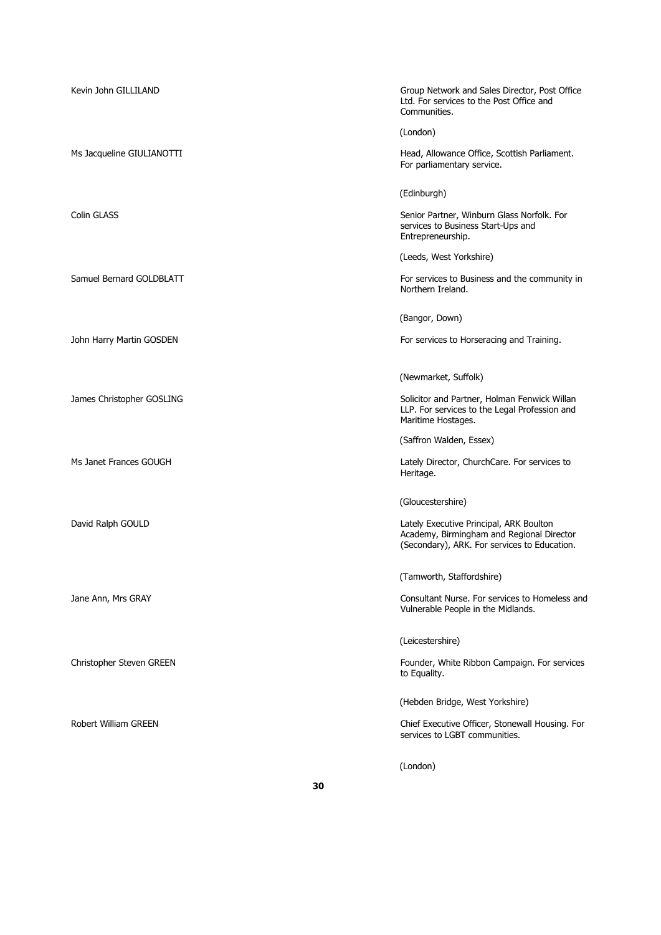| Kevin John GILLILAND      | Group Network and Sales Director, Post Office<br>Ltd. For services to the Post Office and<br>Communities.                            |
|---------------------------|--------------------------------------------------------------------------------------------------------------------------------------|
|                           | (London)                                                                                                                             |
| Ms Jacqueline GIULIANOTTI | Head, Allowance Office, Scottish Parliament.<br>For parliamentary service.                                                           |
|                           | (Edinburgh)                                                                                                                          |
| <b>Colin GLASS</b>        | Senior Partner, Winburn Glass Norfolk. For<br>services to Business Start-Ups and<br>Entrepreneurship.                                |
|                           | (Leeds, West Yorkshire)                                                                                                              |
| Samuel Bernard GOLDBLATT  | For services to Business and the community in<br>Northern Ireland.                                                                   |
|                           | (Bangor, Down)                                                                                                                       |
| John Harry Martin GOSDEN  | For services to Horseracing and Training.                                                                                            |
|                           | (Newmarket, Suffolk)                                                                                                                 |
| James Christopher GOSLING | Solicitor and Partner, Holman Fenwick Willan<br>LLP. For services to the Legal Profession and<br>Maritime Hostages.                  |
|                           | (Saffron Walden, Essex)                                                                                                              |
| Ms Janet Frances GOUGH    | Lately Director, ChurchCare. For services to<br>Heritage.                                                                            |
|                           | (Gloucestershire)                                                                                                                    |
| David Ralph GOULD         | Lately Executive Principal, ARK Boulton<br>Academy, Birmingham and Regional Director<br>(Secondary), ARK. For services to Education. |
|                           | (Tamworth, Staffordshire)                                                                                                            |
| Jane Ann, Mrs GRAY        | Consultant Nurse. For services to Homeless and<br>Vulnerable People in the Midlands.                                                 |
|                           | (Leicestershire)                                                                                                                     |
| Christopher Steven GREEN  | Founder, White Ribbon Campaign. For services<br>to Equality.                                                                         |
|                           | (Hebden Bridge, West Yorkshire)                                                                                                      |
| Robert William GREEN      | Chief Executive Officer, Stonewall Housing. For<br>services to LGBT communities.                                                     |
|                           | (London)                                                                                                                             |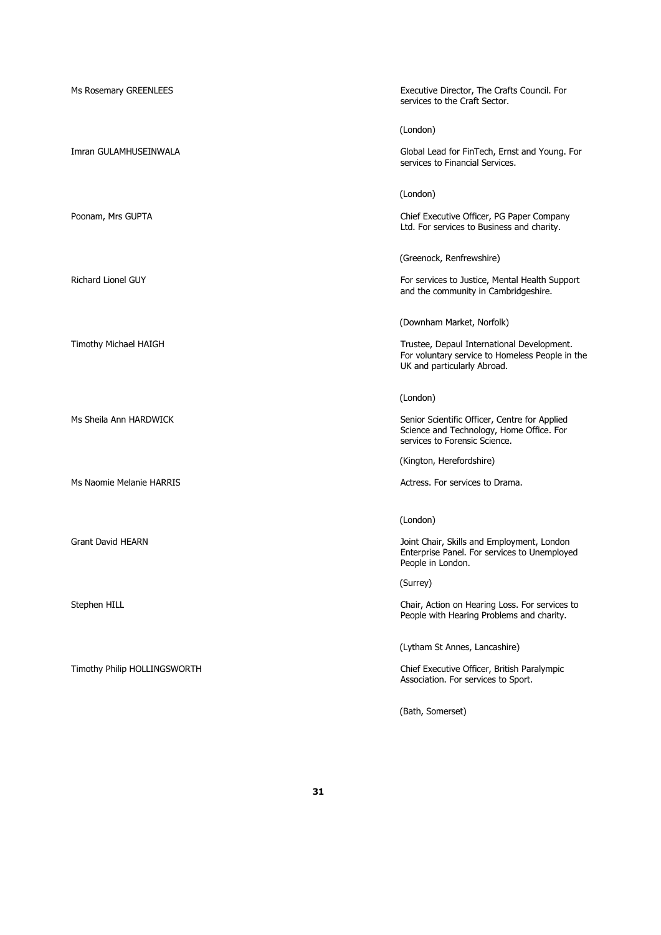| Ms Rosemary GREENLEES        | Executive Director, The Crafts Council. For<br>services to the Craft Sector.                                                 |
|------------------------------|------------------------------------------------------------------------------------------------------------------------------|
|                              | (London)                                                                                                                     |
| Imran GULAMHUSEINWALA        | Global Lead for FinTech, Ernst and Young. For<br>services to Financial Services.                                             |
|                              | (London)                                                                                                                     |
| Poonam, Mrs GUPTA            | Chief Executive Officer, PG Paper Company<br>Ltd. For services to Business and charity.                                      |
|                              | (Greenock, Renfrewshire)                                                                                                     |
| <b>Richard Lionel GUY</b>    | For services to Justice, Mental Health Support<br>and the community in Cambridgeshire.                                       |
|                              | (Downham Market, Norfolk)                                                                                                    |
| Timothy Michael HAIGH        | Trustee, Depaul International Development.<br>For voluntary service to Homeless People in the<br>UK and particularly Abroad. |
|                              | (London)                                                                                                                     |
| Ms Sheila Ann HARDWICK       | Senior Scientific Officer, Centre for Applied<br>Science and Technology, Home Office. For<br>services to Forensic Science.   |
|                              | (Kington, Herefordshire)                                                                                                     |
| Ms Naomie Melanie HARRIS     | Actress. For services to Drama.                                                                                              |
|                              | (London)                                                                                                                     |
| Grant David HEARN            | Joint Chair, Skills and Employment, London<br>Enterprise Panel. For services to Unemployed<br>People in London.              |
|                              | (Surrey)                                                                                                                     |
| Stephen HILL                 | Chair, Action on Hearing Loss. For services to<br>People with Hearing Problems and charity.                                  |
|                              | (Lytham St Annes, Lancashire)                                                                                                |
| Timothy Philip HOLLINGSWORTH | Chief Executive Officer, British Paralympic<br>Association. For services to Sport.                                           |
|                              | (Bath, Somerset)                                                                                                             |

**31**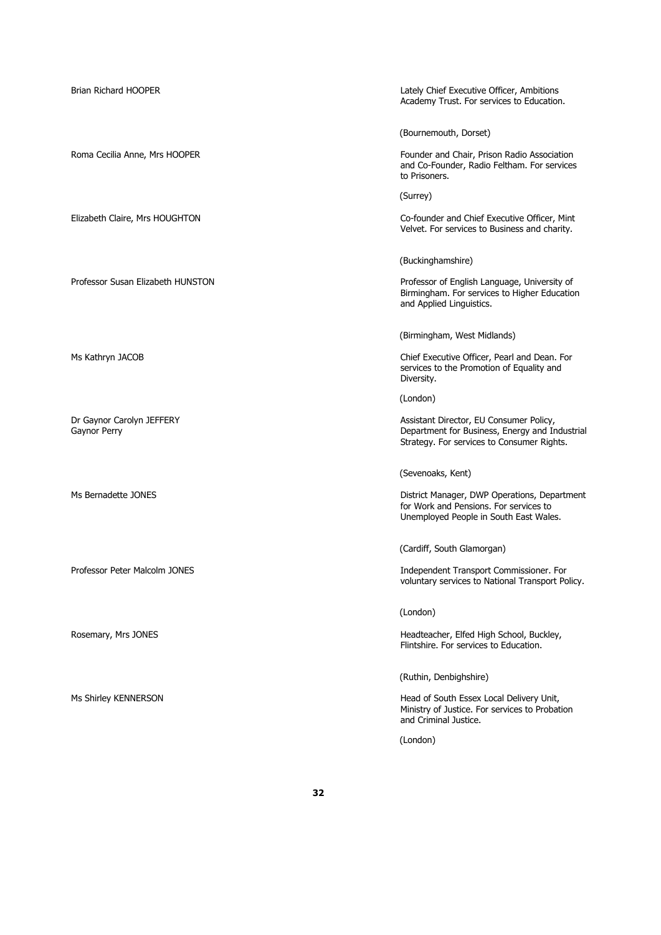| Brian Richard HOOPER                      | Lately Chief Executive Officer, Ambitions<br>Academy Trust. For services to Education.                                                  |
|-------------------------------------------|-----------------------------------------------------------------------------------------------------------------------------------------|
|                                           | (Bournemouth, Dorset)                                                                                                                   |
| Roma Cecilia Anne, Mrs HOOPER             | Founder and Chair, Prison Radio Association<br>and Co-Founder, Radio Feltham. For services<br>to Prisoners.                             |
|                                           | (Surrey)                                                                                                                                |
| Elizabeth Claire, Mrs HOUGHTON            | Co-founder and Chief Executive Officer, Mint<br>Velvet. For services to Business and charity.                                           |
|                                           | (Buckinghamshire)                                                                                                                       |
| Professor Susan Elizabeth HUNSTON         | Professor of English Language, University of<br>Birmingham. For services to Higher Education<br>and Applied Linguistics.                |
|                                           | (Birmingham, West Midlands)                                                                                                             |
| Ms Kathryn JACOB                          | Chief Executive Officer, Pearl and Dean. For<br>services to the Promotion of Equality and<br>Diversity.                                 |
|                                           | (London)                                                                                                                                |
| Dr Gaynor Carolyn JEFFERY<br>Gaynor Perry | Assistant Director, EU Consumer Policy,<br>Department for Business, Energy and Industrial<br>Strategy. For services to Consumer Rights. |
|                                           | (Sevenoaks, Kent)                                                                                                                       |
| Ms Bernadette JONES                       | District Manager, DWP Operations, Department<br>for Work and Pensions. For services to<br>Unemployed People in South East Wales.        |
|                                           | (Cardiff, South Glamorgan)                                                                                                              |
| Professor Peter Malcolm JONES             | Independent Transport Commissioner. For<br>voluntary services to National Transport Policy.                                             |
|                                           | (London)                                                                                                                                |
| Rosemary, Mrs JONES                       | Headteacher, Elfed High School, Buckley,<br>Flintshire. For services to Education.                                                      |
|                                           | (Ruthin, Denbighshire)                                                                                                                  |
| Ms Shirley KENNERSON                      | Head of South Essex Local Delivery Unit,<br>Ministry of Justice. For services to Probation<br>and Criminal Justice.                     |
|                                           | (London)                                                                                                                                |
|                                           |                                                                                                                                         |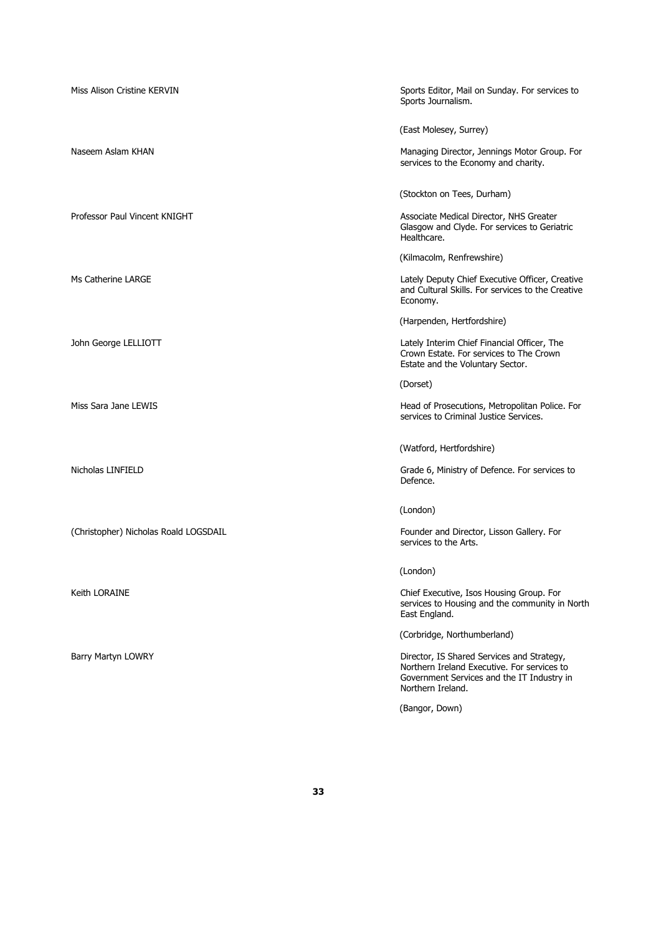| Miss Alison Cristine KERVIN           | Sports Editor, Mail on Sunday. For services to<br>Sports Journalism.                                                                                         |
|---------------------------------------|--------------------------------------------------------------------------------------------------------------------------------------------------------------|
|                                       | (East Molesey, Surrey)                                                                                                                                       |
| Naseem Aslam KHAN                     | Managing Director, Jennings Motor Group. For<br>services to the Economy and charity.                                                                         |
|                                       | (Stockton on Tees, Durham)                                                                                                                                   |
| Professor Paul Vincent KNIGHT         | Associate Medical Director, NHS Greater<br>Glasgow and Clyde. For services to Geriatric<br>Healthcare.                                                       |
|                                       | (Kilmacolm, Renfrewshire)                                                                                                                                    |
| Ms Catherine LARGE                    | Lately Deputy Chief Executive Officer, Creative<br>and Cultural Skills. For services to the Creative<br>Economy.                                             |
|                                       | (Harpenden, Hertfordshire)                                                                                                                                   |
| John George LELLIOTT                  | Lately Interim Chief Financial Officer, The<br>Crown Estate. For services to The Crown<br>Estate and the Voluntary Sector.                                   |
|                                       | (Dorset)                                                                                                                                                     |
| Miss Sara Jane LEWIS                  | Head of Prosecutions, Metropolitan Police. For<br>services to Criminal Justice Services.                                                                     |
|                                       | (Watford, Hertfordshire)                                                                                                                                     |
| Nicholas LINFIELD                     | Grade 6, Ministry of Defence. For services to<br>Defence.                                                                                                    |
|                                       | (London)                                                                                                                                                     |
| (Christopher) Nicholas Roald LOGSDAIL | Founder and Director, Lisson Gallery. For<br>services to the Arts.                                                                                           |
|                                       | (London)                                                                                                                                                     |
| Keith LORAINE                         | Chief Executive, Isos Housing Group. For<br>services to Housing and the community in North<br>East England.                                                  |
|                                       | (Corbridge, Northumberland)                                                                                                                                  |
| Barry Martyn LOWRY                    | Director, IS Shared Services and Strategy,<br>Northern Ireland Executive. For services to<br>Government Services and the IT Industry in<br>Northern Ireland. |
|                                       | (Bangor, Down)                                                                                                                                               |
|                                       |                                                                                                                                                              |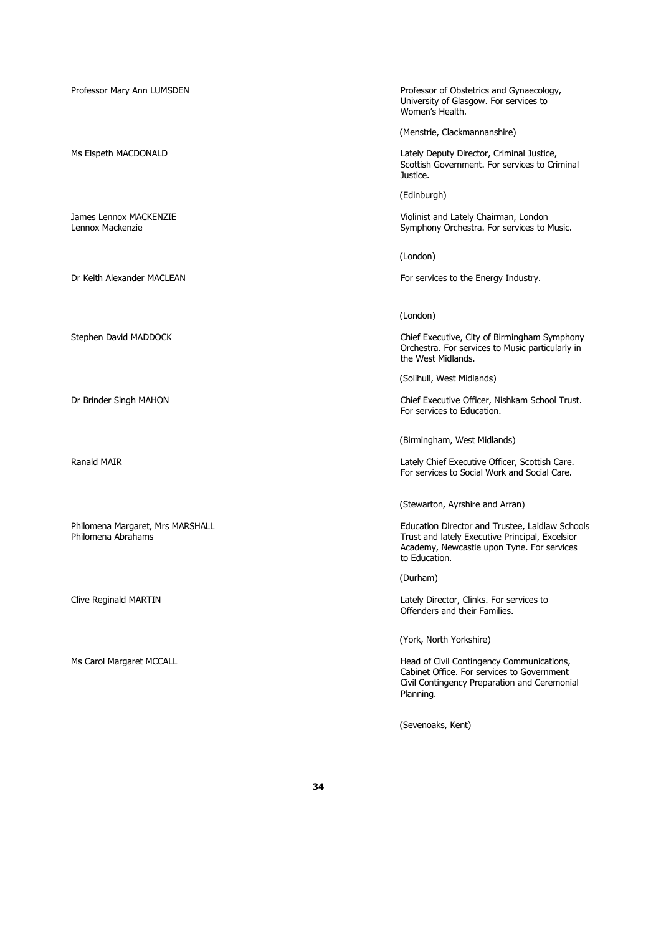Professor Mary Ann LUMSDEN **Professor of Obstetrics and Gynaecology**, University of Glasgow. For services to Women's Health. (Menstrie, Clackmannanshire) Ms Elspeth MACDONALD **Lately Deputy Director, Criminal Justice**, Scottish Government. For services to Criminal Justice. (Edinburgh) James Lennox MACKENZIE and Lately Chairman, London<br>Lennox Mackenzie and Lately Chairman, London<br>Symphony Orchestra. For services to I Symphony Orchestra. For services to Music. (London) Dr Keith Alexander MACLEAN For services to the Energy Industry. (London) Stephen David MADDOCK Chief Executive, City of Birmingham Symphony Orchestra. For services to Music particularly in the West Midlands. (Solihull, West Midlands) Dr Brinder Singh MAHON Chief Executive Officer, Nishkam School Trust. For services to Education. (Birmingham, West Midlands) Ranald MAIR **Executive Officer, Scottish Care.** Lately Chief Executive Officer, Scottish Care. For services to Social Work and Social Care. (Stewarton, Ayrshire and Arran) Philomena Margaret, Mrs MARSHALL **Education Director and Trustee, Laidlaw Schools** Philomena Abrahams Trust and lately Executive Principal, Excelsior Academy, Newcastle upon Tyne. For services to Education. (Durham) Clive Reginald MARTIN Lately Director, Clinks. For services to Offenders and their Families. (York, North Yorkshire) Ms Carol Margaret MCCALL **Margaret MCCALL Head of Civil Contingency Communications**, Cabinet Office. For services to Government Civil Contingency Preparation and Ceremonial Planning.

(Sevenoaks, Kent)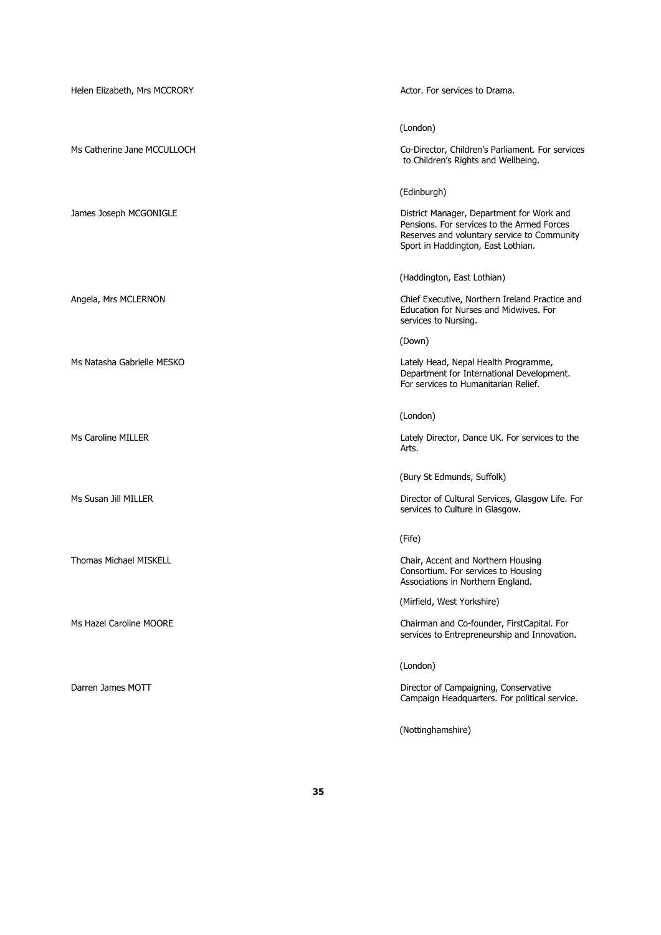| Helen Elizabeth, Mrs MCCRORY  | Actor. For services to Drama.                                                                                                                                                |
|-------------------------------|------------------------------------------------------------------------------------------------------------------------------------------------------------------------------|
|                               | (London)                                                                                                                                                                     |
| Ms Catherine Jane MCCULLOCH   | Co-Director, Children's Parliament. For services<br>to Children's Rights and Wellbeing.                                                                                      |
|                               | (Edinburgh)                                                                                                                                                                  |
| James Joseph MCGONIGLE        | District Manager, Department for Work and<br>Pensions. For services to the Armed Forces<br>Reserves and voluntary service to Community<br>Sport in Haddington, East Lothian. |
|                               | (Haddington, East Lothian)                                                                                                                                                   |
| Angela, Mrs MCLERNON          | Chief Executive, Northern Ireland Practice and<br>Education for Nurses and Midwives. For<br>services to Nursing.                                                             |
|                               | (Down)                                                                                                                                                                       |
| Ms Natasha Gabrielle MESKO    | Lately Head, Nepal Health Programme,<br>Department for International Development.<br>For services to Humanitarian Relief.                                                    |
|                               | (London)                                                                                                                                                                     |
| Ms Caroline MILLER            | Lately Director, Dance UK. For services to the<br>Arts.                                                                                                                      |
|                               | (Bury St Edmunds, Suffolk)                                                                                                                                                   |
| Ms Susan Jill MILLER          | Director of Cultural Services, Glasgow Life. For<br>services to Culture in Glasgow.                                                                                          |
|                               | (Fife)                                                                                                                                                                       |
| <b>Thomas Michael MISKELL</b> | Chair, Accent and Northern Housing<br>Consortium. For services to Housing<br>Associations in Northern England.                                                               |
|                               | (Mirfield, West Yorkshire)                                                                                                                                                   |
| Ms Hazel Caroline MOORE       | Chairman and Co-founder, FirstCapital. For<br>services to Entrepreneurship and Innovation.                                                                                   |
|                               | (London)                                                                                                                                                                     |
| Darren James MOTT             | Director of Campaigning, Conservative<br>Campaign Headquarters. For political service.                                                                                       |
|                               | (Nottinghamshire)                                                                                                                                                            |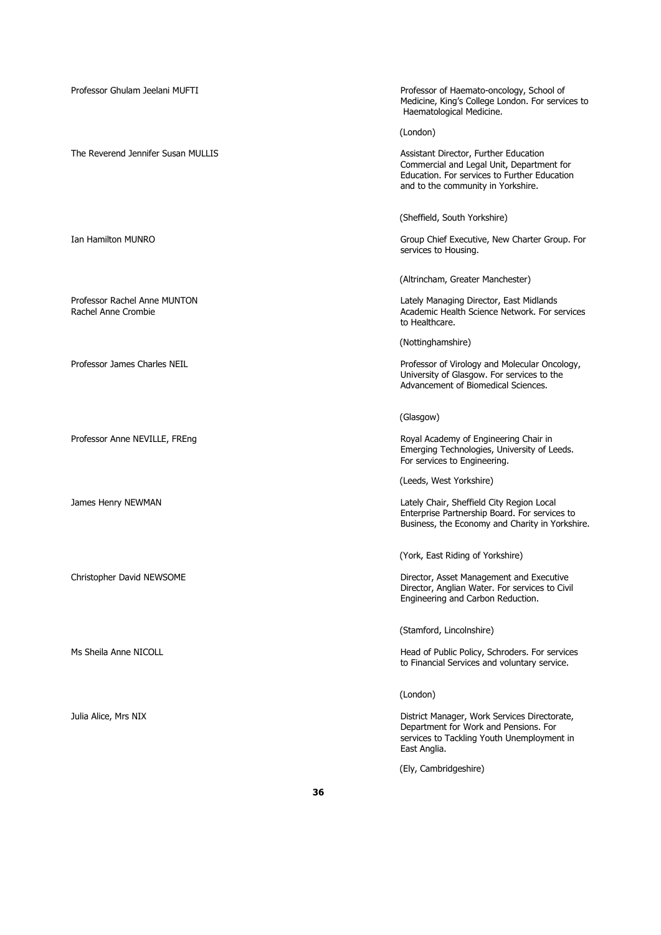| Professor Ghulam Jeelani MUFTI                      | Professor of Haemato-oncology, School of<br>Medicine, King's College London. For services to<br>Haematological Medicine.                                                 |
|-----------------------------------------------------|--------------------------------------------------------------------------------------------------------------------------------------------------------------------------|
|                                                     | (London)                                                                                                                                                                 |
| The Reverend Jennifer Susan MULLIS                  | Assistant Director, Further Education<br>Commercial and Legal Unit, Department for<br>Education. For services to Further Education<br>and to the community in Yorkshire. |
|                                                     | (Sheffield, South Yorkshire)                                                                                                                                             |
| Ian Hamilton MUNRO                                  | Group Chief Executive, New Charter Group. For<br>services to Housing.                                                                                                    |
|                                                     | (Altrincham, Greater Manchester)                                                                                                                                         |
| Professor Rachel Anne MUNTON<br>Rachel Anne Crombie | Lately Managing Director, East Midlands<br>Academic Health Science Network. For services<br>to Healthcare.                                                               |
|                                                     | (Nottinghamshire)                                                                                                                                                        |
| Professor James Charles NEIL                        | Professor of Virology and Molecular Oncology,<br>University of Glasgow. For services to the<br>Advancement of Biomedical Sciences.                                       |
|                                                     | (Glasgow)                                                                                                                                                                |
| Professor Anne NEVILLE, FREng                       | Royal Academy of Engineering Chair in<br>Emerging Technologies, University of Leeds.<br>For services to Engineering.                                                     |
|                                                     | (Leeds, West Yorkshire)                                                                                                                                                  |
| James Henry NEWMAN                                  | Lately Chair, Sheffield City Region Local<br>Enterprise Partnership Board. For services to<br>Business, the Economy and Charity in Yorkshire.                            |
|                                                     | (York, East Riding of Yorkshire)                                                                                                                                         |
| Christopher David NEWSOME                           | Director, Asset Management and Executive<br>Director, Anglian Water. For services to Civil<br>Engineering and Carbon Reduction.                                          |
|                                                     | (Stamford, Lincolnshire)                                                                                                                                                 |
| Ms Sheila Anne NICOLL                               | Head of Public Policy, Schroders. For services<br>to Financial Services and voluntary service.                                                                           |
|                                                     | (London)                                                                                                                                                                 |
| Julia Alice, Mrs NIX                                | District Manager, Work Services Directorate,<br>Department for Work and Pensions. For<br>services to Tackling Youth Unemployment in<br>East Anglia.                      |
|                                                     | (Ely, Cambridgeshire)                                                                                                                                                    |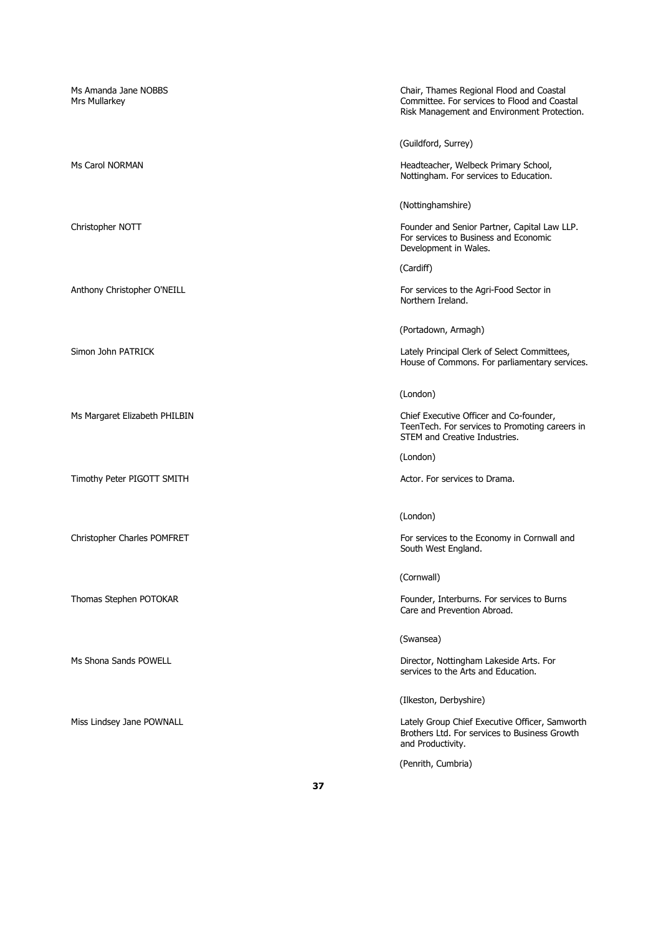Ms Amanda Jane NOBBS Chair, Thames Regional Flood and Coastal Mrs Mullarkey Committee. For services to Flood and Coastal Risk Management and Environment Protection. (Guildford, Surrey) Ms Carol NORMAN **Manufath Headteacher, Welbeck Primary School**, Nottingham. For services to Education. (Nottinghamshire) Christopher NOTT **Founder and Senior Partner, Capital Law LLP.** Founder and Senior Partner, Capital Law LLP. For services to Business and Economic Development in Wales. (Cardiff) Anthony Christopher O'NEILL **For services to the Agri-Food Sector in** Northern Ireland. (Portadown, Armagh) Simon John PATRICK **Lately Principal Clerk of Select Committees**, House of Commons. For parliamentary services. (London) Ms Margaret Elizabeth PHILBIN Chief Executive Officer and Co-founder, TeenTech. For services to Promoting careers in STEM and Creative Industries. (London) Timothy Peter PIGOTT SMITH Actor. For services to Drama. (London) Christopher Charles POMFRET For services to the Economy in Cornwall and South West England. (Cornwall) Thomas Stephen POTOKAR Founder, Interburns. For services to Burns Care and Prevention Abroad. (Swansea) Ms Shona Sands POWELL **Director, Nottingham Lakeside Arts. For** services to the Arts and Education. (Ilkeston, Derbyshire) Miss Lindsey Jane POWNALL **Night and Server Alterative Control** Lately Group Chief Executive Officer, Samworth Brothers Ltd. For services to Business Growth and Productivity.

(Penrith, Cumbria)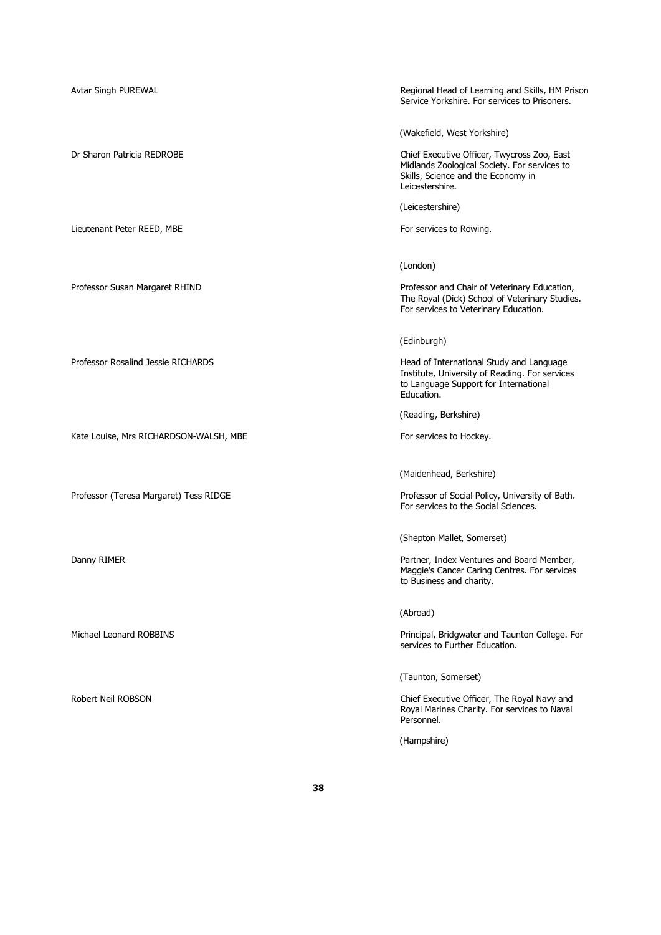| Avtar Singh PUREWAL                    | Regional Head of Learning and Skills, HM Prison<br>Service Yorkshire. For services to Prisoners.                                                     |
|----------------------------------------|------------------------------------------------------------------------------------------------------------------------------------------------------|
|                                        | (Wakefield, West Yorkshire)                                                                                                                          |
| Dr Sharon Patricia REDROBE             | Chief Executive Officer, Twycross Zoo, East<br>Midlands Zoological Society. For services to<br>Skills, Science and the Economy in<br>Leicestershire. |
|                                        | (Leicestershire)                                                                                                                                     |
| Lieutenant Peter REED, MBE             | For services to Rowing.                                                                                                                              |
|                                        | (London)                                                                                                                                             |
| Professor Susan Margaret RHIND         | Professor and Chair of Veterinary Education,<br>The Royal (Dick) School of Veterinary Studies.<br>For services to Veterinary Education.              |
|                                        | (Edinburgh)                                                                                                                                          |
| Professor Rosalind Jessie RICHARDS     | Head of International Study and Language<br>Institute, University of Reading. For services<br>to Language Support for International<br>Education.    |
|                                        | (Reading, Berkshire)                                                                                                                                 |
| Kate Louise, Mrs RICHARDSON-WALSH, MBE | For services to Hockey.                                                                                                                              |
|                                        | (Maidenhead, Berkshire)                                                                                                                              |
| Professor (Teresa Margaret) Tess RIDGE | Professor of Social Policy, University of Bath.<br>For services to the Social Sciences.                                                              |
|                                        | (Shepton Mallet, Somerset)                                                                                                                           |
| Danny RIMER                            | Partner, Index Ventures and Board Member,<br>Maggie's Cancer Caring Centres. For services<br>to Business and charity.                                |
|                                        | (Abroad)                                                                                                                                             |
| Michael Leonard ROBBINS                | Principal, Bridgwater and Taunton College. For<br>services to Further Education.                                                                     |
|                                        | (Taunton, Somerset)                                                                                                                                  |
| Robert Neil ROBSON                     | Chief Executive Officer, The Royal Navy and<br>Royal Marines Charity. For services to Naval<br>Personnel.                                            |
|                                        | (Hampshire)                                                                                                                                          |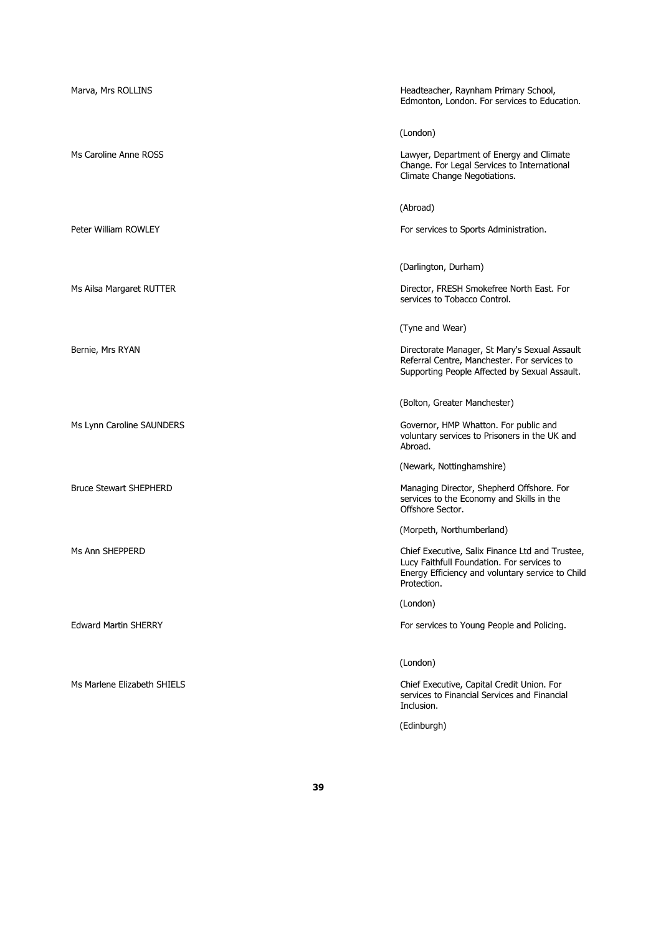| Marva, Mrs ROLLINS            | Headteacher, Raynham Primary School,<br>Edmonton, London. For services to Education.                                                                             |
|-------------------------------|------------------------------------------------------------------------------------------------------------------------------------------------------------------|
|                               | (London)                                                                                                                                                         |
| Ms Caroline Anne ROSS         | Lawyer, Department of Energy and Climate<br>Change. For Legal Services to International<br>Climate Change Negotiations.                                          |
|                               | (Abroad)                                                                                                                                                         |
| Peter William ROWLEY          | For services to Sports Administration.                                                                                                                           |
|                               | (Darlington, Durham)                                                                                                                                             |
| Ms Ailsa Margaret RUTTER      | Director, FRESH Smokefree North East. For<br>services to Tobacco Control.                                                                                        |
|                               | (Tyne and Wear)                                                                                                                                                  |
| Bernie, Mrs RYAN              | Directorate Manager, St Mary's Sexual Assault<br>Referral Centre, Manchester. For services to<br>Supporting People Affected by Sexual Assault.                   |
|                               | (Bolton, Greater Manchester)                                                                                                                                     |
| Ms Lynn Caroline SAUNDERS     | Governor, HMP Whatton. For public and<br>voluntary services to Prisoners in the UK and<br>Abroad.                                                                |
|                               | (Newark, Nottinghamshire)                                                                                                                                        |
| <b>Bruce Stewart SHEPHERD</b> | Managing Director, Shepherd Offshore. For<br>services to the Economy and Skills in the<br>Offshore Sector.                                                       |
|                               | (Morpeth, Northumberland)                                                                                                                                        |
| Ms Ann SHEPPERD               | Chief Executive, Salix Finance Ltd and Trustee,<br>Lucy Faithfull Foundation. For services to<br>Energy Efficiency and voluntary service to Child<br>Protection. |
|                               | (London)                                                                                                                                                         |
| <b>Edward Martin SHERRY</b>   | For services to Young People and Policing.                                                                                                                       |
|                               | (London)                                                                                                                                                         |
| Ms Marlene Elizabeth SHIELS   | Chief Executive, Capital Credit Union. For<br>services to Financial Services and Financial<br>Inclusion.                                                         |
|                               | (Edinburgh)                                                                                                                                                      |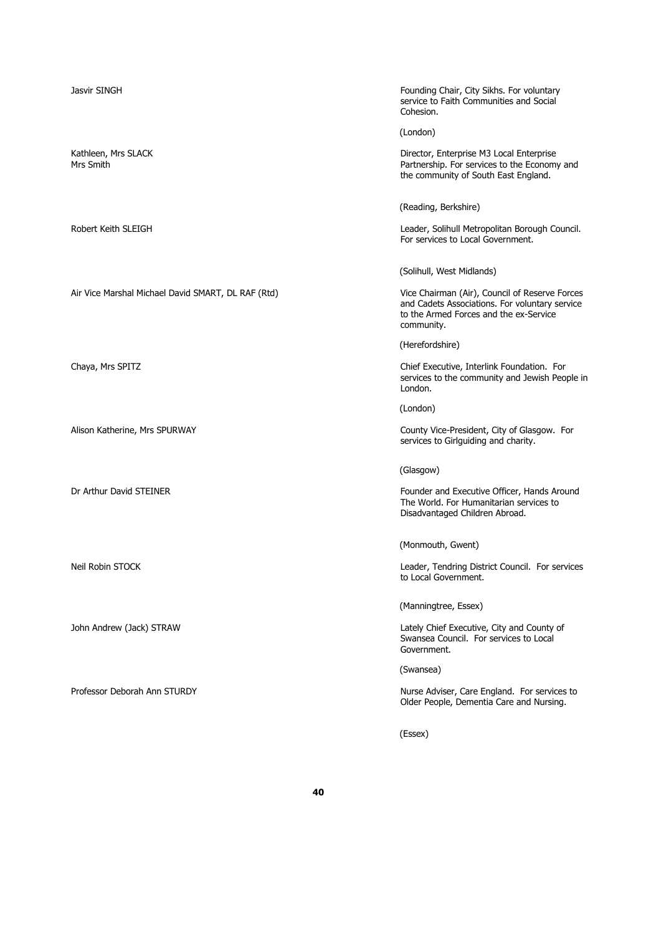| Founding Chair, City Sikhs. For voluntary<br>service to Faith Communities and Social<br>Cohesion.                                                        |
|----------------------------------------------------------------------------------------------------------------------------------------------------------|
| (London)                                                                                                                                                 |
| Director, Enterprise M3 Local Enterprise<br>Partnership. For services to the Economy and<br>the community of South East England.                         |
| (Reading, Berkshire)                                                                                                                                     |
| Leader, Solihull Metropolitan Borough Council.<br>For services to Local Government.                                                                      |
| (Solihull, West Midlands)                                                                                                                                |
| Vice Chairman (Air), Council of Reserve Forces<br>and Cadets Associations. For voluntary service<br>to the Armed Forces and the ex-Service<br>community. |
| (Herefordshire)                                                                                                                                          |
| Chief Executive, Interlink Foundation. For<br>services to the community and Jewish People in<br>London.                                                  |
| (London)                                                                                                                                                 |
| County Vice-President, City of Glasgow. For<br>services to Girlguiding and charity.                                                                      |
| (Glasgow)                                                                                                                                                |
| Founder and Executive Officer, Hands Around<br>The World. For Humanitarian services to<br>Disadvantaged Children Abroad.                                 |
| (Monmouth, Gwent)                                                                                                                                        |
| Leader, Tendring District Council. For services<br>to Local Government.                                                                                  |
| (Manningtree, Essex)                                                                                                                                     |
| Lately Chief Executive, City and County of<br>Swansea Council. For services to Local<br>Government.                                                      |
| (Swansea)                                                                                                                                                |
| Nurse Adviser, Care England. For services to<br>Older People, Dementia Care and Nursing.                                                                 |
|                                                                                                                                                          |

(Essex)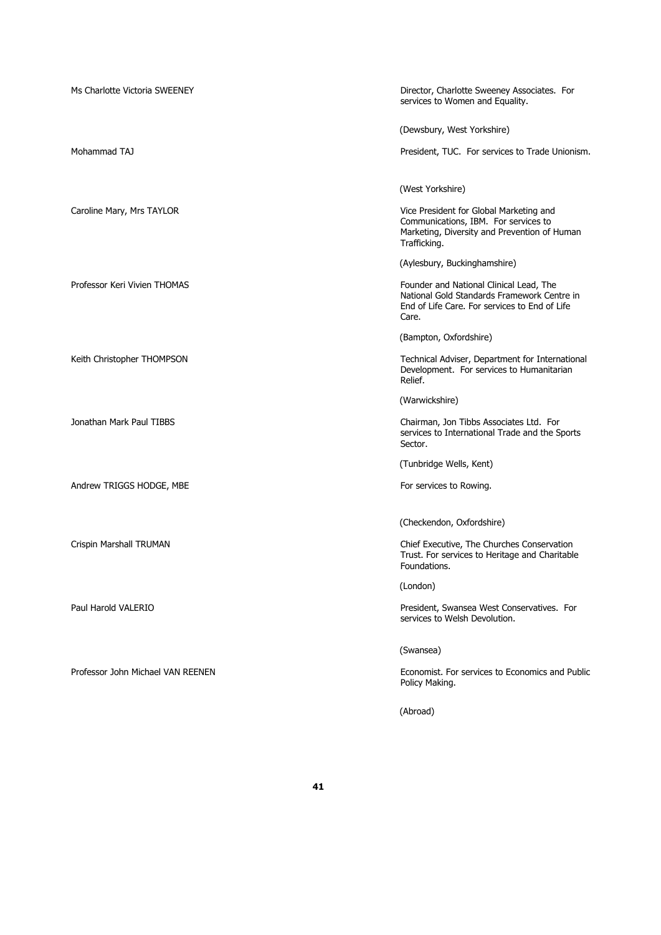| Ms Charlotte Victoria SWEENEY     | Director, Charlotte Sweeney Associates. For<br>services to Women and Equality.                                                                   |
|-----------------------------------|--------------------------------------------------------------------------------------------------------------------------------------------------|
|                                   | (Dewsbury, West Yorkshire)                                                                                                                       |
| Mohammad TAJ                      | President, TUC. For services to Trade Unionism.                                                                                                  |
|                                   | (West Yorkshire)                                                                                                                                 |
| Caroline Mary, Mrs TAYLOR         | Vice President for Global Marketing and<br>Communications, IBM. For services to<br>Marketing, Diversity and Prevention of Human<br>Trafficking.  |
|                                   | (Aylesbury, Buckinghamshire)                                                                                                                     |
| Professor Keri Vivien THOMAS      | Founder and National Clinical Lead, The<br>National Gold Standards Framework Centre in<br>End of Life Care. For services to End of Life<br>Care. |
|                                   | (Bampton, Oxfordshire)                                                                                                                           |
| Keith Christopher THOMPSON        | Technical Adviser, Department for International<br>Development. For services to Humanitarian<br>Relief.                                          |
|                                   | (Warwickshire)                                                                                                                                   |
| Jonathan Mark Paul TIBBS          | Chairman, Jon Tibbs Associates Ltd. For<br>services to International Trade and the Sports<br>Sector.                                             |
|                                   | (Tunbridge Wells, Kent)                                                                                                                          |
| Andrew TRIGGS HODGE, MBE          | For services to Rowing.                                                                                                                          |
|                                   | (Checkendon, Oxfordshire)                                                                                                                        |
| Crispin Marshall TRUMAN           | Chief Executive, The Churches Conservation<br>Trust. For services to Heritage and Charitable<br>Foundations.                                     |
|                                   | (London)                                                                                                                                         |
| Paul Harold VALERIO               | President, Swansea West Conservatives. For<br>services to Welsh Devolution.                                                                      |
|                                   | (Swansea)                                                                                                                                        |
| Professor John Michael VAN REENEN | Economist. For services to Economics and Public<br>Policy Making.                                                                                |
|                                   | (Abroad)                                                                                                                                         |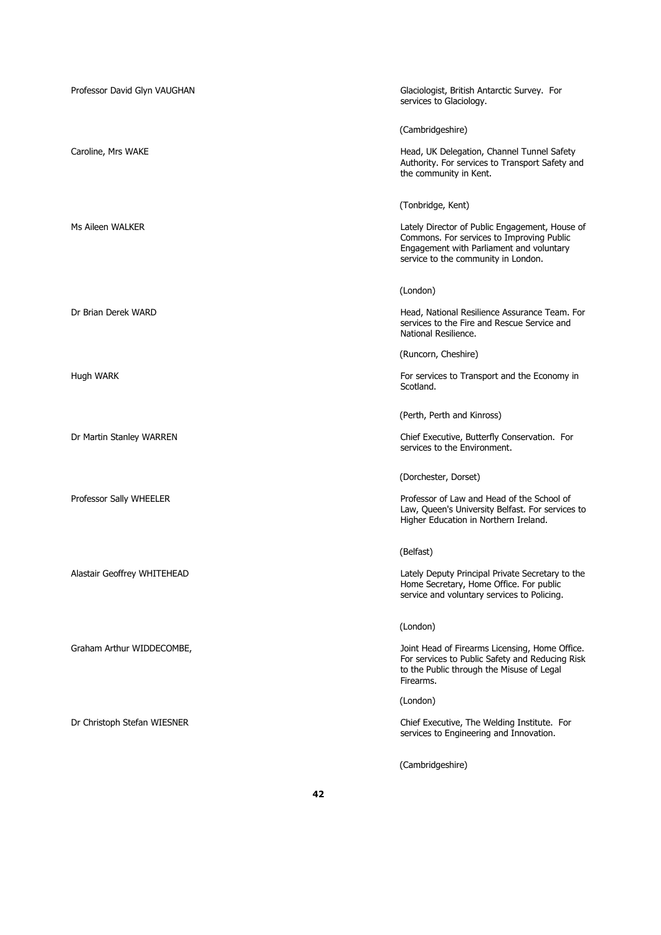| Professor David Glyn VAUGHAN | Glaciologist, British Antarctic Survey. For<br>services to Glaciology.                                                                                                         |
|------------------------------|--------------------------------------------------------------------------------------------------------------------------------------------------------------------------------|
|                              | (Cambridgeshire)                                                                                                                                                               |
| Caroline, Mrs WAKE           | Head, UK Delegation, Channel Tunnel Safety<br>Authority. For services to Transport Safety and<br>the community in Kent.                                                        |
|                              | (Tonbridge, Kent)                                                                                                                                                              |
| Ms Aileen WALKER             | Lately Director of Public Engagement, House of<br>Commons. For services to Improving Public<br>Engagement with Parliament and voluntary<br>service to the community in London. |
|                              | (London)                                                                                                                                                                       |
| Dr Brian Derek WARD          | Head, National Resilience Assurance Team. For<br>services to the Fire and Rescue Service and<br>National Resilience.                                                           |
|                              | (Runcorn, Cheshire)                                                                                                                                                            |
| Hugh WARK                    | For services to Transport and the Economy in<br>Scotland.                                                                                                                      |
|                              | (Perth, Perth and Kinross)                                                                                                                                                     |
| Dr Martin Stanley WARREN     | Chief Executive, Butterfly Conservation. For<br>services to the Environment.                                                                                                   |
|                              | (Dorchester, Dorset)                                                                                                                                                           |
| Professor Sally WHEELER      | Professor of Law and Head of the School of<br>Law, Queen's University Belfast. For services to<br>Higher Education in Northern Ireland.                                        |
|                              | (Belfast)                                                                                                                                                                      |
| Alastair Geoffrey WHITEHEAD  | Lately Deputy Principal Private Secretary to the<br>Home Secretary, Home Office. For public<br>service and voluntary services to Policing.                                     |
|                              | (London)                                                                                                                                                                       |
| Graham Arthur WIDDECOMBE,    | Joint Head of Firearms Licensing, Home Office.<br>For services to Public Safety and Reducing Risk<br>to the Public through the Misuse of Legal<br>Firearms.                    |
|                              | (London)                                                                                                                                                                       |
| Dr Christoph Stefan WIESNER  | Chief Executive, The Welding Institute. For<br>services to Engineering and Innovation.                                                                                         |
|                              | (Cambridgeshire)                                                                                                                                                               |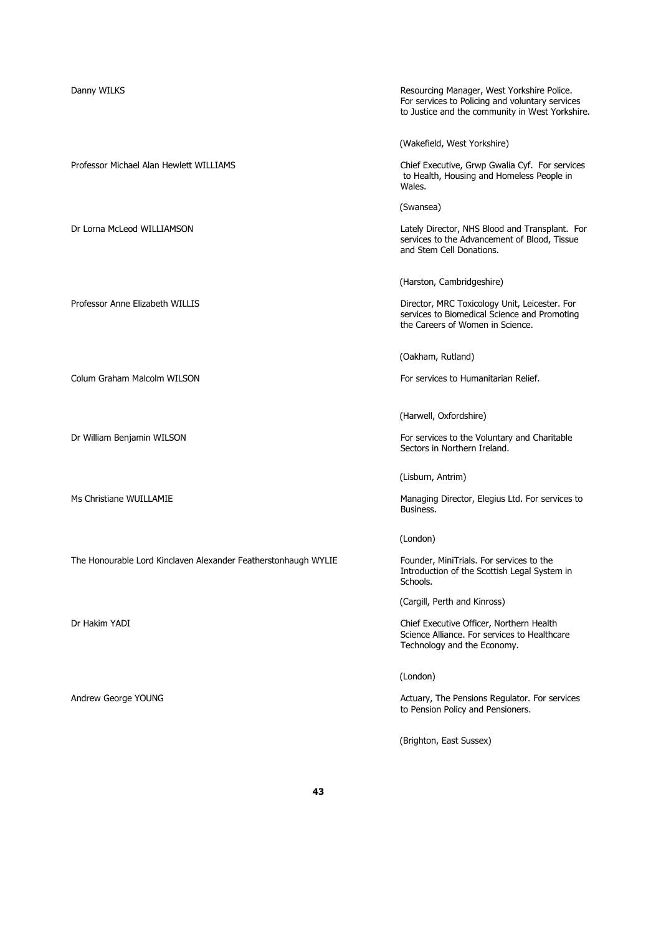Danny WILKS **Resourcing Manager, West Yorkshire Police.** Resourcing Manager, West Yorkshire Police. For services to Policing and voluntary services to Justice and the community in West Yorkshire. (Wakefield, West Yorkshire) Professor Michael Alan Hewlett WILLIAMS Chief Executive, Grwp Gwalia Cyf. For services to Health, Housing and Homeless People in Wales. (Swansea) Dr Lorna McLeod WILLIAMSON Lately Director, NHS Blood and Transplant. For services to the Advancement of Blood, Tissue and Stem Cell Donations. (Harston, Cambridgeshire) Professor Anne Elizabeth WILLIS **Director, MRC Toxicology Unit, Leicester. For** services to Biomedical Science and Promoting the Careers of Women in Science. (Oakham, Rutland) Colum Graham Malcolm WILSON For services to Humanitarian Relief. (Harwell, Oxfordshire) Dr William Benjamin WILSON **For services to the Voluntary and Charitable** Sectors in Northern Ireland. (Lisburn, Antrim) Ms Christiane WUILLAMIE **Managing Director, Elegius Ltd. For services to** Managing Director, Elegius Ltd. For services to Business. (London) The Honourable Lord Kinclaven Alexander Featherstonhaugh WYLIE Founder, MiniTrials. For services to the Introduction of the Scottish Legal System in Schools. (Cargill, Perth and Kinross) Dr Hakim YADI Chief Executive Officer, Northern Health Science Alliance. For services to Healthcare Technology and the Economy. (London) Andrew George YOUNG **Actuary, The Pensions Regulator. For services** Actuary, The Pensions Regulator. For services to Pension Policy and Pensioners. (Brighton, East Sussex)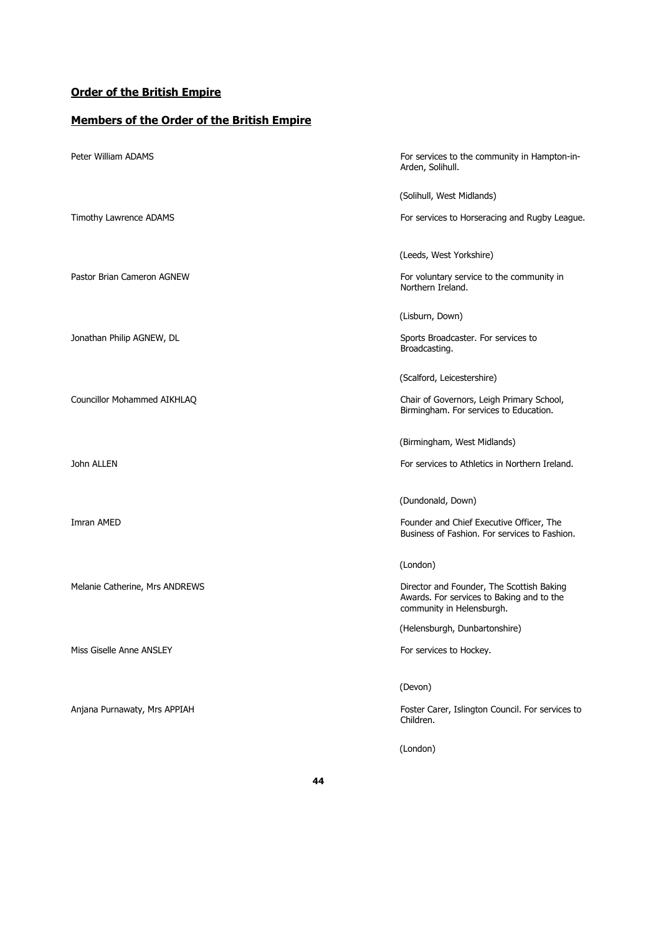## **Order of the British Empire**

## **Members of the Order of the British Empire**

| Peter William ADAMS            | For services to the community in Hampton-in-<br>Arden, Solihull.                                                    |
|--------------------------------|---------------------------------------------------------------------------------------------------------------------|
|                                | (Solihull, West Midlands)                                                                                           |
| Timothy Lawrence ADAMS         | For services to Horseracing and Rugby League.                                                                       |
|                                | (Leeds, West Yorkshire)                                                                                             |
| Pastor Brian Cameron AGNEW     | For voluntary service to the community in<br>Northern Ireland.                                                      |
|                                | (Lisburn, Down)                                                                                                     |
| Jonathan Philip AGNEW, DL      | Sports Broadcaster. For services to<br>Broadcasting.                                                                |
|                                | (Scalford, Leicestershire)                                                                                          |
| Councillor Mohammed AIKHLAQ    | Chair of Governors, Leigh Primary School,<br>Birmingham. For services to Education.                                 |
|                                | (Birmingham, West Midlands)                                                                                         |
| John ALLEN                     | For services to Athletics in Northern Ireland.                                                                      |
|                                | (Dundonald, Down)                                                                                                   |
| Imran AMED                     | Founder and Chief Executive Officer, The<br>Business of Fashion. For services to Fashion.                           |
|                                | (London)                                                                                                            |
| Melanie Catherine, Mrs ANDREWS | Director and Founder, The Scottish Baking<br>Awards. For services to Baking and to the<br>community in Helensburgh. |
|                                | (Helensburgh, Dunbartonshire)                                                                                       |
| Miss Giselle Anne ANSLEY       | For services to Hockey.                                                                                             |
|                                | (Devon)                                                                                                             |
| Anjana Purnawaty, Mrs APPIAH   | Foster Carer, Islington Council. For services to<br>Children.                                                       |
|                                | (London)                                                                                                            |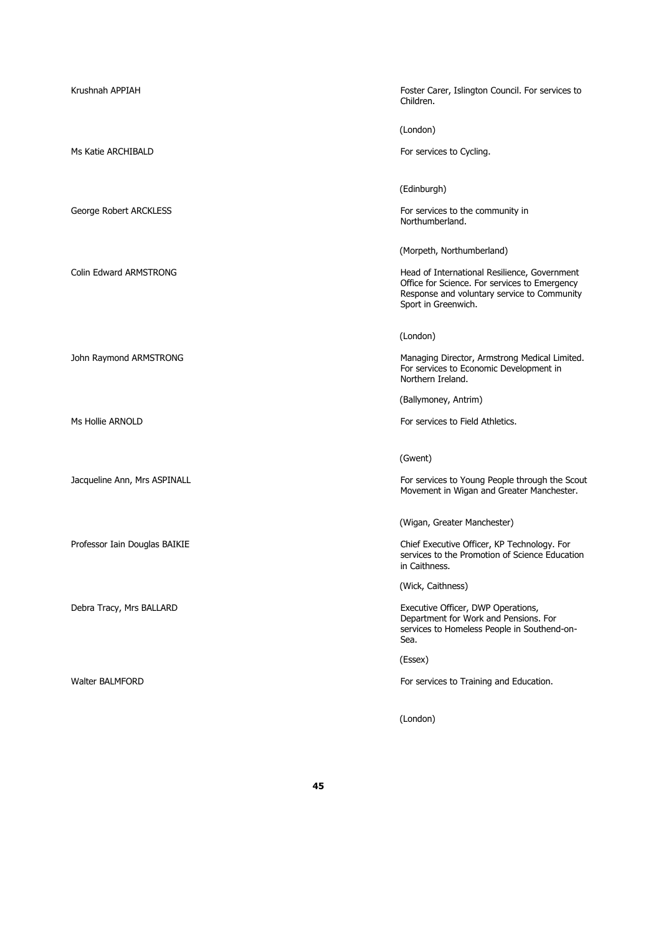| Krushnah APPIAH               | Foster Carer, Islington Council. For services to<br>Children.                                                                                                       |
|-------------------------------|---------------------------------------------------------------------------------------------------------------------------------------------------------------------|
|                               | (London)                                                                                                                                                            |
| Ms Katie ARCHIBALD            | For services to Cycling.                                                                                                                                            |
|                               | (Edinburgh)                                                                                                                                                         |
| George Robert ARCKLESS        | For services to the community in<br>Northumberland.                                                                                                                 |
|                               | (Morpeth, Northumberland)                                                                                                                                           |
| Colin Edward ARMSTRONG        | Head of International Resilience, Government<br>Office for Science. For services to Emergency<br>Response and voluntary service to Community<br>Sport in Greenwich. |
|                               | (London)                                                                                                                                                            |
| John Raymond ARMSTRONG        | Managing Director, Armstrong Medical Limited.<br>For services to Economic Development in<br>Northern Ireland.                                                       |
|                               | (Ballymoney, Antrim)                                                                                                                                                |
| Ms Hollie ARNOLD              | For services to Field Athletics.                                                                                                                                    |
|                               | (Gwent)                                                                                                                                                             |
| Jacqueline Ann, Mrs ASPINALL  | For services to Young People through the Scout<br>Movement in Wigan and Greater Manchester.                                                                         |
|                               | (Wigan, Greater Manchester)                                                                                                                                         |
| Professor Iain Douglas BAIKIE | Chief Executive Officer, KP Technology. For<br>services to the Promotion of Science Education<br>in Caithness.                                                      |
|                               | (Wick, Caithness)                                                                                                                                                   |
| Debra Tracy, Mrs BALLARD      | Executive Officer, DWP Operations,<br>Department for Work and Pensions. For<br>services to Homeless People in Southend-on-<br>Sea.                                  |
|                               | (Essex)                                                                                                                                                             |
| <b>Walter BALMFORD</b>        | For services to Training and Education.                                                                                                                             |
|                               | (London)                                                                                                                                                            |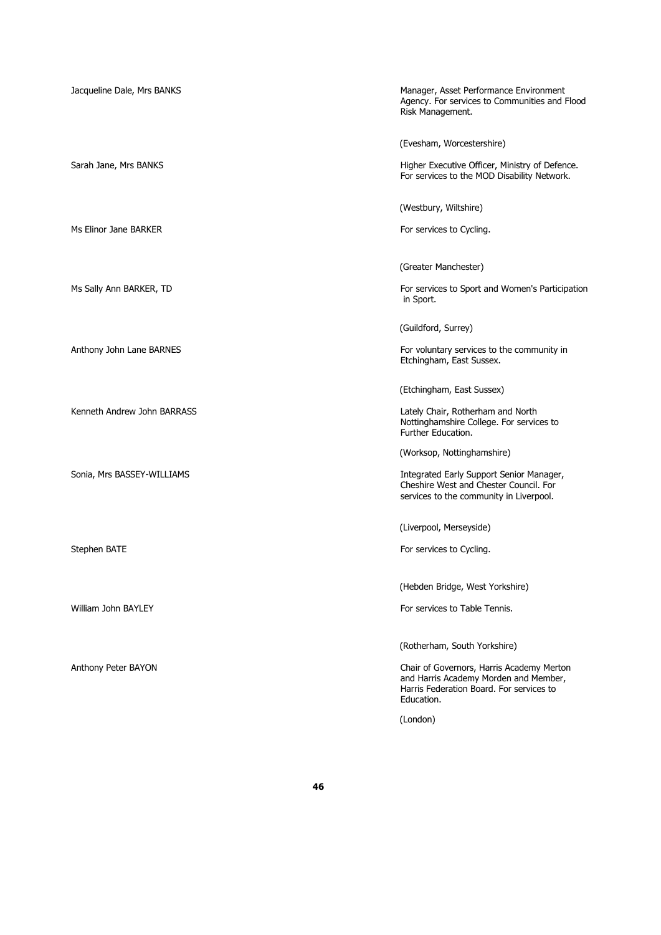| Jacqueline Dale, Mrs BANKS  | Manager, Asset Performance Environment<br>Agency. For services to Communities and Flood<br>Risk Management.                                  |
|-----------------------------|----------------------------------------------------------------------------------------------------------------------------------------------|
|                             | (Evesham, Worcestershire)                                                                                                                    |
| Sarah Jane, Mrs BANKS       | Higher Executive Officer, Ministry of Defence.<br>For services to the MOD Disability Network.                                                |
|                             | (Westbury, Wiltshire)                                                                                                                        |
| Ms Elinor Jane BARKER       | For services to Cycling.                                                                                                                     |
|                             | (Greater Manchester)                                                                                                                         |
| Ms Sally Ann BARKER, TD     | For services to Sport and Women's Participation<br>in Sport.                                                                                 |
|                             | (Guildford, Surrey)                                                                                                                          |
| Anthony John Lane BARNES    | For voluntary services to the community in<br>Etchingham, East Sussex.                                                                       |
|                             | (Etchingham, East Sussex)                                                                                                                    |
| Kenneth Andrew John BARRASS | Lately Chair, Rotherham and North<br>Nottinghamshire College. For services to<br>Further Education.                                          |
|                             | (Worksop, Nottinghamshire)                                                                                                                   |
| Sonia, Mrs BASSEY-WILLIAMS  | Integrated Early Support Senior Manager,<br>Cheshire West and Chester Council. For<br>services to the community in Liverpool.                |
|                             | (Liverpool, Merseyside)                                                                                                                      |
| Stephen BATE                | For services to Cycling.                                                                                                                     |
|                             | (Hebden Bridge, West Yorkshire)                                                                                                              |
| William John BAYLEY         | For services to Table Tennis.                                                                                                                |
|                             | (Rotherham, South Yorkshire)                                                                                                                 |
| Anthony Peter BAYON         | Chair of Governors, Harris Academy Merton<br>and Harris Academy Morden and Member,<br>Harris Federation Board. For services to<br>Education. |
|                             | (London)                                                                                                                                     |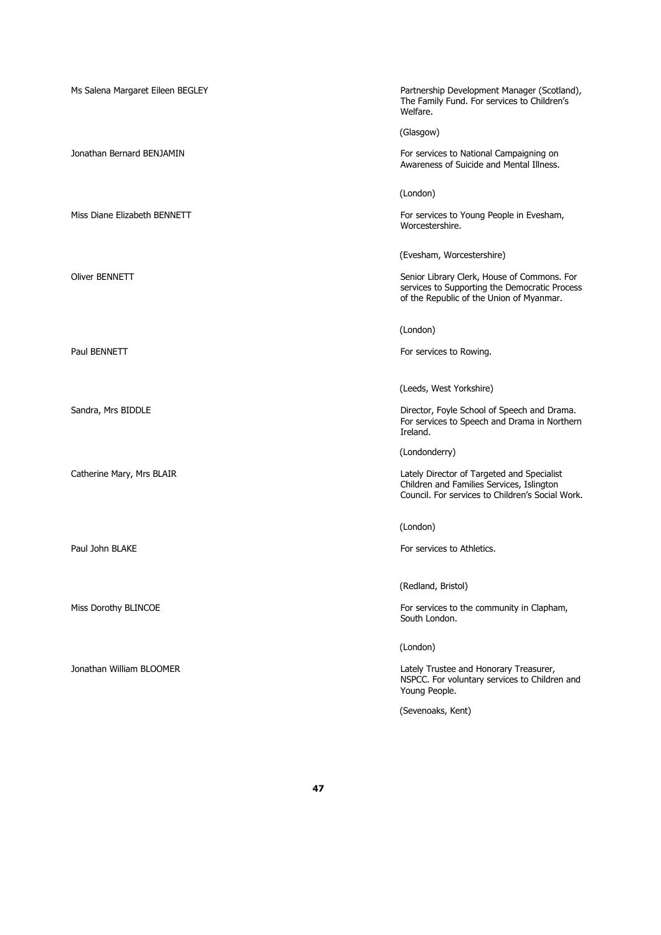| Ms Salena Margaret Eileen BEGLEY | Partnership Development Manager (Scotland),<br>The Family Fund. For services to Children's<br>Welfare.                                      |
|----------------------------------|---------------------------------------------------------------------------------------------------------------------------------------------|
|                                  | (Glasgow)                                                                                                                                   |
| Jonathan Bernard BENJAMIN        | For services to National Campaigning on<br>Awareness of Suicide and Mental Illness.                                                         |
|                                  | (London)                                                                                                                                    |
| Miss Diane Elizabeth BENNETT     | For services to Young People in Evesham,<br>Worcestershire.                                                                                 |
|                                  | (Evesham, Worcestershire)                                                                                                                   |
| Oliver BENNETT                   | Senior Library Clerk, House of Commons. For<br>services to Supporting the Democratic Process<br>of the Republic of the Union of Myanmar.    |
|                                  | (London)                                                                                                                                    |
| Paul BENNETT                     | For services to Rowing.                                                                                                                     |
|                                  | (Leeds, West Yorkshire)                                                                                                                     |
| Sandra, Mrs BIDDLE               | Director, Foyle School of Speech and Drama.<br>For services to Speech and Drama in Northern<br>Ireland.                                     |
|                                  | (Londonderry)                                                                                                                               |
| Catherine Mary, Mrs BLAIR        | Lately Director of Targeted and Specialist<br>Children and Families Services, Islington<br>Council. For services to Children's Social Work. |
|                                  | (London)                                                                                                                                    |
| Paul John BLAKE                  | For services to Athletics.                                                                                                                  |
|                                  | (Redland, Bristol)                                                                                                                          |
| Miss Dorothy BLINCOE             | For services to the community in Clapham,<br>South London.                                                                                  |
|                                  | (London)                                                                                                                                    |
| Jonathan William BLOOMER         | Lately Trustee and Honorary Treasurer,<br>NSPCC. For voluntary services to Children and<br>Young People.                                    |
|                                  | (Sevenoaks, Kent)                                                                                                                           |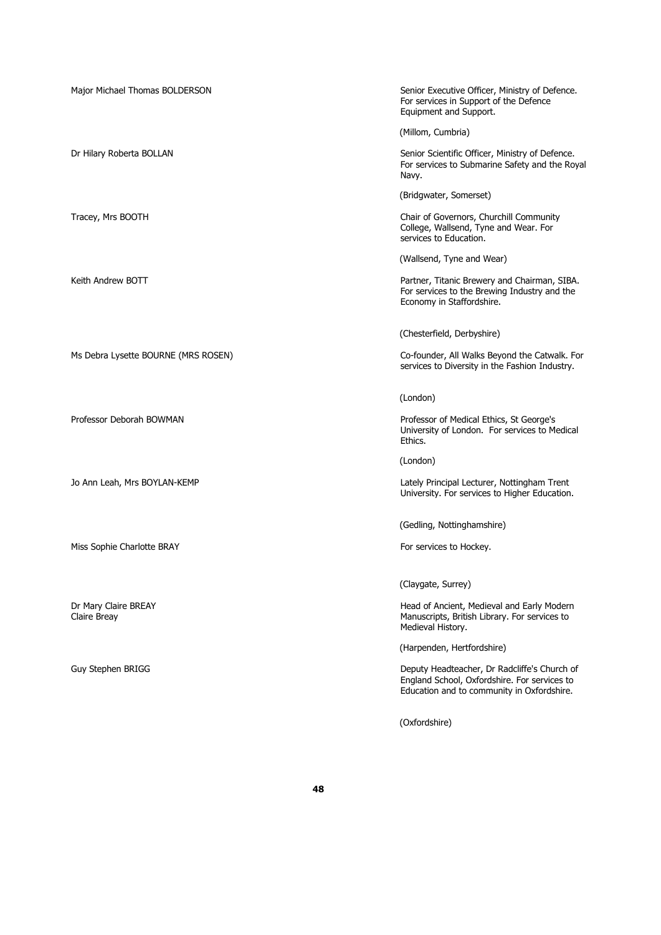| Major Michael Thomas BOLDERSON       | Senior Executive Officer, Ministry of Defence.<br>For services in Support of the Defence<br>Equipment and Support.                         |
|--------------------------------------|--------------------------------------------------------------------------------------------------------------------------------------------|
|                                      | (Millom, Cumbria)                                                                                                                          |
| Dr Hilary Roberta BOLLAN             | Senior Scientific Officer, Ministry of Defence.<br>For services to Submarine Safety and the Royal<br>Navy.                                 |
|                                      | (Bridgwater, Somerset)                                                                                                                     |
| Tracey, Mrs BOOTH                    | Chair of Governors, Churchill Community<br>College, Wallsend, Tyne and Wear. For<br>services to Education.                                 |
|                                      | (Wallsend, Tyne and Wear)                                                                                                                  |
| Keith Andrew BOTT                    | Partner, Titanic Brewery and Chairman, SIBA.<br>For services to the Brewing Industry and the<br>Economy in Staffordshire.                  |
|                                      | (Chesterfield, Derbyshire)                                                                                                                 |
| Ms Debra Lysette BOURNE (MRS ROSEN)  | Co-founder, All Walks Beyond the Catwalk. For<br>services to Diversity in the Fashion Industry.                                            |
|                                      | (London)                                                                                                                                   |
| Professor Deborah BOWMAN             | Professor of Medical Ethics, St George's<br>University of London. For services to Medical<br>Ethics.                                       |
|                                      | (London)                                                                                                                                   |
| Jo Ann Leah, Mrs BOYLAN-KEMP         | Lately Principal Lecturer, Nottingham Trent<br>University. For services to Higher Education.                                               |
|                                      | (Gedling, Nottinghamshire)                                                                                                                 |
| Miss Sophie Charlotte BRAY           | For services to Hockey.                                                                                                                    |
|                                      | (Claygate, Surrey)                                                                                                                         |
| Dr Mary Claire BREAY<br>Claire Breay | Head of Ancient, Medieval and Early Modern<br>Manuscripts, British Library. For services to<br>Medieval History.                           |
|                                      | (Harpenden, Hertfordshire)                                                                                                                 |
| Guy Stephen BRIGG                    | Deputy Headteacher, Dr Radcliffe's Church of<br>England School, Oxfordshire. For services to<br>Education and to community in Oxfordshire. |
|                                      | (Oxfordshire)                                                                                                                              |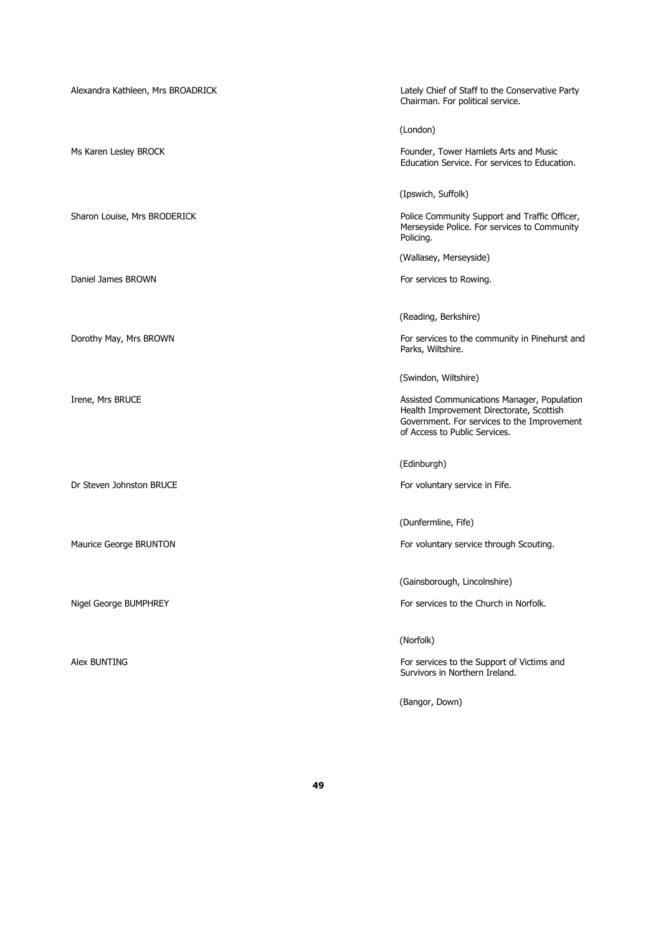| Alexandra Kathleen, Mrs BROADRICK | Lately Chief of Staff to the Conservative Party<br>Chairman. For political service.                                                                                     |
|-----------------------------------|-------------------------------------------------------------------------------------------------------------------------------------------------------------------------|
|                                   | (London)                                                                                                                                                                |
| Ms Karen Lesley BROCK             | Founder, Tower Hamlets Arts and Music<br>Education Service. For services to Education.                                                                                  |
|                                   | (Ipswich, Suffolk)                                                                                                                                                      |
| Sharon Louise, Mrs BRODERICK      | Police Community Support and Traffic Officer,<br>Merseyside Police. For services to Community<br>Policing.                                                              |
|                                   | (Wallasey, Merseyside)                                                                                                                                                  |
| Daniel James BROWN                | For services to Rowing.                                                                                                                                                 |
|                                   | (Reading, Berkshire)                                                                                                                                                    |
| Dorothy May, Mrs BROWN            | For services to the community in Pinehurst and                                                                                                                          |
|                                   | Parks, Wiltshire.                                                                                                                                                       |
|                                   | (Swindon, Wiltshire)                                                                                                                                                    |
| Irene, Mrs BRUCE                  | Assisted Communications Manager, Population<br>Health Improvement Directorate, Scottish<br>Government. For services to the Improvement<br>of Access to Public Services. |
|                                   | (Edinburgh)                                                                                                                                                             |
| Dr Steven Johnston BRUCE          | For voluntary service in Fife.                                                                                                                                          |
|                                   | (Dunfermline, Fife)                                                                                                                                                     |
| Maurice George BRUNTON            | For voluntary service through Scouting.                                                                                                                                 |
|                                   |                                                                                                                                                                         |
|                                   | (Gainsborough, Lincolnshire)                                                                                                                                            |
| Nigel George BUMPHREY             | For services to the Church in Norfolk.                                                                                                                                  |
|                                   | (Norfolk)                                                                                                                                                               |
| Alex BUNTING                      | For services to the Support of Victims and                                                                                                                              |
|                                   | Survivors in Northern Ireland.                                                                                                                                          |
|                                   |                                                                                                                                                                         |

(Bangor, Down)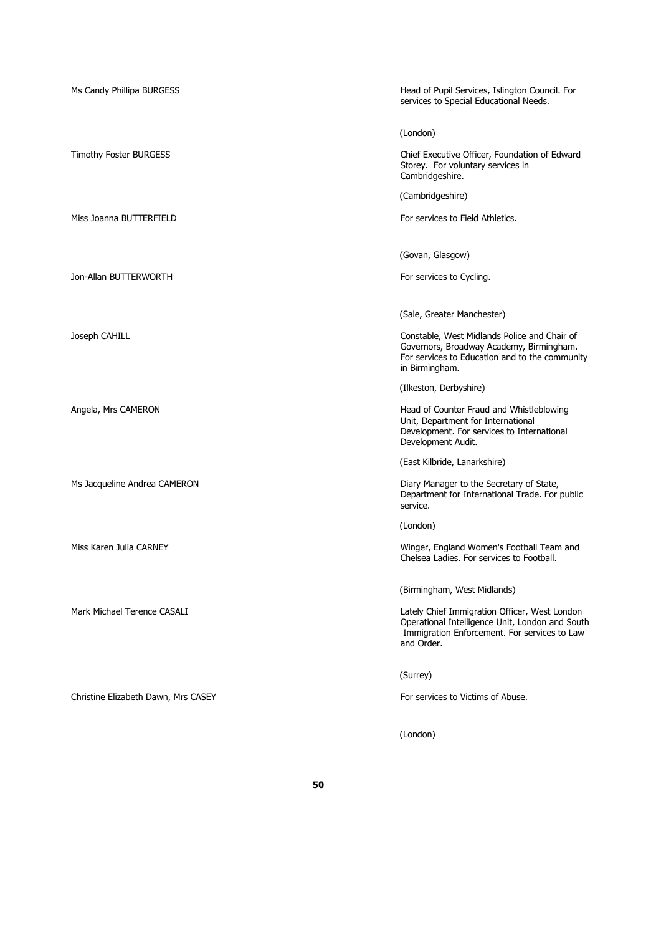| Ms Candy Phillipa BURGESS           | Head of Pupil Services, Islington Council. For<br>services to Special Educational Needs.                                                                       |
|-------------------------------------|----------------------------------------------------------------------------------------------------------------------------------------------------------------|
|                                     | (London)                                                                                                                                                       |
| Timothy Foster BURGESS              | Chief Executive Officer, Foundation of Edward<br>Storey. For voluntary services in<br>Cambridgeshire.                                                          |
|                                     | (Cambridgeshire)                                                                                                                                               |
| Miss Joanna BUTTERFIELD             | For services to Field Athletics.                                                                                                                               |
|                                     |                                                                                                                                                                |
|                                     | (Govan, Glasgow)                                                                                                                                               |
| Jon-Allan BUTTERWORTH               | For services to Cycling.                                                                                                                                       |
|                                     | (Sale, Greater Manchester)                                                                                                                                     |
| Joseph CAHILL                       | Constable, West Midlands Police and Chair of<br>Governors, Broadway Academy, Birmingham.<br>For services to Education and to the community<br>in Birmingham.   |
|                                     | (Ilkeston, Derbyshire)                                                                                                                                         |
| Angela, Mrs CAMERON                 | Head of Counter Fraud and Whistleblowing<br>Unit, Department for International<br>Development. For services to International<br>Development Audit.             |
|                                     | (East Kilbride, Lanarkshire)                                                                                                                                   |
| Ms Jacqueline Andrea CAMERON        | Diary Manager to the Secretary of State,<br>Department for International Trade. For public<br>service.                                                         |
|                                     | (London)                                                                                                                                                       |
| Miss Karen Julia CARNEY             | Winger, England Women's Football Team and<br>Chelsea Ladies. For services to Football.                                                                         |
|                                     | (Birmingham, West Midlands)                                                                                                                                    |
| Mark Michael Terence CASALI         | Lately Chief Immigration Officer, West London<br>Operational Intelligence Unit, London and South<br>Immigration Enforcement. For services to Law<br>and Order. |
|                                     | (Surrey)                                                                                                                                                       |
| Christine Elizabeth Dawn, Mrs CASEY | For services to Victims of Abuse.                                                                                                                              |
|                                     | (London)                                                                                                                                                       |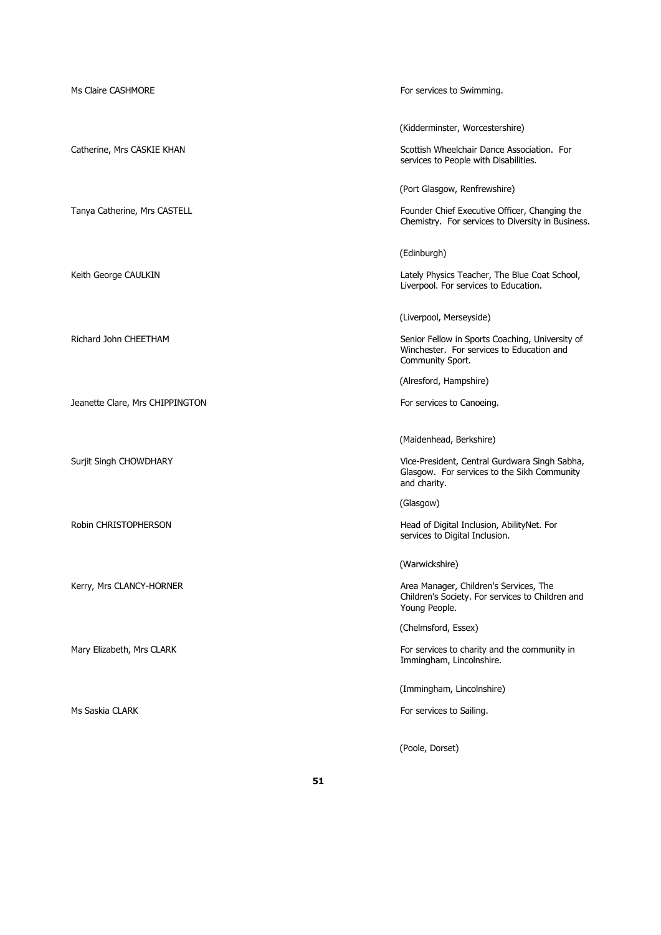| Ms Claire CASHMORE              | For services to Swimming.                                                                                        |
|---------------------------------|------------------------------------------------------------------------------------------------------------------|
|                                 | (Kidderminster, Worcestershire)<br>Scottish Wheelchair Dance Association. For                                    |
| Catherine, Mrs CASKIE KHAN      | services to People with Disabilities.                                                                            |
|                                 | (Port Glasgow, Renfrewshire)                                                                                     |
| Tanya Catherine, Mrs CASTELL    | Founder Chief Executive Officer, Changing the<br>Chemistry. For services to Diversity in Business.               |
|                                 | (Edinburgh)                                                                                                      |
| Keith George CAULKIN            | Lately Physics Teacher, The Blue Coat School,<br>Liverpool. For services to Education.                           |
|                                 | (Liverpool, Merseyside)                                                                                          |
| Richard John CHEETHAM           | Senior Fellow in Sports Coaching, University of<br>Winchester. For services to Education and<br>Community Sport. |
|                                 | (Alresford, Hampshire)                                                                                           |
| Jeanette Clare, Mrs CHIPPINGTON | For services to Canoeing.                                                                                        |
|                                 | (Maidenhead, Berkshire)                                                                                          |
| Surjit Singh CHOWDHARY          | Vice-President, Central Gurdwara Singh Sabha,<br>Glasgow. For services to the Sikh Community<br>and charity.     |
|                                 | (Glasgow)                                                                                                        |
| Robin CHRISTOPHERSON            | Head of Digital Inclusion, AbilityNet. For<br>services to Digital Inclusion.                                     |
|                                 | (Warwickshire)                                                                                                   |
| Kerry, Mrs CLANCY-HORNER        | Area Manager, Children's Services, The<br>Children's Society. For services to Children and<br>Young People.      |
|                                 | (Chelmsford, Essex)                                                                                              |
| Mary Elizabeth, Mrs CLARK       | For services to charity and the community in<br>Immingham, Lincolnshire.                                         |
|                                 | (Immingham, Lincolnshire)                                                                                        |
| Ms Saskia CLARK                 | For services to Sailing.                                                                                         |
|                                 | (Poole, Dorset)                                                                                                  |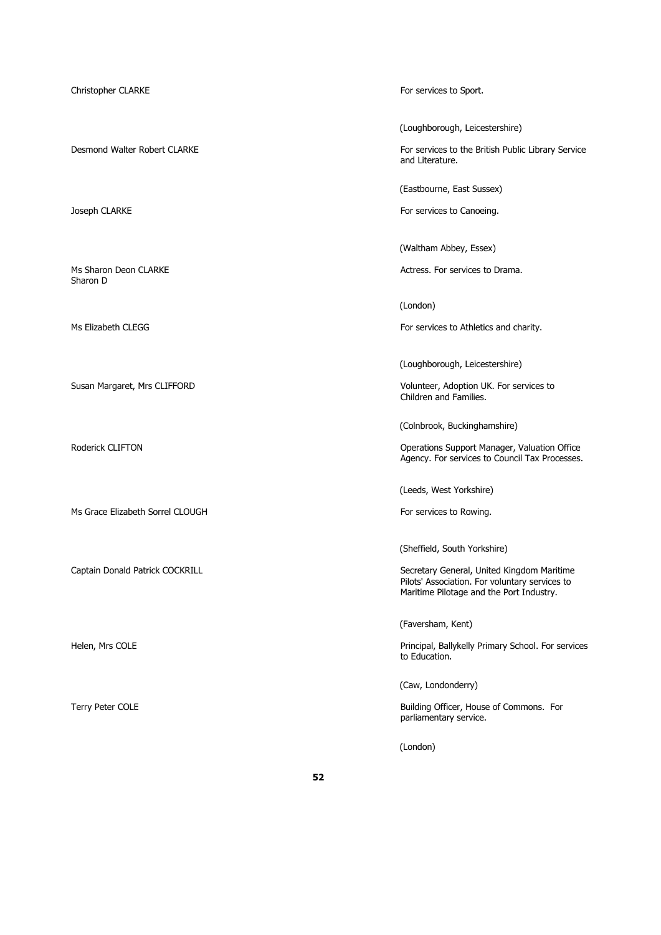Sharon D

Ms Grace Elizabeth Sorrel CLOUGH For services to Rowing.

Christopher CLARKE For services to Sport.

(Loughborough, Leicestershire)

Desmond Walter Robert CLARKE For services to the British Public Library Service and Literature.

(Eastbourne, East Sussex)

Joseph CLARKE **For services** to Canoeing.

(Waltham Abbey, Essex)

Ms Sharon Deon CLARKE **Actress. For services to Drama.** Actress. For services to Drama.

(London)

Ms Elizabeth CLEGG For services to Athletics and charity.

(Loughborough, Leicestershire)

Susan Margaret, Mrs CLIFFORD Volunteer, Adoption UK. For services to Children and Families.

(Colnbrook, Buckinghamshire)

Roderick CLIFTON **CLIFTON CLIFTON CONSISTENT CONSISTENT CONSISTENT CONSISTENT CONSISTENT CONSISTENT CONSISTENT CONSISTENT CONSISTENT CONSISTENT CONSISTENT CONSISTENT CONSISTENT CONSISTENT CONSISTENT C** Agency. For services to Council Tax Processes.

(Leeds, West Yorkshire)

(Sheffield, South Yorkshire)

Captain Donald Patrick COCKRILL Secretary General, United Kingdom Maritime Pilots' Association. For voluntary services to Maritime Pilotage and the Port Industry.

(Faversham, Kent)

Helen, Mrs COLE Principal, Ballykelly Primary School. For services to Education.

(Caw, Londonderry)

Terry Peter COLE **Terry Peter COLE Building Officer, House of Commons.** For parliamentary service.

(London)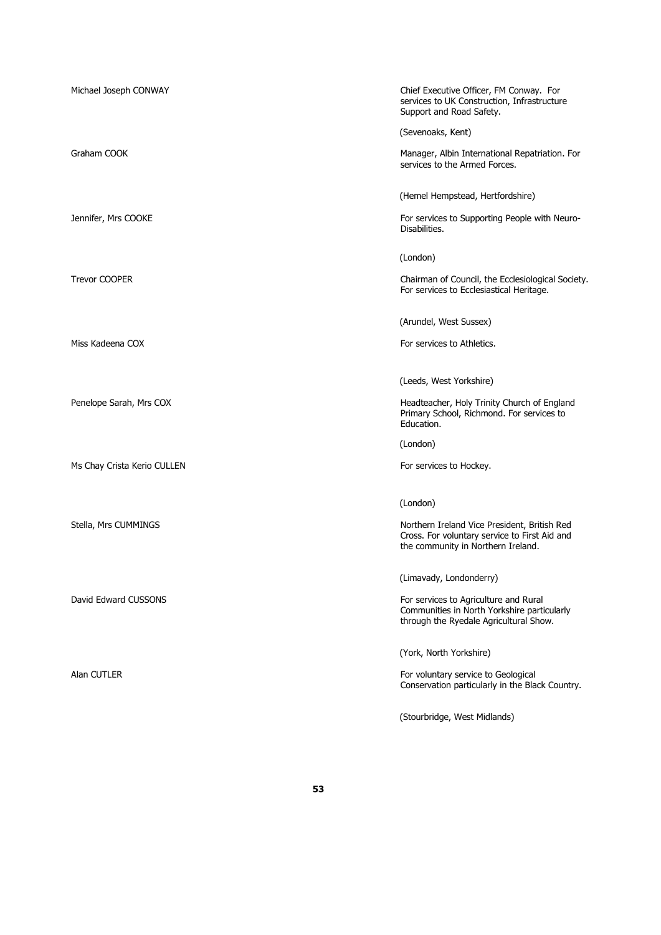| Michael Joseph CONWAY       | Chief Executive Officer, FM Conway. For<br>services to UK Construction, Infrastructure<br>Support and Road Safety.                  |
|-----------------------------|-------------------------------------------------------------------------------------------------------------------------------------|
|                             | (Sevenoaks, Kent)                                                                                                                   |
| Graham COOK                 | Manager, Albin International Repatriation. For<br>services to the Armed Forces.                                                     |
|                             | (Hemel Hempstead, Hertfordshire)                                                                                                    |
| Jennifer, Mrs COOKE         | For services to Supporting People with Neuro-<br>Disabilities.                                                                      |
|                             | (London)                                                                                                                            |
| <b>Trevor COOPER</b>        | Chairman of Council, the Ecclesiological Society.<br>For services to Ecclesiastical Heritage.                                       |
|                             | (Arundel, West Sussex)                                                                                                              |
| Miss Kadeena COX            | For services to Athletics.                                                                                                          |
|                             | (Leeds, West Yorkshire)                                                                                                             |
| Penelope Sarah, Mrs COX     | Headteacher, Holy Trinity Church of England<br>Primary School, Richmond. For services to<br>Education.                              |
|                             | (London)                                                                                                                            |
| Ms Chay Crista Kerio CULLEN | For services to Hockey.                                                                                                             |
|                             | (London)                                                                                                                            |
| Stella, Mrs CUMMINGS        | Northern Ireland Vice President, British Red<br>Cross. For voluntary service to First Aid and<br>the community in Northern Ireland. |
|                             | (Limavady, Londonderry)                                                                                                             |
| David Edward CUSSONS        | For services to Agriculture and Rural<br>Communities in North Yorkshire particularly<br>through the Ryedale Agricultural Show.      |
|                             | (York, North Yorkshire)                                                                                                             |
| Alan CUTLER                 | For voluntary service to Geological<br>Conservation particularly in the Black Country.                                              |
|                             | (Stourbridge, West Midlands)                                                                                                        |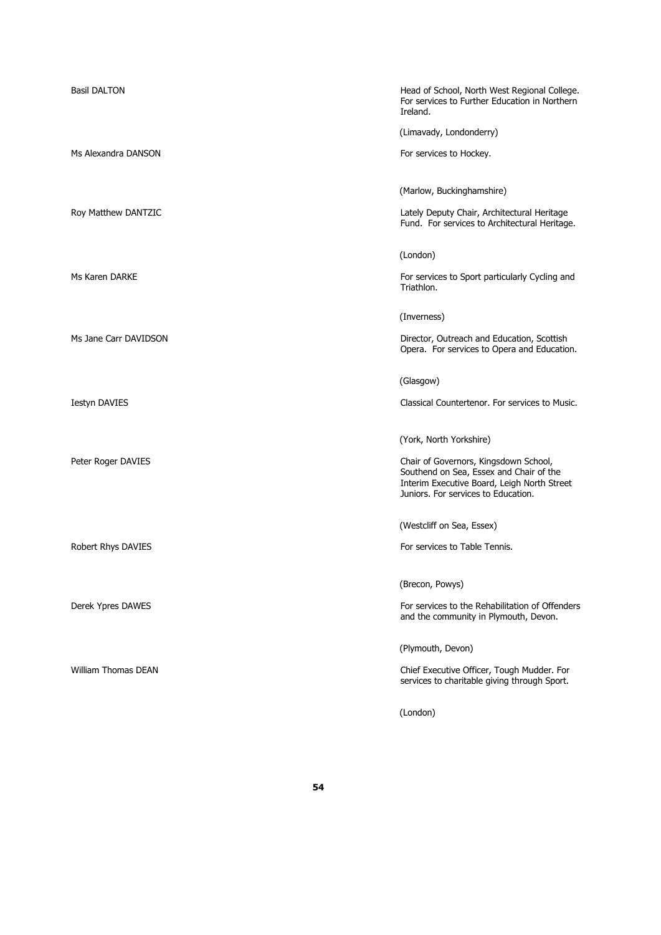| <b>Basil DALTON</b>        | Head of School, North West Regional College.<br>For services to Further Education in Northern<br>Ireland.                                                              |
|----------------------------|------------------------------------------------------------------------------------------------------------------------------------------------------------------------|
|                            | (Limavady, Londonderry)                                                                                                                                                |
| Ms Alexandra DANSON        | For services to Hockey.                                                                                                                                                |
|                            | (Marlow, Buckinghamshire)                                                                                                                                              |
| Roy Matthew DANTZIC        | Lately Deputy Chair, Architectural Heritage<br>Fund. For services to Architectural Heritage.                                                                           |
|                            | (London)                                                                                                                                                               |
| Ms Karen DARKE             | For services to Sport particularly Cycling and<br>Triathlon.                                                                                                           |
|                            | (Inverness)                                                                                                                                                            |
| Ms Jane Carr DAVIDSON      | Director, Outreach and Education, Scottish<br>Opera. For services to Opera and Education.                                                                              |
|                            | (Glasgow)                                                                                                                                                              |
| <b>Iestyn DAVIES</b>       | Classical Countertenor. For services to Music.                                                                                                                         |
|                            | (York, North Yorkshire)                                                                                                                                                |
| Peter Roger DAVIES         | Chair of Governors, Kingsdown School,<br>Southend on Sea, Essex and Chair of the<br>Interim Executive Board, Leigh North Street<br>Juniors. For services to Education. |
|                            | (Westcliff on Sea, Essex)                                                                                                                                              |
| Robert Rhys DAVIES         | For services to Table Tennis.                                                                                                                                          |
|                            | (Brecon, Powys)                                                                                                                                                        |
| Derek Ypres DAWES          | For services to the Rehabilitation of Offenders<br>and the community in Plymouth, Devon.                                                                               |
|                            | (Plymouth, Devon)                                                                                                                                                      |
| <b>William Thomas DEAN</b> | Chief Executive Officer, Tough Mudder. For<br>services to charitable giving through Sport.                                                                             |
|                            | (London)                                                                                                                                                               |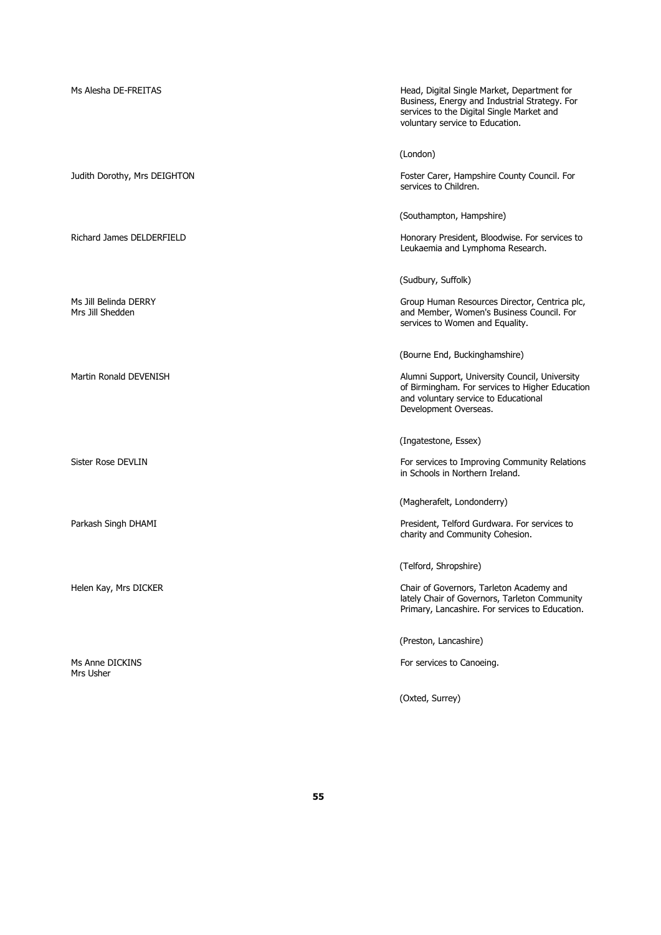| Ms Alesha DE-FREITAS                      | Head, Digital Single Market, Department for<br>Business, Energy and Industrial Strategy. For<br>services to the Digital Single Market and<br>voluntary service to Education. |
|-------------------------------------------|------------------------------------------------------------------------------------------------------------------------------------------------------------------------------|
|                                           | (London)                                                                                                                                                                     |
| Judith Dorothy, Mrs DEIGHTON              | Foster Carer, Hampshire County Council. For<br>services to Children.                                                                                                         |
|                                           | (Southampton, Hampshire)                                                                                                                                                     |
| Richard James DELDERFIELD                 | Honorary President, Bloodwise. For services to<br>Leukaemia and Lymphoma Research.                                                                                           |
|                                           | (Sudbury, Suffolk)                                                                                                                                                           |
| Ms Jill Belinda DERRY<br>Mrs Jill Shedden | Group Human Resources Director, Centrica plc,<br>and Member, Women's Business Council. For<br>services to Women and Equality.                                                |
|                                           | (Bourne End, Buckinghamshire)                                                                                                                                                |
| Martin Ronald DEVENISH                    | Alumni Support, University Council, University<br>of Birmingham. For services to Higher Education<br>and voluntary service to Educational<br>Development Overseas.           |
|                                           | (Ingatestone, Essex)                                                                                                                                                         |
| Sister Rose DEVLIN                        | For services to Improving Community Relations<br>in Schools in Northern Ireland.                                                                                             |
|                                           | (Magherafelt, Londonderry)                                                                                                                                                   |
| Parkash Singh DHAMI                       | President, Telford Gurdwara. For services to<br>charity and Community Cohesion.                                                                                              |
|                                           | (Telford, Shropshire)                                                                                                                                                        |
| Helen Kay, Mrs DICKER                     | Chair of Governors, Tarleton Academy and<br>lately Chair of Governors, Tarleton Community<br>Primary, Lancashire. For services to Education.                                 |
|                                           | (Preston, Lancashire)                                                                                                                                                        |
| Ms Anne DICKINS<br>Mrs Usher              | For services to Canoeing.                                                                                                                                                    |
|                                           | (Oxted, Surrey)                                                                                                                                                              |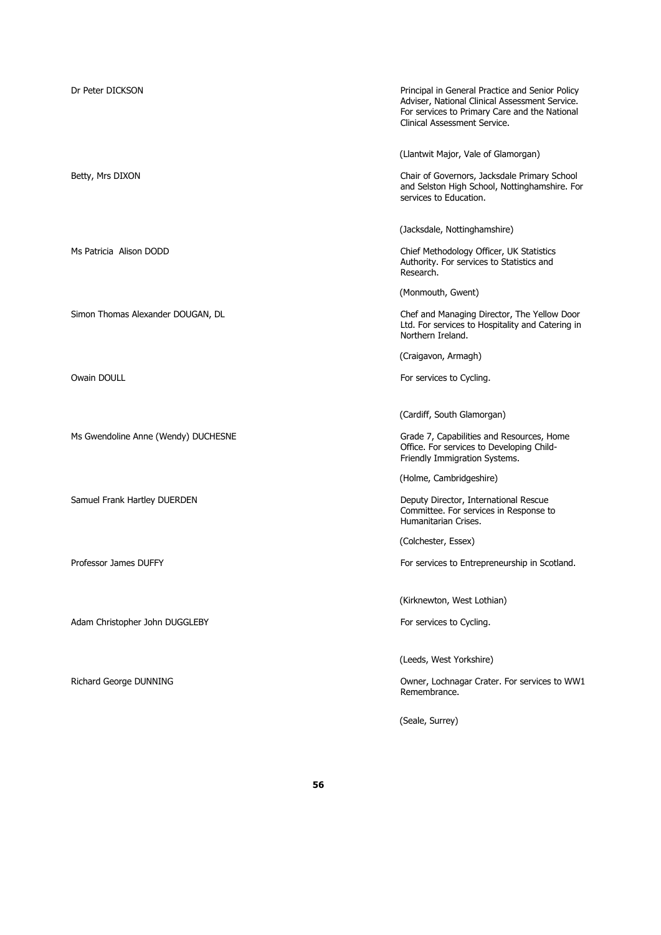| Dr Peter DICKSON                    | Principal in General Practice and Senior Policy<br>Adviser, National Clinical Assessment Service.<br>For services to Primary Care and the National<br>Clinical Assessment Service. |
|-------------------------------------|------------------------------------------------------------------------------------------------------------------------------------------------------------------------------------|
| Betty, Mrs DIXON                    | (Llantwit Major, Vale of Glamorgan)<br>Chair of Governors, Jacksdale Primary School<br>and Selston High School, Nottinghamshire. For<br>services to Education.                     |
| Ms Patricia Alison DODD             | (Jacksdale, Nottinghamshire)<br>Chief Methodology Officer, UK Statistics<br>Authority. For services to Statistics and<br>Research.                                                 |
| Simon Thomas Alexander DOUGAN, DL   | (Monmouth, Gwent)<br>Chef and Managing Director, The Yellow Door<br>Ltd. For services to Hospitality and Catering in<br>Northern Ireland.                                          |
| Owain DOULL                         | (Craigavon, Armagh)<br>For services to Cycling.                                                                                                                                    |
| Ms Gwendoline Anne (Wendy) DUCHESNE | (Cardiff, South Glamorgan)<br>Grade 7, Capabilities and Resources, Home<br>Office. For services to Developing Child-<br>Friendly Immigration Systems.                              |
| Samuel Frank Hartley DUERDEN        | (Holme, Cambridgeshire)<br>Deputy Director, International Rescue<br>Committee. For services in Response to<br>Humanitarian Crises.                                                 |
| Professor James DUFFY               | (Colchester, Essex)<br>For services to Entrepreneurship in Scotland.                                                                                                               |
| Adam Christopher John DUGGLEBY      | (Kirknewton, West Lothian)<br>For services to Cycling.                                                                                                                             |
| Richard George DUNNING              | (Leeds, West Yorkshire)<br>Owner, Lochnagar Crater. For services to WW1<br>Remembrance.                                                                                            |
|                                     |                                                                                                                                                                                    |

(Seale, Surrey)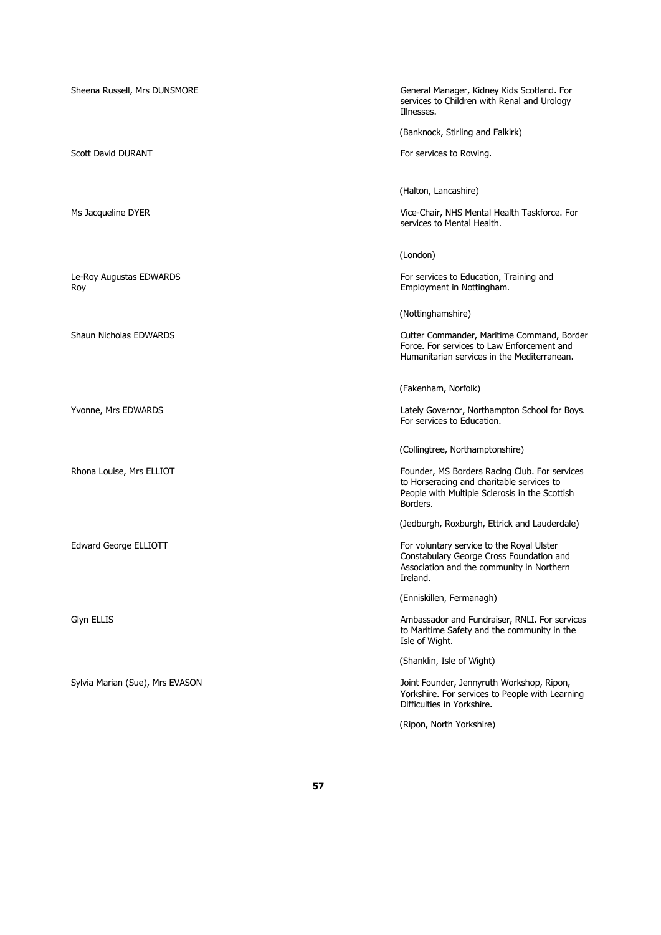| Sheena Russell, Mrs DUNSMORE    | General Manager, Kidney Kids Scotland. For<br>services to Children with Renal and Urology<br>Illnesses.                                                  |
|---------------------------------|----------------------------------------------------------------------------------------------------------------------------------------------------------|
|                                 | (Banknock, Stirling and Falkirk)                                                                                                                         |
| Scott David DURANT              | For services to Rowing.                                                                                                                                  |
|                                 | (Halton, Lancashire)                                                                                                                                     |
| Ms Jacqueline DYER              | Vice-Chair, NHS Mental Health Taskforce. For<br>services to Mental Health.                                                                               |
|                                 | (London)                                                                                                                                                 |
| Le-Roy Augustas EDWARDS<br>Roy  | For services to Education, Training and<br>Employment in Nottingham.                                                                                     |
|                                 | (Nottinghamshire)                                                                                                                                        |
| <b>Shaun Nicholas EDWARDS</b>   | Cutter Commander, Maritime Command, Border<br>Force. For services to Law Enforcement and<br>Humanitarian services in the Mediterranean.                  |
|                                 | (Fakenham, Norfolk)                                                                                                                                      |
| Yvonne, Mrs EDWARDS             | Lately Governor, Northampton School for Boys.<br>For services to Education.                                                                              |
|                                 | (Collingtree, Northamptonshire)                                                                                                                          |
| Rhona Louise, Mrs ELLIOT        | Founder, MS Borders Racing Club. For services<br>to Horseracing and charitable services to<br>People with Multiple Sclerosis in the Scottish<br>Borders. |
|                                 | (Jedburgh, Roxburgh, Ettrick and Lauderdale)                                                                                                             |
| Edward George ELLIOTT           | For voluntary service to the Royal Ulster<br>Constabulary George Cross Foundation and<br>Association and the community in Northern<br>Ireland.           |
|                                 | (Enniskillen, Fermanagh)                                                                                                                                 |
| Glyn ELLIS                      | Ambassador and Fundraiser, RNLI. For services<br>to Maritime Safety and the community in the<br>Isle of Wight.                                           |
|                                 | (Shanklin, Isle of Wight)                                                                                                                                |
| Sylvia Marian (Sue), Mrs EVASON | Joint Founder, Jennyruth Workshop, Ripon,<br>Yorkshire. For services to People with Learning<br>Difficulties in Yorkshire.                               |
|                                 | (Ripon, North Yorkshire)                                                                                                                                 |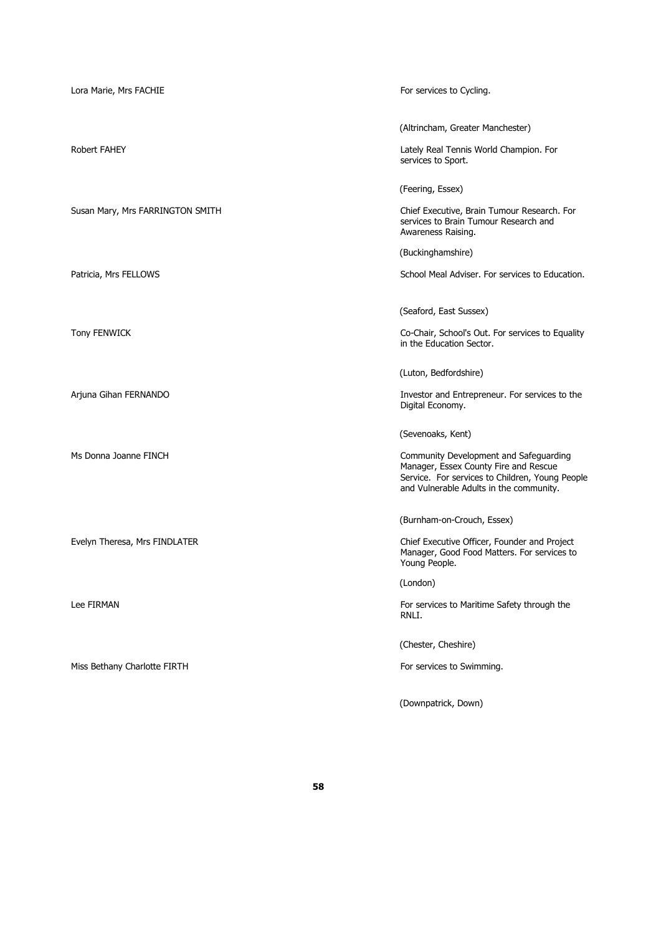| Lora Marie, Mrs FACHIE           | For services to Cycling.                                                                                                                                                                           |
|----------------------------------|----------------------------------------------------------------------------------------------------------------------------------------------------------------------------------------------------|
| <b>Robert FAHEY</b>              | (Altrincham, Greater Manchester)<br>Lately Real Tennis World Champion. For<br>services to Sport.                                                                                                   |
| Susan Mary, Mrs FARRINGTON SMITH | (Feering, Essex)<br>Chief Executive, Brain Tumour Research. For<br>services to Brain Tumour Research and<br>Awareness Raising.                                                                     |
| Patricia, Mrs FELLOWS            | (Buckinghamshire)<br>School Meal Adviser. For services to Education.                                                                                                                               |
| <b>Tony FENWICK</b>              | (Seaford, East Sussex)<br>Co-Chair, School's Out. For services to Equality<br>in the Education Sector.                                                                                             |
| Arjuna Gihan FERNANDO            | (Luton, Bedfordshire)<br>Investor and Entrepreneur. For services to the<br>Digital Economy.                                                                                                        |
| Ms Donna Joanne FINCH            | (Sevenoaks, Kent)<br>Community Development and Safeguarding<br>Manager, Essex County Fire and Rescue<br>Service. For services to Children, Young People<br>and Vulnerable Adults in the community. |
| Evelyn Theresa, Mrs FINDLATER    | (Burnham-on-Crouch, Essex)<br>Chief Executive Officer, Founder and Project<br>Manager, Good Food Matters. For services to<br>Young People.                                                         |
| Lee FIRMAN                       | (London)<br>For services to Maritime Safety through the<br>RNLI.                                                                                                                                   |
| Miss Bethany Charlotte FIRTH     | (Chester, Cheshire)<br>For services to Swimming.                                                                                                                                                   |

(Downpatrick, Down)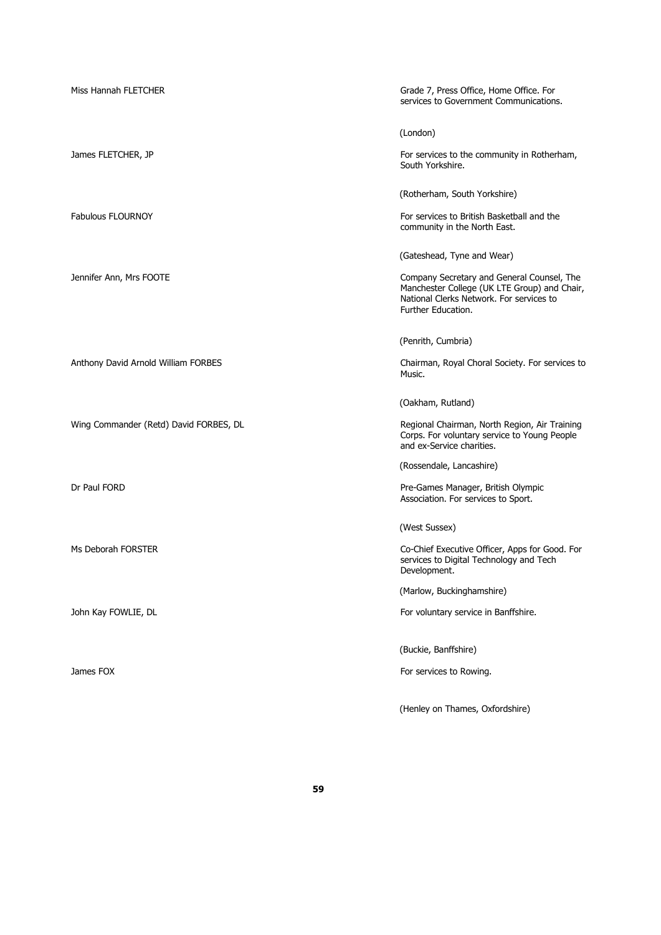| Miss Hannah FLETCHER                   | Grade 7, Press Office, Home Office. For<br>services to Government Communications.                                                                            |
|----------------------------------------|--------------------------------------------------------------------------------------------------------------------------------------------------------------|
|                                        | (London)                                                                                                                                                     |
| James FLETCHER, JP                     | For services to the community in Rotherham,<br>South Yorkshire.                                                                                              |
|                                        | (Rotherham, South Yorkshire)                                                                                                                                 |
| <b>Fabulous FLOURNOY</b>               | For services to British Basketball and the<br>community in the North East.                                                                                   |
|                                        | (Gateshead, Tyne and Wear)                                                                                                                                   |
| Jennifer Ann, Mrs FOOTE                | Company Secretary and General Counsel, The<br>Manchester College (UK LTE Group) and Chair,<br>National Clerks Network. For services to<br>Further Education. |
|                                        | (Penrith, Cumbria)                                                                                                                                           |
| Anthony David Arnold William FORBES    | Chairman, Royal Choral Society. For services to<br>Music.                                                                                                    |
|                                        | (Oakham, Rutland)                                                                                                                                            |
| Wing Commander (Retd) David FORBES, DL | Regional Chairman, North Region, Air Training<br>Corps. For voluntary service to Young People<br>and ex-Service charities.                                   |
|                                        | (Rossendale, Lancashire)                                                                                                                                     |
| Dr Paul FORD                           | Pre-Games Manager, British Olympic<br>Association. For services to Sport.                                                                                    |
|                                        | (West Sussex)                                                                                                                                                |
| Ms Deborah FORSTER                     | Co-Chief Executive Officer, Apps for Good. For<br>services to Digital Technology and Tech<br>Development.                                                    |
|                                        | (Marlow, Buckinghamshire)                                                                                                                                    |
| John Kay FOWLIE, DL                    | For voluntary service in Banffshire.                                                                                                                         |
|                                        | (Buckie, Banffshire)                                                                                                                                         |
| James FOX                              | For services to Rowing.                                                                                                                                      |
|                                        | (Henley on Thames, Oxfordshire)                                                                                                                              |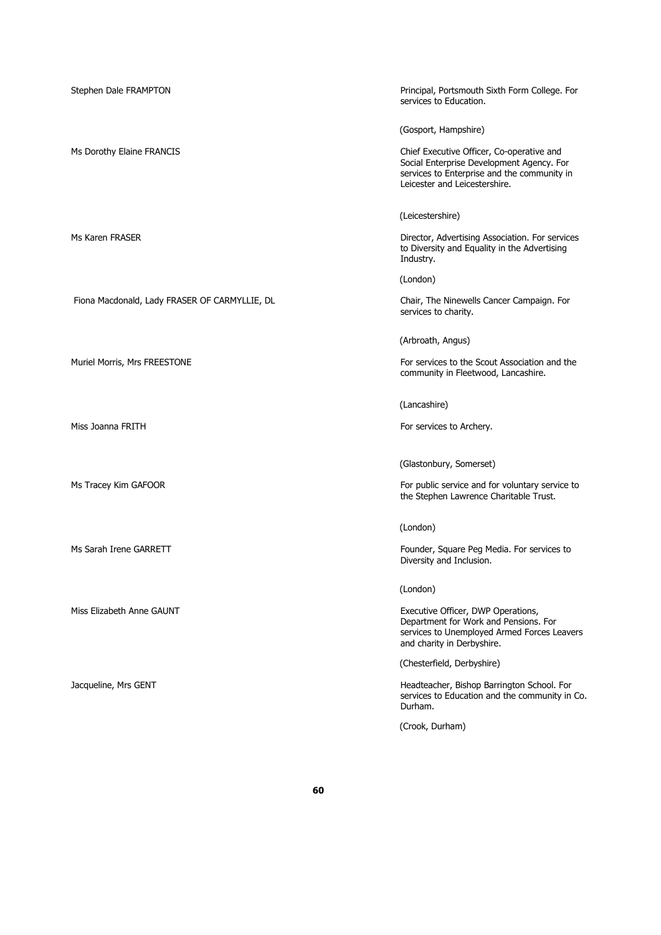| Stephen Dale FRAMPTON                         | Principal, Portsmouth Sixth Form College. For<br>services to Education.                                                                                                |
|-----------------------------------------------|------------------------------------------------------------------------------------------------------------------------------------------------------------------------|
|                                               | (Gosport, Hampshire)                                                                                                                                                   |
| Ms Dorothy Elaine FRANCIS                     | Chief Executive Officer, Co-operative and<br>Social Enterprise Development Agency. For<br>services to Enterprise and the community in<br>Leicester and Leicestershire. |
|                                               | (Leicestershire)                                                                                                                                                       |
| Ms Karen FRASER                               | Director, Advertising Association. For services<br>to Diversity and Equality in the Advertising<br>Industry.                                                           |
|                                               | (London)                                                                                                                                                               |
| Fiona Macdonald, Lady FRASER OF CARMYLLIE, DL | Chair, The Ninewells Cancer Campaign. For<br>services to charity.                                                                                                      |
|                                               | (Arbroath, Angus)                                                                                                                                                      |
| Muriel Morris, Mrs FREESTONE                  | For services to the Scout Association and the<br>community in Fleetwood, Lancashire.                                                                                   |
|                                               | (Lancashire)                                                                                                                                                           |
| Miss Joanna FRITH                             | For services to Archery.                                                                                                                                               |
|                                               | (Glastonbury, Somerset)                                                                                                                                                |
| Ms Tracey Kim GAFOOR                          | For public service and for voluntary service to<br>the Stephen Lawrence Charitable Trust.                                                                              |
|                                               | (London)                                                                                                                                                               |
| Ms Sarah Irene GARRETT                        | Founder, Square Peg Media. For services to<br>Diversity and Inclusion.                                                                                                 |
|                                               | (London)                                                                                                                                                               |
| Miss Elizabeth Anne GAUNT                     | Executive Officer, DWP Operations,<br>Department for Work and Pensions. For<br>services to Unemployed Armed Forces Leavers<br>and charity in Derbyshire.               |
|                                               | (Chesterfield, Derbyshire)                                                                                                                                             |
| Jacqueline, Mrs GENT                          | Headteacher, Bishop Barrington School. For<br>services to Education and the community in Co.<br>Durham.                                                                |
|                                               | (Crook, Durham)                                                                                                                                                        |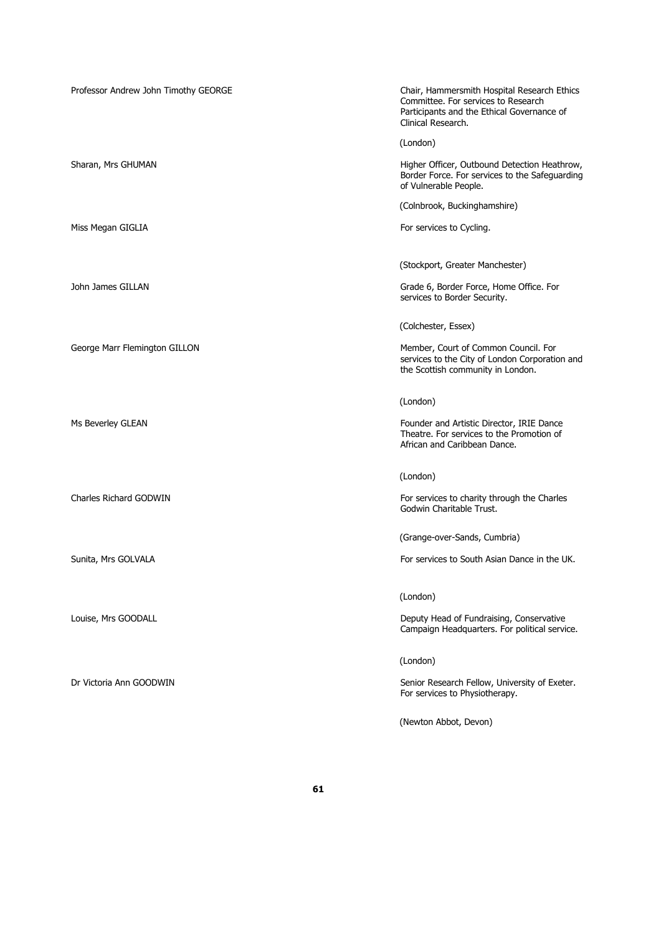| Professor Andrew John Timothy GEORGE | Chair, Hammersmith Hospital Research Ethics<br>Committee. For services to Research<br>Participants and the Ethical Governance of<br>Clinical Research. |
|--------------------------------------|--------------------------------------------------------------------------------------------------------------------------------------------------------|
|                                      | (London)                                                                                                                                               |
| Sharan, Mrs GHUMAN                   | Higher Officer, Outbound Detection Heathrow,<br>Border Force. For services to the Safeguarding<br>of Vulnerable People.                                |
|                                      | (Colnbrook, Buckinghamshire)                                                                                                                           |
| Miss Megan GIGLIA                    | For services to Cycling.                                                                                                                               |
|                                      | (Stockport, Greater Manchester)                                                                                                                        |
| John James GILLAN                    | Grade 6, Border Force, Home Office. For<br>services to Border Security.                                                                                |
|                                      | (Colchester, Essex)                                                                                                                                    |
| George Marr Flemington GILLON        | Member, Court of Common Council. For<br>services to the City of London Corporation and<br>the Scottish community in London.                            |
|                                      | (London)                                                                                                                                               |
| Ms Beverley GLEAN                    | Founder and Artistic Director, IRIE Dance<br>Theatre. For services to the Promotion of<br>African and Caribbean Dance.                                 |
|                                      | (London)                                                                                                                                               |
| Charles Richard GODWIN               | For services to charity through the Charles<br>Godwin Charitable Trust.                                                                                |
|                                      | (Grange-over-Sands, Cumbria)                                                                                                                           |
| Sunita, Mrs GOLVALA                  | For services to South Asian Dance in the UK.                                                                                                           |
|                                      | (London)                                                                                                                                               |
| Louise, Mrs GOODALL                  | Deputy Head of Fundraising, Conservative<br>Campaign Headquarters. For political service.                                                              |
|                                      | (London)                                                                                                                                               |
| Dr Victoria Ann GOODWIN              | Senior Research Fellow, University of Exeter.<br>For services to Physiotherapy.                                                                        |

(Newton Abbot, Devon)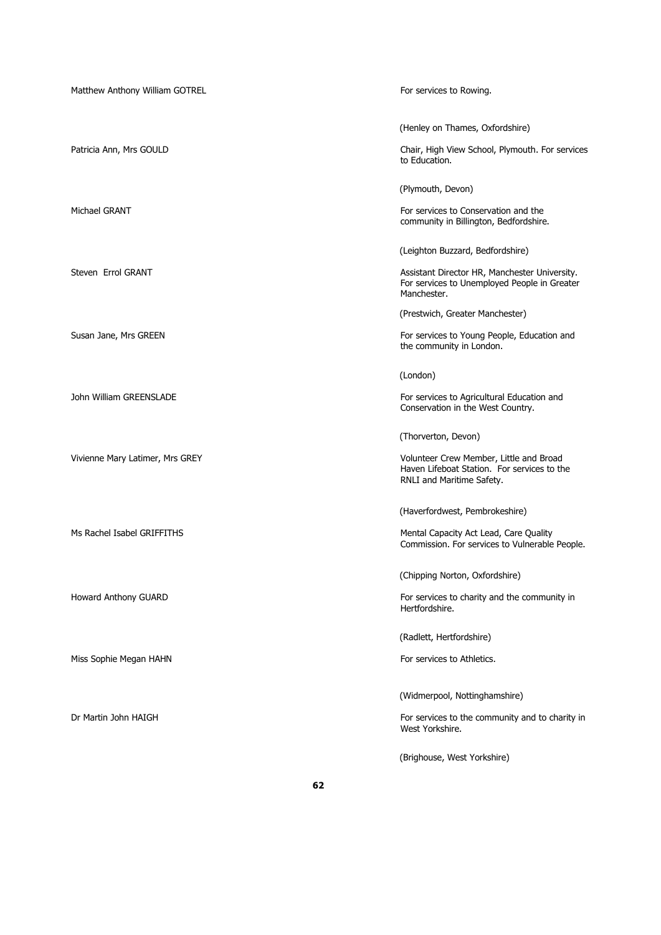| Matthew Anthony William GOTREL  | For services to Rowing.                                                                                                                          |
|---------------------------------|--------------------------------------------------------------------------------------------------------------------------------------------------|
| Patricia Ann, Mrs GOULD         | (Henley on Thames, Oxfordshire)<br>Chair, High View School, Plymouth. For services<br>to Education.                                              |
| Michael GRANT                   | (Plymouth, Devon)<br>For services to Conservation and the<br>community in Billington, Bedfordshire.                                              |
| Steven Errol GRANT              | (Leighton Buzzard, Bedfordshire)<br>Assistant Director HR, Manchester University.<br>For services to Unemployed People in Greater<br>Manchester. |
| Susan Jane, Mrs GREEN           | (Prestwich, Greater Manchester)<br>For services to Young People, Education and<br>the community in London.                                       |
| John William GREENSLADE         | (London)<br>For services to Agricultural Education and<br>Conservation in the West Country.                                                      |
| Vivienne Mary Latimer, Mrs GREY | (Thorverton, Devon)<br>Volunteer Crew Member, Little and Broad<br>Haven Lifeboat Station. For services to the<br>RNLI and Maritime Safety.       |
| Ms Rachel Isabel GRIFFITHS      | (Haverfordwest, Pembrokeshire)<br>Mental Capacity Act Lead, Care Quality<br>Commission. For services to Vulnerable People.                       |
| Howard Anthony GUARD            | (Chipping Norton, Oxfordshire)<br>For services to charity and the community in<br>Hertfordshire.                                                 |
| Miss Sophie Megan HAHN          | (Radlett, Hertfordshire)<br>For services to Athletics.                                                                                           |
| Dr Martin John HAIGH            | (Widmerpool, Nottinghamshire)<br>For services to the community and to charity in<br>West Yorkshire.                                              |
|                                 | (Brighouse, West Yorkshire)                                                                                                                      |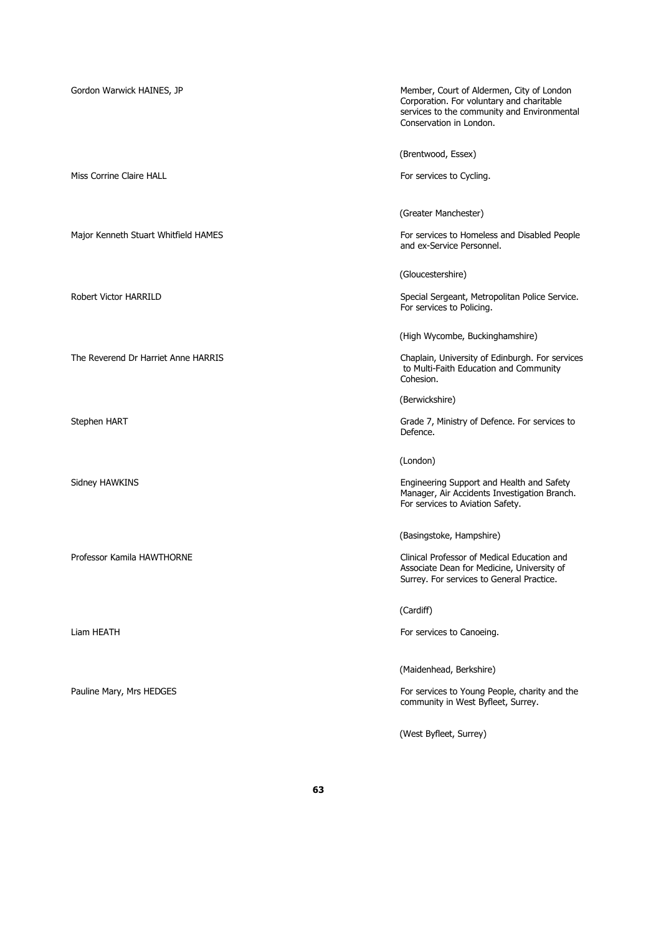Gordon Warwick HAINES, JP **Member, Court of Aldermen, City of London** Corporation. For voluntary and charitable services to the community and Environmental Conservation in London. (Brentwood, Essex) Miss Corrine Claire HALL **For services to Cycling.** For services to Cycling. (Greater Manchester) Major Kenneth Stuart Whitfield HAMES For services to Homeless and Disabled People and ex-Service Personnel. (Gloucestershire) Robert Victor HARRILD **Special Sergeant, Metropolitan Police Service.** Special Sergeant, Metropolitan Police Service. For services to Policing. (High Wycombe, Buckinghamshire)

The Reverend Dr Harriet Anne HARRIS Chaplain, University of Edinburgh. For services to Multi-Faith Education and Community Cohesion.

(Berwickshire)

Stephen HART Grade 7, Ministry of Defence. For services to Defence.

(London)

Sidney HAWKINS **Engineering Support and Health and Safety** Engineering Support and Health and Safety Manager, Air Accidents Investigation Branch. For services to Aviation Safety.

(Basingstoke, Hampshire)

Professor Kamila HAWTHORNE Clinical Professor of Medical Education and Associate Dean for Medicine, University of Surrey. For services to General Practice.

(Cardiff)

Liam HEATH **For services** to Canoeing.

(Maidenhead, Berkshire)

Pauline Mary, Mrs HEDGES For services to Young People, charity and the community in West Byfleet, Surrey.

(West Byfleet, Surrey)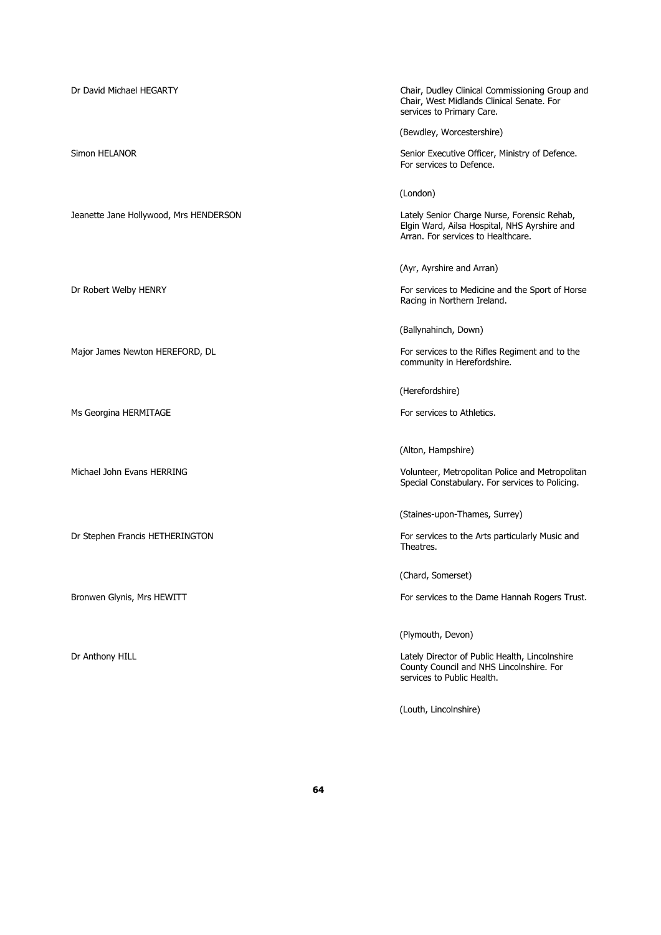Dr David Michael HEGARTY Chair, Dudley Clinical Commissioning Group and Chair, West Midlands Clinical Senate. For services to Primary Care. (Bewdley, Worcestershire) Simon HELANOR Senior Executive Officer, Ministry of Defence. For services to Defence. (London) Jeanette Jane Hollywood, Mrs HENDERSON Lately Senior Charge Nurse, Forensic Rehab, Elgin Ward, Ailsa Hospital, NHS Ayrshire and Arran. For services to Healthcare. (Ayr, Ayrshire and Arran) Dr Robert Welby HENRY For services to Medicine and the Sport of Horse Racing in Northern Ireland. (Ballynahinch, Down) Major James Newton HEREFORD, DL **For services to the Rifles Regiment and to the** community in Herefordshire. (Herefordshire) Ms Georgina HERMITAGE For services to Athletics. (Alton, Hampshire) Michael John Evans HERRING Volunteer, Metropolitan Police and Metropolitan Special Constabulary. For services to Policing. (Staines-upon-Thames, Surrey) Dr Stephen Francis HETHERINGTON FOR SERVICES TO THE RESERVICES TO THE ARTS particularly Music and Theatres. (Chard, Somerset) Bronwen Glynis, Mrs HEWITT **For services to the Dame Hannah Rogers Trust.** (Plymouth, Devon) Dr Anthony HILL **Contract Contract Contract Contract Contract Contract Contract Contract Contract Contract Contract Contract Contract Contract Contract Contract Contract Contract Contract Contract Contract Contract Contrac** County Council and NHS Lincolnshire. For services to Public Health. (Louth, Lincolnshire)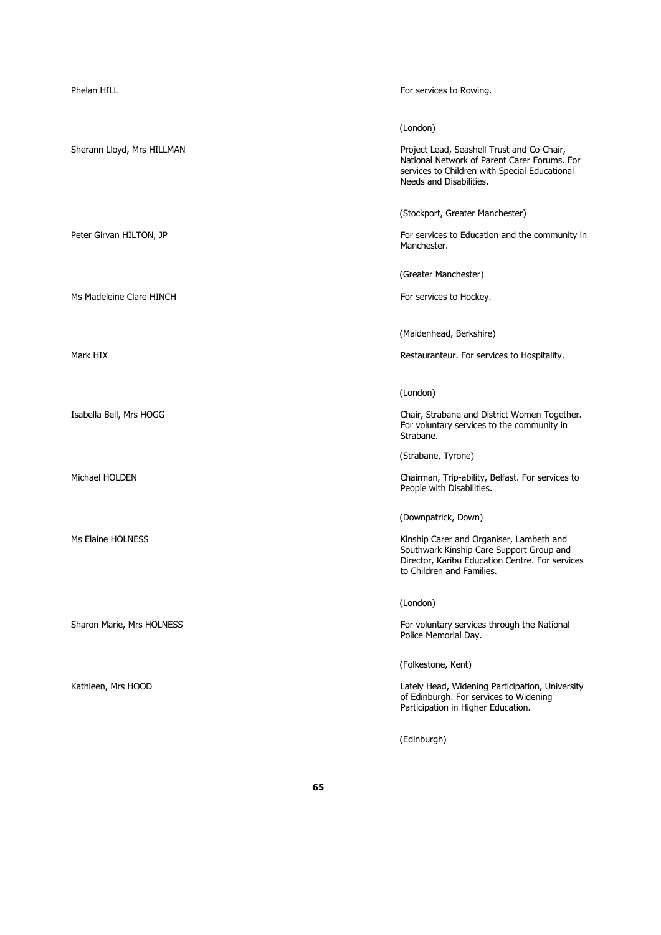| Phelan HILL                | For services to Rowing.                                                                                                                                                                     |
|----------------------------|---------------------------------------------------------------------------------------------------------------------------------------------------------------------------------------------|
| Sherann Lloyd, Mrs HILLMAN | (London)<br>Project Lead, Seashell Trust and Co-Chair,<br>National Network of Parent Carer Forums. For<br>services to Children with Special Educational<br>Needs and Disabilities.          |
| Peter Girvan HILTON, JP    | (Stockport, Greater Manchester)<br>For services to Education and the community in<br>Manchester.                                                                                            |
| Ms Madeleine Clare HINCH   | (Greater Manchester)<br>For services to Hockey.                                                                                                                                             |
| Mark HIX                   | (Maidenhead, Berkshire)<br>Restauranteur. For services to Hospitality.                                                                                                                      |
| Isabella Bell, Mrs HOGG    | (London)<br>Chair, Strabane and District Women Together.<br>For voluntary services to the community in<br>Strabane.                                                                         |
| Michael HOLDEN             | (Strabane, Tyrone)<br>Chairman, Trip-ability, Belfast. For services to<br>People with Disabilities.                                                                                         |
| Ms Elaine HOLNESS          | (Downpatrick, Down)<br>Kinship Carer and Organiser, Lambeth and<br>Southwark Kinship Care Support Group and<br>Director, Karibu Education Centre. For services<br>to Children and Families. |
| Sharon Marie, Mrs HOLNESS  | (London)<br>For voluntary services through the National<br>Police Memorial Day.                                                                                                             |
| Kathleen, Mrs HOOD         | (Folkestone, Kent)<br>Lately Head, Widening Participation, University<br>of Edinburgh. For services to Widening<br>Participation in Higher Education.                                       |
|                            | (Edinburgh)                                                                                                                                                                                 |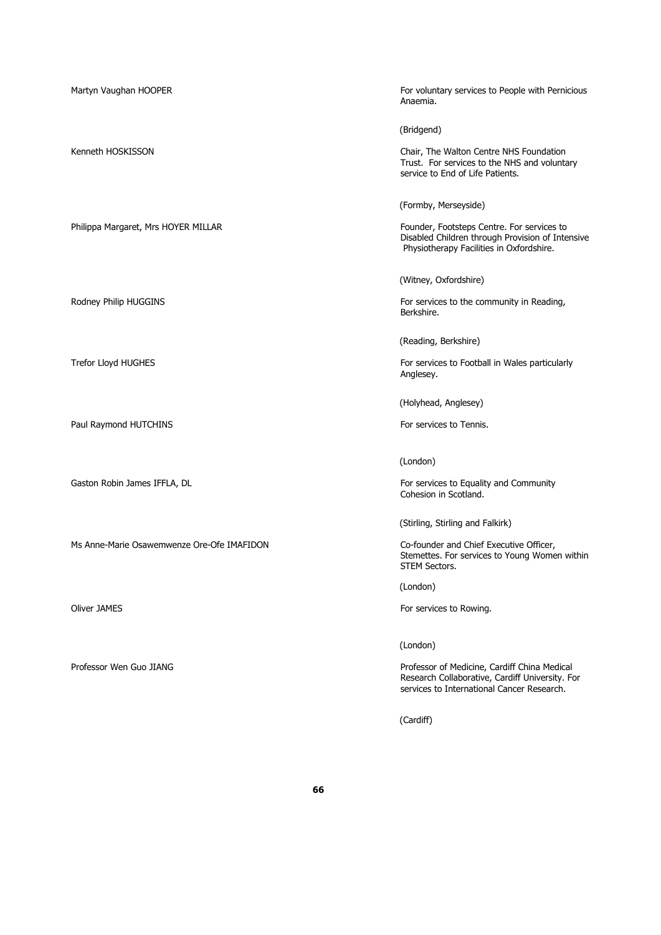Martyn Vaughan HOOPER For voluntary services to People with Pernicious Anaemia. (Bridgend) Kenneth HOSKISSON **Chair**, The Walton Centre NHS Foundation Trust. For services to the NHS and voluntary service to End of Life Patients. (Formby, Merseyside) Philippa Margaret, Mrs HOYER MILLAR FOUNDER FOUNDER TO SERVICES TO FOUNDER THE SERVICES OF SERVICES TO FOUND FOUNDER AT THE SERVICES OF SERVICES TO FOUND FOUNDER AT THE SERVICES OF SERVICES TO FOUND FOUND FOUND FOUND FOUND Disabled Children through Provision of Intensive Physiotherapy Facilities in Oxfordshire. (Witney, Oxfordshire) Rodney Philip HUGGINS For services to the community in Reading, Berkshire. (Reading, Berkshire) Trefor Lloyd HUGHES **For services to Football in Wales particularly** For services to Football in Wales particularly Anglesey. (Holyhead, Anglesey) Paul Raymond HUTCHINS For services to Tennis. (London) Gaston Robin James IFFLA, DL For services to Equality and Community Cohesion in Scotland. (Stirling, Stirling and Falkirk) Ms Anne-Marie Osawemwenze Ore-Ofe IMAFIDON Co-founder and Chief Executive Officer, Stemettes. For services to Young Women within STEM Sectors. (London) Oliver JAMES **For services to Rowing.** The Services to Rowing.

Professor Wen Guo JIANG **Professor of Medicine, Cardiff China Medical** 

(Cardiff)

Research Collaborative, Cardiff University. For services to International Cancer Research.

(London)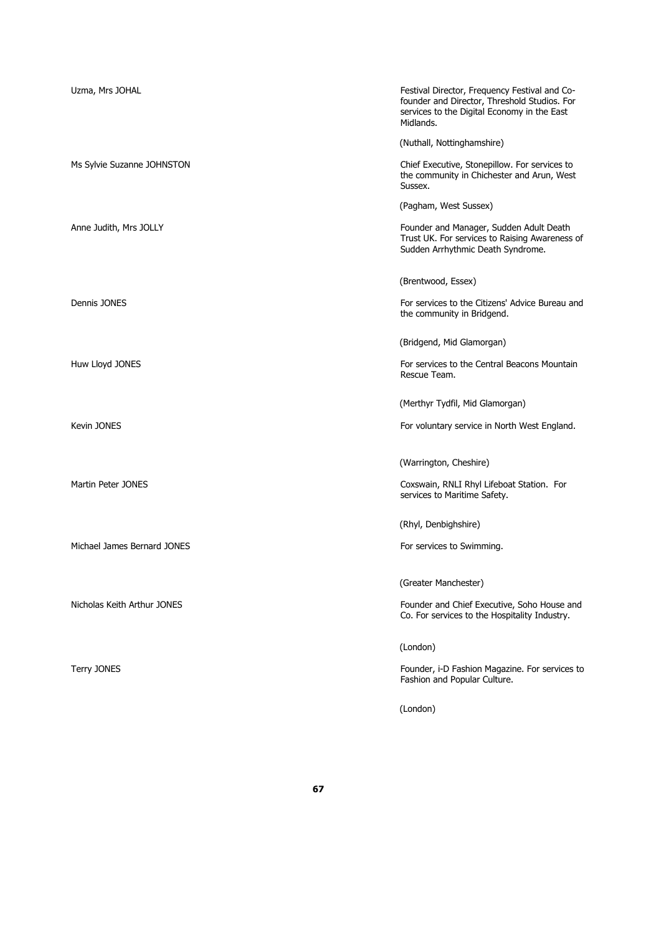| Uzma, Mrs JOHAL             | Festival Director, Frequency Festival and Co-<br>founder and Director, Threshold Studios. For<br>services to the Digital Economy in the East<br>Midlands. |
|-----------------------------|-----------------------------------------------------------------------------------------------------------------------------------------------------------|
|                             | (Nuthall, Nottinghamshire)                                                                                                                                |
| Ms Sylvie Suzanne JOHNSTON  | Chief Executive, Stonepillow. For services to<br>the community in Chichester and Arun, West<br>Sussex.                                                    |
|                             | (Pagham, West Sussex)                                                                                                                                     |
| Anne Judith, Mrs JOLLY      | Founder and Manager, Sudden Adult Death<br>Trust UK. For services to Raising Awareness of<br>Sudden Arrhythmic Death Syndrome.                            |
|                             | (Brentwood, Essex)                                                                                                                                        |
| Dennis JONES                | For services to the Citizens' Advice Bureau and<br>the community in Bridgend.                                                                             |
|                             | (Bridgend, Mid Glamorgan)                                                                                                                                 |
| Huw Lloyd JONES             | For services to the Central Beacons Mountain<br>Rescue Team.                                                                                              |
|                             | (Merthyr Tydfil, Mid Glamorgan)                                                                                                                           |
| Kevin JONES                 | For voluntary service in North West England.                                                                                                              |
|                             | (Warrington, Cheshire)                                                                                                                                    |
| Martin Peter JONES          | Coxswain, RNLI Rhyl Lifeboat Station. For<br>services to Maritime Safety.                                                                                 |
|                             | (Rhyl, Denbighshire)                                                                                                                                      |
| Michael James Bernard JONES | For services to Swimming.                                                                                                                                 |
|                             | (Greater Manchester)                                                                                                                                      |
| Nicholas Keith Arthur JONES | Founder and Chief Executive, Soho House and<br>Co. For services to the Hospitality Industry.                                                              |
|                             | (London)                                                                                                                                                  |
| Terry JONES                 | Founder, i-D Fashion Magazine. For services to<br>Fashion and Popular Culture.                                                                            |
|                             | (London)                                                                                                                                                  |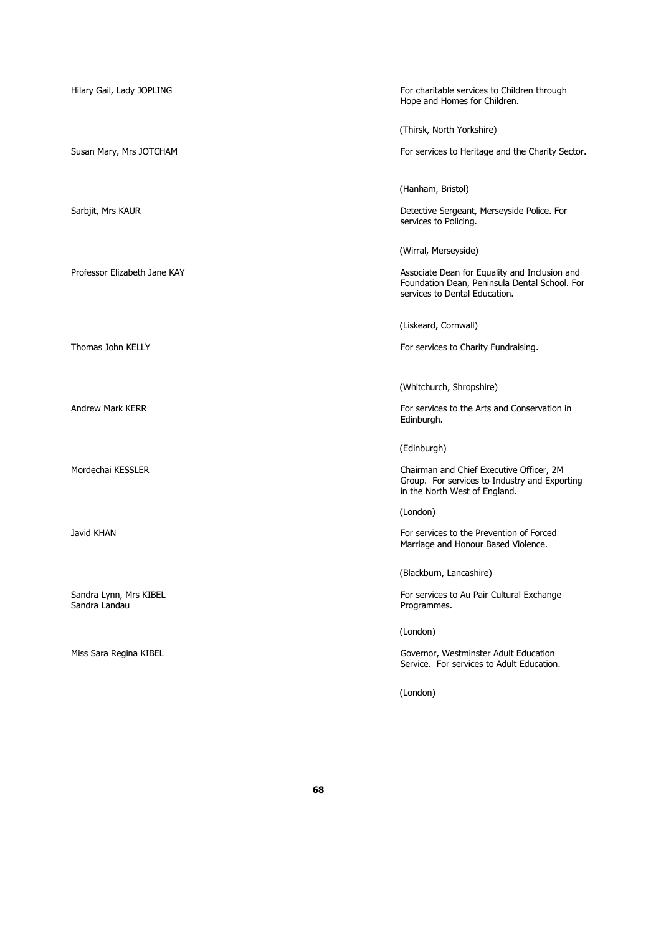| Hilary Gail, Lady JOPLING               | For charitable services to Children through<br>Hope and Homes for Children.                                                     |
|-----------------------------------------|---------------------------------------------------------------------------------------------------------------------------------|
|                                         | (Thirsk, North Yorkshire)                                                                                                       |
| Susan Mary, Mrs JOTCHAM                 | For services to Heritage and the Charity Sector.                                                                                |
|                                         | (Hanham, Bristol)                                                                                                               |
| Sarbjit, Mrs KAUR                       | Detective Sergeant, Merseyside Police. For<br>services to Policing.                                                             |
|                                         | (Wirral, Merseyside)                                                                                                            |
| Professor Elizabeth Jane KAY            | Associate Dean for Equality and Inclusion and<br>Foundation Dean, Peninsula Dental School. For<br>services to Dental Education. |
|                                         | (Liskeard, Cornwall)                                                                                                            |
| Thomas John KELLY                       | For services to Charity Fundraising.                                                                                            |
|                                         |                                                                                                                                 |
| <b>Andrew Mark KERR</b>                 | (Whitchurch, Shropshire)<br>For services to the Arts and Conservation in                                                        |
|                                         | Edinburgh.                                                                                                                      |
|                                         | (Edinburgh)                                                                                                                     |
| Mordechai KESSLER                       | Chairman and Chief Executive Officer, 2M<br>Group. For services to Industry and Exporting<br>in the North West of England.      |
|                                         | (London)                                                                                                                        |
| Javid KHAN                              | For services to the Prevention of Forced<br>Marriage and Honour Based Violence.                                                 |
|                                         | (Blackburn, Lancashire)                                                                                                         |
| Sandra Lynn, Mrs KIBEL<br>Sandra Landau | For services to Au Pair Cultural Exchange<br>Programmes.                                                                        |
|                                         | (London)                                                                                                                        |
| Miss Sara Regina KIBEL                  | Governor, Westminster Adult Education<br>Service. For services to Adult Education.                                              |
|                                         | (London)                                                                                                                        |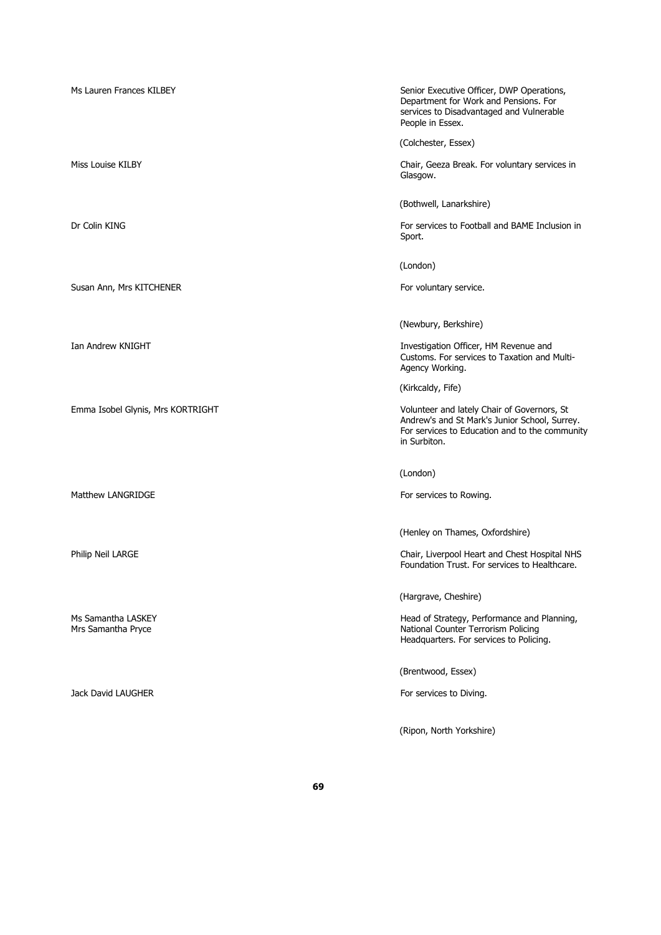Ms Lauren Frances KILBEY Senior Executive Officer, DWP Operations, Department for Work and Pensions. For services to Disadvantaged and Vulnerable People in Essex. (Colchester, Essex) Miss Louise KILBY Chair, Geeza Break. For voluntary services in Glasgow. (Bothwell, Lanarkshire) Dr Colin KING For services to Football and BAME Inclusion in Sport. (London) Susan Ann, Mrs KITCHENER For voluntary service. (Newbury, Berkshire) Ian Andrew KNIGHT **Investigation Officer, HM Revenue and** Customs. For services to Taxation and Multi-Agency Working. (Kirkcaldy, Fife) Emma Isobel Glynis, Mrs KORTRIGHT Volunteer and lately Chair of Governors, St Andrew's and St Mark's Junior School, Surrey. For services to Education and to the community in Surbiton. (London) Matthew LANGRIDGE For services to Rowing. (Henley on Thames, Oxfordshire) Philip Neil LARGE Chair, Liverpool Heart and Chest Hospital NHS Foundation Trust. For services to Healthcare. (Hargrave, Cheshire) Ms Samantha LASKEY **Head of Strategy, Performance and Planning**, Mrs Samantha Pryce National Counter Terrorism Policing Headquarters. For services to Policing. (Brentwood, Essex) Jack David LAUGHER **For services** to Diving. (Ripon, North Yorkshire)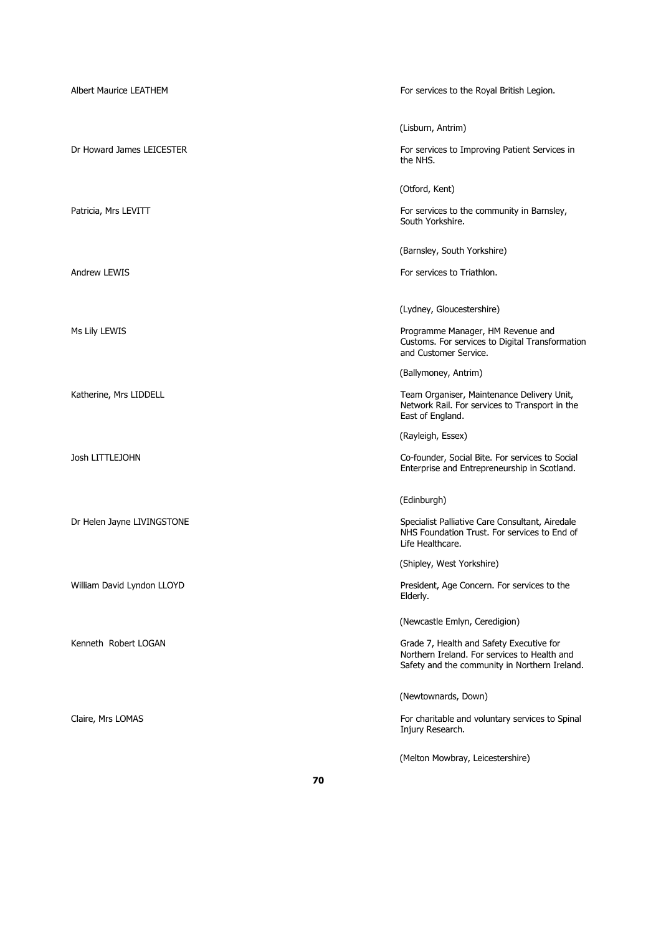| Albert Maurice LEATHEM     | For services to the Royal British Legion.                                                                                                 |
|----------------------------|-------------------------------------------------------------------------------------------------------------------------------------------|
|                            | (Lisburn, Antrim)                                                                                                                         |
| Dr Howard James LEICESTER  | For services to Improving Patient Services in<br>the NHS.                                                                                 |
|                            | (Otford, Kent)                                                                                                                            |
| Patricia, Mrs LEVITT       | For services to the community in Barnsley,<br>South Yorkshire.                                                                            |
|                            | (Barnsley, South Yorkshire)                                                                                                               |
| <b>Andrew LEWIS</b>        | For services to Triathlon.                                                                                                                |
|                            | (Lydney, Gloucestershire)                                                                                                                 |
| Ms Lily LEWIS              | Programme Manager, HM Revenue and<br>Customs. For services to Digital Transformation<br>and Customer Service.                             |
|                            | (Ballymoney, Antrim)                                                                                                                      |
| Katherine, Mrs LIDDELL     | Team Organiser, Maintenance Delivery Unit,<br>Network Rail. For services to Transport in the<br>East of England.                          |
|                            | (Rayleigh, Essex)                                                                                                                         |
| Josh LITTLEJOHN            | Co-founder, Social Bite. For services to Social<br>Enterprise and Entrepreneurship in Scotland.                                           |
|                            | (Edinburgh)                                                                                                                               |
| Dr Helen Jayne LIVINGSTONE | Specialist Palliative Care Consultant, Airedale<br>NHS Foundation Trust. For services to End of<br>Life Healthcare.                       |
|                            | (Shipley, West Yorkshire)                                                                                                                 |
| William David Lyndon LLOYD | President, Age Concern. For services to the<br>Elderly.                                                                                   |
|                            | (Newcastle Emlyn, Ceredigion)                                                                                                             |
| Kenneth Robert LOGAN       | Grade 7, Health and Safety Executive for<br>Northern Ireland. For services to Health and<br>Safety and the community in Northern Ireland. |
|                            | (Newtownards, Down)                                                                                                                       |
| Claire, Mrs LOMAS          | For charitable and voluntary services to Spinal<br>Injury Research.                                                                       |
|                            | (Melton Mowbray, Leicestershire)                                                                                                          |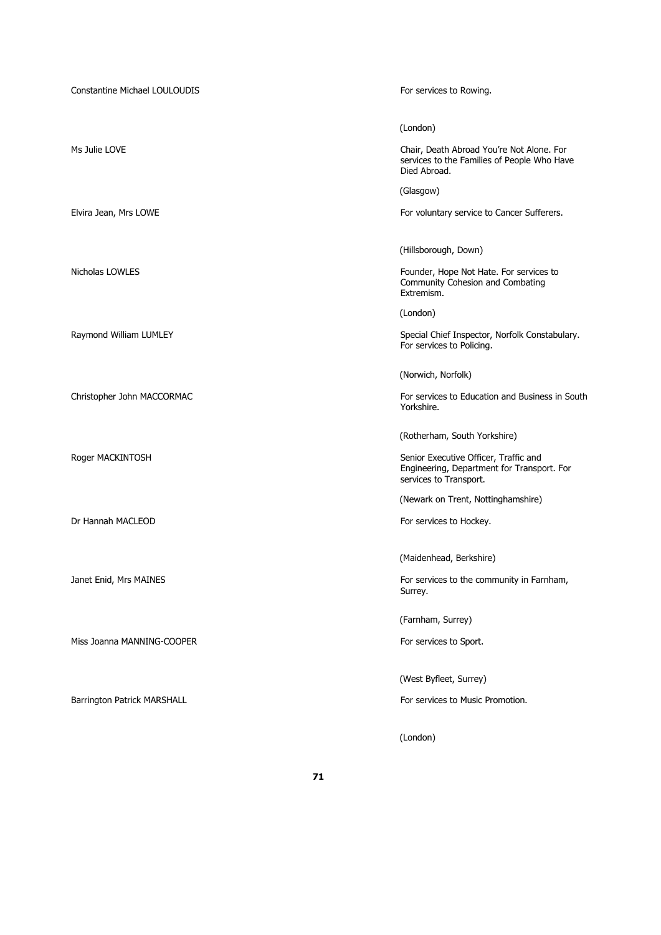| <b>Constantine Michael LOULOUDIS</b> | For services to Rowing.                                                                                       |
|--------------------------------------|---------------------------------------------------------------------------------------------------------------|
|                                      | (London)                                                                                                      |
| Ms Julie LOVE                        | Chair, Death Abroad You're Not Alone. For<br>services to the Families of People Who Have<br>Died Abroad.      |
|                                      | (Glasgow)                                                                                                     |
| Elvira Jean, Mrs LOWE                | For voluntary service to Cancer Sufferers.                                                                    |
|                                      | (Hillsborough, Down)                                                                                          |
| Nicholas LOWLES                      | Founder, Hope Not Hate. For services to<br>Community Cohesion and Combating<br>Extremism.                     |
|                                      | (London)                                                                                                      |
| Raymond William LUMLEY               | Special Chief Inspector, Norfolk Constabulary.<br>For services to Policing.                                   |
|                                      | (Norwich, Norfolk)                                                                                            |
| Christopher John MACCORMAC           | For services to Education and Business in South<br>Yorkshire.                                                 |
|                                      | (Rotherham, South Yorkshire)                                                                                  |
| Roger MACKINTOSH                     | Senior Executive Officer, Traffic and<br>Engineering, Department for Transport. For<br>services to Transport. |
|                                      | (Newark on Trent, Nottinghamshire)                                                                            |
| Dr Hannah MACLEOD                    | For services to Hockey.                                                                                       |
|                                      | (Maidenhead, Berkshire)                                                                                       |
| Janet Enid, Mrs MAINES               | For services to the community in Farnham,<br>Surrey.                                                          |
|                                      | (Farnham, Surrey)                                                                                             |
| Miss Joanna MANNING-COOPER           | For services to Sport.                                                                                        |
|                                      | (West Byfleet, Surrey)                                                                                        |
| Barrington Patrick MARSHALL          | For services to Music Promotion.                                                                              |
|                                      | (London)                                                                                                      |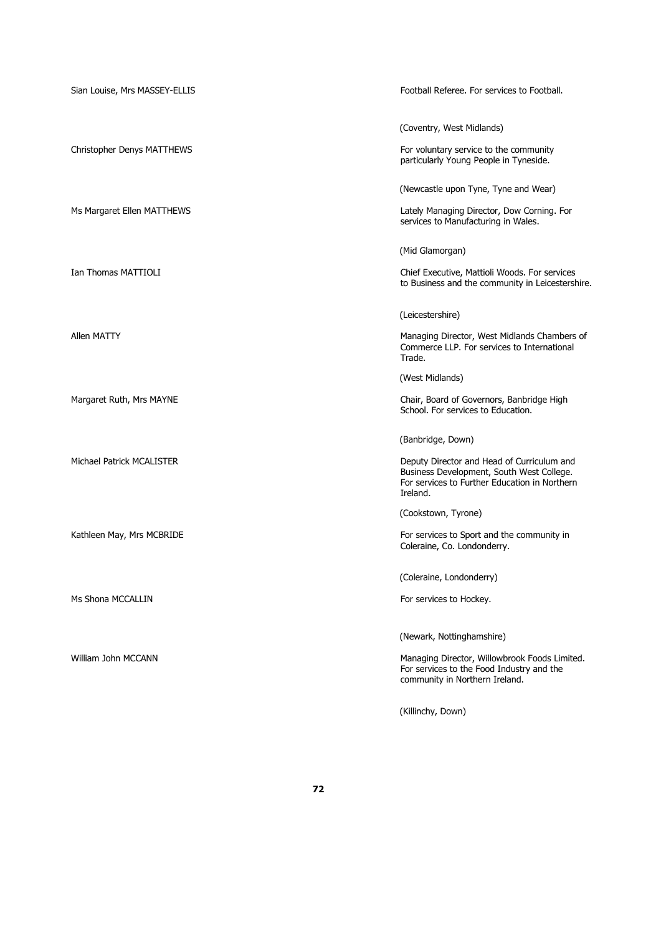| Sian Louise, Mrs MASSEY-ELLIS | Football Referee. For services to Football.                                                                                                          |
|-------------------------------|------------------------------------------------------------------------------------------------------------------------------------------------------|
|                               | (Coventry, West Midlands)                                                                                                                            |
| Christopher Denys MATTHEWS    | For voluntary service to the community<br>particularly Young People in Tyneside.                                                                     |
|                               | (Newcastle upon Tyne, Tyne and Wear)                                                                                                                 |
| Ms Margaret Ellen MATTHEWS    | Lately Managing Director, Dow Corning. For<br>services to Manufacturing in Wales.                                                                    |
|                               | (Mid Glamorgan)                                                                                                                                      |
| Ian Thomas MATTIOLI           | Chief Executive, Mattioli Woods. For services<br>to Business and the community in Leicestershire.                                                    |
|                               | (Leicestershire)                                                                                                                                     |
| Allen MATTY                   | Managing Director, West Midlands Chambers of<br>Commerce LLP. For services to International<br>Trade.                                                |
|                               | (West Midlands)                                                                                                                                      |
| Margaret Ruth, Mrs MAYNE      | Chair, Board of Governors, Banbridge High<br>School. For services to Education.                                                                      |
|                               | (Banbridge, Down)                                                                                                                                    |
| Michael Patrick MCALISTER     | Deputy Director and Head of Curriculum and<br>Business Development, South West College.<br>For services to Further Education in Northern<br>Ireland. |
|                               | (Cookstown, Tyrone)                                                                                                                                  |
| Kathleen May, Mrs MCBRIDE     | For services to Sport and the community in<br>Coleraine, Co. Londonderry.                                                                            |
|                               | (Coleraine, Londonderry)                                                                                                                             |
| Ms Shona MCCALLIN             | For services to Hockey.                                                                                                                              |
|                               | (Newark, Nottinghamshire)                                                                                                                            |
| William John MCCANN           | Managing Director, Willowbrook Foods Limited.<br>For services to the Food Industry and the<br>community in Northern Ireland.                         |
|                               | (Killinchy, Down)                                                                                                                                    |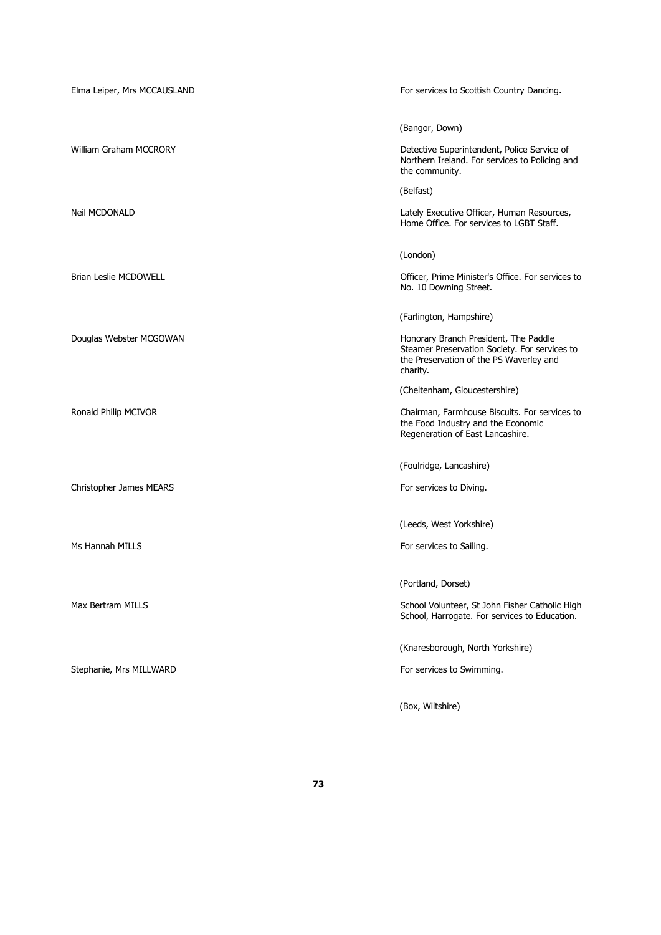| Elma Leiper, Mrs MCCAUSLAND  | For services to Scottish Country Dancing.                                                                                                     |
|------------------------------|-----------------------------------------------------------------------------------------------------------------------------------------------|
|                              |                                                                                                                                               |
|                              | (Bangor, Down)                                                                                                                                |
| William Graham MCCRORY       | Detective Superintendent, Police Service of<br>Northern Ireland. For services to Policing and<br>the community.                               |
|                              | (Belfast)                                                                                                                                     |
| <b>Neil MCDONALD</b>         | Lately Executive Officer, Human Resources,<br>Home Office. For services to LGBT Staff.                                                        |
|                              | (London)                                                                                                                                      |
| <b>Brian Leslie MCDOWELL</b> | Officer, Prime Minister's Office. For services to<br>No. 10 Downing Street.                                                                   |
|                              | (Farlington, Hampshire)                                                                                                                       |
| Douglas Webster MCGOWAN      | Honorary Branch President, The Paddle<br>Steamer Preservation Society. For services to<br>the Preservation of the PS Waverley and<br>charity. |
|                              | (Cheltenham, Gloucestershire)                                                                                                                 |
| Ronald Philip MCIVOR         | Chairman, Farmhouse Biscuits. For services to<br>the Food Industry and the Economic<br>Regeneration of East Lancashire.                       |
|                              | (Foulridge, Lancashire)                                                                                                                       |
| Christopher James MEARS      | For services to Diving.                                                                                                                       |
|                              | (Leeds, West Yorkshire)                                                                                                                       |
| Ms Hannah MILLS              | For services to Sailing.                                                                                                                      |
|                              | (Portland, Dorset)                                                                                                                            |
| Max Bertram MILLS            | School Volunteer, St John Fisher Catholic High<br>School, Harrogate. For services to Education.                                               |
|                              | (Knaresborough, North Yorkshire)                                                                                                              |
| Stephanie, Mrs MILLWARD      | For services to Swimming.                                                                                                                     |
|                              | (Box, Wiltshire)                                                                                                                              |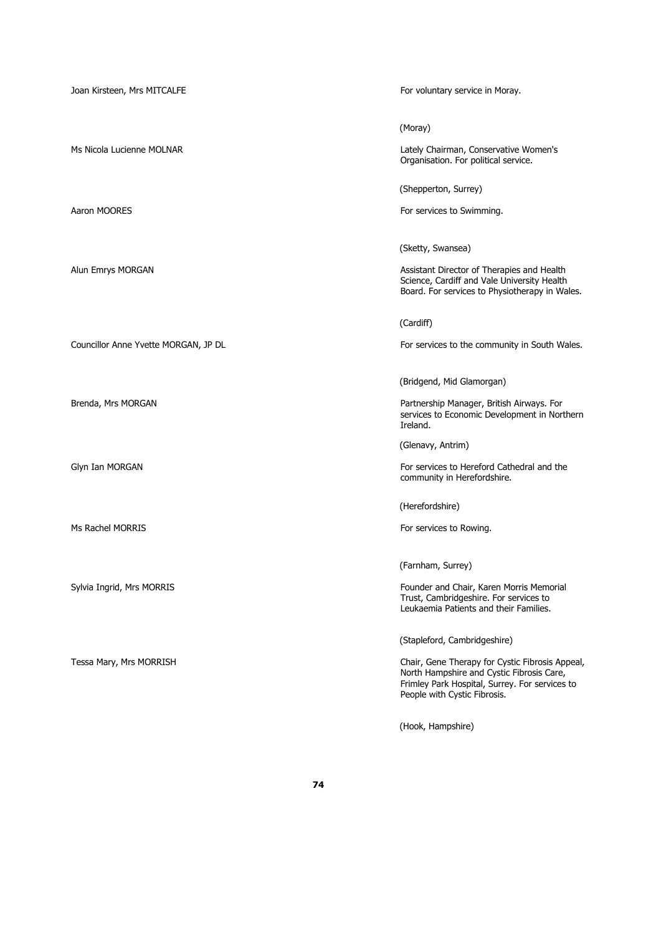| Joan Kirsteen, Mrs MITCALFE          | For voluntary service in Moray.                                                                                                                                                |
|--------------------------------------|--------------------------------------------------------------------------------------------------------------------------------------------------------------------------------|
|                                      | (Moray)                                                                                                                                                                        |
| Ms Nicola Lucienne MOLNAR            | Lately Chairman, Conservative Women's<br>Organisation. For political service.                                                                                                  |
|                                      | (Shepperton, Surrey)                                                                                                                                                           |
| Aaron MOORES                         | For services to Swimming.                                                                                                                                                      |
|                                      | (Sketty, Swansea)                                                                                                                                                              |
| Alun Emrys MORGAN                    | Assistant Director of Therapies and Health<br>Science, Cardiff and Vale University Health<br>Board. For services to Physiotherapy in Wales.                                    |
|                                      | (Cardiff)                                                                                                                                                                      |
| Councillor Anne Yvette MORGAN, JP DL | For services to the community in South Wales.                                                                                                                                  |
|                                      | (Bridgend, Mid Glamorgan)                                                                                                                                                      |
| Brenda, Mrs MORGAN                   | Partnership Manager, British Airways. For<br>services to Economic Development in Northern<br>Ireland.                                                                          |
|                                      | (Glenavy, Antrim)                                                                                                                                                              |
| Glyn Ian MORGAN                      | For services to Hereford Cathedral and the<br>community in Herefordshire.                                                                                                      |
|                                      | (Herefordshire)                                                                                                                                                                |
| Ms Rachel MORRIS                     | For services to Rowing.                                                                                                                                                        |
|                                      | (Farnham, Surrey)                                                                                                                                                              |
| Sylvia Ingrid, Mrs MORRIS            | Founder and Chair, Karen Morris Memorial<br>Trust, Cambridgeshire. For services to<br>Leukaemia Patients and their Families.                                                   |
|                                      | (Stapleford, Cambridgeshire)                                                                                                                                                   |
| Tessa Mary, Mrs MORRISH              | Chair, Gene Therapy for Cystic Fibrosis Appeal,<br>North Hampshire and Cystic Fibrosis Care,<br>Frimley Park Hospital, Surrey. For services to<br>People with Cystic Fibrosis. |
|                                      | (Hook, Hampshire)                                                                                                                                                              |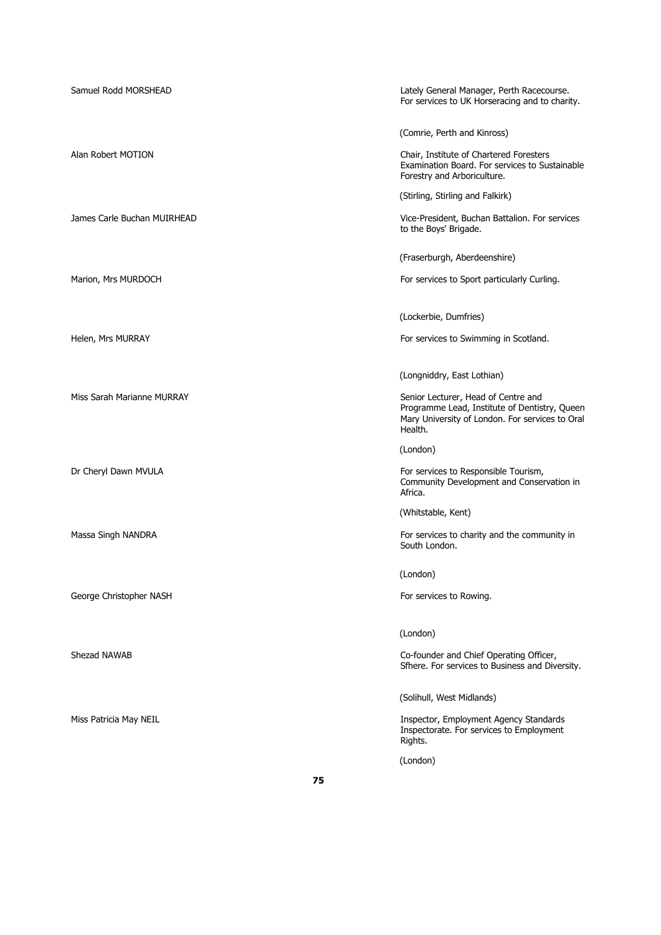| Samuel Rodd MORSHEAD        | Lately General Manager, Perth Racecourse.<br>For services to UK Horseracing and to charity.                                                        |
|-----------------------------|----------------------------------------------------------------------------------------------------------------------------------------------------|
|                             | (Comrie, Perth and Kinross)                                                                                                                        |
| Alan Robert MOTION          | Chair, Institute of Chartered Foresters<br>Examination Board. For services to Sustainable<br>Forestry and Arboriculture.                           |
|                             | (Stirling, Stirling and Falkirk)                                                                                                                   |
| James Carle Buchan MUIRHEAD | Vice-President, Buchan Battalion. For services<br>to the Boys' Brigade.                                                                            |
|                             | (Fraserburgh, Aberdeenshire)                                                                                                                       |
| Marion, Mrs MURDOCH         | For services to Sport particularly Curling.                                                                                                        |
|                             | (Lockerbie, Dumfries)                                                                                                                              |
| Helen, Mrs MURRAY           | For services to Swimming in Scotland.                                                                                                              |
|                             | (Longniddry, East Lothian)                                                                                                                         |
| Miss Sarah Marianne MURRAY  | Senior Lecturer, Head of Centre and<br>Programme Lead, Institute of Dentistry, Queen<br>Mary University of London. For services to Oral<br>Health. |
|                             | (London)                                                                                                                                           |
| Dr Cheryl Dawn MVULA        | For services to Responsible Tourism,<br>Community Development and Conservation in<br>Africa.                                                       |
|                             | (Whitstable, Kent)                                                                                                                                 |
| Massa Singh NANDRA          | For services to charity and the community in<br>South London.                                                                                      |
|                             | (London)                                                                                                                                           |
| George Christopher NASH     | For services to Rowing.                                                                                                                            |
|                             | (London)                                                                                                                                           |
| Shezad NAWAB                | Co-founder and Chief Operating Officer,<br>Sfhere. For services to Business and Diversity.                                                         |
|                             | (Solihull, West Midlands)                                                                                                                          |
| Miss Patricia May NEIL      | Inspector, Employment Agency Standards<br>Inspectorate. For services to Employment<br>Rights.                                                      |
|                             | (London)                                                                                                                                           |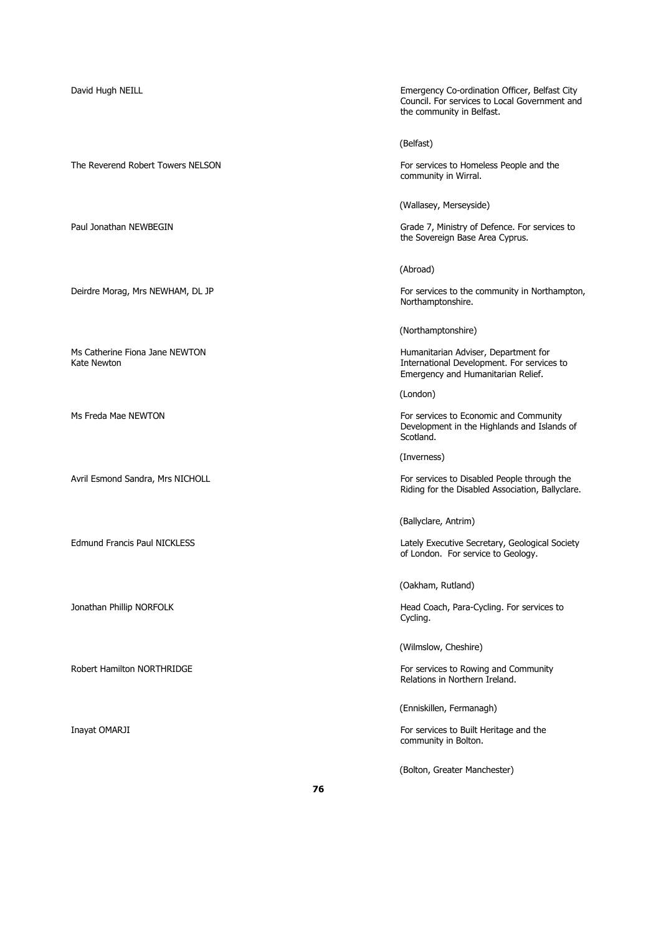The Reverend Robert Towers NELSON For services to Homeless People and the Formulation For services to Homeless People and the

David Hugh NEILL Emergency Co-ordination Officer, Belfast City Council. For services to Local Government and the community in Belfast.

(Belfast)

community in Wirral.

(Wallasey, Merseyside)

Paul Jonathan NEWBEGIN Grade 7, Ministry of Defence. For services to the Sovereign Base Area Cyprus.

(Abroad)

Deirdre Morag, Mrs NEWHAM, DL JP For services to the community in Northampton, Northamptonshire.

(Northamptonshire)

Ms Catherine Fiona Jane NEWTON **Michael Adviser, Department for Service**<br>Kate Newton Humanitarian Adviser, Department for service International Development. For services to Emergency and Humanitarian Relief.

(London)

Ms Freda Mae NEWTON For services to Economic and Community Development in the Highlands and Islands of Scotland.

(Inverness)

Avril Esmond Sandra, Mrs NICHOLL For services to Disabled People through the Riding for the Disabled Association, Ballyclare.

(Ballyclare, Antrim)

Edmund Francis Paul NICKLESS **Lately Executive Secretary, Geological Society** of London. For service to Geology.

(Oakham, Rutland)

Jonathan Phillip NORFOLK **Head Coach, Para-Cycling. For services to Head Coach, Para-Cycling. For services to** Cycling.

(Wilmslow, Cheshire)

Robert Hamilton NORTHRIDGE For services to Rowing and Community Relations in Northern Ireland.

(Enniskillen, Fermanagh)

Inayat OMARJI For services to Built Heritage and the community in Bolton.

(Bolton, Greater Manchester)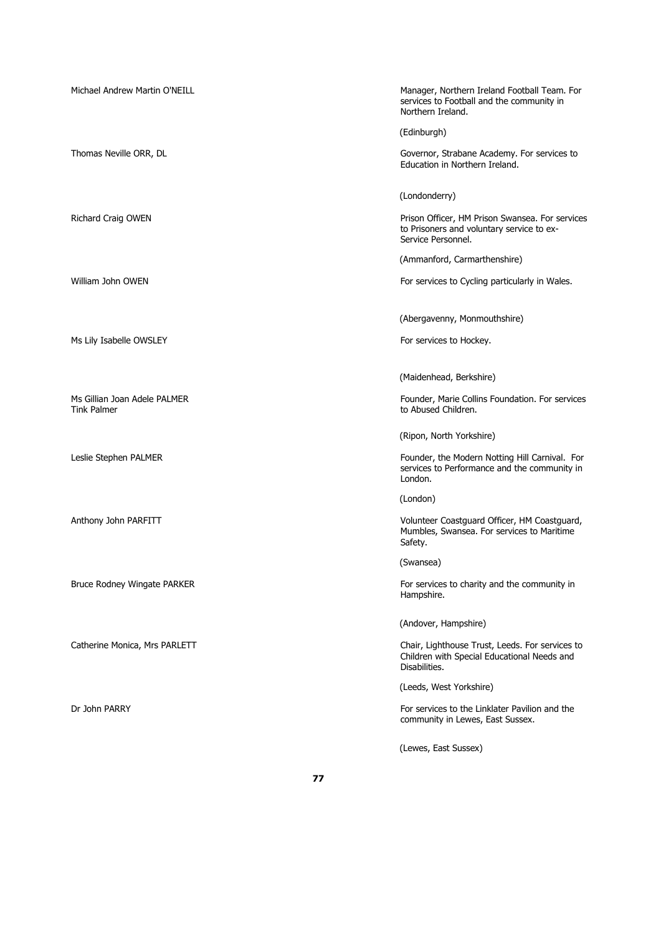| Michael Andrew Martin O'NEILL                      | Manager, Northern Ireland Football Team. For<br>services to Football and the community in<br>Northern Ireland.     |
|----------------------------------------------------|--------------------------------------------------------------------------------------------------------------------|
|                                                    | (Edinburgh)                                                                                                        |
| Thomas Neville ORR, DL                             | Governor, Strabane Academy. For services to<br>Education in Northern Ireland.                                      |
|                                                    | (Londonderry)                                                                                                      |
| Richard Craig OWEN                                 | Prison Officer, HM Prison Swansea. For services<br>to Prisoners and voluntary service to ex-<br>Service Personnel. |
|                                                    | (Ammanford, Carmarthenshire)                                                                                       |
| William John OWEN                                  | For services to Cycling particularly in Wales.                                                                     |
|                                                    | (Abergavenny, Monmouthshire)                                                                                       |
| Ms Lily Isabelle OWSLEY                            | For services to Hockey.                                                                                            |
|                                                    | (Maidenhead, Berkshire)                                                                                            |
| Ms Gillian Joan Adele PALMER<br><b>Tink Palmer</b> | Founder, Marie Collins Foundation. For services<br>to Abused Children.                                             |
|                                                    | (Ripon, North Yorkshire)                                                                                           |
| Leslie Stephen PALMER                              | Founder, the Modern Notting Hill Carnival. For<br>services to Performance and the community in<br>London.          |
|                                                    | (London)                                                                                                           |
| Anthony John PARFITT                               | Volunteer Coastguard Officer, HM Coastguard,<br>Mumbles, Swansea. For services to Maritime<br>Safety.              |
|                                                    | (Swansea)                                                                                                          |
| <b>Bruce Rodney Wingate PARKER</b>                 | For services to charity and the community in<br>Hampshire.                                                         |
|                                                    | (Andover, Hampshire)                                                                                               |
| Catherine Monica, Mrs PARLETT                      | Chair, Lighthouse Trust, Leeds. For services to<br>Children with Special Educational Needs and<br>Disabilities.    |
|                                                    | (Leeds, West Yorkshire)                                                                                            |
| Dr John PARRY                                      | For services to the Linklater Pavilion and the<br>community in Lewes, East Sussex.                                 |
|                                                    | (Lewes, East Sussex)                                                                                               |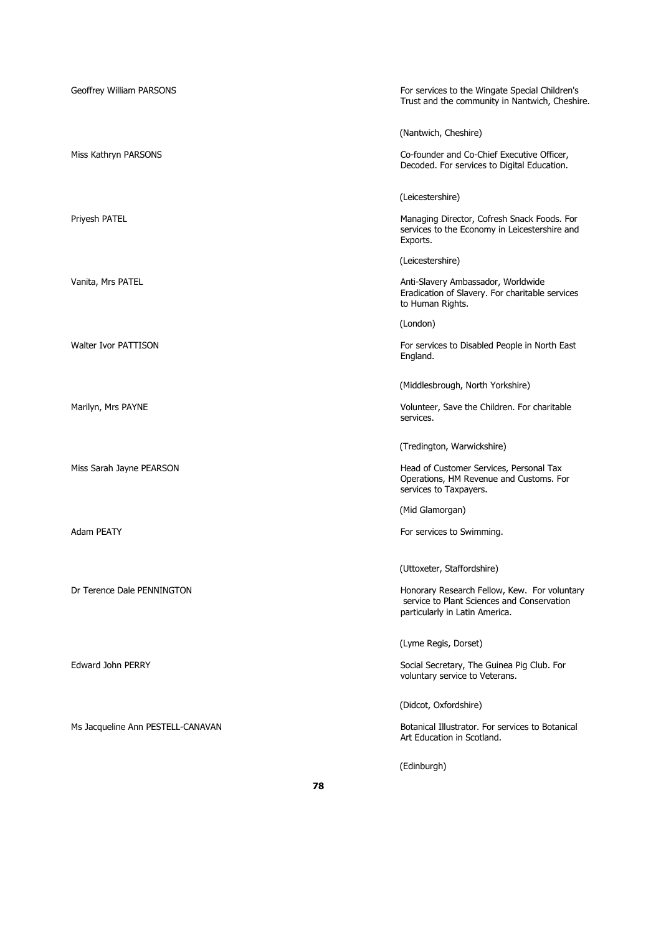| Geoffrey William PARSONS          | For services to the Wingate Special Children's<br>Trust and the community in Nantwich, Cheshire.                             |
|-----------------------------------|------------------------------------------------------------------------------------------------------------------------------|
|                                   | (Nantwich, Cheshire)                                                                                                         |
| Miss Kathryn PARSONS              | Co-founder and Co-Chief Executive Officer,<br>Decoded. For services to Digital Education.                                    |
|                                   | (Leicestershire)                                                                                                             |
| Priyesh PATEL                     | Managing Director, Cofresh Snack Foods. For<br>services to the Economy in Leicestershire and<br>Exports.                     |
|                                   | (Leicestershire)                                                                                                             |
| Vanita, Mrs PATEL                 | Anti-Slavery Ambassador, Worldwide<br>Eradication of Slavery. For charitable services<br>to Human Rights.                    |
|                                   | (London)                                                                                                                     |
| Walter Ivor PATTISON              | For services to Disabled People in North East<br>England.                                                                    |
|                                   | (Middlesbrough, North Yorkshire)                                                                                             |
| Marilyn, Mrs PAYNE                | Volunteer, Save the Children. For charitable<br>services.                                                                    |
|                                   | (Tredington, Warwickshire)                                                                                                   |
| Miss Sarah Jayne PEARSON          | Head of Customer Services, Personal Tax<br>Operations, HM Revenue and Customs. For<br>services to Taxpayers.                 |
|                                   | (Mid Glamorgan)                                                                                                              |
| <b>Adam PEATY</b>                 | For services to Swimming.                                                                                                    |
|                                   | (Uttoxeter, Staffordshire)                                                                                                   |
| Dr Terence Dale PENNINGTON        | Honorary Research Fellow, Kew. For voluntary<br>service to Plant Sciences and Conservation<br>particularly in Latin America. |
|                                   | (Lyme Regis, Dorset)                                                                                                         |
| Edward John PERRY                 | Social Secretary, The Guinea Pig Club. For<br>voluntary service to Veterans.                                                 |
|                                   | (Didcot, Oxfordshire)                                                                                                        |
| Ms Jacqueline Ann PESTELL-CANAVAN | Botanical Illustrator. For services to Botanical<br>Art Education in Scotland.                                               |
|                                   | (Edinburgh)                                                                                                                  |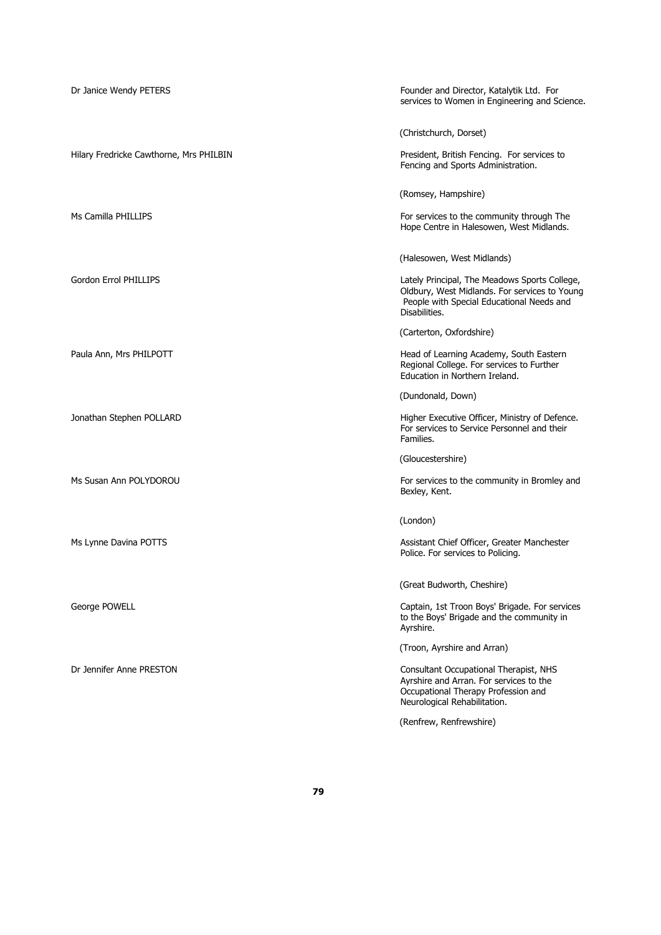| Dr Janice Wendy PETERS                  | Founder and Director, Katalytik Ltd. For<br>services to Women in Engineering and Science.                                                                    |
|-----------------------------------------|--------------------------------------------------------------------------------------------------------------------------------------------------------------|
|                                         | (Christchurch, Dorset)                                                                                                                                       |
| Hilary Fredricke Cawthorne, Mrs PHILBIN | President, British Fencing. For services to<br>Fencing and Sports Administration.                                                                            |
|                                         | (Romsey, Hampshire)                                                                                                                                          |
| Ms Camilla PHILLIPS                     | For services to the community through The<br>Hope Centre in Halesowen, West Midlands.                                                                        |
|                                         | (Halesowen, West Midlands)                                                                                                                                   |
| <b>Gordon Errol PHILLIPS</b>            | Lately Principal, The Meadows Sports College,<br>Oldbury, West Midlands. For services to Young<br>People with Special Educational Needs and<br>Disabilities. |
|                                         | (Carterton, Oxfordshire)                                                                                                                                     |
| Paula Ann, Mrs PHILPOTT                 | Head of Learning Academy, South Eastern<br>Regional College. For services to Further<br>Education in Northern Ireland.                                       |
|                                         | (Dundonald, Down)                                                                                                                                            |
| Jonathan Stephen POLLARD                | Higher Executive Officer, Ministry of Defence.<br>For services to Service Personnel and their<br>Families.                                                   |
|                                         | (Gloucestershire)                                                                                                                                            |
| Ms Susan Ann POLYDOROU                  | For services to the community in Bromley and<br>Bexley, Kent.                                                                                                |
|                                         | (London)                                                                                                                                                     |
| Ms Lynne Davina POTTS                   | Assistant Chief Officer, Greater Manchester<br>Police. For services to Policing.                                                                             |
|                                         | (Great Budworth, Cheshire)                                                                                                                                   |
| George POWELL                           | Captain, 1st Troon Boys' Brigade. For services<br>to the Boys' Brigade and the community in<br>Ayrshire.                                                     |
|                                         | (Troon, Ayrshire and Arran)                                                                                                                                  |
| Dr Jennifer Anne PRESTON                | Consultant Occupational Therapist, NHS<br>Ayrshire and Arran. For services to the<br>Occupational Therapy Profession and<br>Neurological Rehabilitation.     |
|                                         | (Renfrew, Renfrewshire)                                                                                                                                      |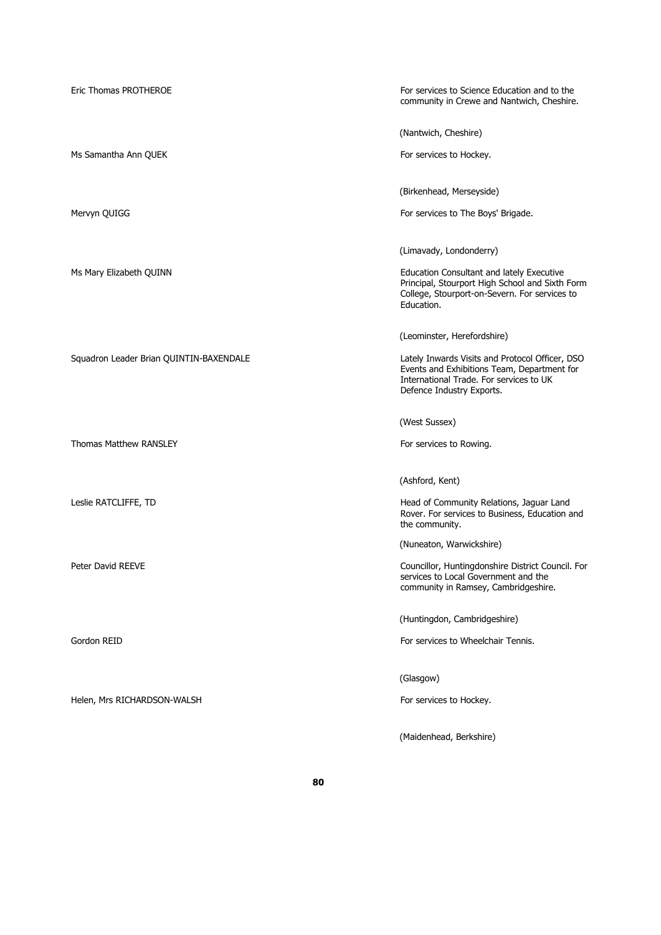| Eric Thomas PROTHEROE                   | For services to Science Education and to the<br>community in Crewe and Nantwich, Cheshire.                                                                             |
|-----------------------------------------|------------------------------------------------------------------------------------------------------------------------------------------------------------------------|
|                                         | (Nantwich, Cheshire)                                                                                                                                                   |
| Ms Samantha Ann QUEK                    | For services to Hockey.                                                                                                                                                |
|                                         | (Birkenhead, Merseyside)                                                                                                                                               |
| Mervyn QUIGG                            | For services to The Boys' Brigade.                                                                                                                                     |
|                                         | (Limavady, Londonderry)                                                                                                                                                |
| Ms Mary Elizabeth QUINN                 | Education Consultant and lately Executive<br>Principal, Stourport High School and Sixth Form<br>College, Stourport-on-Severn. For services to<br>Education.            |
|                                         | (Leominster, Herefordshire)                                                                                                                                            |
| Squadron Leader Brian QUINTIN-BAXENDALE | Lately Inwards Visits and Protocol Officer, DSO<br>Events and Exhibitions Team, Department for<br>International Trade. For services to UK<br>Defence Industry Exports. |
|                                         |                                                                                                                                                                        |
|                                         | (West Sussex)                                                                                                                                                          |
| <b>Thomas Matthew RANSLEY</b>           | For services to Rowing.                                                                                                                                                |
|                                         |                                                                                                                                                                        |
| Leslie RATCLIFFE, TD                    | (Ashford, Kent)<br>Head of Community Relations, Jaguar Land<br>Rover. For services to Business, Education and                                                          |
|                                         | the community.<br>(Nuneaton, Warwickshire)                                                                                                                             |
| Peter David REEVE                       | Councillor, Huntingdonshire District Council. For<br>services to Local Government and the<br>community in Ramsey, Cambridgeshire.                                      |
|                                         | (Huntingdon, Cambridgeshire)                                                                                                                                           |
| Gordon REID                             | For services to Wheelchair Tennis.                                                                                                                                     |
|                                         | (Glasgow)                                                                                                                                                              |
| Helen, Mrs RICHARDSON-WALSH             | For services to Hockey.                                                                                                                                                |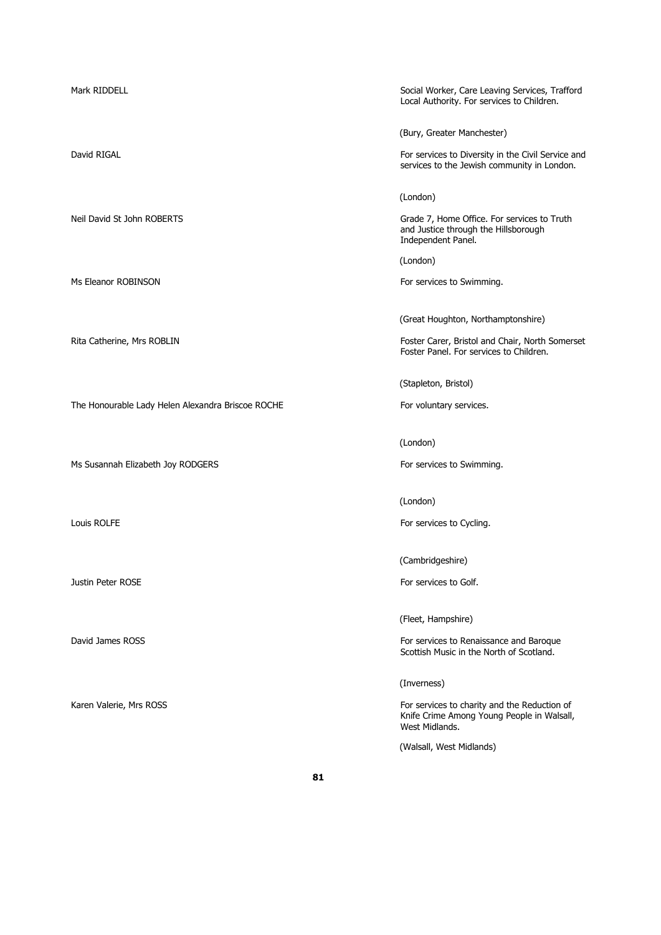Mark RIDDELL **Social Worker, Care Leaving Services, Trafford** Local Authority. For services to Children. (Bury, Greater Manchester) David RIGAL **For services** to Diversity in the Civil Service and services to the Jewish community in London. (London) Neil David St John ROBERTS **Grade 7, Home Office. For services to Truth** and Justice through the Hillsborough Independent Panel. (London) Ms Eleanor ROBINSON For services to Swimming. (Great Houghton, Northamptonshire) Rita Catherine, Mrs ROBLIN Foster Carer, Bristol and Chair, North Somerset Foster Panel. For services to Children. (Stapleton, Bristol) The Honourable Lady Helen Alexandra Briscoe ROCHE For voluntary services. (London) Ms Susannah Elizabeth Joy RODGERS For services to Swimming. (London) Louis ROLFE **For services** to Cycling. (Cambridgeshire) Justin Peter ROSE **For services** to Golf. (Fleet, Hampshire) David James ROSS For services to Renaissance and Baroque Scottish Music in the North of Scotland. (Inverness) Karen Valerie, Mrs ROSS For services to charity and the Reduction of

Knife Crime Among Young People in Walsall, West Midlands.

(Walsall, West Midlands)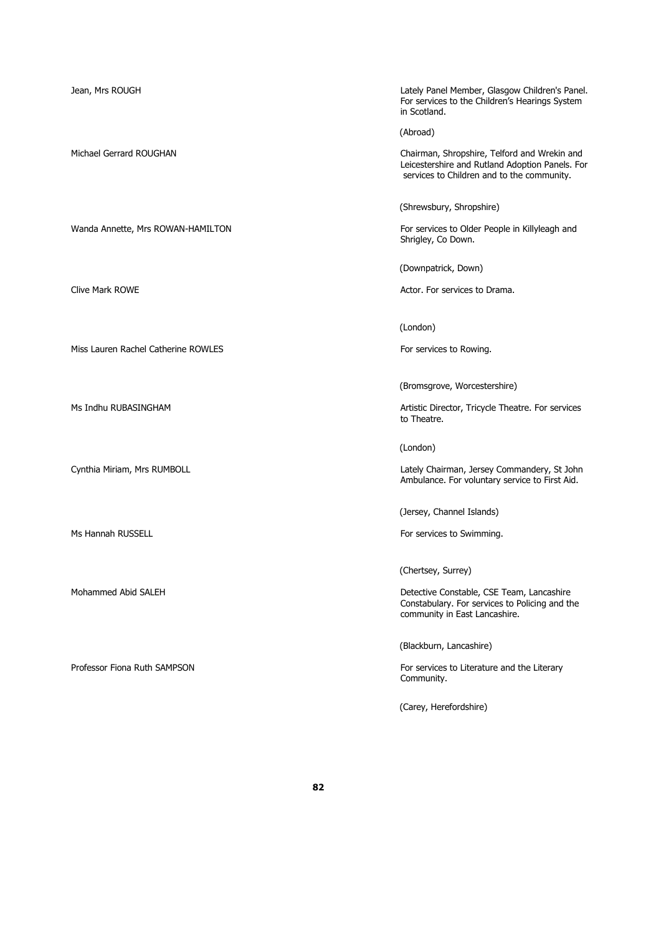Miss Lauren Rachel Catherine ROWLES For services to Rowing.

Jean, Mrs ROUGH Lately Panel Member, Glasgow Children's Panel. For services to the Children's Hearings System in Scotland.

(Abroad)

Michael Gerrard ROUGHAN Chairman, Shropshire, Telford and Wrekin and Leicestershire and Rutland Adoption Panels. For services to Children and to the community.

(Shrewsbury, Shropshire)

Wanda Annette, Mrs ROWAN-HAMILTON For services to Older People in Killyleagh and Shrigley, Co Down.

(Downpatrick, Down)

Clive Mark ROWE **Actor.** For services to Drama.

(London)

(Bromsgrove, Worcestershire)

Ms Indhu RUBASINGHAM Artistic Director, Tricycle Theatre. For services to Theatre.

(London)

Cynthia Miriam, Mrs RUMBOLL **Cynthia Miriam, Mrs RUMBOLL** Chairman, Jersey Commandery, St John Ambulance. For voluntary service to First Aid.

(Jersey, Channel Islands)

Ms Hannah RUSSELL **For services to Swimming.** For services to Swimming.

(Chertsey, Surrey)

Mohammed Abid SALEH Detective Constable, CSE Team, Lancashire Constabulary. For services to Policing and the community in East Lancashire.

(Blackburn, Lancashire)

Professor Fiona Ruth SAMPSON For services to Literature and the Literary For services to Literature and the Literary Community.

(Carey, Herefordshire)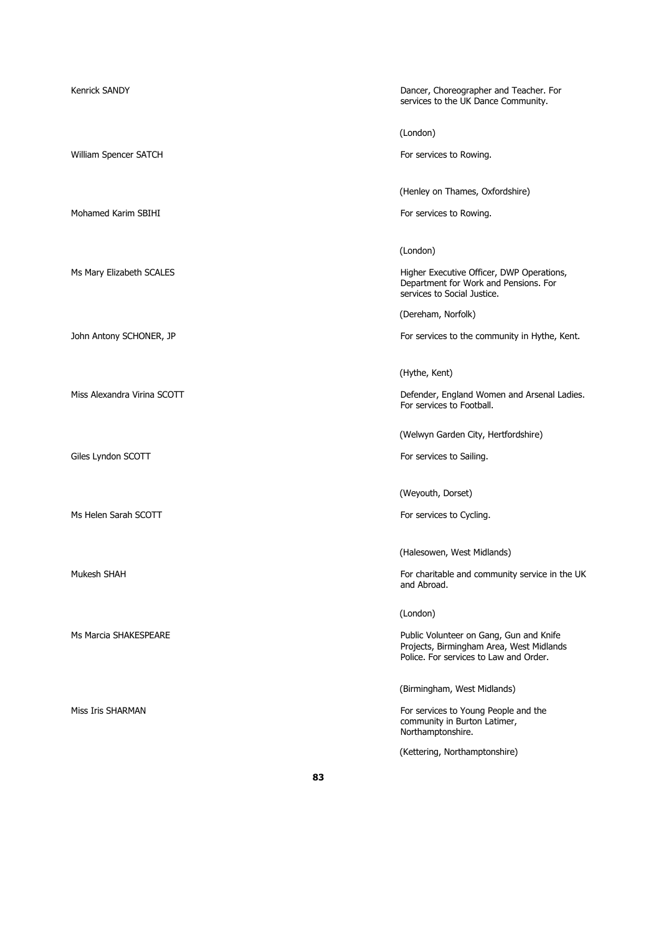| <b>Kenrick SANDY</b>        | Dancer, Choreographer and Teacher. For<br>services to the UK Dance Community.                                                 |
|-----------------------------|-------------------------------------------------------------------------------------------------------------------------------|
|                             | (London)                                                                                                                      |
| William Spencer SATCH       | For services to Rowing.                                                                                                       |
|                             | (Henley on Thames, Oxfordshire)                                                                                               |
| Mohamed Karim SBIHI         | For services to Rowing.                                                                                                       |
|                             | (London)                                                                                                                      |
| Ms Mary Elizabeth SCALES    | Higher Executive Officer, DWP Operations,<br>Department for Work and Pensions. For<br>services to Social Justice.             |
|                             | (Dereham, Norfolk)                                                                                                            |
| John Antony SCHONER, JP     | For services to the community in Hythe, Kent.                                                                                 |
|                             | (Hythe, Kent)                                                                                                                 |
| Miss Alexandra Virina SCOTT | Defender, England Women and Arsenal Ladies.<br>For services to Football.                                                      |
|                             | (Welwyn Garden City, Hertfordshire)                                                                                           |
| Giles Lyndon SCOTT          | For services to Sailing.                                                                                                      |
|                             | (Weyouth, Dorset)                                                                                                             |
| Ms Helen Sarah SCOTT        | For services to Cycling.                                                                                                      |
|                             | (Halesowen, West Midlands)                                                                                                    |
| Mukesh SHAH                 | For charitable and community service in the UK<br>and Abroad.                                                                 |
|                             | (London)                                                                                                                      |
| Ms Marcia SHAKESPEARE       | Public Volunteer on Gang, Gun and Knife<br>Projects, Birmingham Area, West Midlands<br>Police. For services to Law and Order. |
|                             | (Birmingham, West Midlands)                                                                                                   |
| Miss Iris SHARMAN           | For services to Young People and the<br>community in Burton Latimer,<br>Northamptonshire.                                     |
|                             | (Kettering, Northamptonshire)                                                                                                 |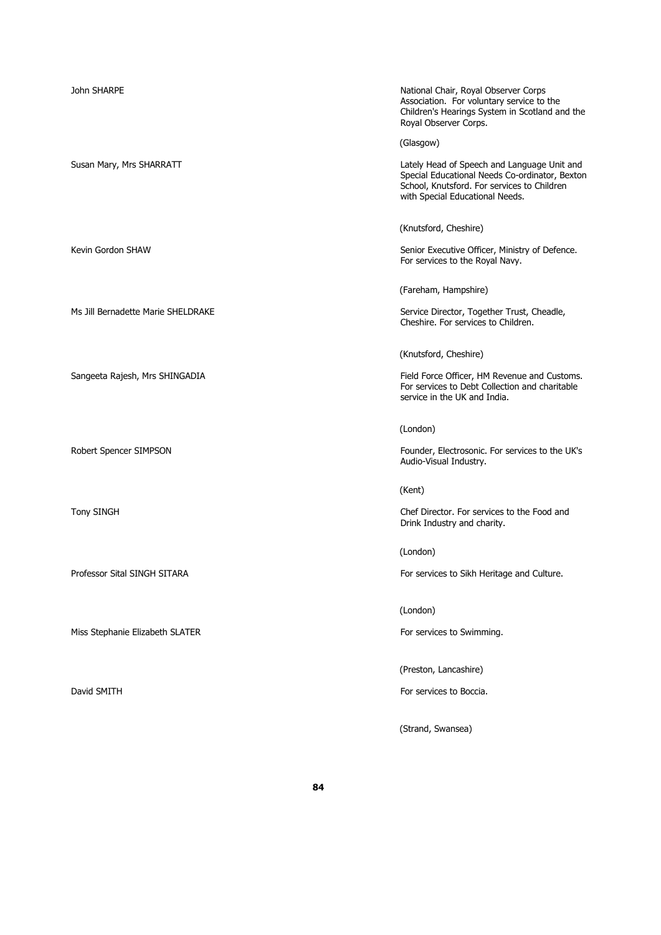| John SHARPE                        | National Chair, Royal Observer Corps<br>Association. For voluntary service to the                                                                                               |
|------------------------------------|---------------------------------------------------------------------------------------------------------------------------------------------------------------------------------|
|                                    | Children's Hearings System in Scotland and the<br>Royal Observer Corps.                                                                                                         |
|                                    | (Glasgow)                                                                                                                                                                       |
| Susan Mary, Mrs SHARRATT           | Lately Head of Speech and Language Unit and<br>Special Educational Needs Co-ordinator, Bexton<br>School, Knutsford. For services to Children<br>with Special Educational Needs. |
|                                    | (Knutsford, Cheshire)                                                                                                                                                           |
| Kevin Gordon SHAW                  | Senior Executive Officer, Ministry of Defence.<br>For services to the Royal Navy.                                                                                               |
|                                    | (Fareham, Hampshire)                                                                                                                                                            |
| Ms Jill Bernadette Marie SHELDRAKE | Service Director, Together Trust, Cheadle,<br>Cheshire. For services to Children.                                                                                               |
|                                    | (Knutsford, Cheshire)                                                                                                                                                           |
| Sangeeta Rajesh, Mrs SHINGADIA     | Field Force Officer, HM Revenue and Customs.<br>For services to Debt Collection and charitable<br>service in the UK and India.                                                  |
|                                    | (London)                                                                                                                                                                        |
| Robert Spencer SIMPSON             | Founder, Electrosonic. For services to the UK's<br>Audio-Visual Industry.                                                                                                       |
|                                    | (Kent)                                                                                                                                                                          |
| <b>Tony SINGH</b>                  | Chef Director. For services to the Food and<br>Drink Industry and charity.                                                                                                      |
|                                    | (London)                                                                                                                                                                        |
| Professor Sital SINGH SITARA       | For services to Sikh Heritage and Culture.                                                                                                                                      |
|                                    | (London)                                                                                                                                                                        |
| Miss Stephanie Elizabeth SLATER    | For services to Swimming.                                                                                                                                                       |
|                                    | (Preston, Lancashire)                                                                                                                                                           |
| David SMITH                        | For services to Boccia.                                                                                                                                                         |

(Strand, Swansea)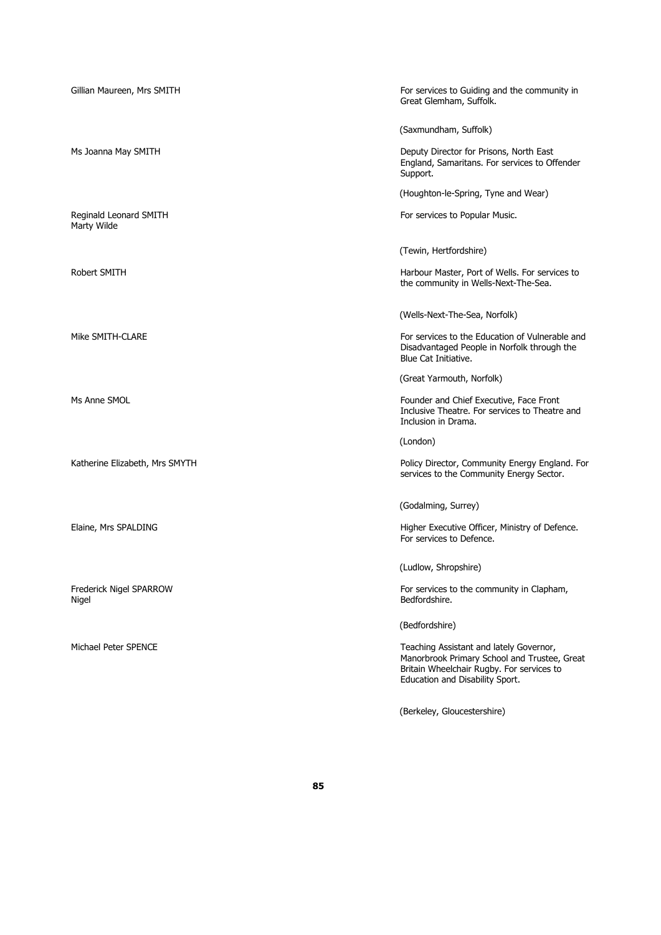| Gillian Maureen, Mrs SMITH            | For services to Guiding and the community in<br>Great Glemham, Suffolk.                                                                                                 |
|---------------------------------------|-------------------------------------------------------------------------------------------------------------------------------------------------------------------------|
|                                       | (Saxmundham, Suffolk)                                                                                                                                                   |
| Ms Joanna May SMITH                   | Deputy Director for Prisons, North East<br>England, Samaritans. For services to Offender<br>Support.                                                                    |
|                                       | (Houghton-le-Spring, Tyne and Wear)                                                                                                                                     |
| Reginald Leonard SMITH<br>Marty Wilde | For services to Popular Music.                                                                                                                                          |
|                                       | (Tewin, Hertfordshire)                                                                                                                                                  |
| Robert SMITH                          | Harbour Master, Port of Wells. For services to<br>the community in Wells-Next-The-Sea.                                                                                  |
|                                       | (Wells-Next-The-Sea, Norfolk)                                                                                                                                           |
| Mike SMITH-CLARE                      | For services to the Education of Vulnerable and<br>Disadvantaged People in Norfolk through the<br>Blue Cat Initiative.                                                  |
|                                       | (Great Yarmouth, Norfolk)                                                                                                                                               |
| Ms Anne SMOL                          | Founder and Chief Executive, Face Front<br>Inclusive Theatre. For services to Theatre and<br>Inclusion in Drama.                                                        |
|                                       | (London)                                                                                                                                                                |
| Katherine Elizabeth, Mrs SMYTH        | Policy Director, Community Energy England. For<br>services to the Community Energy Sector.                                                                              |
|                                       | (Godalming, Surrey)                                                                                                                                                     |
| Elaine, Mrs SPALDING                  | Higher Executive Officer, Ministry of Defence.<br>For services to Defence.                                                                                              |
|                                       | (Ludlow, Shropshire)                                                                                                                                                    |
| Frederick Nigel SPARROW<br>Nigel      | For services to the community in Clapham,<br>Bedfordshire.                                                                                                              |
|                                       | (Bedfordshire)                                                                                                                                                          |
| Michael Peter SPENCE                  | Teaching Assistant and lately Governor,<br>Manorbrook Primary School and Trustee, Great<br>Britain Wheelchair Rugby. For services to<br>Education and Disability Sport. |
|                                       | (Berkeley, Gloucestershire)                                                                                                                                             |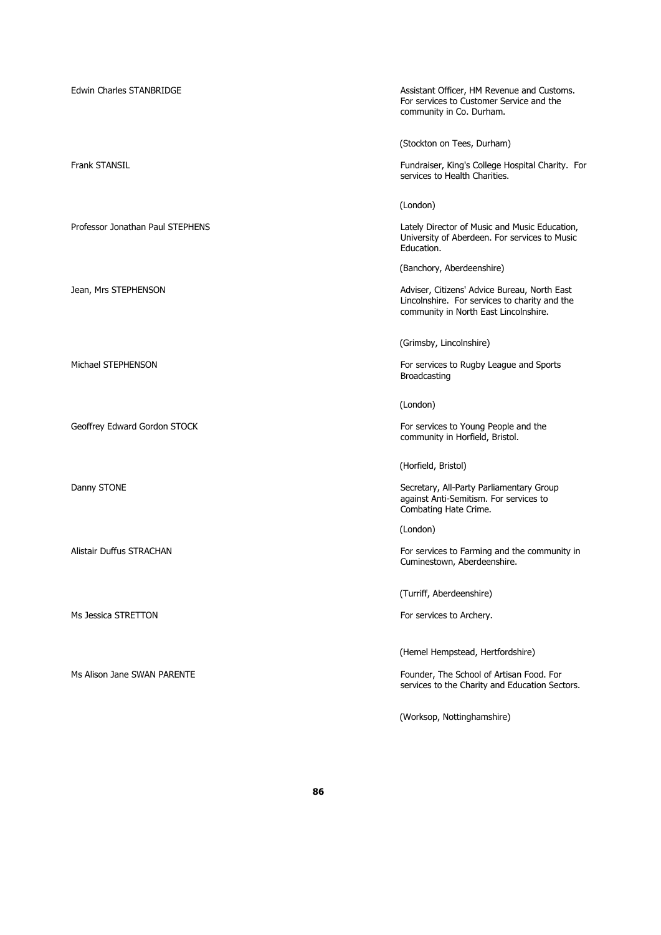| Edwin Charles STANBRIDGE         | Assistant Officer, HM Revenue and Customs.<br>For services to Customer Service and the<br>community in Co. Durham.                     |
|----------------------------------|----------------------------------------------------------------------------------------------------------------------------------------|
|                                  | (Stockton on Tees, Durham)                                                                                                             |
| <b>Frank STANSIL</b>             | Fundraiser, King's College Hospital Charity. For<br>services to Health Charities.                                                      |
|                                  | (London)                                                                                                                               |
| Professor Jonathan Paul STEPHENS | Lately Director of Music and Music Education,<br>University of Aberdeen. For services to Music<br>Education.                           |
|                                  | (Banchory, Aberdeenshire)                                                                                                              |
| Jean, Mrs STEPHENSON             | Adviser, Citizens' Advice Bureau, North East<br>Lincolnshire. For services to charity and the<br>community in North East Lincolnshire. |
|                                  | (Grimsby, Lincolnshire)                                                                                                                |
| Michael STEPHENSON               | For services to Rugby League and Sports<br>Broadcasting                                                                                |
|                                  | (London)                                                                                                                               |
| Geoffrey Edward Gordon STOCK     | For services to Young People and the<br>community in Horfield, Bristol.                                                                |
|                                  | (Horfield, Bristol)                                                                                                                    |
| Danny STONE                      | Secretary, All-Party Parliamentary Group<br>against Anti-Semitism. For services to<br>Combating Hate Crime.                            |
|                                  | (London)                                                                                                                               |
| Alistair Duffus STRACHAN         | For services to Farming and the community in<br>Cuminestown, Aberdeenshire.                                                            |
|                                  | (Turriff, Aberdeenshire)                                                                                                               |
| Ms Jessica STRETTON              | For services to Archery.                                                                                                               |
|                                  | (Hemel Hempstead, Hertfordshire)                                                                                                       |
| Ms Alison Jane SWAN PARENTE      | Founder, The School of Artisan Food. For<br>services to the Charity and Education Sectors.                                             |
|                                  | (Worksop, Nottinghamshire)                                                                                                             |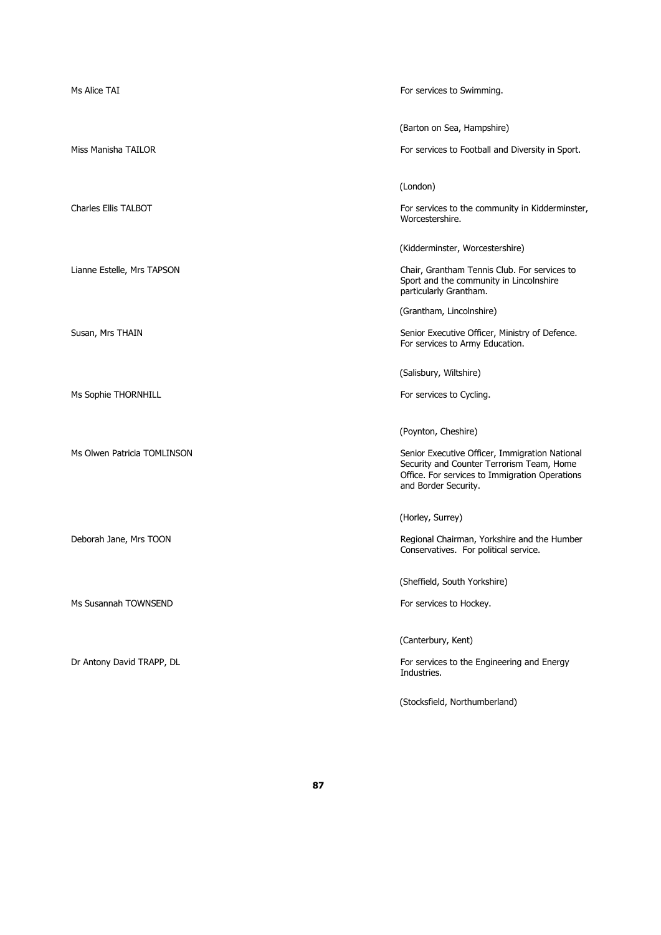| Ms Alice TAI                | For services to Swimming.                                                                                                                                                                    |
|-----------------------------|----------------------------------------------------------------------------------------------------------------------------------------------------------------------------------------------|
| Miss Manisha TAILOR         | (Barton on Sea, Hampshire)<br>For services to Football and Diversity in Sport.                                                                                                               |
| Charles Ellis TALBOT        | (London)<br>For services to the community in Kidderminster,<br>Worcestershire.                                                                                                               |
| Lianne Estelle, Mrs TAPSON  | (Kidderminster, Worcestershire)<br>Chair, Grantham Tennis Club. For services to                                                                                                              |
|                             | Sport and the community in Lincolnshire<br>particularly Grantham.<br>(Grantham, Lincolnshire)                                                                                                |
| Susan, Mrs THAIN            | Senior Executive Officer, Ministry of Defence.<br>For services to Army Education.<br>(Salisbury, Wiltshire)                                                                                  |
| Ms Sophie THORNHILL         | For services to Cycling.                                                                                                                                                                     |
| Ms Olwen Patricia TOMLINSON | (Poynton, Cheshire)<br>Senior Executive Officer, Immigration National<br>Security and Counter Terrorism Team, Home<br>Office. For services to Immigration Operations<br>and Border Security. |
| Deborah Jane, Mrs TOON      | (Horley, Surrey)<br>Regional Chairman, Yorkshire and the Humber<br>Conservatives. For political service.                                                                                     |
| Ms Susannah TOWNSEND        | (Sheffield, South Yorkshire)<br>For services to Hockey.                                                                                                                                      |
|                             | (Canterbury, Kent)                                                                                                                                                                           |
| Dr Antony David TRAPP, DL   | For services to the Engineering and Energy<br>Industries.<br>(Stocksfield, Northumberland)                                                                                                   |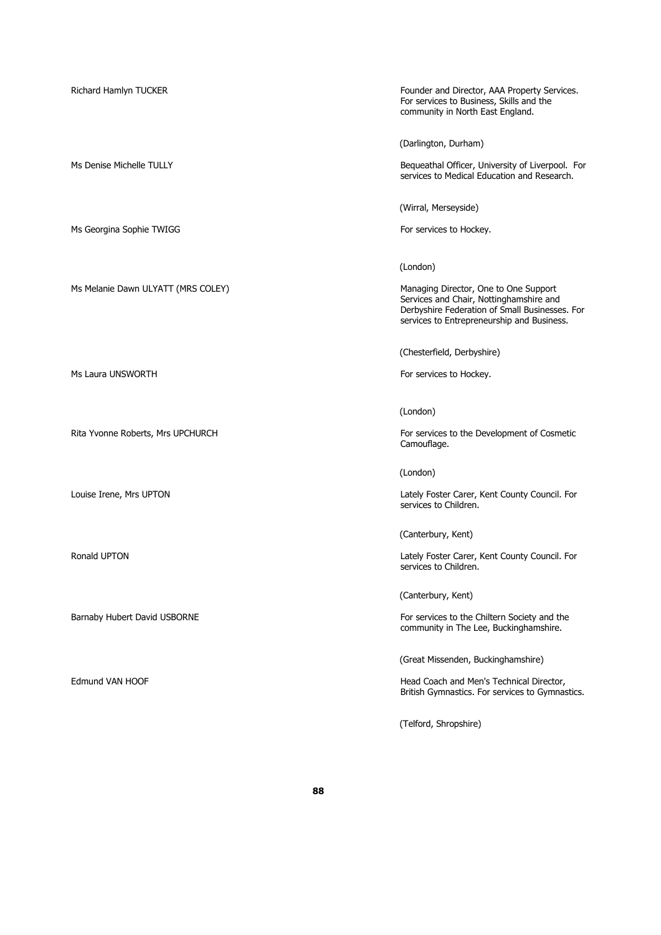Ms Georgina Sophie TWIGG For services to Hockey.

Ms Melanie Dawn ULYATT (MRS COLEY) Managing Director, One to One Support

Ms Laura UNSWORTH For services to Hockey.

Richard Hamlyn TUCKER Founder and Director, AAA Property Services. For services to Business, Skills and the community in North East England.

(Darlington, Durham)

Ms Denise Michelle TULLY **Bequeathal Officer, University of Liverpool.** For services to Medical Education and Research.

(Wirral, Merseyside)

(London)

Services and Chair, Nottinghamshire and Derbyshire Federation of Small Businesses. For services to Entrepreneurship and Business.

(Chesterfield, Derbyshire)

(London)

Rita Yvonne Roberts, Mrs UPCHURCH For services to the Development of Cosmetic Camouflage.

(London)

Louise Irene, Mrs UPTON Lately Foster Carer, Kent County Council. For services to Children.

(Canterbury, Kent)

Ronald UPTON **Ronald UPTON** Lately Foster Carer, Kent County Council. For services to Children.

(Canterbury, Kent)

Barnaby Hubert David USBORNE **For services to the Chiltern Society and the** Chiltern Society and the community in The Lee, Buckinghamshire.

(Great Missenden, Buckinghamshire)

Edmund VAN HOOF **Head Coach and Men's Technical Director**, British Gymnastics. For services to Gymnastics.

(Telford, Shropshire)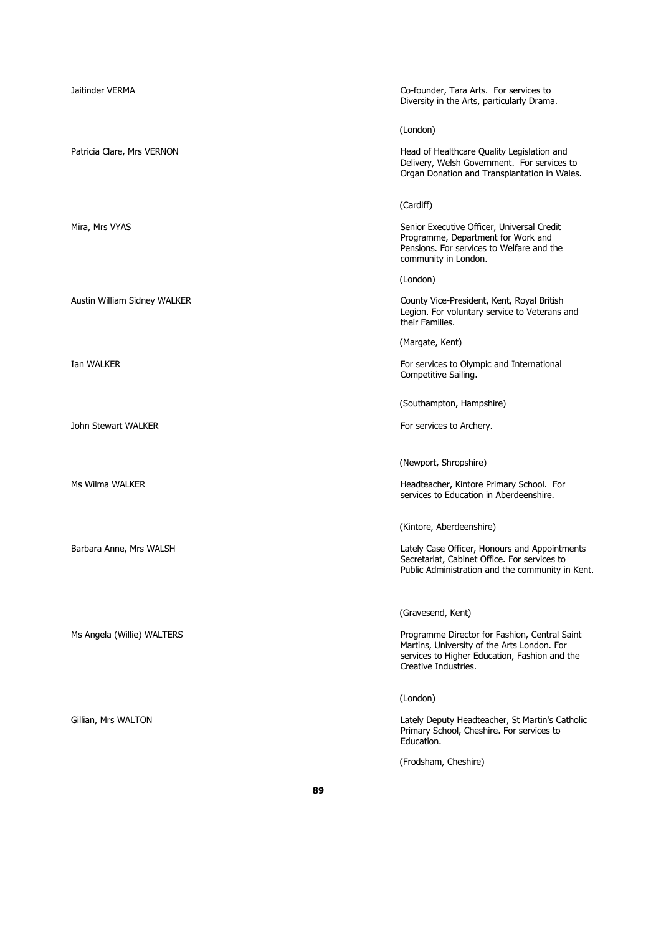| Jaitinder VERMA              | Co-founder, Tara Arts. For services to<br>Diversity in the Arts, particularly Drama.                                                                                  |
|------------------------------|-----------------------------------------------------------------------------------------------------------------------------------------------------------------------|
|                              | (London)                                                                                                                                                              |
| Patricia Clare, Mrs VERNON   | Head of Healthcare Quality Legislation and<br>Delivery, Welsh Government. For services to<br>Organ Donation and Transplantation in Wales.                             |
|                              | (Cardiff)                                                                                                                                                             |
| Mira, Mrs VYAS               | Senior Executive Officer, Universal Credit<br>Programme, Department for Work and<br>Pensions. For services to Welfare and the<br>community in London.                 |
|                              | (London)                                                                                                                                                              |
| Austin William Sidney WALKER | County Vice-President, Kent, Royal British<br>Legion. For voluntary service to Veterans and<br>their Families.                                                        |
|                              | (Margate, Kent)                                                                                                                                                       |
| Ian WALKER                   | For services to Olympic and International<br>Competitive Sailing.                                                                                                     |
|                              | (Southampton, Hampshire)                                                                                                                                              |
| John Stewart WALKER          | For services to Archery.                                                                                                                                              |
|                              | (Newport, Shropshire)                                                                                                                                                 |
| Ms Wilma WALKER              | Headteacher, Kintore Primary School. For<br>services to Education in Aberdeenshire.                                                                                   |
|                              | (Kintore, Aberdeenshire)                                                                                                                                              |
| Barbara Anne, Mrs WALSH      | Lately Case Officer, Honours and Appointments<br>Secretariat, Cabinet Office. For services to<br>Public Administration and the community in Kent.                     |
|                              | (Gravesend, Kent)                                                                                                                                                     |
| Ms Angela (Willie) WALTERS   | Programme Director for Fashion, Central Saint<br>Martins, University of the Arts London. For<br>services to Higher Education, Fashion and the<br>Creative Industries. |
|                              | (London)                                                                                                                                                              |
| Gillian, Mrs WALTON          | Lately Deputy Headteacher, St Martin's Catholic<br>Primary School, Cheshire. For services to<br>Education.                                                            |
|                              | (Frodsham, Cheshire)                                                                                                                                                  |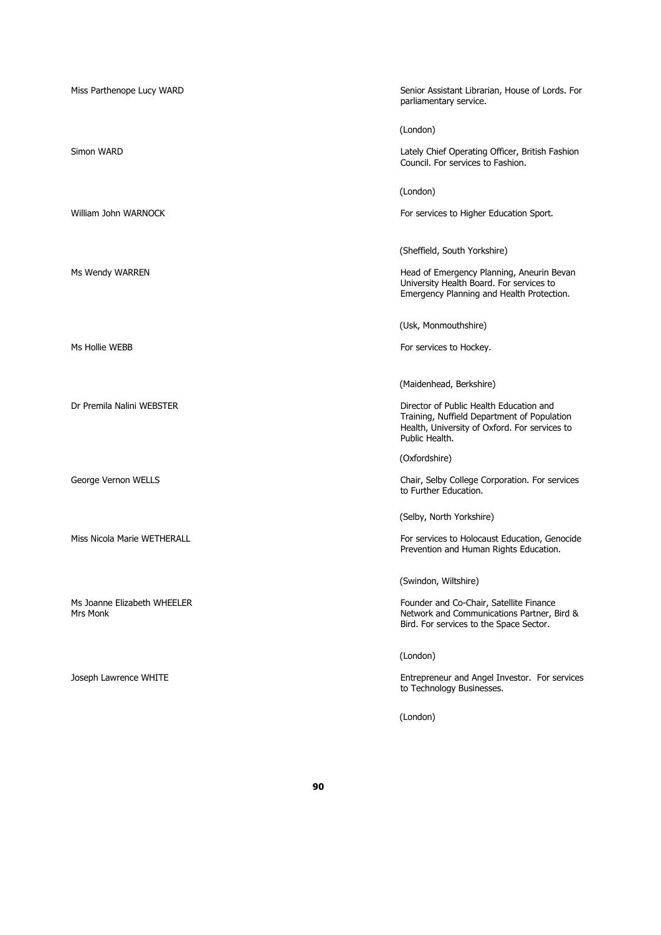| Miss Parthenope Lucy WARD               | Senior Assistant Librarian, House of Lords. For<br>parliamentary service.                                                                                 |
|-----------------------------------------|-----------------------------------------------------------------------------------------------------------------------------------------------------------|
|                                         | (London)                                                                                                                                                  |
| Simon WARD                              | Lately Chief Operating Officer, British Fashion<br>Council. For services to Fashion.                                                                      |
|                                         | (London)                                                                                                                                                  |
| William John WARNOCK                    | For services to Higher Education Sport.                                                                                                                   |
|                                         | (Sheffield, South Yorkshire)                                                                                                                              |
| Ms Wendy WARREN                         | Head of Emergency Planning, Aneurin Bevan<br>University Health Board. For services to<br>Emergency Planning and Health Protection.                        |
|                                         | (Usk, Monmouthshire)                                                                                                                                      |
| Ms Hollie WEBB                          | For services to Hockey.                                                                                                                                   |
|                                         | (Maidenhead, Berkshire)                                                                                                                                   |
| Dr Premila Nalini WEBSTER               | Director of Public Health Education and<br>Training, Nuffield Department of Population<br>Health, University of Oxford. For services to<br>Public Health. |
|                                         | (Oxfordshire)                                                                                                                                             |
| George Vernon WELLS                     | Chair, Selby College Corporation. For services<br>to Further Education.                                                                                   |
|                                         | (Selby, North Yorkshire)                                                                                                                                  |
| Miss Nicola Marie WETHERALL             | For services to Holocaust Education, Genocide<br>Prevention and Human Rights Education.                                                                   |
|                                         | (Swindon, Wiltshire)                                                                                                                                      |
| Ms Joanne Elizabeth WHEELER<br>Mrs Monk | Founder and Co-Chair, Satellite Finance<br>Network and Communications Partner, Bird &<br>Bird. For services to the Space Sector.                          |
|                                         | (London)                                                                                                                                                  |
| Joseph Lawrence WHITE                   | Entrepreneur and Angel Investor. For services<br>to Technology Businesses.                                                                                |
|                                         | (London)                                                                                                                                                  |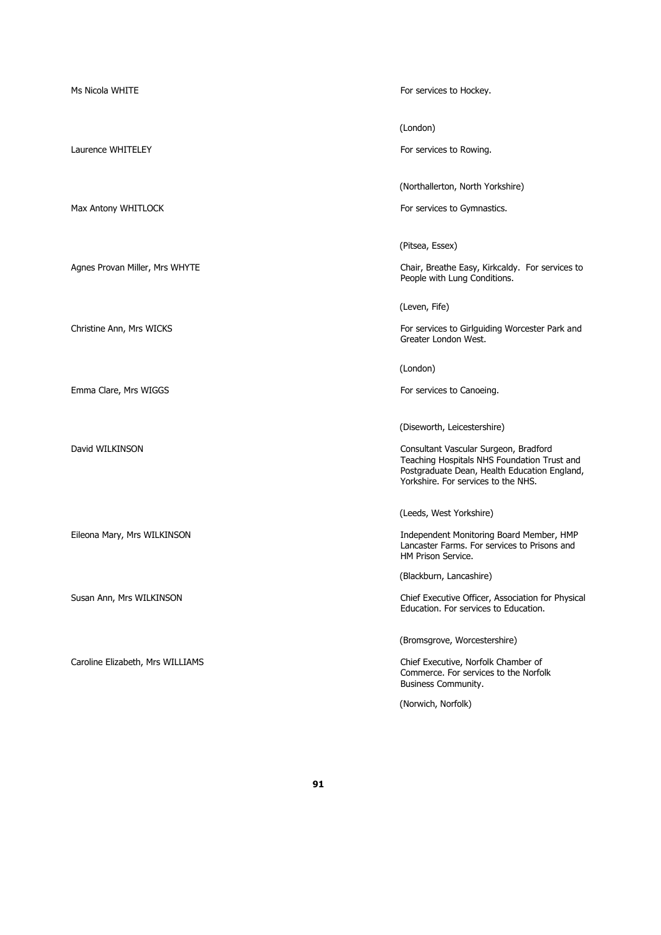| Ms Nicola WHITE                  | For services to Hockey.                                                                                                                                                     |
|----------------------------------|-----------------------------------------------------------------------------------------------------------------------------------------------------------------------------|
|                                  | (London)                                                                                                                                                                    |
| Laurence WHITELEY                | For services to Rowing.                                                                                                                                                     |
|                                  | (Northallerton, North Yorkshire)                                                                                                                                            |
| Max Antony WHITLOCK              | For services to Gymnastics.                                                                                                                                                 |
|                                  | (Pitsea, Essex)                                                                                                                                                             |
| Agnes Provan Miller, Mrs WHYTE   | Chair, Breathe Easy, Kirkcaldy. For services to<br>People with Lung Conditions.                                                                                             |
|                                  | (Leven, Fife)                                                                                                                                                               |
| Christine Ann, Mrs WICKS         | For services to Girlguiding Worcester Park and<br>Greater London West.                                                                                                      |
|                                  | (London)                                                                                                                                                                    |
| Emma Clare, Mrs WIGGS            | For services to Canoeing.                                                                                                                                                   |
|                                  | (Diseworth, Leicestershire)                                                                                                                                                 |
| David WILKINSON                  | Consultant Vascular Surgeon, Bradford<br>Teaching Hospitals NHS Foundation Trust and<br>Postgraduate Dean, Health Education England,<br>Yorkshire. For services to the NHS. |
|                                  | (Leeds, West Yorkshire)                                                                                                                                                     |
| Eileona Mary, Mrs WILKINSON      | Independent Monitoring Board Member, HMP<br>Lancaster Farms. For services to Prisons and<br>HM Prison Service.                                                              |
|                                  | (Blackburn, Lancashire)                                                                                                                                                     |
| Susan Ann, Mrs WILKINSON         | Chief Executive Officer, Association for Physical<br>Education. For services to Education.                                                                                  |
|                                  | (Bromsgrove, Worcestershire)                                                                                                                                                |
| Caroline Elizabeth, Mrs WILLIAMS | Chief Executive, Norfolk Chamber of<br>Commerce. For services to the Norfolk<br><b>Business Community.</b>                                                                  |
|                                  | (Norwich, Norfolk)                                                                                                                                                          |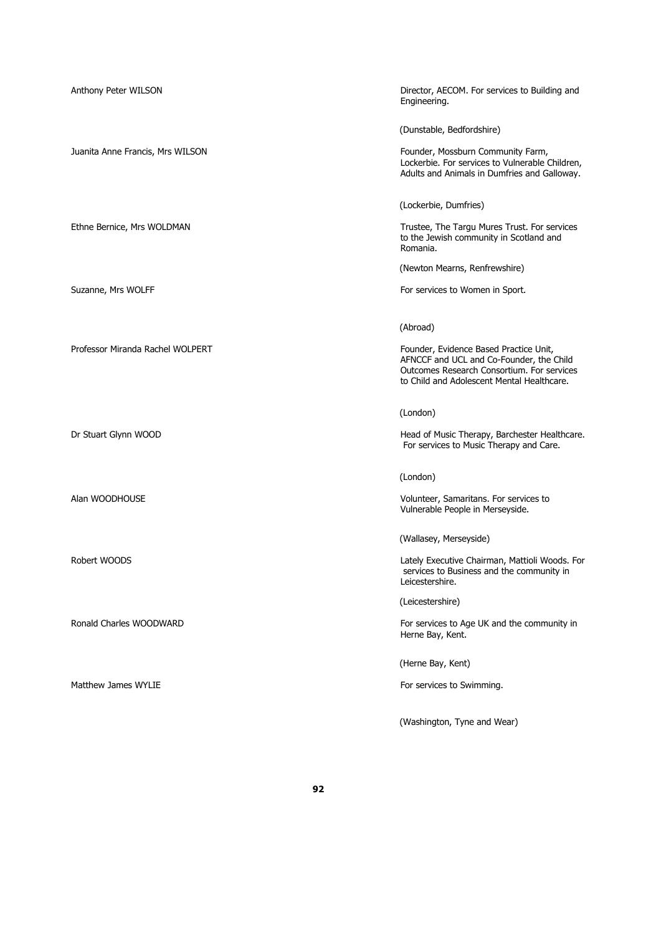| Anthony Peter WILSON             | Director, AECOM. For services to Building and<br>Engineering.                                                                                                                  |
|----------------------------------|--------------------------------------------------------------------------------------------------------------------------------------------------------------------------------|
|                                  | (Dunstable, Bedfordshire)                                                                                                                                                      |
| Juanita Anne Francis, Mrs WILSON | Founder, Mossburn Community Farm,<br>Lockerbie. For services to Vulnerable Children,<br>Adults and Animals in Dumfries and Galloway.                                           |
|                                  | (Lockerbie, Dumfries)                                                                                                                                                          |
| Ethne Bernice, Mrs WOLDMAN       | Trustee, The Targu Mures Trust. For services<br>to the Jewish community in Scotland and<br>Romania.                                                                            |
|                                  | (Newton Mearns, Renfrewshire)                                                                                                                                                  |
| Suzanne, Mrs WOLFF               | For services to Women in Sport.                                                                                                                                                |
|                                  | (Abroad)                                                                                                                                                                       |
| Professor Miranda Rachel WOLPERT | Founder, Evidence Based Practice Unit,<br>AFNCCF and UCL and Co-Founder, the Child<br>Outcomes Research Consortium. For services<br>to Child and Adolescent Mental Healthcare. |
|                                  | (London)                                                                                                                                                                       |
| Dr Stuart Glynn WOOD             | Head of Music Therapy, Barchester Healthcare.<br>For services to Music Therapy and Care.                                                                                       |
|                                  | (London)                                                                                                                                                                       |
| Alan WOODHOUSE                   | Volunteer, Samaritans. For services to<br>Vulnerable People in Merseyside.                                                                                                     |
|                                  | (Wallasey, Merseyside)                                                                                                                                                         |
| Robert WOODS                     | Lately Executive Chairman, Mattioli Woods. For<br>services to Business and the community in<br>Leicestershire.                                                                 |
|                                  | (Leicestershire)                                                                                                                                                               |
| Ronald Charles WOODWARD          | For services to Age UK and the community in<br>Herne Bay, Kent.                                                                                                                |
|                                  | (Herne Bay, Kent)                                                                                                                                                              |
| Matthew James WYLIE              | For services to Swimming.                                                                                                                                                      |

(Washington, Tyne and Wear)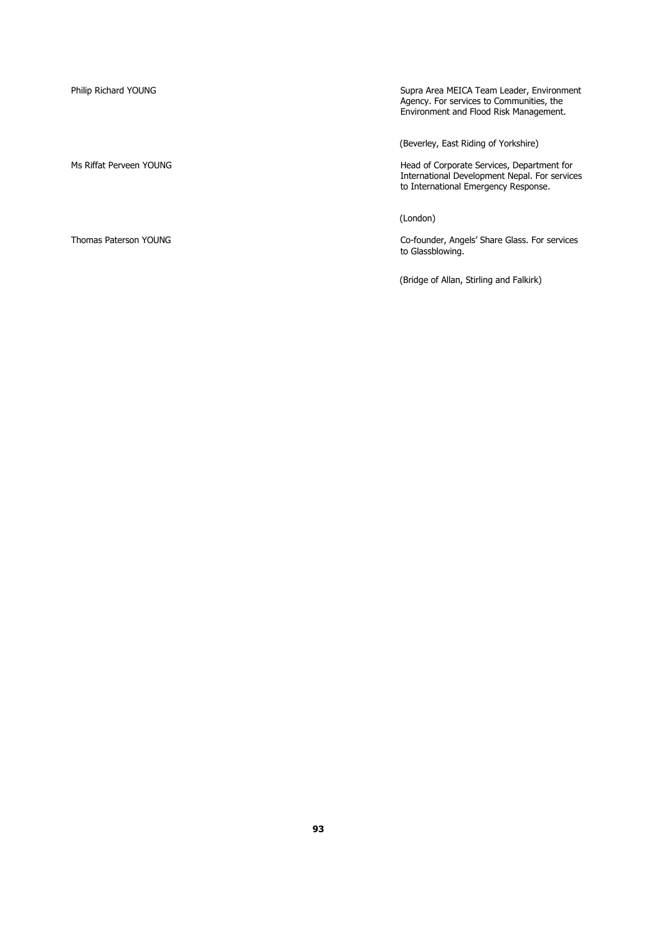Philip Richard YOUNG Supra Area MEICA Team Leader, Environment Agency. For services to Communities, the Environment and Flood Risk Management.

(Beverley, East Riding of Yorkshire)

Ms Riffat Perveen YOUNG Head of Corporate Services, Department for International Development Nepal. For services to International Emergency Response.

(London)

Thomas Paterson YOUNG Co-founder, Angels' Share Glass. For services to Glassblowing.

(Bridge of Allan, Stirling and Falkirk)

**93**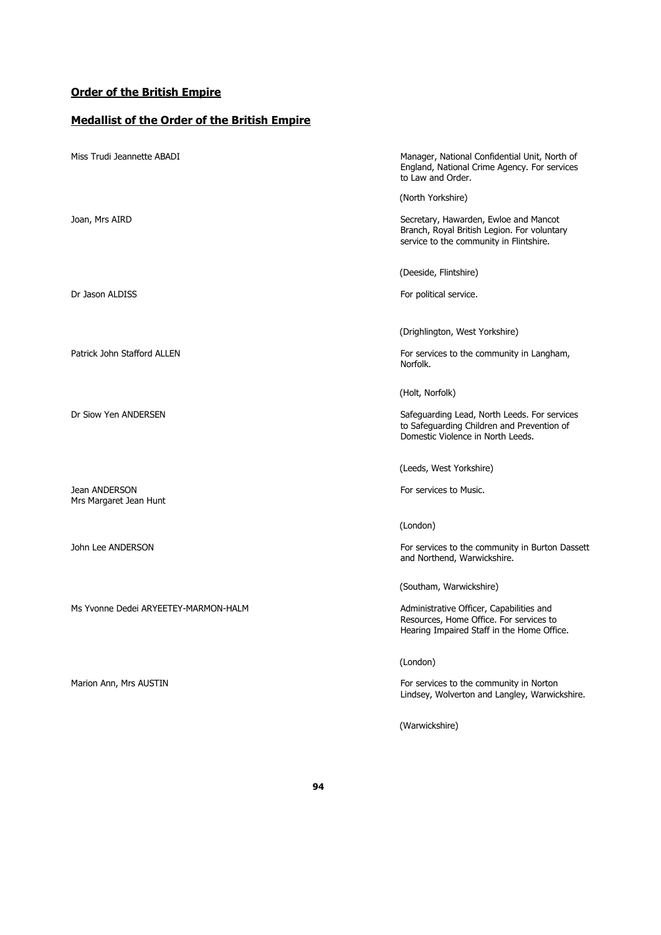## **Order of the British Empire**

# **Medallist of the Order of the British Empire**

| Miss Trudi Jeannette ABADI              | Manager, National Confidential Unit, North of<br>England, National Crime Agency. For services<br>to Law and Order.                |
|-----------------------------------------|-----------------------------------------------------------------------------------------------------------------------------------|
|                                         | (North Yorkshire)                                                                                                                 |
| Joan, Mrs AIRD                          | Secretary, Hawarden, Ewloe and Mancot<br>Branch, Royal British Legion. For voluntary<br>service to the community in Flintshire.   |
|                                         | (Deeside, Flintshire)                                                                                                             |
| Dr Jason ALDISS                         | For political service.                                                                                                            |
|                                         | (Drighlington, West Yorkshire)                                                                                                    |
| Patrick John Stafford ALLEN             | For services to the community in Langham,<br>Norfolk.                                                                             |
|                                         | (Holt, Norfolk)                                                                                                                   |
| Dr Siow Yen ANDERSEN                    | Safeguarding Lead, North Leeds. For services<br>to Safeguarding Children and Prevention of<br>Domestic Violence in North Leeds.   |
|                                         | (Leeds, West Yorkshire)                                                                                                           |
| Jean ANDERSON<br>Mrs Margaret Jean Hunt | For services to Music.                                                                                                            |
|                                         | (London)                                                                                                                          |
| John Lee ANDERSON                       | For services to the community in Burton Dassett<br>and Northend, Warwickshire.                                                    |
|                                         | (Southam, Warwickshire)                                                                                                           |
| Ms Yvonne Dedei ARYEETEY-MARMON-HALM    | Administrative Officer, Capabilities and<br>Resources, Home Office. For services to<br>Hearing Impaired Staff in the Home Office. |
|                                         | (London)                                                                                                                          |
| Marion Ann, Mrs AUSTIN                  | For services to the community in Norton<br>Lindsey, Wolverton and Langley, Warwickshire.                                          |

(Warwickshire)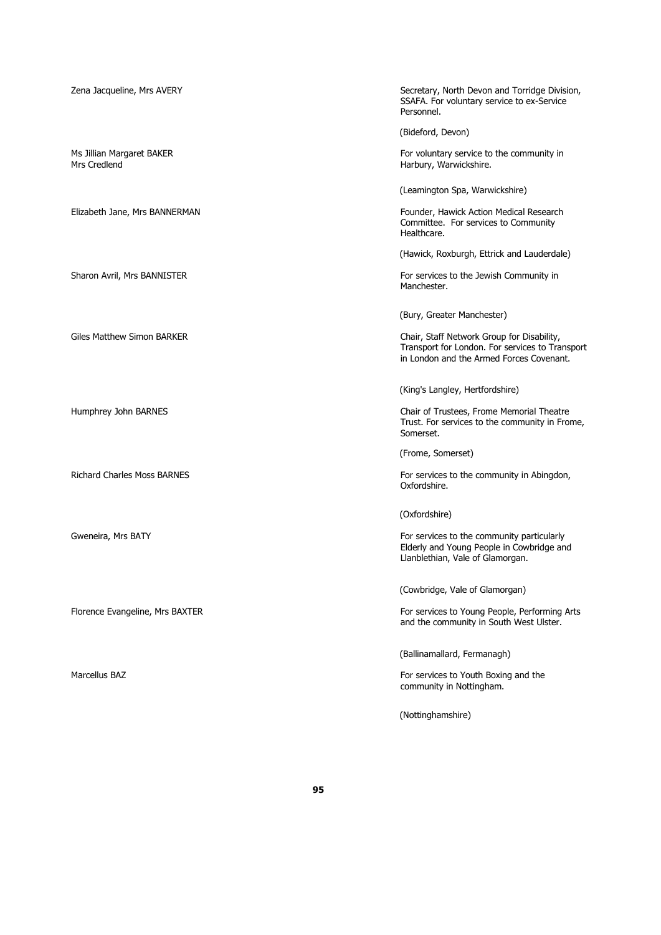| Zena Jacqueline, Mrs AVERY                | Secretary, North Devon and Torridge Division,<br>SSAFA. For voluntary service to ex-Service<br>Personnel.                                 |
|-------------------------------------------|-------------------------------------------------------------------------------------------------------------------------------------------|
|                                           | (Bideford, Devon)                                                                                                                         |
| Ms Jillian Margaret BAKER<br>Mrs Credlend | For voluntary service to the community in<br>Harbury, Warwickshire.                                                                       |
|                                           | (Leamington Spa, Warwickshire)                                                                                                            |
| Elizabeth Jane, Mrs BANNERMAN             | Founder, Hawick Action Medical Research<br>Committee. For services to Community<br>Healthcare.                                            |
|                                           | (Hawick, Roxburgh, Ettrick and Lauderdale)                                                                                                |
| Sharon Avril, Mrs BANNISTER               | For services to the Jewish Community in<br>Manchester.                                                                                    |
|                                           | (Bury, Greater Manchester)                                                                                                                |
| Giles Matthew Simon BARKER                | Chair, Staff Network Group for Disability,<br>Transport for London. For services to Transport<br>in London and the Armed Forces Covenant. |
|                                           | (King's Langley, Hertfordshire)                                                                                                           |
| Humphrey John BARNES                      | Chair of Trustees, Frome Memorial Theatre<br>Trust. For services to the community in Frome,<br>Somerset.                                  |
|                                           | (Frome, Somerset)                                                                                                                         |
| <b>Richard Charles Moss BARNES</b>        | For services to the community in Abingdon,<br>Oxfordshire.                                                                                |
|                                           | (Oxfordshire)                                                                                                                             |
| Gweneira, Mrs BATY                        | For services to the community particularly<br>Elderly and Young People in Cowbridge and<br>Llanblethian, Vale of Glamorgan.               |
|                                           | (Cowbridge, Vale of Glamorgan)                                                                                                            |
| Florence Evangeline, Mrs BAXTER           | For services to Young People, Performing Arts<br>and the community in South West Ulster.                                                  |
|                                           | (Ballinamallard, Fermanagh)                                                                                                               |
| Marcellus BAZ                             | For services to Youth Boxing and the<br>community in Nottingham.                                                                          |
|                                           | (Nottinghamshire)                                                                                                                         |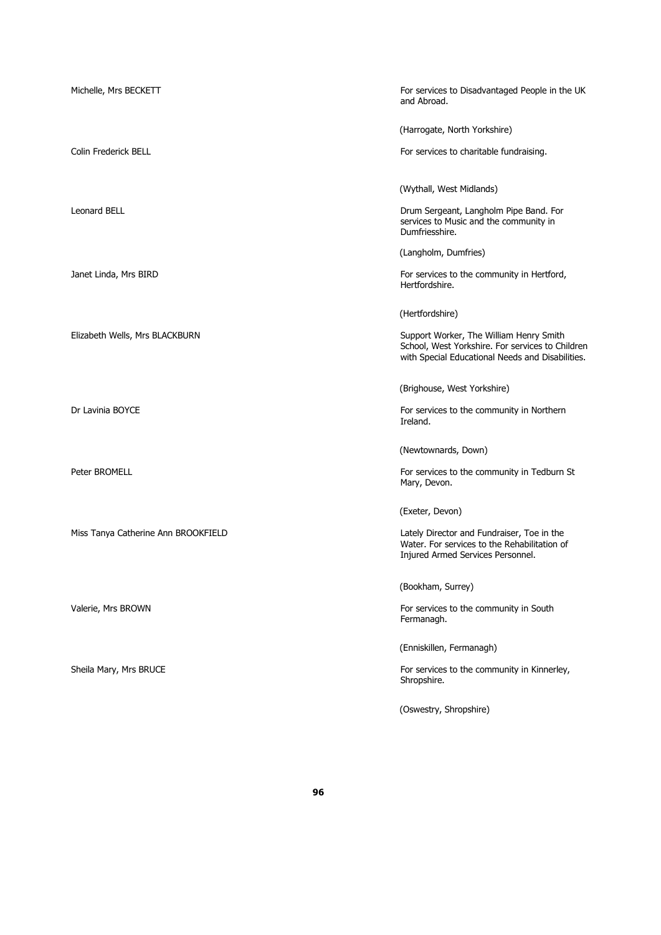| Michelle, Mrs BECKETT               | For services to Disadvantaged People in the UK<br>and Abroad.                                                                                   |
|-------------------------------------|-------------------------------------------------------------------------------------------------------------------------------------------------|
|                                     | (Harrogate, North Yorkshire)                                                                                                                    |
| Colin Frederick BELL                | For services to charitable fundraising.                                                                                                         |
|                                     | (Wythall, West Midlands)                                                                                                                        |
| <b>Leonard BELL</b>                 | Drum Sergeant, Langholm Pipe Band. For<br>services to Music and the community in<br>Dumfriesshire.                                              |
|                                     | (Langholm, Dumfries)                                                                                                                            |
| Janet Linda, Mrs BIRD               | For services to the community in Hertford,<br>Hertfordshire.                                                                                    |
|                                     | (Hertfordshire)                                                                                                                                 |
| Elizabeth Wells, Mrs BLACKBURN      | Support Worker, The William Henry Smith<br>School, West Yorkshire. For services to Children<br>with Special Educational Needs and Disabilities. |
|                                     | (Brighouse, West Yorkshire)                                                                                                                     |
| Dr Lavinia BOYCE                    | For services to the community in Northern<br>Ireland.                                                                                           |
|                                     | (Newtownards, Down)                                                                                                                             |
| Peter BROMELL                       | For services to the community in Tedburn St<br>Mary, Devon.                                                                                     |
|                                     | (Exeter, Devon)                                                                                                                                 |
| Miss Tanya Catherine Ann BROOKFIELD | Lately Director and Fundraiser, Toe in the<br>Water. For services to the Rehabilitation of<br>Injured Armed Services Personnel.                 |
|                                     | (Bookham, Surrey)                                                                                                                               |
| Valerie, Mrs BROWN                  | For services to the community in South<br>Fermanagh.                                                                                            |
|                                     | (Enniskillen, Fermanagh)                                                                                                                        |
| Sheila Mary, Mrs BRUCE              | For services to the community in Kinnerley,<br>Shropshire.                                                                                      |
|                                     | (Oswestry, Shropshire)                                                                                                                          |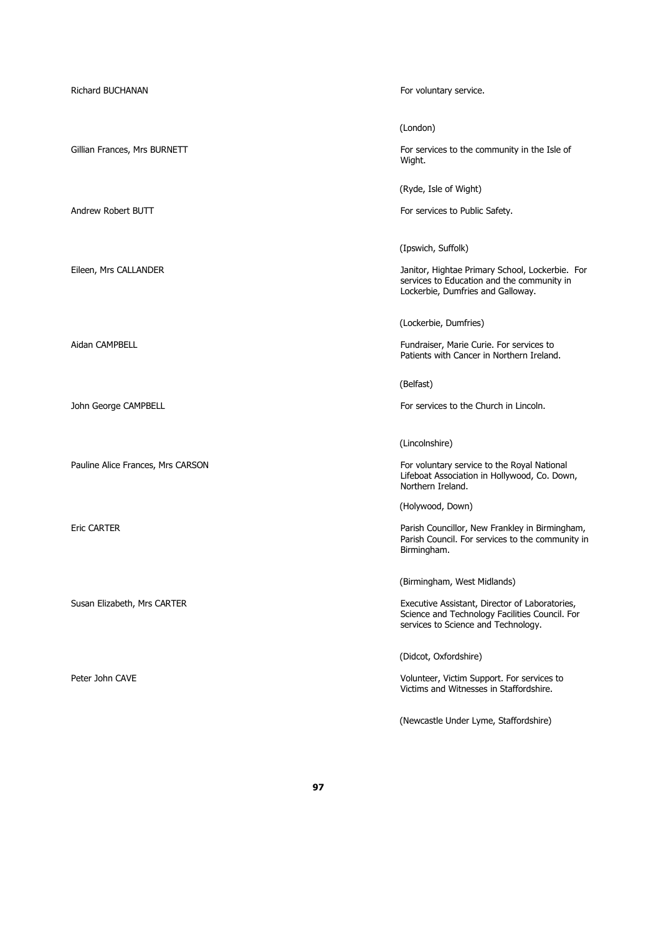| <b>Richard BUCHANAN</b>           | For voluntary service.                                                                                                                                                 |
|-----------------------------------|------------------------------------------------------------------------------------------------------------------------------------------------------------------------|
| Gillian Frances, Mrs BURNETT      | (London)<br>For services to the community in the Isle of<br>Wight.                                                                                                     |
| Andrew Robert BUTT                | (Ryde, Isle of Wight)<br>For services to Public Safety.                                                                                                                |
| Eileen, Mrs CALLANDER             | (Ipswich, Suffolk)<br>Janitor, Hightae Primary School, Lockerbie. For<br>services to Education and the community in<br>Lockerbie, Dumfries and Galloway.               |
| Aidan CAMPBELL                    | (Lockerbie, Dumfries)<br>Fundraiser, Marie Curie. For services to<br>Patients with Cancer in Northern Ireland.                                                         |
| John George CAMPBELL              | (Belfast)<br>For services to the Church in Lincoln.                                                                                                                    |
| Pauline Alice Frances, Mrs CARSON | (Lincolnshire)<br>For voluntary service to the Royal National<br>Lifeboat Association in Hollywood, Co. Down,<br>Northern Ireland.                                     |
| <b>Eric CARTER</b>                | (Holywood, Down)<br>Parish Councillor, New Frankley in Birmingham,<br>Parish Council. For services to the community in<br>Birmingham.                                  |
| Susan Elizabeth, Mrs CARTER       | (Birmingham, West Midlands)<br>Executive Assistant, Director of Laboratories,<br>Science and Technology Facilities Council. For<br>services to Science and Technology. |
| Peter John CAVE                   | (Didcot, Oxfordshire)<br>Volunteer, Victim Support. For services to<br>Victims and Witnesses in Staffordshire.                                                         |
|                                   | (Newcastle Under Lyme, Staffordshire)                                                                                                                                  |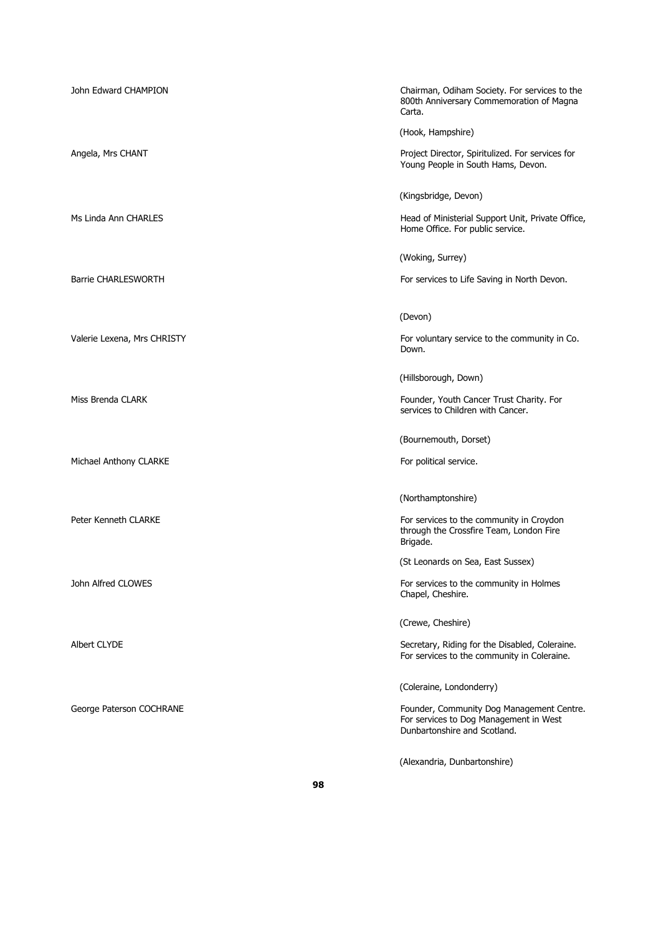| John Edward CHAMPION        | Chairman, Odiham Society. For services to the<br>800th Anniversary Commemoration of Magna<br>Carta.                 |
|-----------------------------|---------------------------------------------------------------------------------------------------------------------|
|                             | (Hook, Hampshire)                                                                                                   |
| Angela, Mrs CHANT           | Project Director, Spiritulized. For services for<br>Young People in South Hams, Devon.                              |
|                             | (Kingsbridge, Devon)                                                                                                |
| Ms Linda Ann CHARLES        | Head of Ministerial Support Unit, Private Office,<br>Home Office. For public service.                               |
|                             | (Woking, Surrey)                                                                                                    |
| <b>Barrie CHARLESWORTH</b>  | For services to Life Saving in North Devon.                                                                         |
|                             | (Devon)                                                                                                             |
| Valerie Lexena, Mrs CHRISTY | For voluntary service to the community in Co.<br>Down.                                                              |
|                             | (Hillsborough, Down)                                                                                                |
| Miss Brenda CLARK           | Founder, Youth Cancer Trust Charity. For<br>services to Children with Cancer.                                       |
|                             | (Bournemouth, Dorset)                                                                                               |
|                             |                                                                                                                     |
| Michael Anthony CLARKE      | For political service.                                                                                              |
|                             | (Northamptonshire)                                                                                                  |
| Peter Kenneth CLARKE        | For services to the community in Croydon<br>through the Crossfire Team, London Fire<br>Brigade.                     |
|                             | (St Leonards on Sea, East Sussex)                                                                                   |
| John Alfred CLOWES          | For services to the community in Holmes<br>Chapel, Cheshire.                                                        |
|                             | (Crewe, Cheshire)                                                                                                   |
| Albert CLYDE                | Secretary, Riding for the Disabled, Coleraine.<br>For services to the community in Coleraine.                       |
|                             | (Coleraine, Londonderry)                                                                                            |
| George Paterson COCHRANE    | Founder, Community Dog Management Centre.<br>For services to Dog Management in West<br>Dunbartonshire and Scotland. |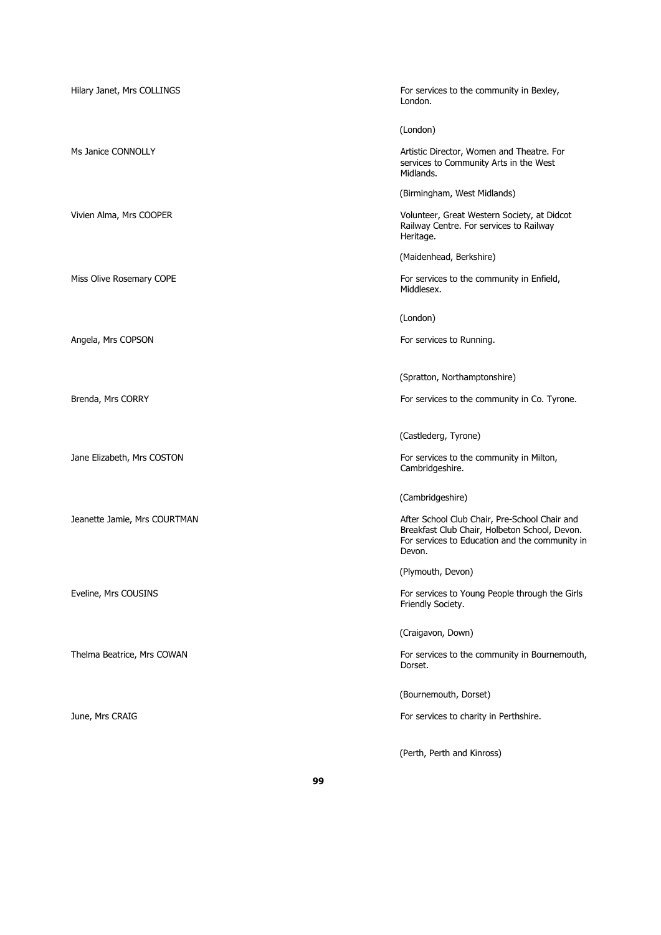| Hilary Janet, Mrs COLLINGS   | For services to the community in Bexley,<br>London.                                                                                                        |
|------------------------------|------------------------------------------------------------------------------------------------------------------------------------------------------------|
|                              | (London)                                                                                                                                                   |
| Ms Janice CONNOLLY           | Artistic Director, Women and Theatre. For<br>services to Community Arts in the West<br>Midlands.                                                           |
|                              | (Birmingham, West Midlands)                                                                                                                                |
| Vivien Alma, Mrs COOPER      | Volunteer, Great Western Society, at Didcot<br>Railway Centre. For services to Railway<br>Heritage.                                                        |
|                              | (Maidenhead, Berkshire)                                                                                                                                    |
| Miss Olive Rosemary COPE     | For services to the community in Enfield,<br>Middlesex.                                                                                                    |
|                              | (London)                                                                                                                                                   |
| Angela, Mrs COPSON           | For services to Running.                                                                                                                                   |
|                              | (Spratton, Northamptonshire)                                                                                                                               |
| Brenda, Mrs CORRY            | For services to the community in Co. Tyrone.                                                                                                               |
|                              | (Castlederg, Tyrone)                                                                                                                                       |
| Jane Elizabeth, Mrs COSTON   | For services to the community in Milton,<br>Cambridgeshire.                                                                                                |
|                              | (Cambridgeshire)                                                                                                                                           |
| Jeanette Jamie, Mrs COURTMAN | After School Club Chair, Pre-School Chair and<br>Breakfast Club Chair, Holbeton School, Devon.<br>For services to Education and the community in<br>Devon. |
|                              | (Plymouth, Devon)                                                                                                                                          |
| Eveline, Mrs COUSINS         | For services to Young People through the Girls<br>Friendly Society.                                                                                        |
|                              | (Craigavon, Down)                                                                                                                                          |
| Thelma Beatrice, Mrs COWAN   | For services to the community in Bournemouth,<br>Dorset.                                                                                                   |
|                              | (Bournemouth, Dorset)                                                                                                                                      |
| June, Mrs CRAIG              | For services to charity in Perthshire.                                                                                                                     |
|                              | (Perth, Perth and Kinross)                                                                                                                                 |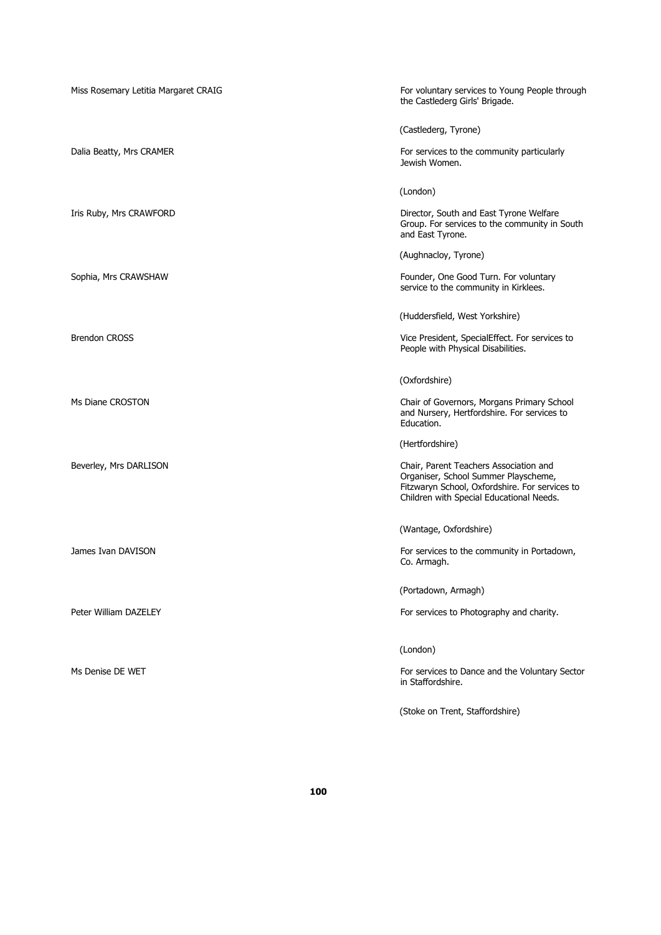| Miss Rosemary Letitia Margaret CRAIG | For voluntary services to Young People through<br>the Castlederg Girls' Brigade.                                                                                             |
|--------------------------------------|------------------------------------------------------------------------------------------------------------------------------------------------------------------------------|
|                                      | (Castlederg, Tyrone)                                                                                                                                                         |
| Dalia Beatty, Mrs CRAMER             | For services to the community particularly<br>Jewish Women.                                                                                                                  |
|                                      | (London)                                                                                                                                                                     |
| Iris Ruby, Mrs CRAWFORD              | Director, South and East Tyrone Welfare<br>Group. For services to the community in South<br>and East Tyrone.                                                                 |
|                                      | (Aughnacloy, Tyrone)                                                                                                                                                         |
| Sophia, Mrs CRAWSHAW                 | Founder, One Good Turn. For voluntary<br>service to the community in Kirklees.                                                                                               |
|                                      | (Huddersfield, West Yorkshire)                                                                                                                                               |
| <b>Brendon CROSS</b>                 | Vice President, SpecialEffect. For services to<br>People with Physical Disabilities.                                                                                         |
|                                      | (Oxfordshire)                                                                                                                                                                |
| Ms Diane CROSTON                     | Chair of Governors, Morgans Primary School<br>and Nursery, Hertfordshire. For services to<br>Education.                                                                      |
|                                      | (Hertfordshire)                                                                                                                                                              |
| Beverley, Mrs DARLISON               | Chair, Parent Teachers Association and<br>Organiser, School Summer Playscheme,<br>Fitzwaryn School, Oxfordshire. For services to<br>Children with Special Educational Needs. |
|                                      | (Wantage, Oxfordshire)                                                                                                                                                       |
| James Ivan DAVISON                   | For services to the community in Portadown,<br>Co. Armagh.                                                                                                                   |
|                                      | (Portadown, Armagh)                                                                                                                                                          |
| Peter William DAZELEY                | For services to Photography and charity.                                                                                                                                     |
|                                      | (London)                                                                                                                                                                     |
| Ms Denise DE WET                     | For services to Dance and the Voluntary Sector<br>in Staffordshire.                                                                                                          |
|                                      | (Stoke on Trent, Staffordshire)                                                                                                                                              |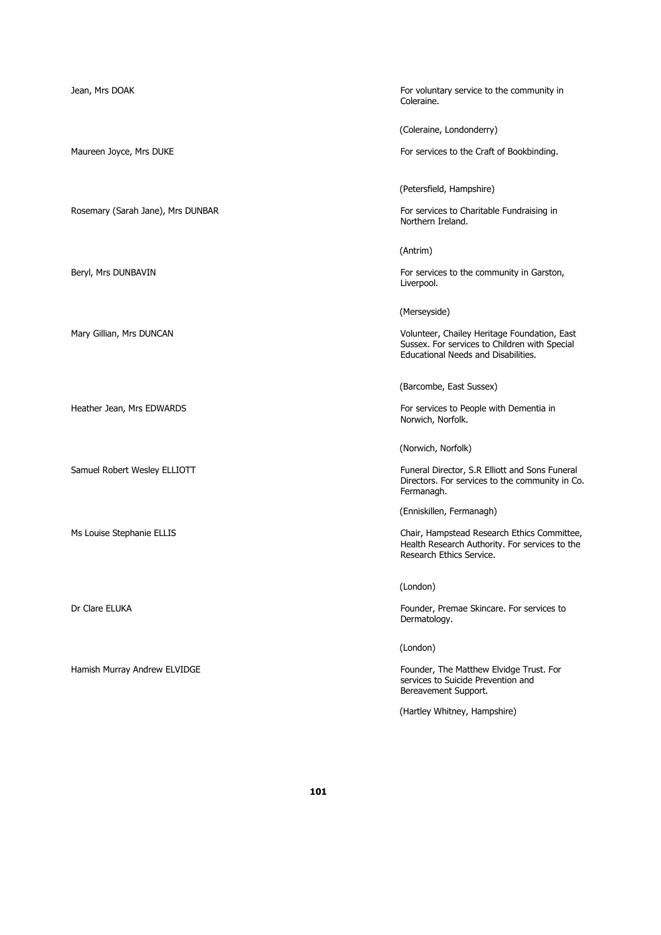Jean, Mrs DOAK For voluntary service to the community in Coleraine.

(Coleraine, Londonderry)

Maureen Joyce, Mrs DUKE **For services to the Craft of Bookbinding**.

(Petersfield, Hampshire)

Rosemary (Sarah Jane), Mrs DUNBAR For services to Charitable Fundraising in Northern Ireland.

(Antrim)

Beryl, Mrs DUNBAVIN **For services to the community in Garston**, Liverpool.

(Merseyside)

Mary Gillian, Mrs DUNCAN Volunteer, Chailey Heritage Foundation, East Sussex. For services to Children with Special Educational Needs and Disabilities.

(Barcombe, East Sussex)

Heather Jean, Mrs EDWARDS For services to People with Dementia in Norwich, Norfolk.

(Norwich, Norfolk)

Samuel Robert Wesley ELLIOTT **Funeral Director, S.R Elliott and Sons Funeral Propertation** Directors. For services to the community in Co. Fermanagh.

(Enniskillen, Fermanagh)

Ms Louise Stephanie ELLIS **Chair, Hampstead Research Ethics Committee**, Health Research Authority. For services to the Research Ethics Service.

(London)

Dr Clare ELUKA Founder, Premae Skincare. For services to service to the founder, Premae Skincare. For services to Dermatology.

(London)

Hamish Murray Andrew ELVIDGE Founder, The Matthew Elvidge Trust. For services to Suicide Prevention and Bereavement Support.

(Hartley Whitney, Hampshire)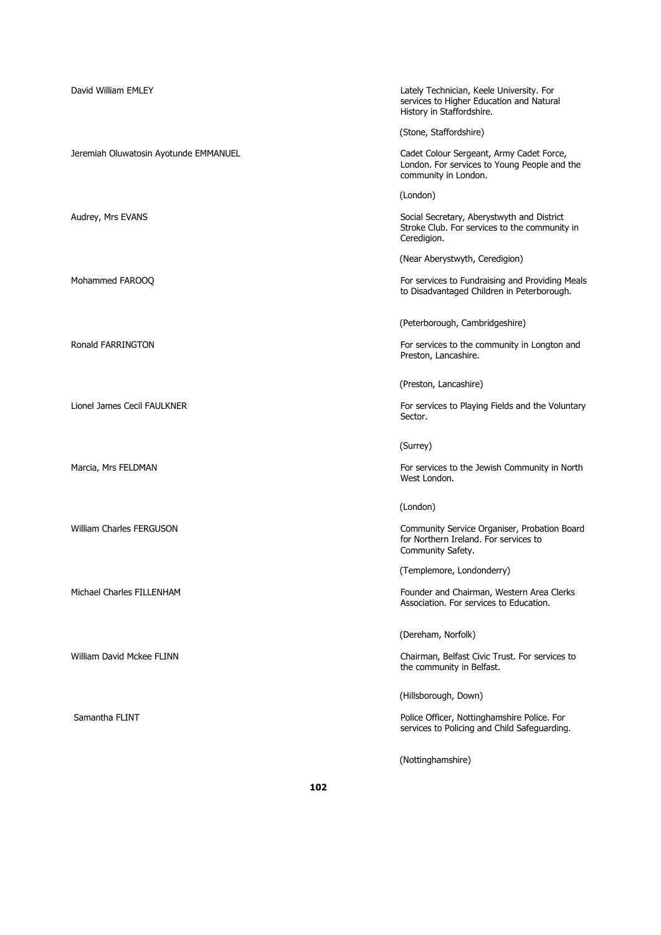| David William EMLEY                   | Lately Technician, Keele University. For<br>services to Higher Education and Natural<br>History in Staffordshire. |
|---------------------------------------|-------------------------------------------------------------------------------------------------------------------|
|                                       | (Stone, Staffordshire)                                                                                            |
| Jeremiah Oluwatosin Ayotunde EMMANUEL | Cadet Colour Sergeant, Army Cadet Force,<br>London. For services to Young People and the<br>community in London.  |
|                                       | (London)                                                                                                          |
| Audrey, Mrs EVANS                     | Social Secretary, Aberystwyth and District<br>Stroke Club. For services to the community in<br>Ceredigion.        |
|                                       | (Near Aberystwyth, Ceredigion)                                                                                    |
| Mohammed FAROOQ                       | For services to Fundraising and Providing Meals<br>to Disadvantaged Children in Peterborough.                     |
|                                       | (Peterborough, Cambridgeshire)                                                                                    |
| Ronald FARRINGTON                     | For services to the community in Longton and<br>Preston, Lancashire.                                              |
|                                       | (Preston, Lancashire)                                                                                             |
| Lionel James Cecil FAULKNER           | For services to Playing Fields and the Voluntary<br>Sector.                                                       |
|                                       | (Surrey)                                                                                                          |
| Marcia, Mrs FELDMAN                   | For services to the Jewish Community in North<br>West London.                                                     |
|                                       | (London)                                                                                                          |
| <b>William Charles FERGUSON</b>       | Community Service Organiser, Probation Board<br>for Northern Ireland. For services to<br>Community Safety.        |
|                                       | (Templemore, Londonderry)                                                                                         |
| Michael Charles FILLENHAM             | Founder and Chairman, Western Area Clerks<br>Association. For services to Education.                              |
|                                       | (Dereham, Norfolk)                                                                                                |
| William David Mckee FLINN             | Chairman, Belfast Civic Trust. For services to<br>the community in Belfast.                                       |
|                                       | (Hillsborough, Down)                                                                                              |
| Samantha FLINT                        | Police Officer, Nottinghamshire Police. For<br>services to Policing and Child Safeguarding.                       |
|                                       | (Nottinghamshire)                                                                                                 |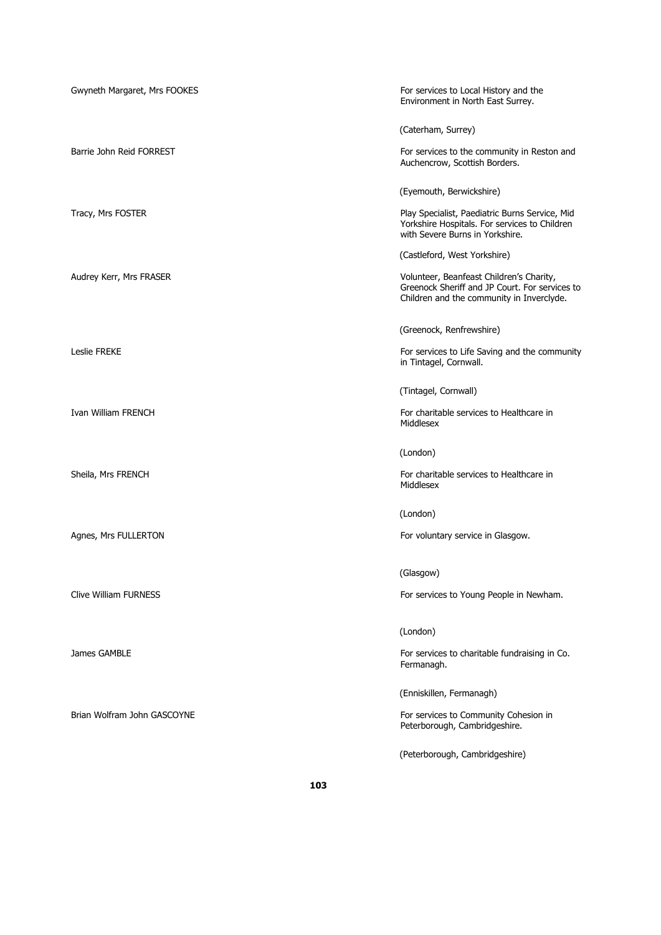| Gwyneth Margaret, Mrs FOOKES | For services to Local History and the<br>Environment in North East Surrey.                                                              |
|------------------------------|-----------------------------------------------------------------------------------------------------------------------------------------|
|                              | (Caterham, Surrey)                                                                                                                      |
| Barrie John Reid FORREST     | For services to the community in Reston and<br>Auchencrow, Scottish Borders.                                                            |
|                              | (Eyemouth, Berwickshire)                                                                                                                |
| Tracy, Mrs FOSTER            | Play Specialist, Paediatric Burns Service, Mid<br>Yorkshire Hospitals. For services to Children<br>with Severe Burns in Yorkshire.      |
|                              | (Castleford, West Yorkshire)                                                                                                            |
| Audrey Kerr, Mrs FRASER      | Volunteer, Beanfeast Children's Charity,<br>Greenock Sheriff and JP Court. For services to<br>Children and the community in Inverclyde. |
|                              | (Greenock, Renfrewshire)                                                                                                                |
| Leslie FREKE                 | For services to Life Saving and the community<br>in Tintagel, Cornwall.                                                                 |
|                              | (Tintagel, Cornwall)                                                                                                                    |
| Ivan William FRENCH          | For charitable services to Healthcare in<br>Middlesex                                                                                   |
|                              | (London)                                                                                                                                |
| Sheila, Mrs FRENCH           | For charitable services to Healthcare in<br>Middlesex                                                                                   |
|                              | (London)                                                                                                                                |
| Agnes, Mrs FULLERTON         | For voluntary service in Glasgow.                                                                                                       |
|                              | (Glasgow)                                                                                                                               |
| Clive William FURNESS        | For services to Young People in Newham.                                                                                                 |
|                              | (London)                                                                                                                                |
| James GAMBLE                 | For services to charitable fundraising in Co.<br>Fermanagh.                                                                             |
|                              | (Enniskillen, Fermanagh)                                                                                                                |
| Brian Wolfram John GASCOYNE  | For services to Community Cohesion in<br>Peterborough, Cambridgeshire.                                                                  |
|                              | (Peterborough, Cambridgeshire)                                                                                                          |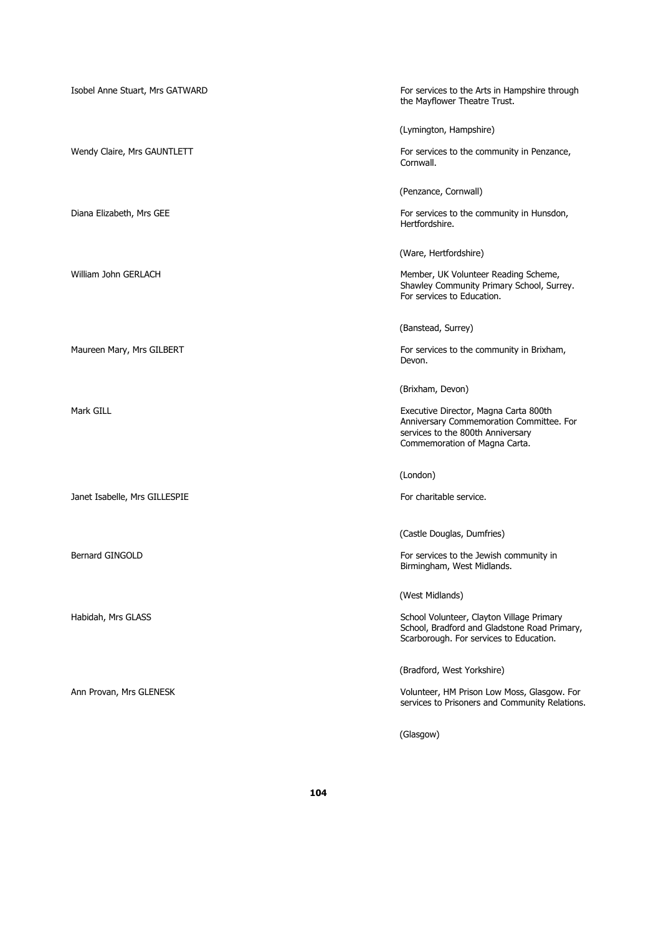| Isobel Anne Stuart, Mrs GATWARD | For services to the Arts in Hampshire through<br>the Mayflower Theatre Trust.                                                                           |
|---------------------------------|---------------------------------------------------------------------------------------------------------------------------------------------------------|
|                                 | (Lymington, Hampshire)                                                                                                                                  |
| Wendy Claire, Mrs GAUNTLETT     | For services to the community in Penzance,<br>Cornwall.                                                                                                 |
|                                 | (Penzance, Cornwall)                                                                                                                                    |
| Diana Elizabeth, Mrs GEE        | For services to the community in Hunsdon,<br>Hertfordshire.                                                                                             |
|                                 | (Ware, Hertfordshire)                                                                                                                                   |
| William John GERLACH            | Member, UK Volunteer Reading Scheme,<br>Shawley Community Primary School, Surrey.<br>For services to Education.                                         |
|                                 | (Banstead, Surrey)                                                                                                                                      |
| Maureen Mary, Mrs GILBERT       | For services to the community in Brixham,<br>Devon.                                                                                                     |
|                                 | (Brixham, Devon)                                                                                                                                        |
| Mark GILL                       | Executive Director, Magna Carta 800th<br>Anniversary Commemoration Committee. For<br>services to the 800th Anniversary<br>Commemoration of Magna Carta. |
|                                 | (London)                                                                                                                                                |
| Janet Isabelle, Mrs GILLESPIE   | For charitable service.                                                                                                                                 |
|                                 | (Castle Douglas, Dumfries)                                                                                                                              |
| Bernard GINGOLD                 | For services to the Jewish community in<br>Birmingham, West Midlands.                                                                                   |
|                                 | (West Midlands)                                                                                                                                         |
| Habidah, Mrs GLASS              | School Volunteer, Clayton Village Primary<br>School, Bradford and Gladstone Road Primary,<br>Scarborough. For services to Education.                    |
|                                 | (Bradford, West Yorkshire)                                                                                                                              |
| Ann Provan, Mrs GLENESK         | Volunteer, HM Prison Low Moss, Glasgow. For<br>services to Prisoners and Community Relations.                                                           |
|                                 | (Glasgow)                                                                                                                                               |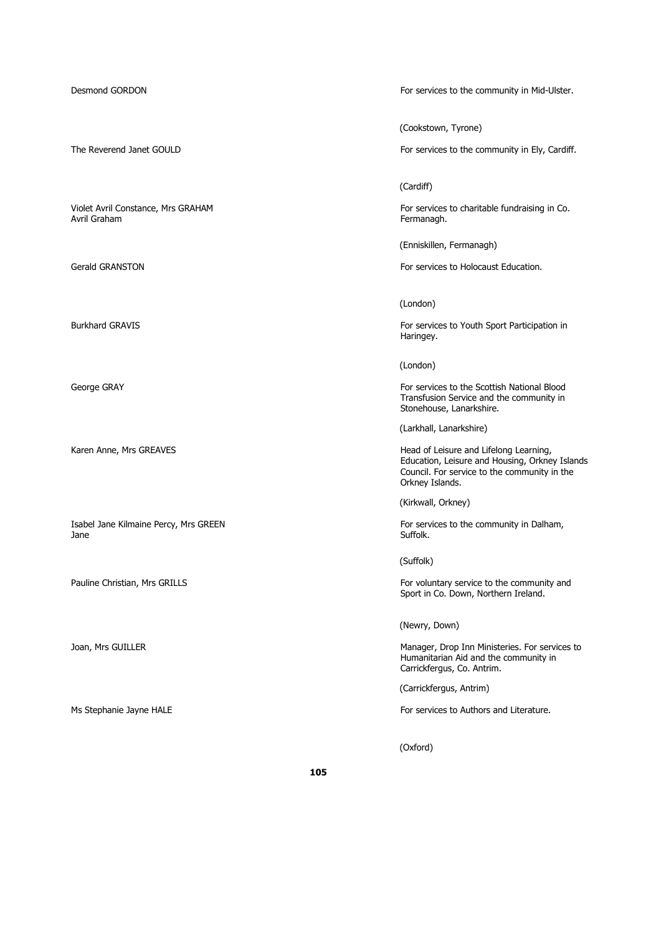Isabel Jane Kilmaine Percy, Mrs GREEN For services to the community in Dalham, Jane Suffolk. The set of the set of the set of the set of the set of the set of the set of the set of the set o

Desmond GORDON For services to the community in Mid-Ulster.

(Cookstown, Tyrone)

The Reverend Janet GOULD **For services to the community in Ely, Cardiff.** 

(Cardiff)

Violet Avril Constance, Mrs GRAHAM For services to charitable fundraising in Co.<br>
Avril Graham Formanagh. Fermanagh.

(Enniskillen, Fermanagh)

Gerald GRANSTON For services to Holocaust Education.

(London)

Burkhard GRAVIS **For services to Youth Sport Participation** in Haringey.

(London)

George GRAY For services to the Scottish National Blood Transfusion Service and the community in Stonehouse, Lanarkshire.

(Larkhall, Lanarkshire)

Karen Anne, Mrs GREAVES **Head of Leisure and Lifelong Learning**, Education, Leisure and Housing, Orkney Islands Council. For service to the community in the Orkney Islands.

(Kirkwall, Orkney)

(Suffolk)

Pauline Christian, Mrs GRILLS For voluntary service to the community and Sport in Co. Down, Northern Ireland.

(Newry, Down)

Joan, Mrs GUILLER Manager, Drop Inn Ministeries. For services to Humanitarian Aid and the community in Carrickfergus, Co. Antrim.

(Carrickfergus, Antrim)

Ms Stephanie Jayne HALE **For services to Authors and Literature.** 

(Oxford)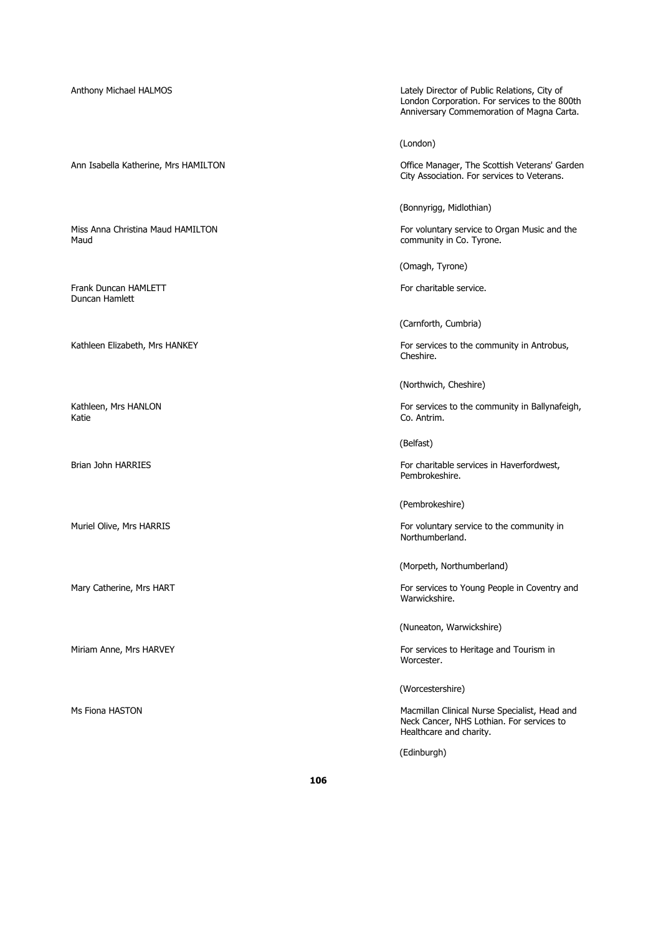Frank Duncan HAMLETT FOR THE STATE SERVICE. The STATE SERVICE SERVICE. Duncan Hamlett

Anthony Michael HALMOS Lately Director of Public Relations, City of London Corporation. For services to the 800th Anniversary Commemoration of Magna Carta.

(London)

Ann Isabella Katherine, Mrs HAMILTON **Office Manager, The Scottish Veterans' Garden** City Association. For services to Veterans.

(Bonnyrigg, Midlothian)

Miss Anna Christina Maud HAMILTON For voluntary service to Organ Music and the Maud<br>For voluntary service to Organ Music and the Maud community in Co. Tyrone.

(Omagh, Tyrone)

(Carnforth, Cumbria)

Kathleen Elizabeth, Mrs HANKEY For services to the community in Antrobus, Cheshire.

(Northwich, Cheshire)

Kathleen, Mrs HANLON **For services to the community in Ballynafeigh**, For services to the community in Ballynafeigh,<br>
Katie Co. Antrim.

(Belfast)

Brian John HARRIES For charitable services in Haverfordwest, Pembrokeshire.

(Pembrokeshire)

Muriel Olive, Mrs HARRIS **For voluntary service to the community in** For voluntary service to the community in Northumberland.

(Morpeth, Northumberland)

Mary Catherine, Mrs HART For services to Young People in Coventry and Warwickshire.

(Nuneaton, Warwickshire)

Miriam Anne, Mrs HARVEY For services to Heritage and Tourism in Worcester.

(Worcestershire)

Ms Fiona HASTON Macmillan Clinical Nurse Specialist, Head and Neck Cancer, NHS Lothian. For services to Healthcare and charity.

(Edinburgh)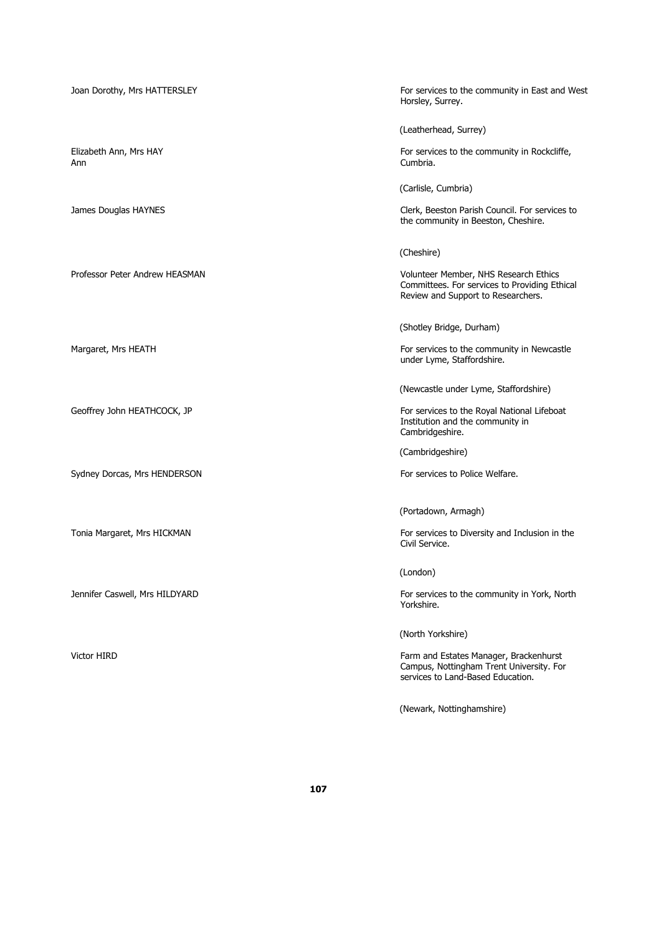Ann Cumbria.

Sydney Dorcas, Mrs HENDERSON For services to Police Welfare.

Joan Dorothy, Mrs HATTERSLEY For services to the community in East and West Horsley, Surrey.

(Leatherhead, Surrey)

Elizabeth Ann, Mrs HAY For services to the community in Rockcliffe,<br>Ann Cumbria.

(Carlisle, Cumbria)

James Douglas HAYNES **Clerk, Beeston Parish Council. For services to** the community in Beeston, Cheshire.

(Cheshire)

Professor Peter Andrew HEASMAN Volunteer Member, NHS Research Ethics Committees. For services to Providing Ethical Review and Support to Researchers.

(Shotley Bridge, Durham)

Margaret, Mrs HEATH For services to the community in Newcastle under Lyme, Staffordshire.

(Newcastle under Lyme, Staffordshire)

Geoffrey John HEATHCOCK, JP **For services to the Royal National Lifeboat** Institution and the community in Cambridgeshire.

(Cambridgeshire)

(Portadown, Armagh)

Tonia Margaret, Mrs HICKMAN For services to Diversity and Inclusion in the Civil Service.

(London)

Jennifer Caswell, Mrs HILDYARD For services to the community in York, North Yorkshire.

(North Yorkshire)

Victor HIRD **Farm and Estates Manager, Brackenhurst** Farm and Estates Manager, Brackenhurst Campus, Nottingham Trent University. For services to Land-Based Education.

(Newark, Nottinghamshire)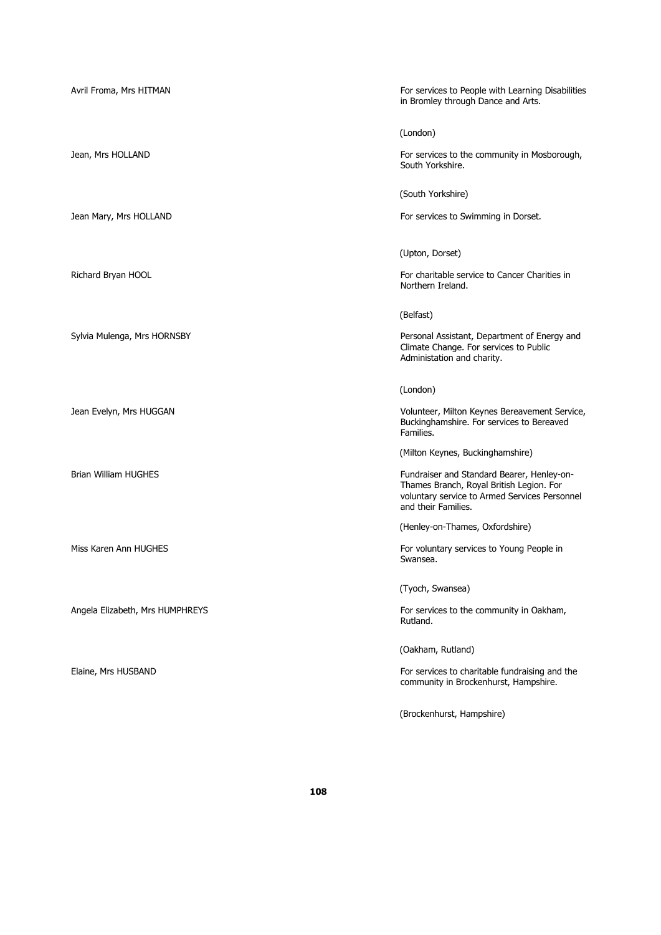| Avril Froma, Mrs HITMAN         | For services to People with Learning Disabilities<br>in Bromley through Dance and Arts.                                                                        |
|---------------------------------|----------------------------------------------------------------------------------------------------------------------------------------------------------------|
|                                 | (London)                                                                                                                                                       |
| Jean, Mrs HOLLAND               | For services to the community in Mosborough,<br>South Yorkshire.                                                                                               |
|                                 | (South Yorkshire)                                                                                                                                              |
| Jean Mary, Mrs HOLLAND          | For services to Swimming in Dorset.                                                                                                                            |
|                                 | (Upton, Dorset)                                                                                                                                                |
| Richard Bryan HOOL              | For charitable service to Cancer Charities in<br>Northern Ireland.                                                                                             |
|                                 | (Belfast)                                                                                                                                                      |
| Sylvia Mulenga, Mrs HORNSBY     | Personal Assistant, Department of Energy and<br>Climate Change. For services to Public<br>Administation and charity.                                           |
|                                 | (London)                                                                                                                                                       |
| Jean Evelyn, Mrs HUGGAN         | Volunteer, Milton Keynes Bereavement Service,<br>Buckinghamshire. For services to Bereaved<br>Families.                                                        |
|                                 | (Milton Keynes, Buckinghamshire)                                                                                                                               |
| <b>Brian William HUGHES</b>     | Fundraiser and Standard Bearer, Henley-on-<br>Thames Branch, Royal British Legion. For<br>voluntary service to Armed Services Personnel<br>and their Families. |
|                                 | (Henley-on-Thames, Oxfordshire)                                                                                                                                |
| Miss Karen Ann HUGHES           | For voluntary services to Young People in<br>Swansea.                                                                                                          |
|                                 | (Tyoch, Swansea)                                                                                                                                               |
| Angela Elizabeth, Mrs HUMPHREYS | For services to the community in Oakham,<br>Rutland.                                                                                                           |
|                                 | (Oakham, Rutland)                                                                                                                                              |
| Elaine, Mrs HUSBAND             | For services to charitable fundraising and the<br>community in Brockenhurst, Hampshire.                                                                        |
|                                 | (Brockenhurst, Hampshire)                                                                                                                                      |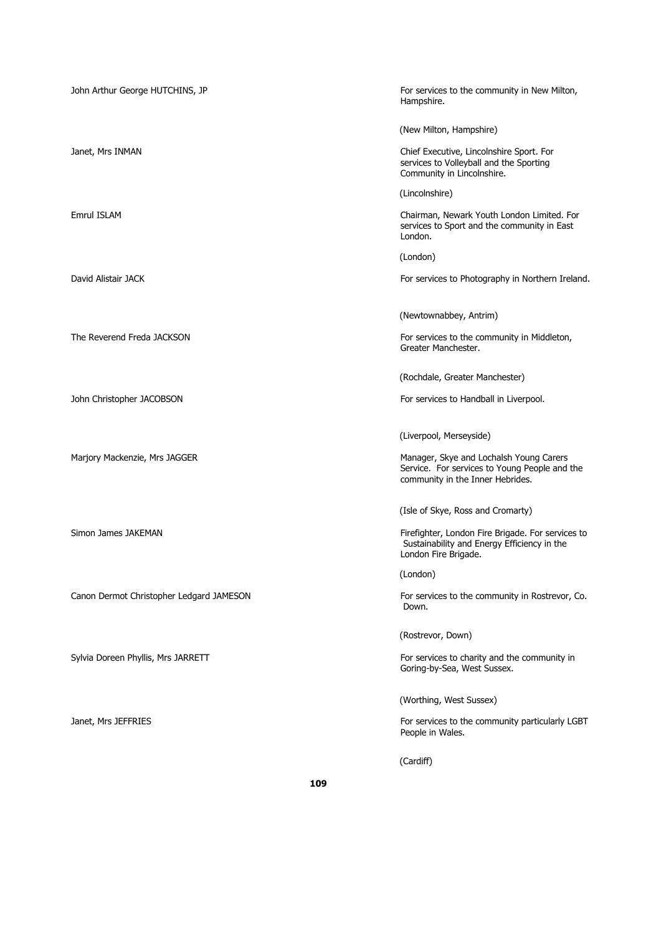| John Arthur George HUTCHINS, JP          | For services to the community in New Milton,<br>Hampshire.                                                                   |
|------------------------------------------|------------------------------------------------------------------------------------------------------------------------------|
|                                          | (New Milton, Hampshire)                                                                                                      |
| Janet, Mrs INMAN                         | Chief Executive, Lincolnshire Sport. For<br>services to Volleyball and the Sporting<br>Community in Lincolnshire.            |
|                                          | (Lincolnshire)                                                                                                               |
| <b>Emrul ISLAM</b>                       | Chairman, Newark Youth London Limited. For<br>services to Sport and the community in East<br>London.                         |
|                                          | (London)                                                                                                                     |
| David Alistair JACK                      | For services to Photography in Northern Ireland.                                                                             |
|                                          | (Newtownabbey, Antrim)                                                                                                       |
| The Reverend Freda JACKSON               | For services to the community in Middleton,<br>Greater Manchester.                                                           |
|                                          | (Rochdale, Greater Manchester)                                                                                               |
| John Christopher JACOBSON                | For services to Handball in Liverpool.                                                                                       |
|                                          | (Liverpool, Merseyside)                                                                                                      |
| Marjory Mackenzie, Mrs JAGGER            | Manager, Skye and Lochalsh Young Carers<br>Service. For services to Young People and the<br>community in the Inner Hebrides. |
|                                          | (Isle of Skye, Ross and Cromarty)                                                                                            |
| Simon James JAKEMAN                      | Firefighter, London Fire Brigade. For services to<br>Sustainability and Energy Efficiency in the<br>London Fire Brigade.     |
|                                          | (London)                                                                                                                     |
| Canon Dermot Christopher Ledgard JAMESON | For services to the community in Rostrevor, Co.<br>Down.                                                                     |
|                                          | (Rostrevor, Down)                                                                                                            |
| Sylvia Doreen Phyllis, Mrs JARRETT       | For services to charity and the community in<br>Goring-by-Sea, West Sussex.                                                  |
|                                          | (Worthing, West Sussex)                                                                                                      |
| Janet, Mrs JEFFRIES                      | For services to the community particularly LGBT<br>People in Wales.                                                          |
|                                          | (Cardiff)                                                                                                                    |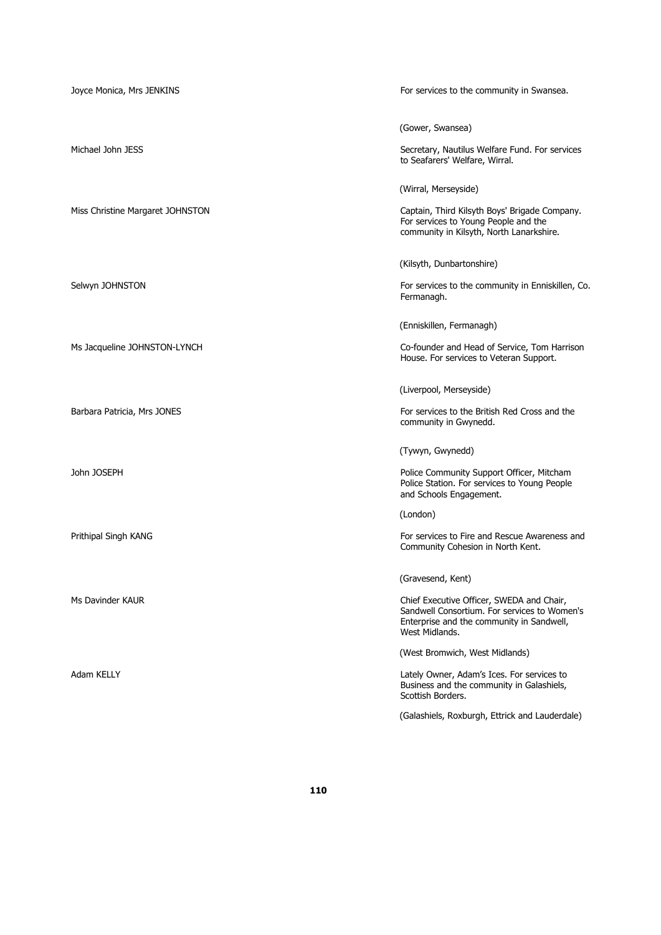| Joyce Monica, Mrs JENKINS        | For services to the community in Swansea.                                                                                                                |
|----------------------------------|----------------------------------------------------------------------------------------------------------------------------------------------------------|
|                                  | (Gower, Swansea)                                                                                                                                         |
| Michael John JESS                | Secretary, Nautilus Welfare Fund. For services<br>to Seafarers' Welfare, Wirral.                                                                         |
|                                  | (Wirral, Merseyside)                                                                                                                                     |
| Miss Christine Margaret JOHNSTON | Captain, Third Kilsyth Boys' Brigade Company.<br>For services to Young People and the<br>community in Kilsyth, North Lanarkshire.                        |
|                                  | (Kilsyth, Dunbartonshire)                                                                                                                                |
| Selwyn JOHNSTON                  | For services to the community in Enniskillen, Co.<br>Fermanagh.                                                                                          |
|                                  | (Enniskillen, Fermanagh)                                                                                                                                 |
| Ms Jacqueline JOHNSTON-LYNCH     | Co-founder and Head of Service, Tom Harrison<br>House. For services to Veteran Support.                                                                  |
|                                  | (Liverpool, Merseyside)                                                                                                                                  |
| Barbara Patricia, Mrs JONES      | For services to the British Red Cross and the<br>community in Gwynedd.                                                                                   |
|                                  | (Tywyn, Gwynedd)                                                                                                                                         |
| John JOSEPH                      | Police Community Support Officer, Mitcham<br>Police Station. For services to Young People<br>and Schools Engagement.                                     |
|                                  | (London)                                                                                                                                                 |
| Prithipal Singh KANG             | For services to Fire and Rescue Awareness and<br>Community Cohesion in North Kent.                                                                       |
|                                  | (Gravesend, Kent)                                                                                                                                        |
| Ms Davinder KAUR                 | Chief Executive Officer, SWEDA and Chair,<br>Sandwell Consortium. For services to Women's<br>Enterprise and the community in Sandwell,<br>West Midlands. |
|                                  | (West Bromwich, West Midlands)                                                                                                                           |
| Adam KELLY                       | Lately Owner, Adam's Ices. For services to<br>Business and the community in Galashiels,<br>Scottish Borders.                                             |
|                                  | (Galashiels, Roxburgh, Ettrick and Lauderdale)                                                                                                           |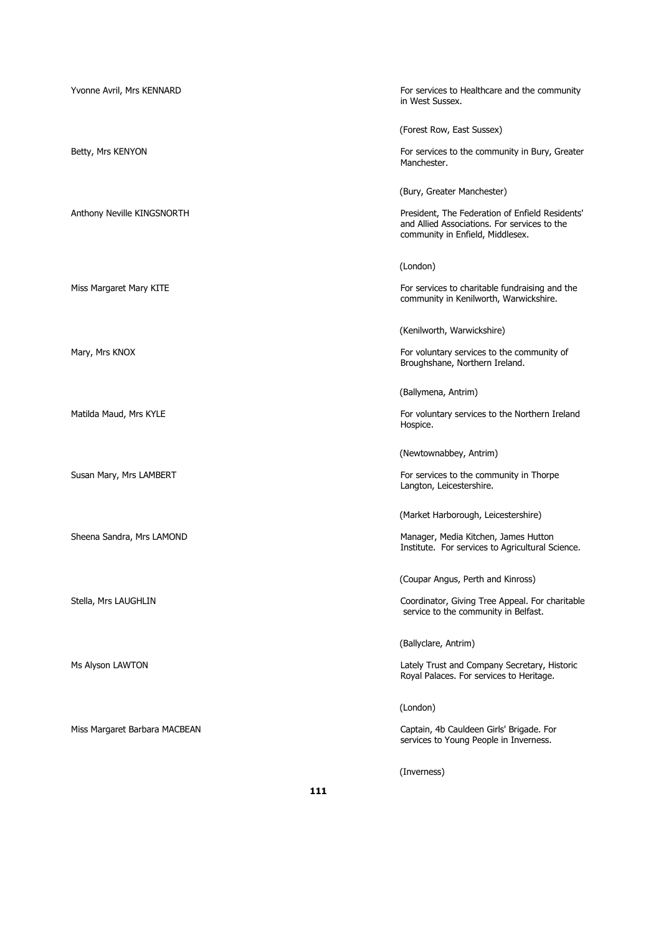| Yvonne Avril, Mrs KENNARD     | For services to Healthcare and the community<br>in West Sussex.                                                                     |
|-------------------------------|-------------------------------------------------------------------------------------------------------------------------------------|
|                               | (Forest Row, East Sussex)                                                                                                           |
| Betty, Mrs KENYON             | For services to the community in Bury, Greater<br>Manchester.                                                                       |
|                               | (Bury, Greater Manchester)                                                                                                          |
| Anthony Neville KINGSNORTH    | President, The Federation of Enfield Residents'<br>and Allied Associations. For services to the<br>community in Enfield, Middlesex. |
|                               | (London)                                                                                                                            |
| Miss Margaret Mary KITE       | For services to charitable fundraising and the<br>community in Kenilworth, Warwickshire.                                            |
|                               | (Kenilworth, Warwickshire)                                                                                                          |
| Mary, Mrs KNOX                | For voluntary services to the community of<br>Broughshane, Northern Ireland.                                                        |
|                               | (Ballymena, Antrim)                                                                                                                 |
| Matilda Maud, Mrs KYLE        | For voluntary services to the Northern Ireland<br>Hospice.                                                                          |
|                               | (Newtownabbey, Antrim)                                                                                                              |
| Susan Mary, Mrs LAMBERT       | For services to the community in Thorpe<br>Langton, Leicestershire.                                                                 |
|                               | (Market Harborough, Leicestershire)                                                                                                 |
| Sheena Sandra, Mrs LAMOND     | Manager, Media Kitchen, James Hutton<br>Institute. For services to Agricultural Science.                                            |
|                               | (Coupar Angus, Perth and Kinross)                                                                                                   |
| Stella, Mrs LAUGHLIN          | Coordinator, Giving Tree Appeal. For charitable<br>service to the community in Belfast.                                             |
|                               | (Ballyclare, Antrim)                                                                                                                |
| Ms Alyson LAWTON              | Lately Trust and Company Secretary, Historic<br>Royal Palaces. For services to Heritage.                                            |
|                               | (London)                                                                                                                            |
| Miss Margaret Barbara MACBEAN | Captain, 4b Cauldeen Girls' Brigade. For<br>services to Young People in Inverness.                                                  |
|                               |                                                                                                                                     |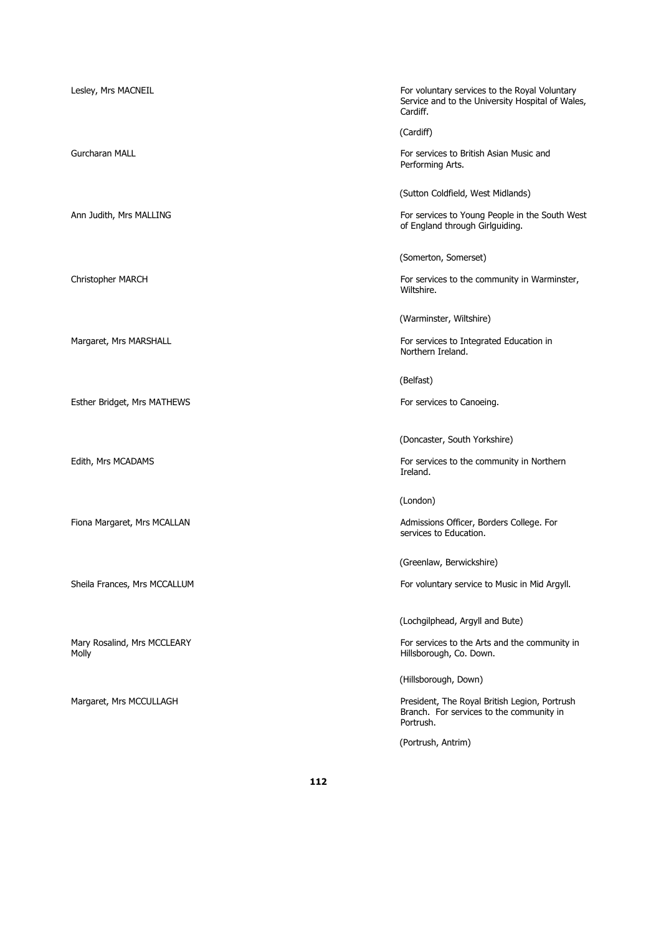| Lesley, Mrs MACNEIL                  | For voluntary services to the Royal Voluntary<br>Service and to the University Hospital of Wales,<br>Cardiff. |
|--------------------------------------|---------------------------------------------------------------------------------------------------------------|
|                                      | (Cardiff)                                                                                                     |
| <b>Gurcharan MALL</b>                | For services to British Asian Music and<br>Performing Arts.                                                   |
|                                      | (Sutton Coldfield, West Midlands)                                                                             |
| Ann Judith, Mrs MALLING              | For services to Young People in the South West<br>of England through Girlguiding.                             |
|                                      | (Somerton, Somerset)                                                                                          |
| Christopher MARCH                    | For services to the community in Warminster,<br>Wiltshire.                                                    |
|                                      | (Warminster, Wiltshire)                                                                                       |
| Margaret, Mrs MARSHALL               | For services to Integrated Education in<br>Northern Ireland.                                                  |
|                                      | (Belfast)                                                                                                     |
| Esther Bridget, Mrs MATHEWS          | For services to Canoeing.                                                                                     |
|                                      | (Doncaster, South Yorkshire)                                                                                  |
|                                      |                                                                                                               |
| Edith, Mrs MCADAMS                   | For services to the community in Northern<br>Ireland.                                                         |
|                                      | (London)                                                                                                      |
| Fiona Margaret, Mrs MCALLAN          | Admissions Officer, Borders College. For<br>services to Education.                                            |
|                                      | (Greenlaw, Berwickshire)                                                                                      |
| Sheila Frances, Mrs MCCALLUM         | For voluntary service to Music in Mid Argyll.                                                                 |
|                                      | (Lochgilphead, Argyll and Bute)                                                                               |
| Mary Rosalind, Mrs MCCLEARY<br>Molly | For services to the Arts and the community in<br>Hillsborough, Co. Down.                                      |
|                                      | (Hillsborough, Down)                                                                                          |
| Margaret, Mrs MCCULLAGH              | President, The Royal British Legion, Portrush<br>Branch. For services to the community in<br>Portrush.        |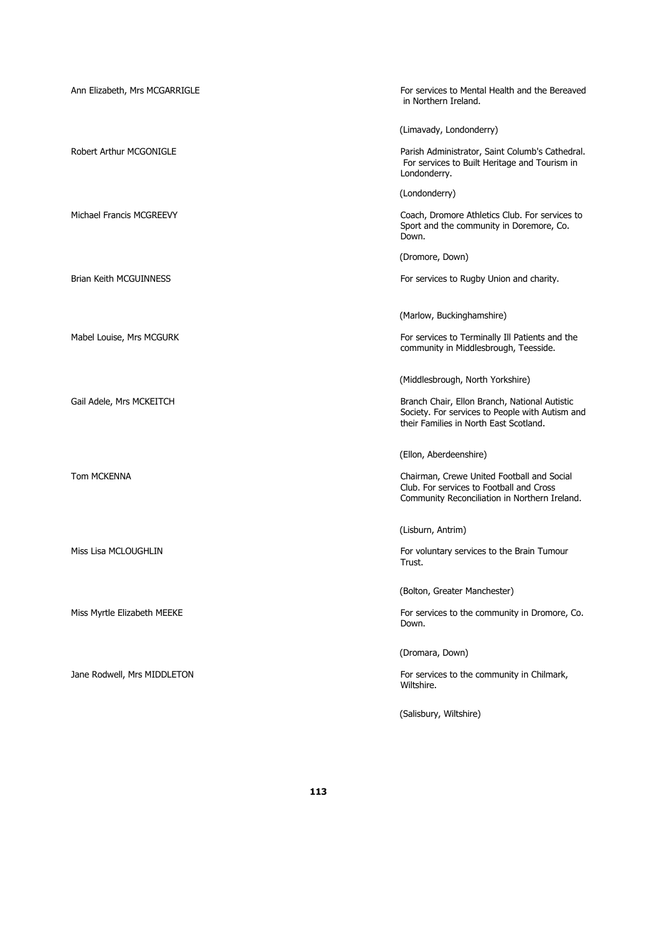| Ann Elizabeth, Mrs MCGARRIGLE | For services to Mental Health and the Bereaved<br>in Northern Ireland.                                                                     |
|-------------------------------|--------------------------------------------------------------------------------------------------------------------------------------------|
|                               | (Limavady, Londonderry)                                                                                                                    |
| Robert Arthur MCGONIGLE       | Parish Administrator, Saint Columb's Cathedral.<br>For services to Built Heritage and Tourism in<br>Londonderry.                           |
|                               | (Londonderry)                                                                                                                              |
| Michael Francis MCGREEVY      | Coach, Dromore Athletics Club. For services to<br>Sport and the community in Doremore, Co.<br>Down.                                        |
|                               | (Dromore, Down)                                                                                                                            |
| Brian Keith MCGUINNESS        | For services to Rugby Union and charity.                                                                                                   |
|                               | (Marlow, Buckinghamshire)                                                                                                                  |
| Mabel Louise, Mrs MCGURK      | For services to Terminally Ill Patients and the<br>community in Middlesbrough, Teesside.                                                   |
|                               | (Middlesbrough, North Yorkshire)                                                                                                           |
| Gail Adele, Mrs MCKEITCH      | Branch Chair, Ellon Branch, National Autistic<br>Society. For services to People with Autism and<br>their Families in North East Scotland. |
|                               | (Ellon, Aberdeenshire)                                                                                                                     |
| Tom MCKENNA                   | Chairman, Crewe United Football and Social<br>Club. For services to Football and Cross<br>Community Reconciliation in Northern Ireland.    |
|                               | (Lisburn, Antrim)                                                                                                                          |
| Miss Lisa MCLOUGHLIN          | For voluntary services to the Brain Tumour<br>Trust.                                                                                       |
|                               | (Bolton, Greater Manchester)                                                                                                               |
| Miss Myrtle Elizabeth MEEKE   | For services to the community in Dromore, Co.<br>Down.                                                                                     |
|                               | (Dromara, Down)                                                                                                                            |
| Jane Rodwell, Mrs MIDDLETON   | For services to the community in Chilmark,<br>Wiltshire.                                                                                   |
|                               | (Salisbury, Wiltshire)                                                                                                                     |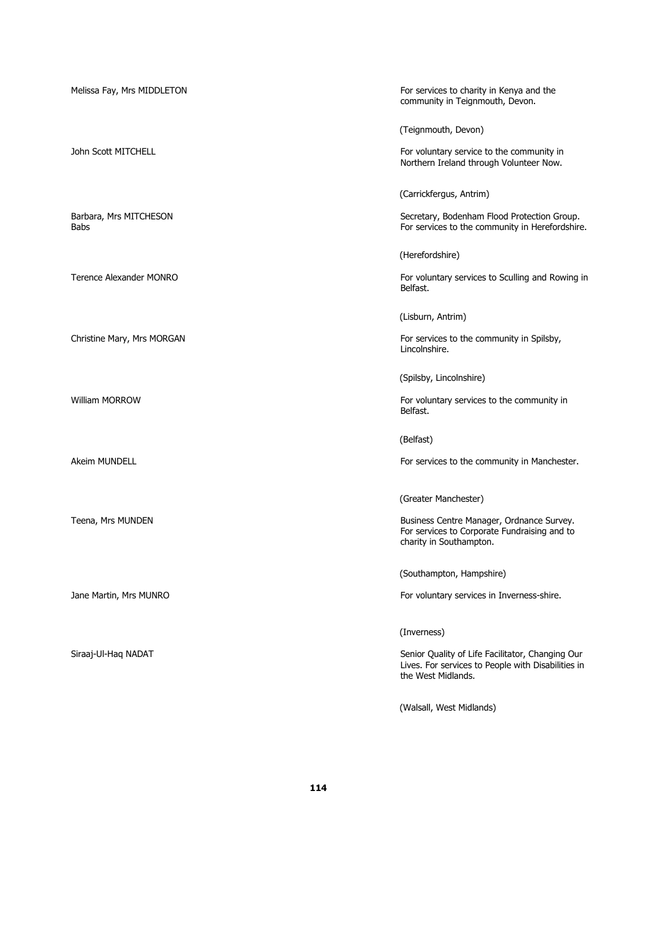| Melissa Fay, Mrs MIDDLETON     | For services to charity in Kenya and the<br>community in Teignmouth, Devon.                                                  |
|--------------------------------|------------------------------------------------------------------------------------------------------------------------------|
|                                | (Teignmouth, Devon)                                                                                                          |
| John Scott MITCHELL            | For voluntary service to the community in<br>Northern Ireland through Volunteer Now.                                         |
|                                | (Carrickfergus, Antrim)                                                                                                      |
| Barbara, Mrs MITCHESON<br>Babs | Secretary, Bodenham Flood Protection Group.<br>For services to the community in Herefordshire.                               |
|                                | (Herefordshire)                                                                                                              |
| Terence Alexander MONRO        | For voluntary services to Sculling and Rowing in<br>Belfast.                                                                 |
|                                | (Lisburn, Antrim)                                                                                                            |
| Christine Mary, Mrs MORGAN     | For services to the community in Spilsby,<br>Lincolnshire.                                                                   |
|                                | (Spilsby, Lincolnshire)                                                                                                      |
| <b>William MORROW</b>          | For voluntary services to the community in<br>Belfast.                                                                       |
|                                | (Belfast)                                                                                                                    |
| Akeim MUNDELL                  | For services to the community in Manchester.                                                                                 |
|                                | (Greater Manchester)                                                                                                         |
| Teena, Mrs MUNDEN              | Business Centre Manager, Ordnance Survey.<br>For services to Corporate Fundraising and to<br>charity in Southampton.         |
|                                | (Southampton, Hampshire)                                                                                                     |
| Jane Martin, Mrs MUNRO         | For voluntary services in Inverness-shire.                                                                                   |
|                                | (Inverness)                                                                                                                  |
| Siraaj-Ul-Haq NADAT            | Senior Quality of Life Facilitator, Changing Our<br>Lives. For services to People with Disabilities in<br>the West Midlands. |
|                                | (Walsall, West Midlands)                                                                                                     |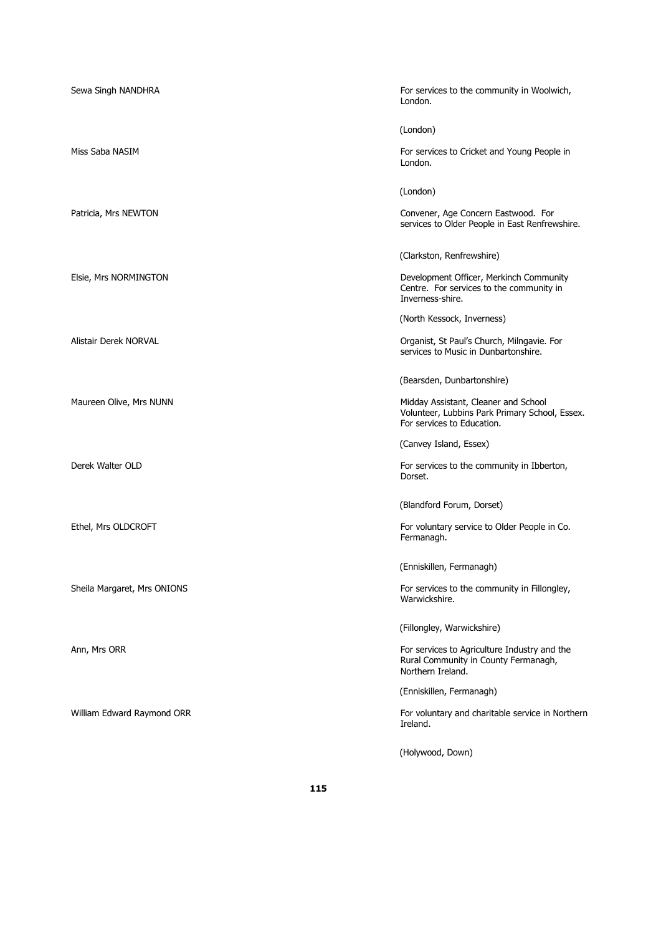| Sewa Singh NANDHRA          | For services to the community in Woolwich,<br>London.                                                                |
|-----------------------------|----------------------------------------------------------------------------------------------------------------------|
|                             | (London)                                                                                                             |
| Miss Saba NASIM             | For services to Cricket and Young People in<br>London.                                                               |
|                             | (London)                                                                                                             |
| Patricia, Mrs NEWTON        | Convener, Age Concern Eastwood. For<br>services to Older People in East Renfrewshire.                                |
|                             | (Clarkston, Renfrewshire)                                                                                            |
| Elsie, Mrs NORMINGTON       | Development Officer, Merkinch Community<br>Centre. For services to the community in<br>Inverness-shire.              |
|                             | (North Kessock, Inverness)                                                                                           |
| Alistair Derek NORVAL       | Organist, St Paul's Church, Milngavie. For<br>services to Music in Dunbartonshire.                                   |
|                             | (Bearsden, Dunbartonshire)                                                                                           |
| Maureen Olive, Mrs NUNN     | Midday Assistant, Cleaner and School<br>Volunteer, Lubbins Park Primary School, Essex.<br>For services to Education. |
|                             | (Canvey Island, Essex)                                                                                               |
| Derek Walter OLD            | For services to the community in Ibberton,<br>Dorset.                                                                |
|                             | (Blandford Forum, Dorset)                                                                                            |
| Ethel, Mrs OLDCROFT         | For voluntary service to Older People in Co.<br>Fermanagh.                                                           |
|                             | (Enniskillen, Fermanagh)                                                                                             |
| Sheila Margaret, Mrs ONIONS | For services to the community in Fillongley,<br>Warwickshire.                                                        |
|                             | (Fillongley, Warwickshire)                                                                                           |
| Ann, Mrs ORR                | For services to Agriculture Industry and the<br>Rural Community in County Fermanagh,<br>Northern Ireland.            |
|                             | (Enniskillen, Fermanagh)                                                                                             |
| William Edward Raymond ORR  | For voluntary and charitable service in Northerr<br>Ireland.                                                         |
|                             | (Holywood, Down)                                                                                                     |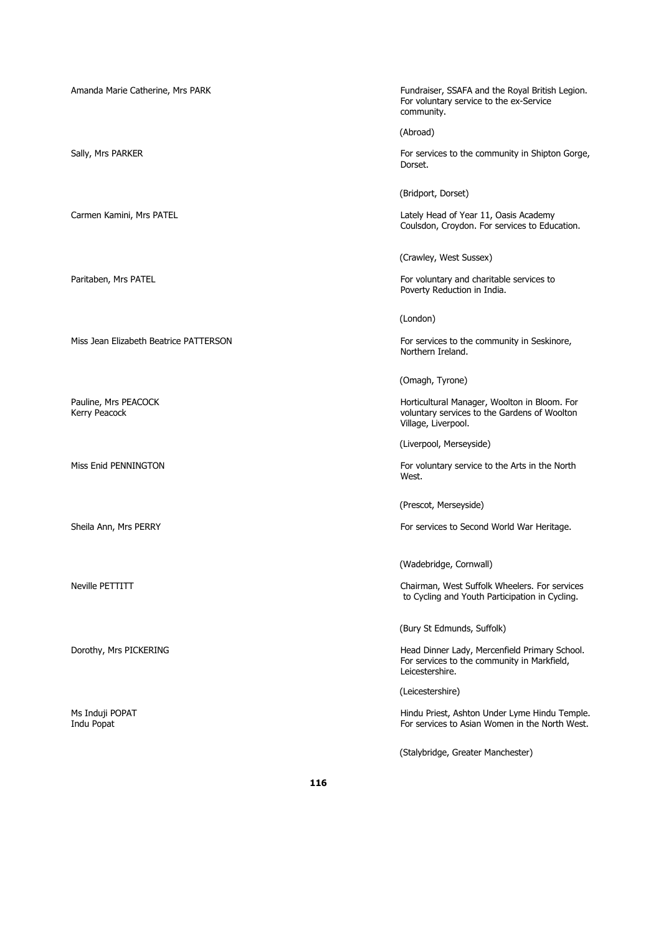Amanda Marie Catherine, Mrs PARK Fundraiser, SSAFA and the Royal British Legion. For voluntary service to the ex-Service community.

(Abroad)

Sally, Mrs PARKER For services to the community in Shipton Gorge, Dorset.

(Bridport, Dorset)

Carmen Kamini, Mrs PATEL **Carmen Kamini, Mrs PATEL** Coulsdon, Croydon. For services to Education.

(Crawley, West Sussex)

Paritaben, Mrs PATEL For voluntary and charitable services to Poverty Reduction in India.

(London)

Miss Jean Elizabeth Beatrice PATTERSON For services to the community in Seskinore, Northern Ireland.

(Omagh, Tyrone)

Pauline, Mrs PEACOCK **Manager, Woolton in Bloom.** For Kerry Peacock voluntary services to the Gardens of Woolton Village, Liverpool.

(Liverpool, Merseyside)

Miss Enid PENNINGTON For voluntary service to the Arts in the North West.

(Prescot, Merseyside)

Sheila Ann, Mrs PERRY For services to Second World War Heritage.

(Wadebridge, Cornwall)

Neville PETTITT Chairman, West Suffolk Wheelers. For services to Cycling and Youth Participation in Cycling.

(Bury St Edmunds, Suffolk)

Dorothy, Mrs PICKERING **Head Dinner Lady, Mercenfield Primary School.** Head Dinner Lady, Mercenfield Primary School. For services to the community in Markfield, Leicestershire.

(Leicestershire)

Ms Induji POPAT Hindu Priest, Ashton Under Lyme Hindu Temple. Indu Popat For services to Asian Women in the North West.

(Stalybridge, Greater Manchester)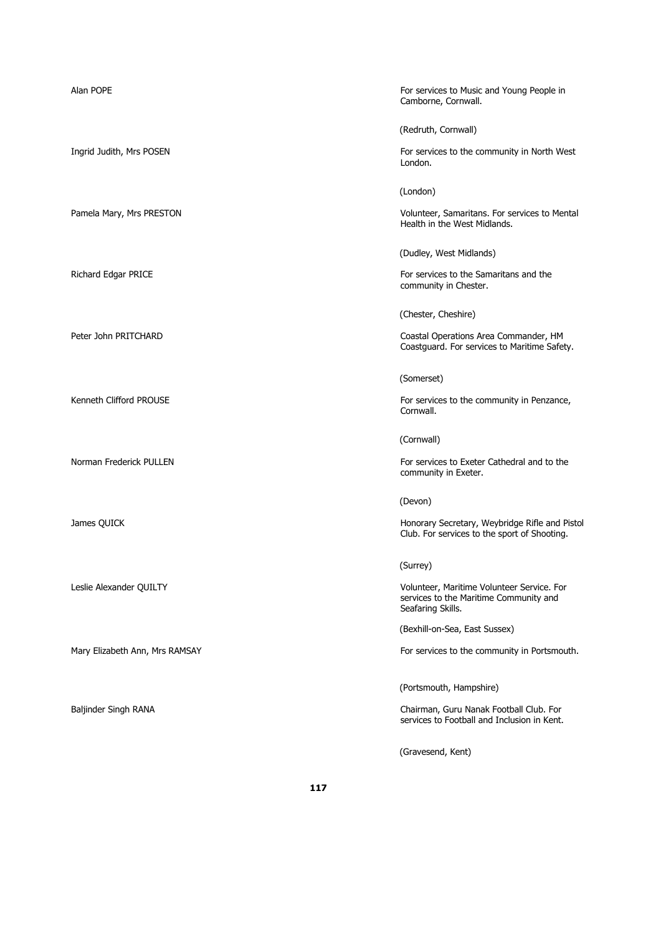| Alan POPE                      | For services to Music and Young People in<br>Camborne, Cornwall.                                          |
|--------------------------------|-----------------------------------------------------------------------------------------------------------|
|                                | (Redruth, Cornwall)                                                                                       |
| Ingrid Judith, Mrs POSEN       | For services to the community in North West<br>London.                                                    |
|                                | (London)                                                                                                  |
| Pamela Mary, Mrs PRESTON       | Volunteer, Samaritans. For services to Mental<br>Health in the West Midlands.                             |
|                                | (Dudley, West Midlands)                                                                                   |
| Richard Edgar PRICE            | For services to the Samaritans and the<br>community in Chester.                                           |
|                                | (Chester, Cheshire)                                                                                       |
| Peter John PRITCHARD           | Coastal Operations Area Commander, HM<br>Coastguard. For services to Maritime Safety.                     |
|                                | (Somerset)                                                                                                |
| Kenneth Clifford PROUSE        | For services to the community in Penzance,<br>Cornwall.                                                   |
|                                | (Cornwall)                                                                                                |
| Norman Frederick PULLEN        | For services to Exeter Cathedral and to the<br>community in Exeter.                                       |
|                                | (Devon)                                                                                                   |
| James QUICK                    | Honorary Secretary, Weybridge Rifle and Pistol<br>Club. For services to the sport of Shooting.            |
|                                | (Surrey)                                                                                                  |
| Leslie Alexander QUILTY        | Volunteer, Maritime Volunteer Service. For<br>services to the Maritime Community and<br>Seafaring Skills. |
|                                | (Bexhill-on-Sea, East Sussex)                                                                             |
| Mary Elizabeth Ann, Mrs RAMSAY | For services to the community in Portsmouth.                                                              |
|                                | (Portsmouth, Hampshire)                                                                                   |
| Baljinder Singh RANA           | Chairman, Guru Nanak Football Club. For<br>services to Football and Inclusion in Kent.                    |
|                                | (Gravesend, Kent)                                                                                         |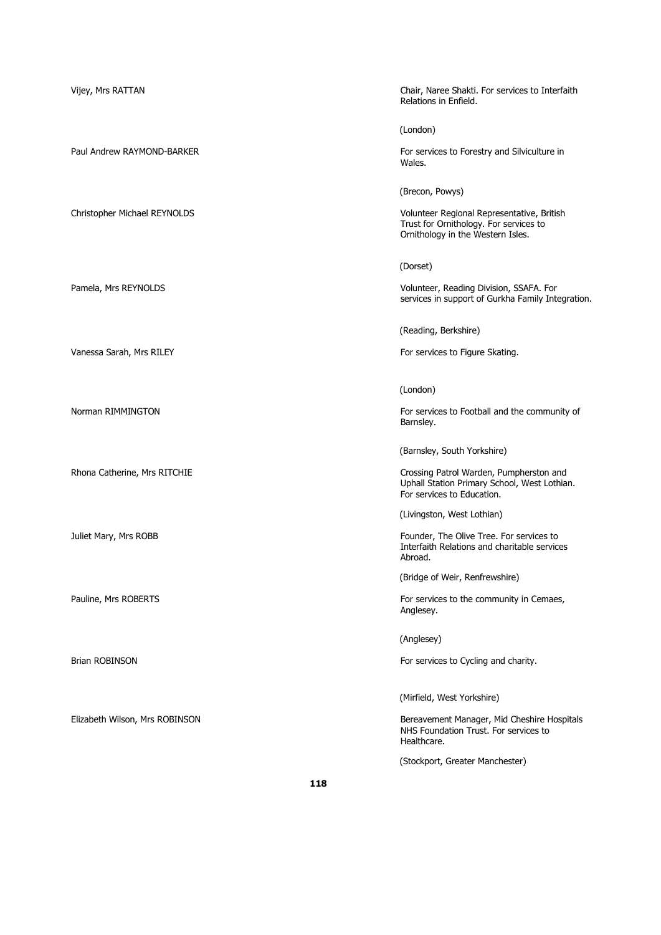| Vijey, Mrs RATTAN              | Chair, Naree Shakti. For services to Interfaith<br>Relations in Enfield.                                                  |
|--------------------------------|---------------------------------------------------------------------------------------------------------------------------|
|                                | (London)                                                                                                                  |
| Paul Andrew RAYMOND-BARKER     | For services to Forestry and Silviculture in<br>Wales.                                                                    |
|                                | (Brecon, Powys)                                                                                                           |
| Christopher Michael REYNOLDS   | Volunteer Regional Representative, British<br>Trust for Ornithology. For services to<br>Ornithology in the Western Isles. |
|                                | (Dorset)                                                                                                                  |
| Pamela, Mrs REYNOLDS           | Volunteer, Reading Division, SSAFA. For<br>services in support of Gurkha Family Integration.                              |
|                                | (Reading, Berkshire)                                                                                                      |
| Vanessa Sarah, Mrs RILEY       | For services to Figure Skating.                                                                                           |
|                                | (London)                                                                                                                  |
| Norman RIMMINGTON              | For services to Football and the community of<br>Barnsley.                                                                |
|                                | (Barnsley, South Yorkshire)                                                                                               |
| Rhona Catherine, Mrs RITCHIE   | Crossing Patrol Warden, Pumpherston and<br>Uphall Station Primary School, West Lothian.<br>For services to Education.     |
|                                | (Livingston, West Lothian)                                                                                                |
| Juliet Mary, Mrs ROBB          | Founder, The Olive Tree. For services to<br>Interfaith Relations and charitable services<br>Abroad.                       |
|                                | (Bridge of Weir, Renfrewshire)                                                                                            |
| Pauline, Mrs ROBERTS           | For services to the community in Cemaes,<br>Anglesey.                                                                     |
|                                | (Anglesey)                                                                                                                |
| <b>Brian ROBINSON</b>          | For services to Cycling and charity.                                                                                      |
|                                | (Mirfield, West Yorkshire)                                                                                                |
| Elizabeth Wilson, Mrs ROBINSON | Bereavement Manager, Mid Cheshire Hospitals<br>NHS Foundation Trust. For services to<br>Healthcare.                       |
|                                | (Stockport, Greater Manchester)                                                                                           |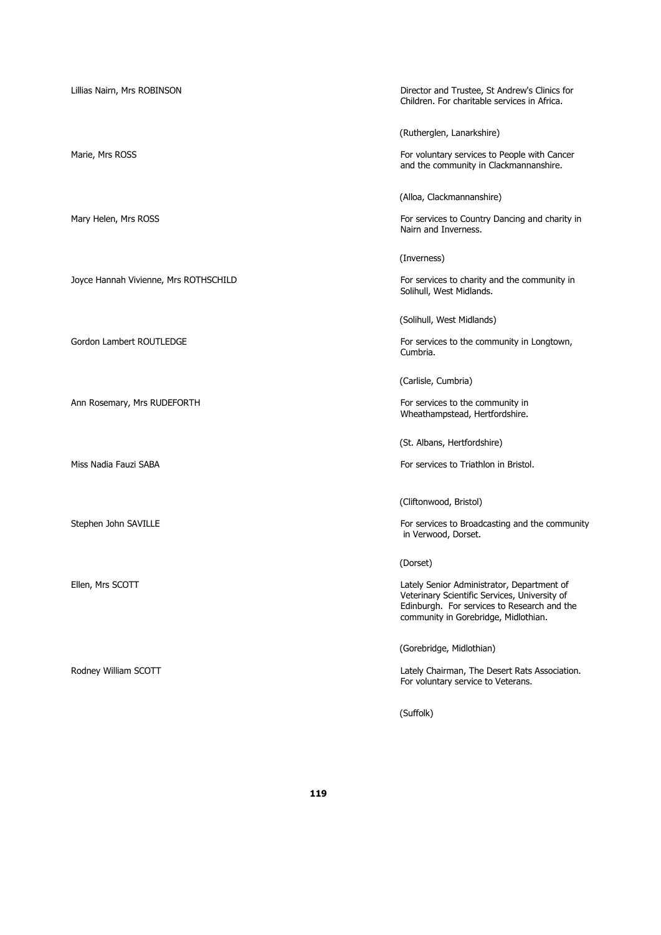Ann Rosemary, Mrs RUDEFORTH For services to the community in

Lillias Nairn, Mrs ROBINSON Director and Trustee, St Andrew's Clinics for Children. For charitable services in Africa.

(Rutherglen, Lanarkshire)

Marie, Mrs ROSS For voluntary services to People with Cancer and the community in Clackmannanshire.

(Alloa, Clackmannanshire)

Mary Helen, Mrs ROSS **For services to Country Dancing and charity in** Nairn and Inverness.

(Inverness)

Joyce Hannah Vivienne, Mrs ROTHSCHILD For services to charity and the community in Solihull, West Midlands.

(Solihull, West Midlands)

Gordon Lambert ROUTLEDGE For services to the community in Longtown, Cumbria.

(Carlisle, Cumbria)

Wheathampstead, Hertfordshire.

(St. Albans, Hertfordshire)

Miss Nadia Fauzi SABA **For services to Triathlon in Bristol. For services to Triathlon in Bristol.** 

(Cliftonwood, Bristol)

Stephen John SAVILLE **For services** to Broadcasting and the community in Verwood, Dorset.

(Dorset)

Ellen, Mrs SCOTT **Lately Senior Administrator, Department of** Veterinary Scientific Services, University of Edinburgh. For services to Research and the community in Gorebridge, Midlothian.

(Gorebridge, Midlothian)

Rodney William SCOTT **Roof** External Association. Lately Chairman, The Desert Rats Association. For voluntary service to Veterans.

(Suffolk)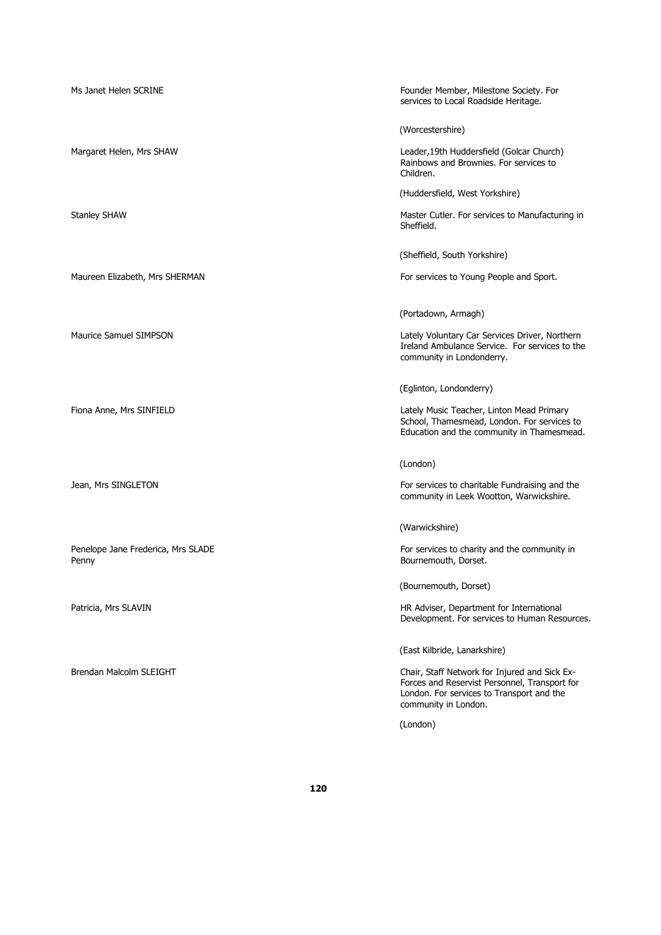| Ms Janet Helen SCRINE                       | Founder Member, Milestone Society. For<br>services to Local Roadside Heritage.                                                                                      |
|---------------------------------------------|---------------------------------------------------------------------------------------------------------------------------------------------------------------------|
|                                             | (Worcestershire)                                                                                                                                                    |
| Margaret Helen, Mrs SHAW                    | Leader, 19th Huddersfield (Golcar Church)<br>Rainbows and Brownies. For services to<br>Children.                                                                    |
|                                             | (Huddersfield, West Yorkshire)                                                                                                                                      |
| <b>Stanley SHAW</b>                         | Master Cutler. For services to Manufacturing in<br>Sheffield.                                                                                                       |
|                                             | (Sheffield, South Yorkshire)                                                                                                                                        |
| Maureen Elizabeth, Mrs SHERMAN              | For services to Young People and Sport.                                                                                                                             |
|                                             | (Portadown, Armagh)                                                                                                                                                 |
| <b>Maurice Samuel SIMPSON</b>               | Lately Voluntary Car Services Driver, Northern<br>Ireland Ambulance Service. For services to the<br>community in Londonderry.                                       |
|                                             | (Eglinton, Londonderry)                                                                                                                                             |
| Fiona Anne, Mrs SINFIELD                    | Lately Music Teacher, Linton Mead Primary<br>School, Thamesmead, London. For services to<br>Education and the community in Thamesmead.                              |
|                                             | (London)                                                                                                                                                            |
| Jean, Mrs SINGLETON                         | For services to charitable Fundraising and the<br>community in Leek Wootton, Warwickshire.                                                                          |
|                                             | (Warwickshire)                                                                                                                                                      |
| Penelope Jane Frederica, Mrs SLADE<br>Penny | For services to charity and the community in<br>Bournemouth, Dorset.                                                                                                |
|                                             | (Bournemouth, Dorset)                                                                                                                                               |
| Patricia, Mrs SLAVIN                        | HR Adviser, Department for International<br>Development. For services to Human Resources.                                                                           |
|                                             | (East Kilbride, Lanarkshire)                                                                                                                                        |
| Brendan Malcolm SLEIGHT                     | Chair, Staff Network for Injured and Sick Ex-<br>Forces and Reservist Personnel, Transport for<br>London. For services to Transport and the<br>community in London. |
|                                             | (London)                                                                                                                                                            |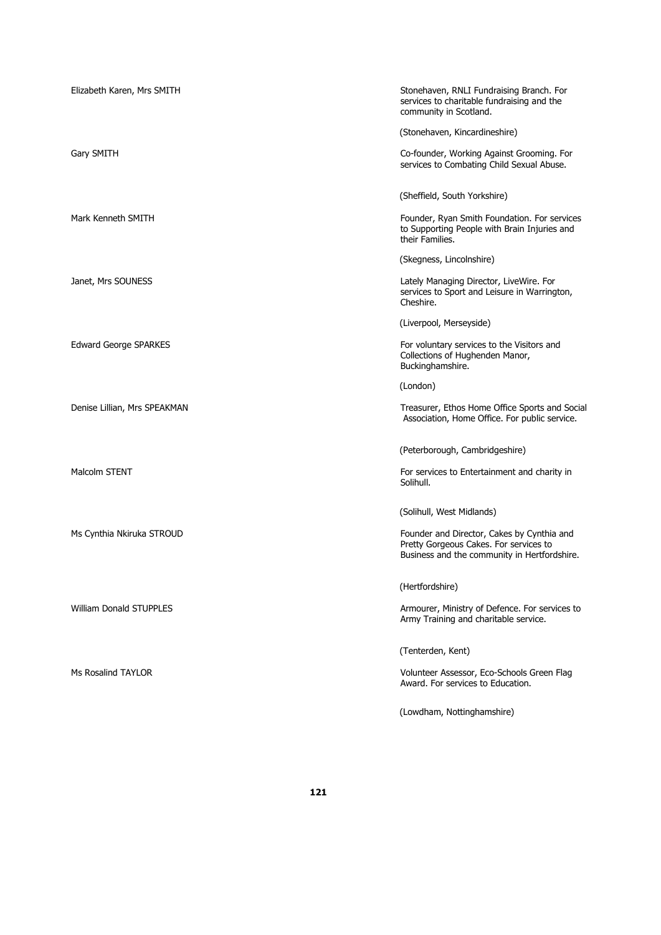| Elizabeth Karen, Mrs SMITH     | Stonehaven, RNLI Fundraising Branch. For<br>services to charitable fundraising and the<br>community in Scotland.                     |
|--------------------------------|--------------------------------------------------------------------------------------------------------------------------------------|
|                                | (Stonehaven, Kincardineshire)                                                                                                        |
| Gary SMITH                     | Co-founder, Working Against Grooming. For<br>services to Combating Child Sexual Abuse.                                               |
|                                | (Sheffield, South Yorkshire)                                                                                                         |
| Mark Kenneth SMITH             | Founder, Ryan Smith Foundation. For services<br>to Supporting People with Brain Injuries and<br>their Families.                      |
|                                | (Skegness, Lincolnshire)                                                                                                             |
| Janet, Mrs SOUNESS             | Lately Managing Director, LiveWire. For<br>services to Sport and Leisure in Warrington,<br>Cheshire.                                 |
|                                | (Liverpool, Merseyside)                                                                                                              |
| <b>Edward George SPARKES</b>   | For voluntary services to the Visitors and<br>Collections of Hughenden Manor,<br>Buckinghamshire.                                    |
|                                | (London)                                                                                                                             |
| Denise Lillian, Mrs SPEAKMAN   | Treasurer, Ethos Home Office Sports and Social<br>Association, Home Office. For public service.                                      |
|                                | (Peterborough, Cambridgeshire)                                                                                                       |
| <b>Malcolm STENT</b>           | For services to Entertainment and charity in<br>Solihull.                                                                            |
|                                | (Solihull, West Midlands)                                                                                                            |
| Ms Cynthia Nkiruka STROUD      | Founder and Director, Cakes by Cynthia and<br>Pretty Gorgeous Cakes. For services to<br>Business and the community in Hertfordshire. |
|                                | (Hertfordshire)                                                                                                                      |
| <b>William Donald STUPPLES</b> | Armourer, Ministry of Defence. For services to<br>Army Training and charitable service.                                              |
|                                | (Tenterden, Kent)                                                                                                                    |
| Ms Rosalind TAYLOR             | Volunteer Assessor, Eco-Schools Green Flag<br>Award. For services to Education.                                                      |
|                                | (Lowdham, Nottinghamshire)                                                                                                           |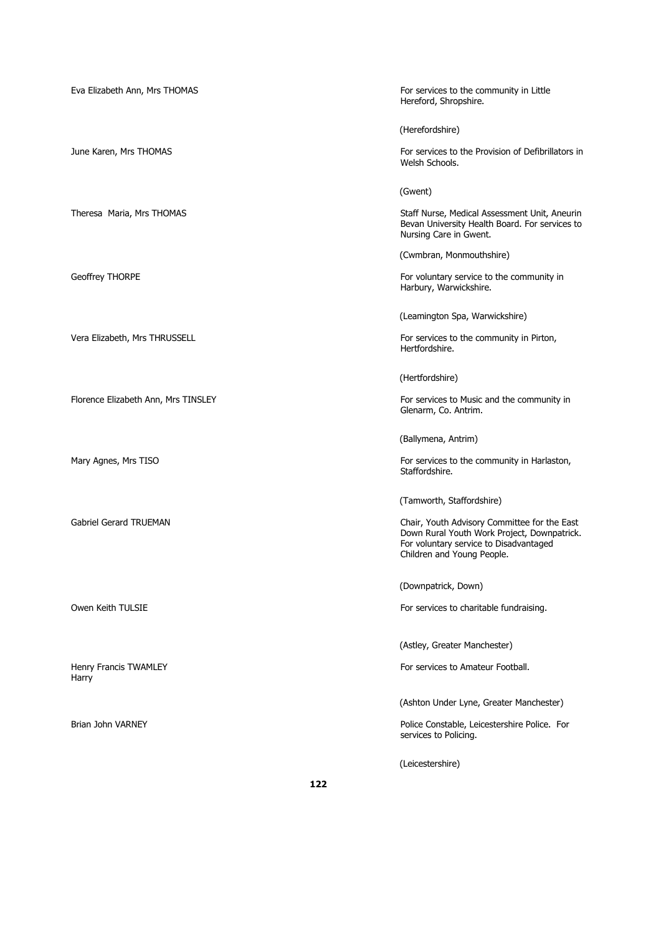| Eva Elizabeth Ann, Mrs THOMAS       | For services to the community in Little<br>Hereford, Shropshire.                                                                                                    |
|-------------------------------------|---------------------------------------------------------------------------------------------------------------------------------------------------------------------|
|                                     | (Herefordshire)                                                                                                                                                     |
| June Karen, Mrs THOMAS              | For services to the Provision of Defibrillators in<br>Welsh Schools.                                                                                                |
|                                     | (Gwent)                                                                                                                                                             |
| Theresa Maria, Mrs THOMAS           | Staff Nurse, Medical Assessment Unit, Aneurin<br>Bevan University Health Board. For services to<br>Nursing Care in Gwent.                                           |
|                                     | (Cwmbran, Monmouthshire)                                                                                                                                            |
| Geoffrey THORPE                     | For voluntary service to the community in<br>Harbury, Warwickshire.                                                                                                 |
|                                     | (Leamington Spa, Warwickshire)                                                                                                                                      |
| Vera Elizabeth, Mrs THRUSSELL       | For services to the community in Pirton,<br>Hertfordshire.                                                                                                          |
|                                     | (Hertfordshire)                                                                                                                                                     |
| Florence Elizabeth Ann, Mrs TINSLEY | For services to Music and the community in<br>Glenarm, Co. Antrim.                                                                                                  |
|                                     | (Ballymena, Antrim)                                                                                                                                                 |
| Mary Agnes, Mrs TISO                | For services to the community in Harlaston,<br>Staffordshire.                                                                                                       |
|                                     | (Tamworth, Staffordshire)                                                                                                                                           |
| Gabriel Gerard TRUEMAN              | Chair, Youth Advisory Committee for the East<br>Down Rural Youth Work Project, Downpatrick.<br>For voluntary service to Disadvantaged<br>Children and Young People. |
|                                     | (Downpatrick, Down)                                                                                                                                                 |
| Owen Keith TULSIE                   | For services to charitable fundraising.                                                                                                                             |
|                                     | (Astley, Greater Manchester)                                                                                                                                        |
| Henry Francis TWAMLEY<br>Harry      | For services to Amateur Football.                                                                                                                                   |
|                                     | (Ashton Under Lyne, Greater Manchester)                                                                                                                             |
| Brian John VARNEY                   | Police Constable, Leicestershire Police. For<br>services to Policing.                                                                                               |
|                                     | (Leicestershire)                                                                                                                                                    |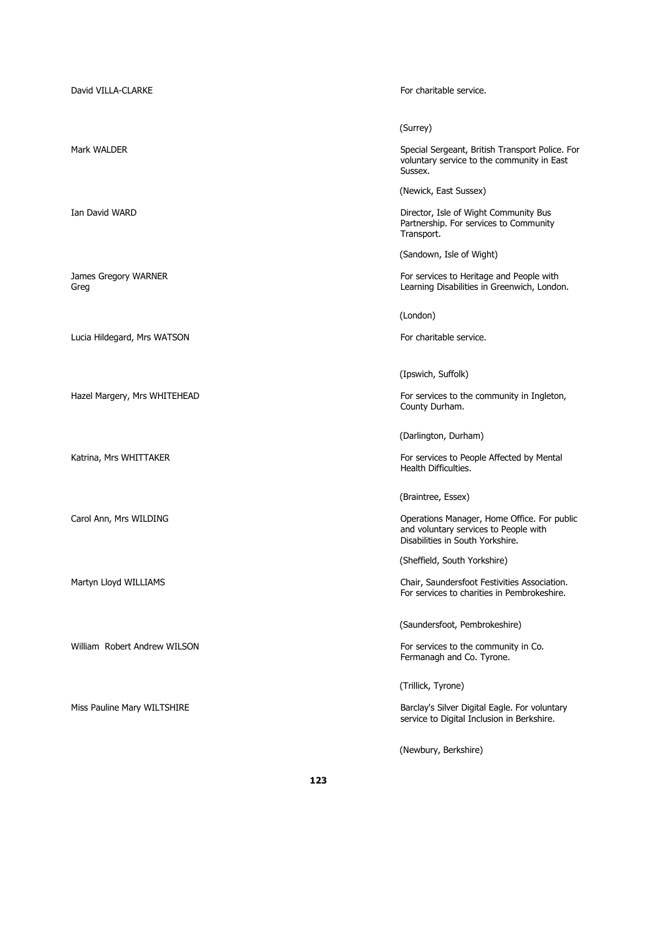| David VILLA-CLARKE           | For charitable service.                                                                                                  |
|------------------------------|--------------------------------------------------------------------------------------------------------------------------|
|                              | (Surrey)                                                                                                                 |
| Mark WALDER                  | Special Sergeant, British Transport Police. For<br>voluntary service to the community in East<br>Sussex.                 |
|                              | (Newick, East Sussex)                                                                                                    |
| Ian David WARD               | Director, Isle of Wight Community Bus<br>Partnership. For services to Community<br>Transport.                            |
|                              | (Sandown, Isle of Wight)                                                                                                 |
| James Gregory WARNER<br>Greg | For services to Heritage and People with<br>Learning Disabilities in Greenwich, London.                                  |
|                              | (London)                                                                                                                 |
| Lucia Hildegard, Mrs WATSON  | For charitable service.                                                                                                  |
|                              | (Ipswich, Suffolk)                                                                                                       |
| Hazel Margery, Mrs WHITEHEAD | For services to the community in Ingleton,<br>County Durham.                                                             |
|                              | (Darlington, Durham)                                                                                                     |
| Katrina, Mrs WHITTAKER       | For services to People Affected by Mental<br>Health Difficulties.                                                        |
|                              | (Braintree, Essex)                                                                                                       |
| Carol Ann, Mrs WILDING       | Operations Manager, Home Office. For public<br>and voluntary services to People with<br>Disabilities in South Yorkshire. |
|                              | (Sheffield, South Yorkshire)                                                                                             |
| Martyn Lloyd WILLIAMS        | Chair, Saundersfoot Festivities Association.<br>For services to charities in Pembrokeshire.                              |
|                              | (Saundersfoot, Pembrokeshire)                                                                                            |
| William Robert Andrew WILSON | For services to the community in Co.<br>Fermanagh and Co. Tyrone.                                                        |
|                              | (Trillick, Tyrone)                                                                                                       |
| Miss Pauline Mary WILTSHIRE  | Barclay's Silver Digital Eagle. For voluntary<br>service to Digital Inclusion in Berkshire.                              |
|                              | (Newbury, Berkshire)                                                                                                     |